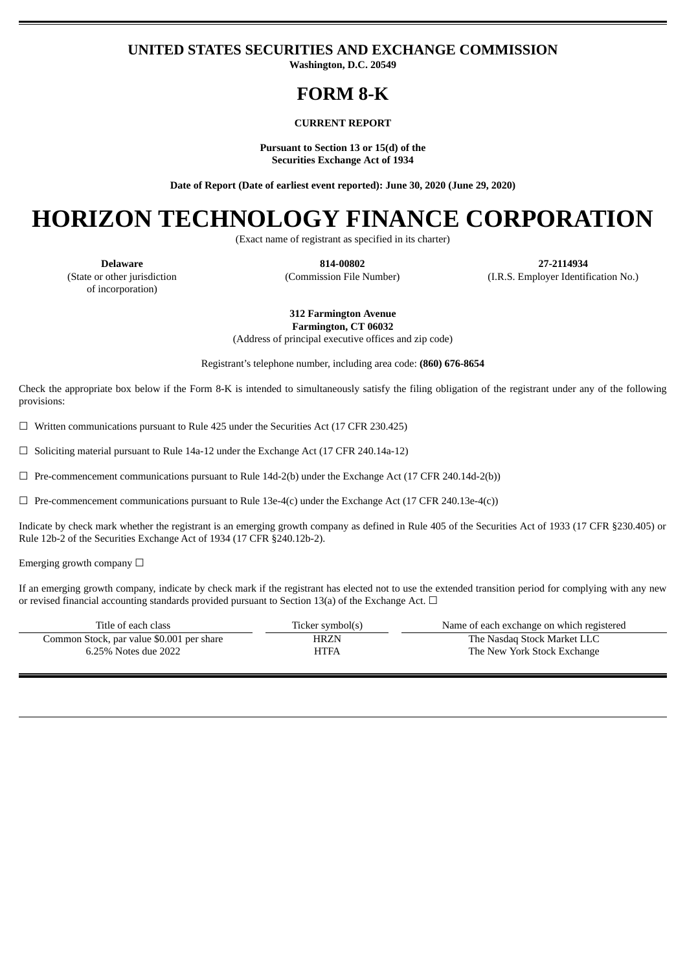## **UNITED STATES SECURITIES AND EXCHANGE COMMISSION**

**Washington, D.C. 20549**

## **FORM 8-K**

#### **CURRENT REPORT**

**Pursuant to Section 13 or 15(d) of the Securities Exchange Act of 1934**

**Date of Report (Date of earliest event reported): June 30, 2020 (June 29, 2020)**

# **HORIZON TECHNOLOGY FINANCE CORPORATION**

(Exact name of registrant as specified in its charter)

(State or other jurisdiction of incorporation)

**Delaware 814-00802 27-2114934** (Commission File Number) (I.R.S. Employer Identification No.)

**312 Farmington Avenue**

**Farmington, CT 06032**

(Address of principal executive offices and zip code)

Registrant's telephone number, including area code: **(860) 676-8654**

Check the appropriate box below if the Form 8-K is intended to simultaneously satisfy the filing obligation of the registrant under any of the following provisions:

 $\Box$  Written communications pursuant to Rule 425 under the Securities Act (17 CFR 230.425)

 $\Box$  Soliciting material pursuant to Rule 14a-12 under the Exchange Act (17 CFR 240.14a-12)

 $\Box$  Pre-commencement communications pursuant to Rule 14d-2(b) under the Exchange Act (17 CFR 240.14d-2(b))

 $\Box$  Pre-commencement communications pursuant to Rule 13e-4(c) under the Exchange Act (17 CFR 240.13e-4(c))

Indicate by check mark whether the registrant is an emerging growth company as defined in Rule 405 of the Securities Act of 1933 (17 CFR §230.405) or Rule 12b-2 of the Securities Exchange Act of 1934 (17 CFR §240.12b-2).

Emerging growth company  $\Box$ 

If an emerging growth company, indicate by check mark if the registrant has elected not to use the extended transition period for complying with any new or revised financial accounting standards provided pursuant to Section 13(a) of the Exchange Act.  $\Box$ 

| Title of each class                       | Ticker symbol(s) | Name of each exchange on which registered |  |  |
|-------------------------------------------|------------------|-------------------------------------------|--|--|
| Common Stock, par value \$0.001 per share | <b>HRZN</b>      | The Nasdag Stock Market LLC               |  |  |
| 6.25% Notes due 2022                      | HTFA             | The New York Stock Exchange               |  |  |
|                                           |                  |                                           |  |  |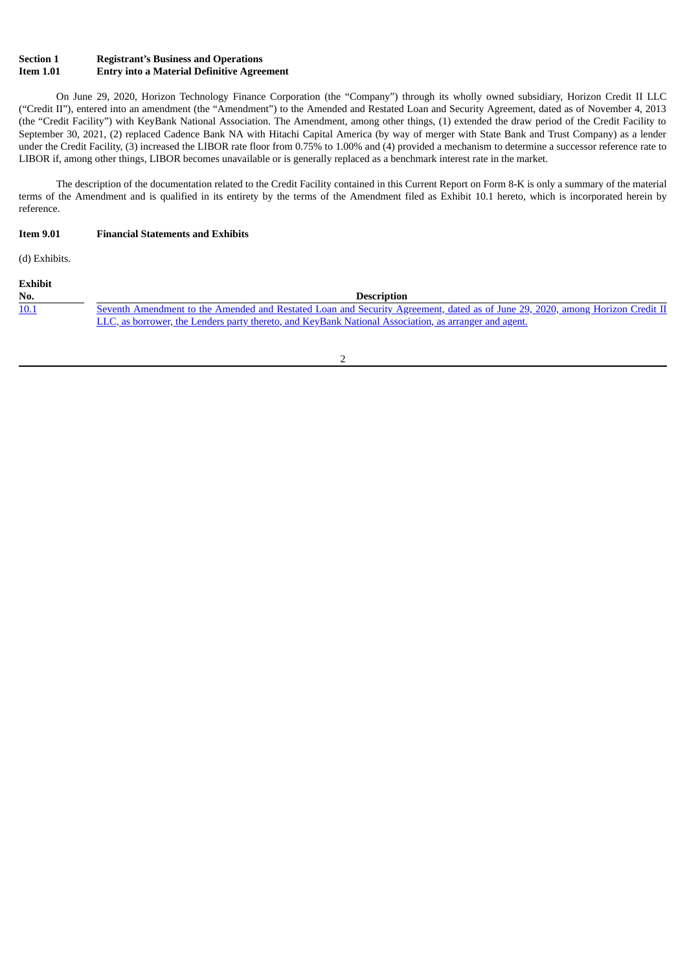#### **Section 1 Registrant's Business and Operations Item 1.01 Entry into a Material Definitive Agreement**

On June 29, 2020, Horizon Technology Finance Corporation (the "Company") through its wholly owned subsidiary, Horizon Credit II LLC ("Credit II"), entered into an amendment (the "Amendment") to the Amended and Restated Loan and Security Agreement, dated as of November 4, 2013 (the "Credit Facility") with KeyBank National Association. The Amendment, among other things, (1) extended the draw period of the Credit Facility to September 30, 2021, (2) replaced Cadence Bank NA with Hitachi Capital America (by way of merger with State Bank and Trust Company) as a lender under the Credit Facility, (3) increased the LIBOR rate floor from 0.75% to 1.00% and (4) provided a mechanism to determine a successor reference rate to LIBOR if, among other things, LIBOR becomes unavailable or is generally replaced as a benchmark interest rate in the market.

The description of the documentation related to the Credit Facility contained in this Current Report on Form 8-K is only a summary of the material terms of the Amendment and is qualified in its entirety by the terms of the Amendment filed as Exhibit 10.1 hereto, which is incorporated herein by reference.

#### **Item 9.01 Financial Statements and Exhibits**

(d) Exhibits.

| Exhibit |                                                                                                                               |
|---------|-------------------------------------------------------------------------------------------------------------------------------|
| No.     | <b>Description</b>                                                                                                            |
| 10.1    | Seventh Amendment to the Amended and Restated Loan and Security Agreement, dated as of June 29, 2020, among Horizon Credit II |
|         | LLC, as borrower, the Lenders party thereto, and KeyBank National Association, as arranger and agent.                         |

2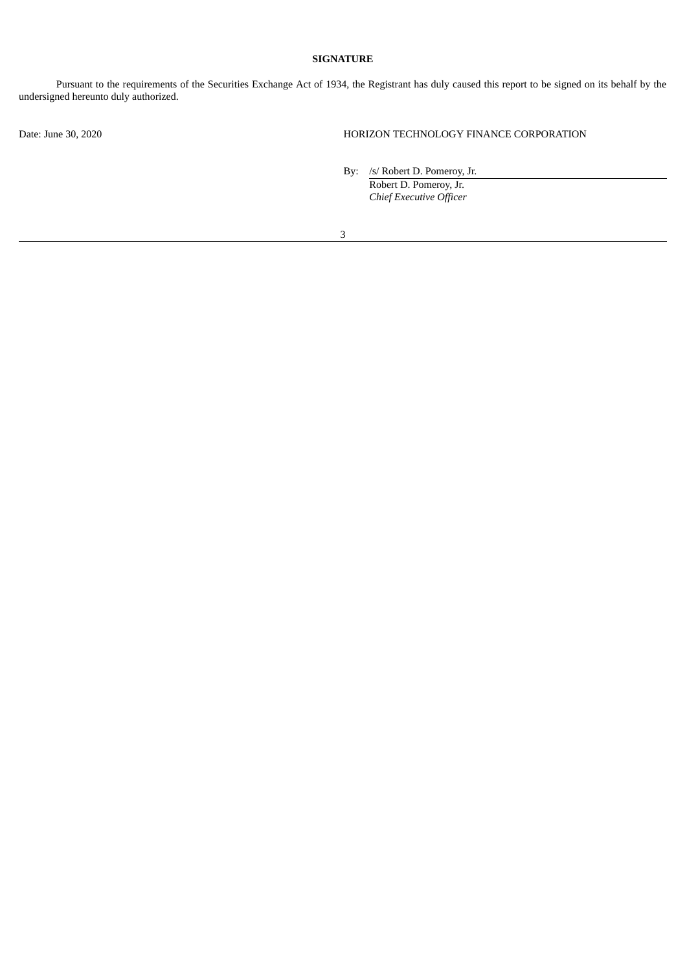### **SIGNATURE**

Pursuant to the requirements of the Securities Exchange Act of 1934, the Registrant has duly caused this report to be signed on its behalf by the undersigned hereunto duly authorized.

Date: June 30, 2020 HORIZON TECHNOLOGY FINANCE CORPORATION

By: /s/ Robert D. Pomeroy, Jr.

Robert D. Pomeroy, Jr. *Chief Executive Officer*

3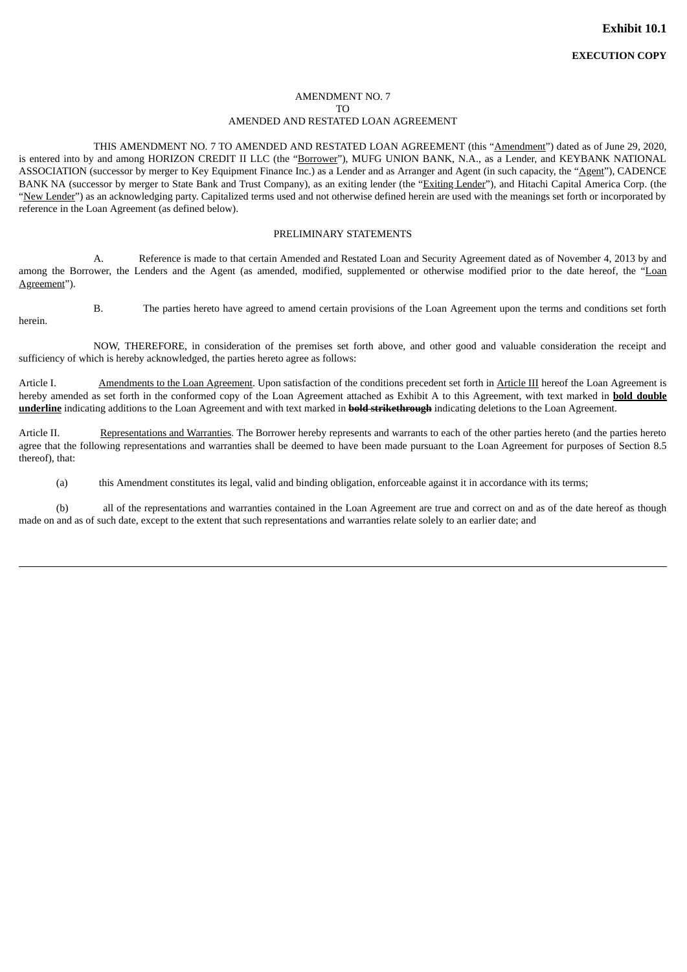#### AMENDMENT NO. 7 TO AMENDED AND RESTATED LOAN AGREEMENT

<span id="page-3-0"></span>THIS AMENDMENT NO. 7 TO AMENDED AND RESTATED LOAN AGREEMENT (this "Amendment") dated as of June 29, 2020, is entered into by and among HORIZON CREDIT II LLC (the "Borrower"), MUFG UNION BANK, N.A., as a Lender, and KEYBANK NATIONAL ASSOCIATION (successor by merger to Key Equipment Finance Inc.) as a Lender and as Arranger and Agent (in such capacity, the "Agent"), CADENCE BANK NA (successor by merger to State Bank and Trust Company), as an exiting lender (the "Exiting Lender"), and Hitachi Capital America Corp. (the "New Lender") as an acknowledging party. Capitalized terms used and not otherwise defined herein are used with the meanings set forth or incorporated by reference in the Loan Agreement (as defined below).

#### PRELIMINARY STATEMENTS

A. Reference is made to that certain Amended and Restated Loan and Security Agreement dated as of November 4, 2013 by and among the Borrower, the Lenders and the Agent (as amended, modified, supplemented or otherwise modified prior to the date hereof, the "Loan Agreement").

B. The parties hereto have agreed to amend certain provisions of the Loan Agreement upon the terms and conditions set forth herein.

NOW, THEREFORE, in consideration of the premises set forth above, and other good and valuable consideration the receipt and sufficiency of which is hereby acknowledged, the parties hereto agree as follows:

Article I. Amendments to the Loan Agreement. Upon satisfaction of the conditions precedent set forth in Article III hereof the Loan Agreement is hereby amended as set forth in the conformed copy of the Loan Agreement attached as Exhibit A to this Agreement, with text marked in **bold double underline** indicating additions to the Loan Agreement and with text marked in **bold strikethrough** indicating deletions to the Loan Agreement.

Article II. Representations and Warranties. The Borrower hereby represents and warrants to each of the other parties hereto (and the parties hereto agree that the following representations and warranties shall be deemed to have been made pursuant to the Loan Agreement for purposes of Section 8.5 thereof), that:

(a) this Amendment constitutes its legal, valid and binding obligation, enforceable against it in accordance with its terms;

(b) all of the representations and warranties contained in the Loan Agreement are true and correct on and as of the date hereof as though made on and as of such date, except to the extent that such representations and warranties relate solely to an earlier date; and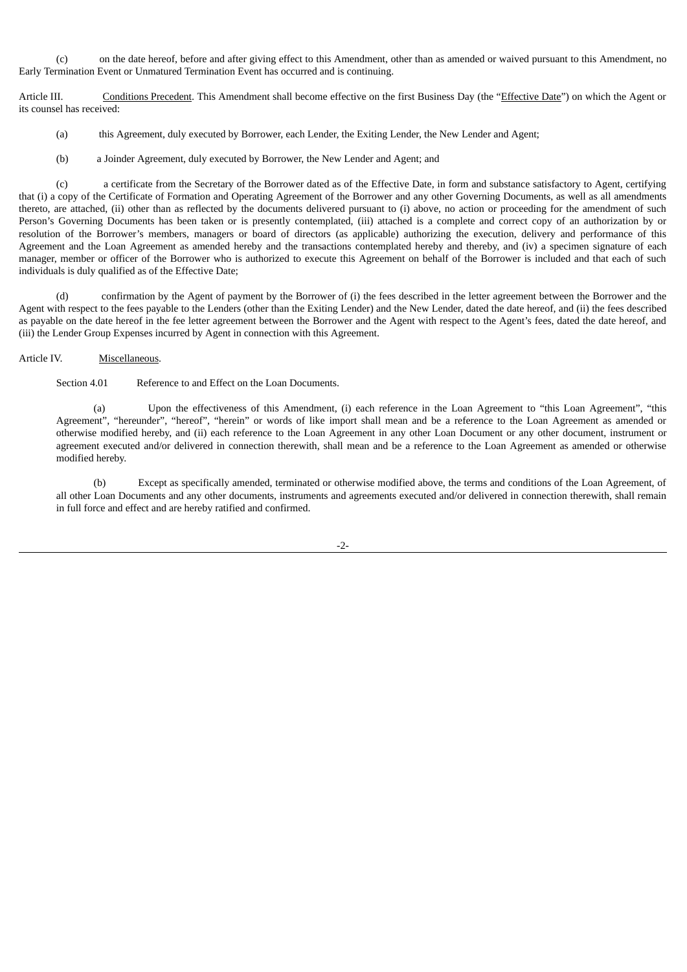(c) on the date hereof, before and after giving effect to this Amendment, other than as amended or waived pursuant to this Amendment, no Early Termination Event or Unmatured Termination Event has occurred and is continuing.

Article III. Conditions Precedent. This Amendment shall become effective on the first Business Day (the "Effective Date") on which the Agent or its counsel has received:

- (a) this Agreement, duly executed by Borrower, each Lender, the Exiting Lender, the New Lender and Agent;
- (b) a Joinder Agreement, duly executed by Borrower, the New Lender and Agent; and

(c) a certificate from the Secretary of the Borrower dated as of the Effective Date, in form and substance satisfactory to Agent, certifying that (i) a copy of the Certificate of Formation and Operating Agreement of the Borrower and any other Governing Documents, as well as all amendments thereto, are attached, (ii) other than as reflected by the documents delivered pursuant to (i) above, no action or proceeding for the amendment of such Person's Governing Documents has been taken or is presently contemplated, (iii) attached is a complete and correct copy of an authorization by or resolution of the Borrower's members, managers or board of directors (as applicable) authorizing the execution, delivery and performance of this Agreement and the Loan Agreement as amended hereby and the transactions contemplated hereby and thereby, and (iv) a specimen signature of each manager, member or officer of the Borrower who is authorized to execute this Agreement on behalf of the Borrower is included and that each of such individuals is duly qualified as of the Effective Date;

(d) confirmation by the Agent of payment by the Borrower of (i) the fees described in the letter agreement between the Borrower and the Agent with respect to the fees payable to the Lenders (other than the Exiting Lender) and the New Lender, dated the date hereof, and (ii) the fees described as payable on the date hereof in the fee letter agreement between the Borrower and the Agent with respect to the Agent's fees, dated the date hereof, and (iii) the Lender Group Expenses incurred by Agent in connection with this Agreement.

Article IV. Miscellaneous.

Section 4.01 Reference to and Effect on the Loan Documents.

(a) Upon the effectiveness of this Amendment, (i) each reference in the Loan Agreement to "this Loan Agreement", "this Agreement", "hereunder", "hereof", "herein" or words of like import shall mean and be a reference to the Loan Agreement as amended or otherwise modified hereby, and (ii) each reference to the Loan Agreement in any other Loan Document or any other document, instrument or agreement executed and/or delivered in connection therewith, shall mean and be a reference to the Loan Agreement as amended or otherwise modified hereby.

(b) Except as specifically amended, terminated or otherwise modified above, the terms and conditions of the Loan Agreement, of all other Loan Documents and any other documents, instruments and agreements executed and/or delivered in connection therewith, shall remain in full force and effect and are hereby ratified and confirmed.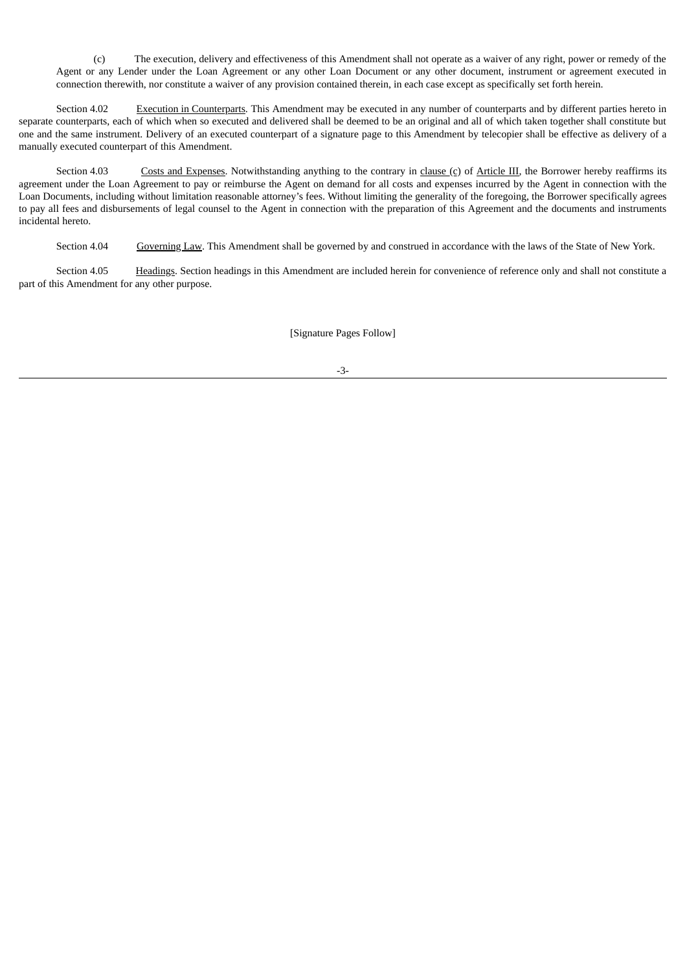(c) The execution, delivery and effectiveness of this Amendment shall not operate as a waiver of any right, power or remedy of the Agent or any Lender under the Loan Agreement or any other Loan Document or any other document, instrument or agreement executed in connection therewith, nor constitute a waiver of any provision contained therein, in each case except as specifically set forth herein.

Section 4.02 Execution in Counterparts. This Amendment may be executed in any number of counterparts and by different parties hereto in separate counterparts, each of which when so executed and delivered shall be deemed to be an original and all of which taken together shall constitute but one and the same instrument. Delivery of an executed counterpart of a signature page to this Amendment by telecopier shall be effective as delivery of a manually executed counterpart of this Amendment.

Section 4.03 Costs and Expenses. Notwithstanding anything to the contrary in clause (c) of Article III, the Borrower hereby reaffirms its agreement under the Loan Agreement to pay or reimburse the Agent on demand for all costs and expenses incurred by the Agent in connection with the Loan Documents, including without limitation reasonable attorney's fees. Without limiting the generality of the foregoing, the Borrower specifically agrees to pay all fees and disbursements of legal counsel to the Agent in connection with the preparation of this Agreement and the documents and instruments incidental hereto.

Section 4.04 Governing Law. This Amendment shall be governed by and construed in accordance with the laws of the State of New York.

Section 4.05 Headings. Section headings in this Amendment are included herein for convenience of reference only and shall not constitute a part of this Amendment for any other purpose.

[Signature Pages Follow]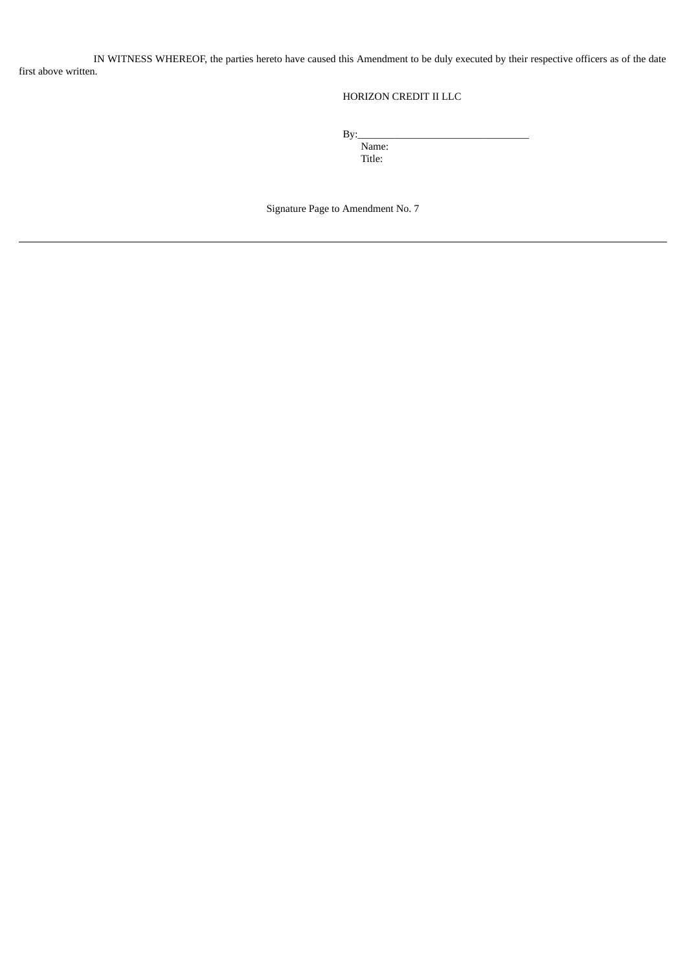IN WITNESS WHEREOF, the parties hereto have caused this Amendment to be duly executed by their respective officers as of the date first above written.

## HORIZON CREDIT II LLC

By:\_\_\_\_\_\_\_\_\_\_\_\_\_\_\_\_\_\_\_\_\_\_\_\_\_\_\_\_\_\_\_\_\_ Name:

Title: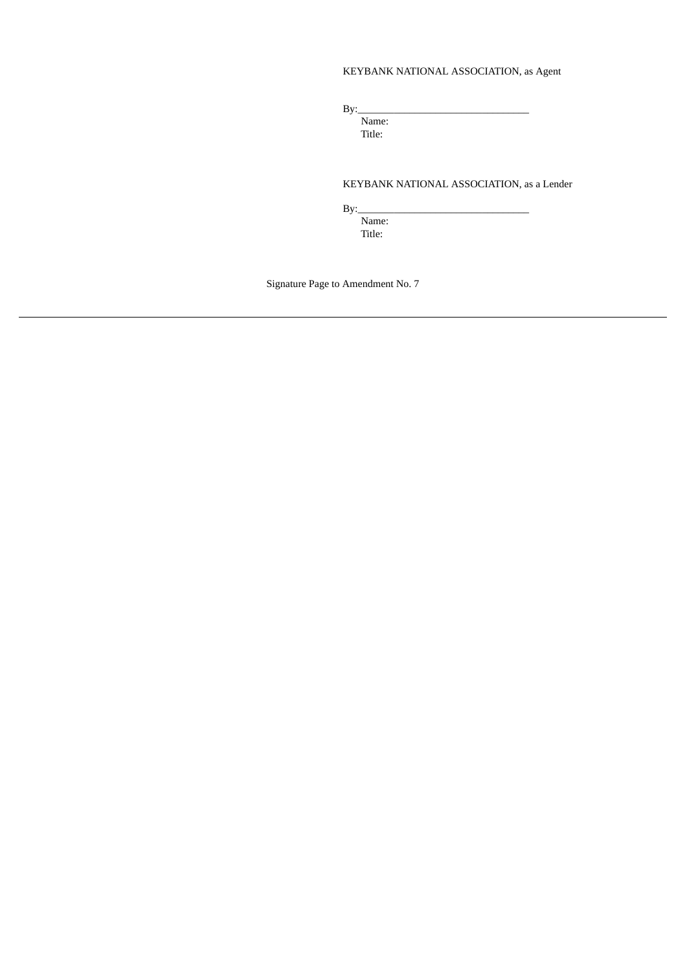## KEYBANK NATIONAL ASSOCIATION, as Agent

 $By:$ 

Name: Title:

KEYBANK NATIONAL ASSOCIATION, as a Lender

By:\_\_\_\_\_\_\_\_\_\_\_\_\_\_\_\_\_\_\_\_\_\_\_\_\_\_\_\_\_\_\_\_\_

Name: Title: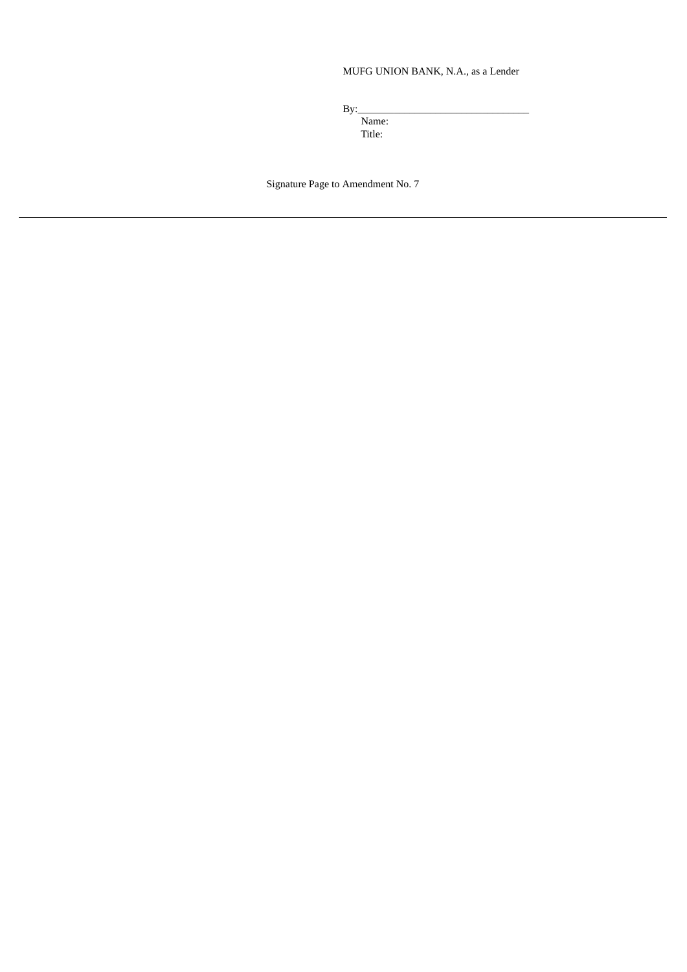## MUFG UNION BANK, N.A., as a Lender

By:\_\_\_\_\_\_\_\_\_\_\_\_\_\_\_\_\_\_\_\_\_\_\_\_\_\_\_\_\_\_\_\_\_

Name: Title: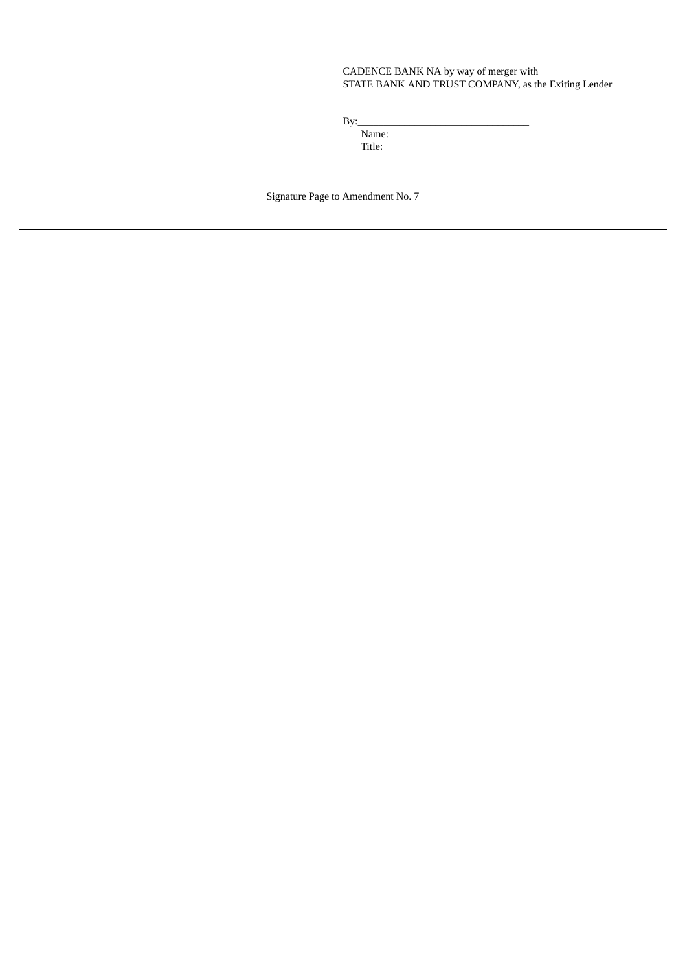#### CADENCE BANK NA by way of merger with STATE BANK AND TRUST COMPANY, as the Exiting Lender

By:\_\_\_\_\_\_\_\_\_\_\_\_\_\_\_\_\_\_\_\_\_\_\_\_\_\_\_\_\_\_\_\_\_

Name: Title: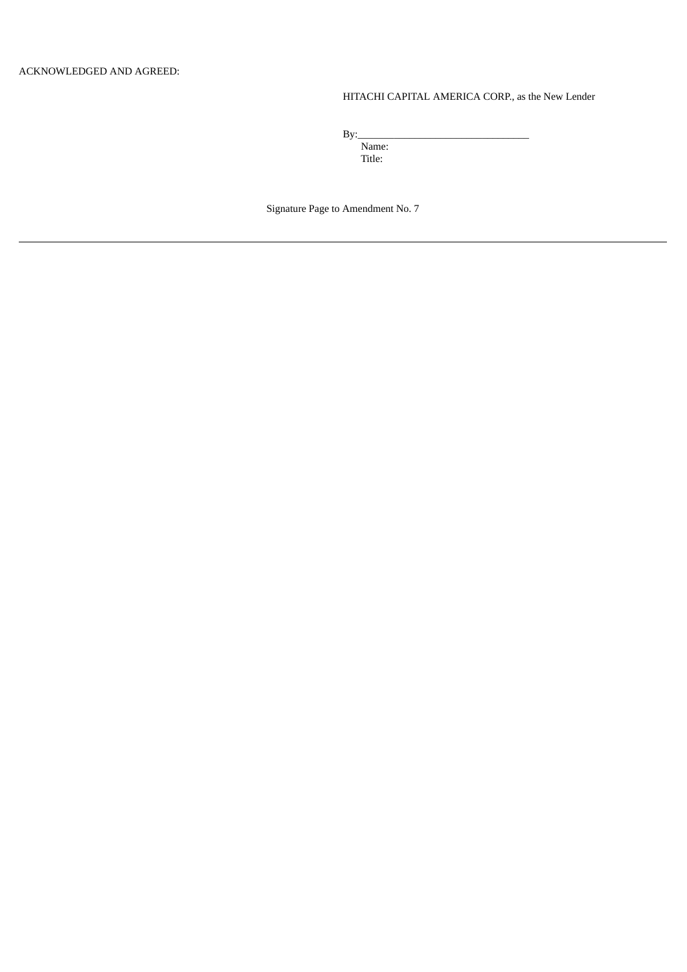## HITACHI CAPITAL AMERICA CORP., as the New Lender

 $\mbox{By:}\quad$ 

Name: Title: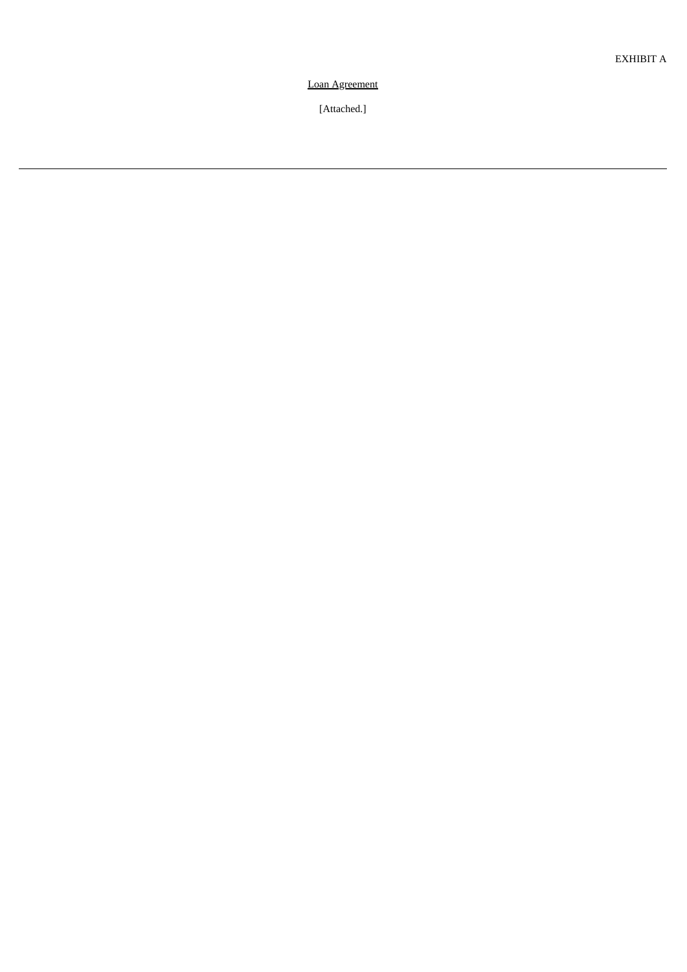Loan Agreement

[Attached.]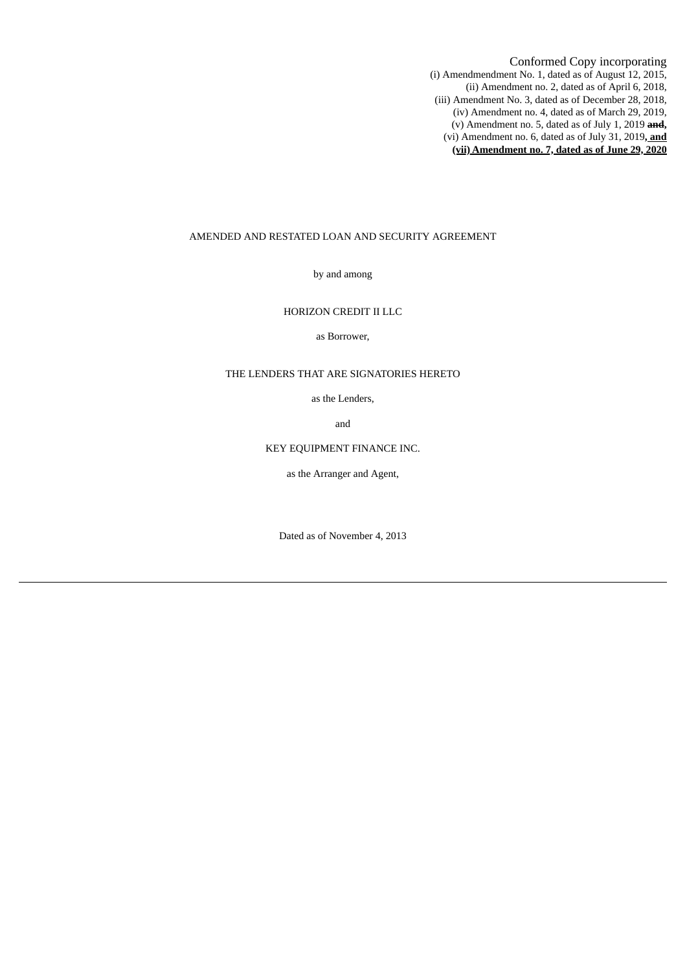Conformed Copy incorporating (i) Amendmendment No. 1, dated as of August 12, 2015, (ii) Amendment no. 2, dated as of April 6, 2018, (iii) Amendment No. 3, dated as of December 28, 2018, (iv) Amendment no. 4, dated as of March 29, 2019, (v) Amendment no. 5, dated as of July 1, 2019 **and,** (vi) Amendment no. 6, dated as of July 31, 2019**, and (vii) Amendment no. 7, dated as of June 29, 2020**

#### AMENDED AND RESTATED LOAN AND SECURITY AGREEMENT

by and among

#### HORIZON CREDIT II LLC

as Borrower,

#### THE LENDERS THAT ARE SIGNATORIES HERETO

as the Lenders,

and

## KEY EQUIPMENT FINANCE INC.

as the Arranger and Agent,

Dated as of November 4, 2013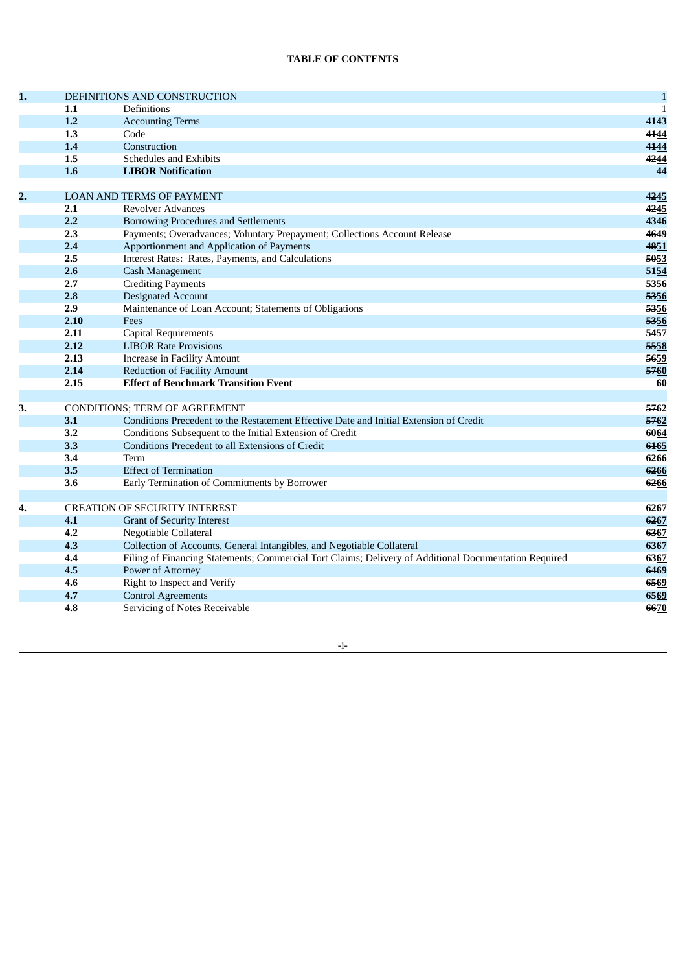| 1. | DEFINITIONS AND CONSTRUCTION |                                                                                                                            |              |
|----|------------------------------|----------------------------------------------------------------------------------------------------------------------------|--------------|
|    | 1.1                          | Definitions                                                                                                                | $\mathbf{1}$ |
|    | 1.2                          | <b>Accounting Terms</b>                                                                                                    | 4143         |
|    | 1.3                          | Code                                                                                                                       | 4144         |
|    | 1.4                          | Construction                                                                                                               | 4144         |
|    | 1.5                          | Schedules and Exhibits                                                                                                     | 4244         |
|    | 1.6                          | <b>LIBOR Notification</b>                                                                                                  | 44           |
|    |                              |                                                                                                                            |              |
| 2. |                              | <b>LOAN AND TERMS OF PAYMENT</b>                                                                                           | 4245         |
|    | 2.1                          | <b>Revolver Advances</b>                                                                                                   | 4245         |
|    | 2.2                          | <b>Borrowing Procedures and Settlements</b>                                                                                | 4346         |
|    | 2.3                          | Payments; Overadvances; Voluntary Prepayment; Collections Account Release                                                  | 4649         |
|    | 2.4                          | Apportionment and Application of Payments                                                                                  | 4851         |
|    | 2.5                          | Interest Rates: Rates, Payments, and Calculations                                                                          | 5053         |
|    | 2.6                          | Cash Management                                                                                                            | 5154         |
|    | 2.7                          | <b>Crediting Payments</b>                                                                                                  | 5356         |
|    | 2.8                          | <b>Designated Account</b>                                                                                                  | 5356         |
|    | 2.9                          | Maintenance of Loan Account; Statements of Obligations                                                                     | 5356         |
|    | 2.10                         | Fees                                                                                                                       | 5356         |
|    | 2.11                         | <b>Capital Requirements</b>                                                                                                | 5457         |
|    | 2.12                         | <b>LIBOR Rate Provisions</b>                                                                                               | 5558         |
|    | 2.13                         | Increase in Facility Amount                                                                                                | 5659         |
|    | 2.14                         | <b>Reduction of Facility Amount</b>                                                                                        | 5760         |
|    | 2.15                         | <b>Effect of Benchmark Transition Event</b>                                                                                | 60           |
|    |                              |                                                                                                                            |              |
| 3. |                              | <b>CONDITIONS; TERM OF AGREEMENT</b>                                                                                       | 5762         |
|    | 3.1                          | Conditions Precedent to the Restatement Effective Date and Initial Extension of Credit                                     | 5762         |
|    | 3.2                          | Conditions Subsequent to the Initial Extension of Credit                                                                   | 6064         |
|    | 3.3                          | Conditions Precedent to all Extensions of Credit                                                                           | 6165         |
|    | 3.4                          | Term                                                                                                                       | 6266         |
|    | 3.5                          | <b>Effect of Termination</b>                                                                                               | 6266         |
|    | 3.6                          | Early Termination of Commitments by Borrower                                                                               | 6266         |
| 4. |                              | <b>CREATION OF SECURITY INTEREST</b>                                                                                       | 6267         |
|    | 4.1                          | <b>Grant of Security Interest</b>                                                                                          | 6267         |
|    | 4.2                          | Negotiable Collateral                                                                                                      | 6367         |
|    | 4.3                          | Collection of Accounts, General Intangibles, and Negotiable Collateral                                                     | 6367         |
|    |                              |                                                                                                                            |              |
|    | 4.4<br>4.5                   | Filing of Financing Statements; Commercial Tort Claims; Delivery of Additional Documentation Required<br>Power of Attorney | 6367         |
|    |                              |                                                                                                                            | 6469         |
|    | 4.6                          | Right to Inspect and Verify                                                                                                | 6569         |
|    | 4.7                          | <b>Control Agreements</b>                                                                                                  | 6569         |
|    | 4.8                          | Servicing of Notes Receivable                                                                                              | 6670         |

-i-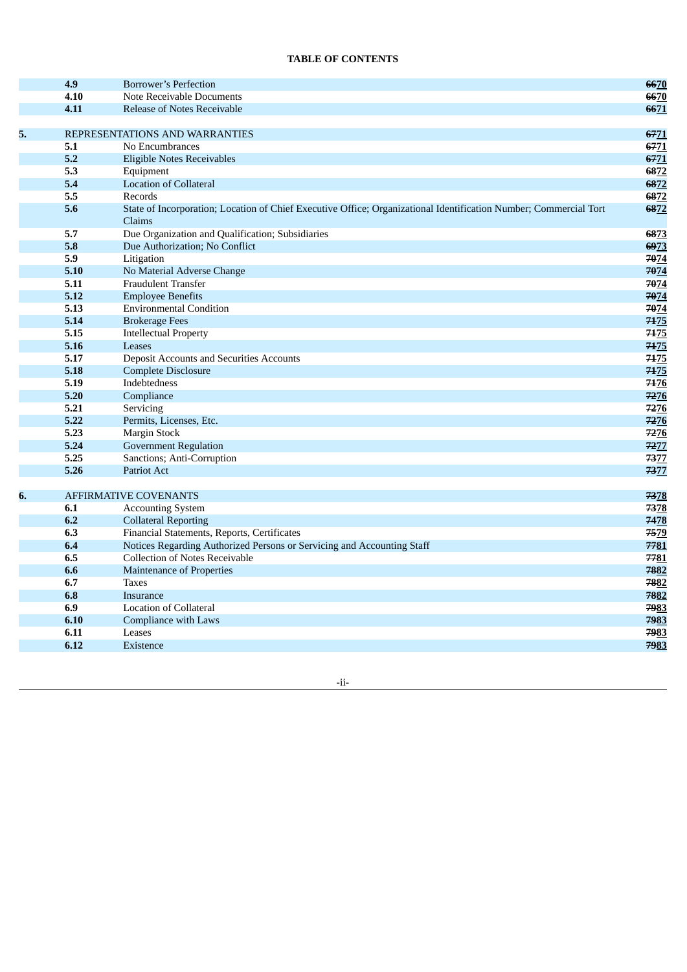|    | 4.9  | <b>Borrower's Perfection</b>                                                                                                | 6670 |
|----|------|-----------------------------------------------------------------------------------------------------------------------------|------|
|    | 4.10 | <b>Note Receivable Documents</b>                                                                                            | 6670 |
|    | 4.11 | Release of Notes Receivable                                                                                                 | 6671 |
|    |      |                                                                                                                             |      |
| 5. |      | REPRESENTATIONS AND WARRANTIES                                                                                              | 6771 |
|    | 5.1  | No Encumbrances                                                                                                             | 6771 |
|    | 5.2  | Eligible Notes Receivables                                                                                                  | 6771 |
|    | 5.3  | Equipment                                                                                                                   | 6872 |
|    | 5.4  | <b>Location of Collateral</b>                                                                                               | 6872 |
|    | 5.5  | Records                                                                                                                     | 6872 |
|    | 5.6  | State of Incorporation; Location of Chief Executive Office; Organizational Identification Number; Commercial Tort<br>Claims | 6872 |
|    | 5.7  | Due Organization and Qualification; Subsidiaries                                                                            | 6873 |
|    | 5.8  | Due Authorization; No Conflict                                                                                              | 6973 |
|    | 5.9  | Litigation                                                                                                                  | 7074 |
|    | 5.10 | No Material Adverse Change                                                                                                  | 7074 |
|    | 5.11 | Fraudulent Transfer                                                                                                         | 7074 |
|    | 5.12 | <b>Employee Benefits</b>                                                                                                    | 7074 |
|    | 5.13 | <b>Environmental Condition</b>                                                                                              | 7074 |
|    | 5.14 | <b>Brokerage Fees</b>                                                                                                       | 7175 |
|    | 5.15 | <b>Intellectual Property</b>                                                                                                | 7175 |
|    | 5.16 | Leases                                                                                                                      | 7175 |
|    | 5.17 | <b>Deposit Accounts and Securities Accounts</b>                                                                             | 7175 |
|    | 5.18 | <b>Complete Disclosure</b>                                                                                                  | 7175 |
|    | 5.19 | <b>Indebtedness</b>                                                                                                         | 7176 |
|    | 5.20 | Compliance                                                                                                                  | 7276 |
|    | 5.21 | Servicing                                                                                                                   | 7276 |
|    | 5.22 | Permits, Licenses, Etc.                                                                                                     | 7276 |
|    | 5.23 | <b>Margin Stock</b>                                                                                                         | 7276 |
|    | 5.24 | <b>Government Regulation</b>                                                                                                | 7277 |
|    | 5.25 | Sanctions; Anti-Corruption                                                                                                  | 7377 |
|    | 5.26 | <b>Patriot Act</b>                                                                                                          | 7377 |
|    |      |                                                                                                                             |      |
| 6. |      | <b>AFFIRMATIVE COVENANTS</b>                                                                                                | 7378 |
|    | 6.1  | <b>Accounting System</b>                                                                                                    | 7378 |
|    | 6.2  | <b>Collateral Reporting</b>                                                                                                 | 7478 |
|    | 6.3  | Financial Statements, Reports, Certificates                                                                                 | 7579 |
|    | 6.4  | Notices Regarding Authorized Persons or Servicing and Accounting Staff                                                      | 7781 |
|    | 6.5  | <b>Collection of Notes Receivable</b>                                                                                       | 7781 |
|    | 6.6  | Maintenance of Properties                                                                                                   | 7882 |
|    | 6.7  | <b>Taxes</b>                                                                                                                | 7882 |
|    | 6.8  | Insurance                                                                                                                   | 7882 |
|    | 6.9  | <b>Location of Collateral</b>                                                                                               | 7983 |
|    | 6.10 | Compliance with Laws                                                                                                        | 7983 |
|    | 6.11 | Leases                                                                                                                      | 7983 |
|    | 6.12 | Existence                                                                                                                   | 7983 |
|    |      |                                                                                                                             |      |

-ii-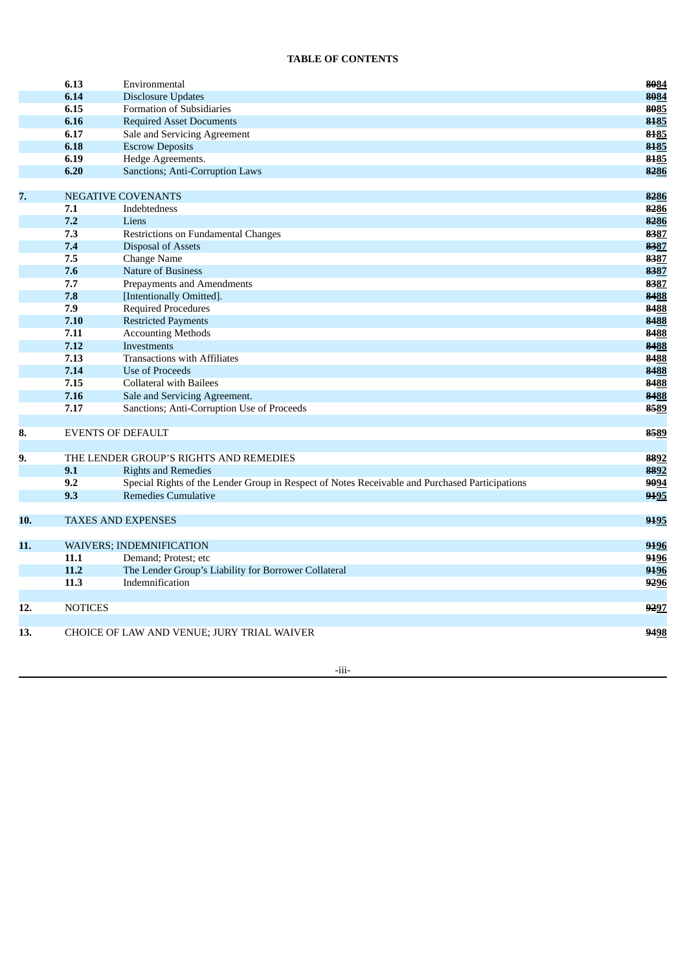|     | 6.13           | Environmental                                                                                  | 8084 |
|-----|----------------|------------------------------------------------------------------------------------------------|------|
|     | 6.14           | <b>Disclosure Updates</b>                                                                      | 8084 |
|     | 6.15           | Formation of Subsidiaries                                                                      | 8085 |
|     | 6.16           | <b>Required Asset Documents</b>                                                                | 8185 |
|     | 6.17           | Sale and Servicing Agreement                                                                   | 8185 |
|     | 6.18           | <b>Escrow Deposits</b>                                                                         | 8185 |
|     | 6.19           | Hedge Agreements.                                                                              | 8185 |
|     | 6.20           | Sanctions; Anti-Corruption Laws                                                                | 8286 |
| 7.  |                | <b>NEGATIVE COVENANTS</b>                                                                      | 8286 |
|     | 7.1            | Indebtedness                                                                                   | 8286 |
|     | 7.2            | Liens                                                                                          | 8286 |
|     | 7.3            | Restrictions on Fundamental Changes                                                            | 8387 |
|     | 7.4            | <b>Disposal of Assets</b>                                                                      | 8387 |
|     | 7.5            | Change Name                                                                                    | 8387 |
|     | 7.6            | Nature of Business                                                                             | 8387 |
|     | 7.7            | Prepayments and Amendments                                                                     | 8387 |
|     | 7.8            | [Intentionally Omitted].                                                                       | 8488 |
|     | 7.9            | <b>Required Procedures</b>                                                                     | 8488 |
|     |                | <b>Restricted Payments</b>                                                                     | 8488 |
|     | 7.10           |                                                                                                |      |
|     | 7.11<br>7.12   | <b>Accounting Methods</b>                                                                      | 8488 |
|     |                | Investments                                                                                    | 8488 |
|     | 7.13           | <b>Transactions with Affiliates</b>                                                            | 8488 |
|     | 7.14           | <b>Use of Proceeds</b>                                                                         | 8488 |
|     | 7.15           | <b>Collateral with Bailees</b>                                                                 | 8488 |
|     | 7.16           | Sale and Servicing Agreement.                                                                  | 8488 |
|     | 7.17           | Sanctions; Anti-Corruption Use of Proceeds                                                     | 8589 |
|     |                |                                                                                                |      |
| 8.  |                | <b>EVENTS OF DEFAULT</b>                                                                       | 8589 |
|     |                |                                                                                                |      |
| 9.  |                | THE LENDER GROUP'S RIGHTS AND REMEDIES                                                         | 8892 |
|     | 9.1            | <b>Rights and Remedies</b>                                                                     | 8892 |
|     | 9.2            | Special Rights of the Lender Group in Respect of Notes Receivable and Purchased Participations | 9094 |
|     | 9.3            | <b>Remedies Cumulative</b>                                                                     | 9195 |
| 10. |                | <b>TAXES AND EXPENSES</b>                                                                      | 9195 |
|     |                |                                                                                                |      |
| 11. |                | WAIVERS; INDEMNIFICATION                                                                       | 9196 |
|     | 11.1           | Demand; Protest; etc.                                                                          | 9196 |
|     | 11.2           | The Lender Group's Liability for Borrower Collateral                                           | 9196 |
|     | 11.3           | Indemnification                                                                                | 9296 |
| 12. | <b>NOTICES</b> |                                                                                                | 9297 |
|     |                |                                                                                                |      |
| 13. |                | CHOICE OF LAW AND VENUE; JURY TRIAL WAIVER                                                     | 9498 |
|     |                |                                                                                                |      |

-iii-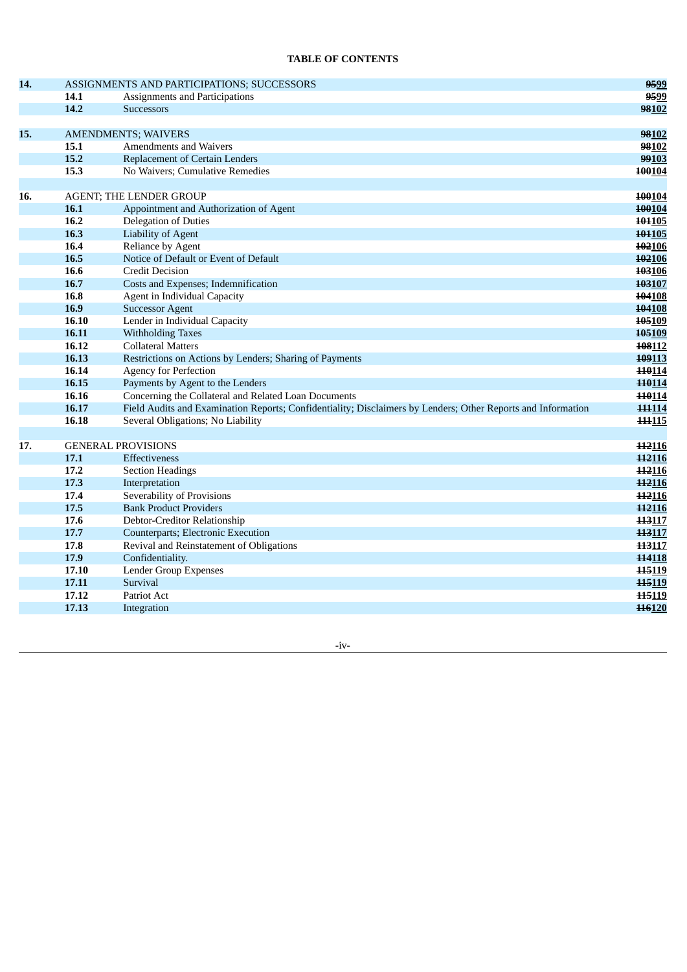| 14. |       | ASSIGNMENTS AND PARTICIPATIONS; SUCCESSORS                                                                   | 9599          |
|-----|-------|--------------------------------------------------------------------------------------------------------------|---------------|
|     | 14.1  | Assignments and Participations                                                                               | 9599          |
|     | 14.2  | <b>Successors</b>                                                                                            | 98102         |
|     |       |                                                                                                              |               |
| 15. |       | <b>AMENDMENTS; WAIVERS</b>                                                                                   | 98102         |
|     | 15.1  | <b>Amendments and Waivers</b>                                                                                | 98102         |
|     | 15.2  | <b>Replacement of Certain Lenders</b>                                                                        | 99103         |
|     | 15.3  | No Waivers; Cumulative Remedies                                                                              | 100104        |
|     |       |                                                                                                              |               |
| 16. |       | AGENT; THE LENDER GROUP                                                                                      | 100104        |
|     | 16.1  | Appointment and Authorization of Agent                                                                       | 100104        |
|     | 16.2  | <b>Delegation of Duties</b>                                                                                  | 101105        |
|     | 16.3  | <b>Liability of Agent</b>                                                                                    | 101105        |
|     | 16.4  | Reliance by Agent                                                                                            | 102106        |
|     | 16.5  | Notice of Default or Event of Default                                                                        | 102106        |
|     | 16.6  | <b>Credit Decision</b>                                                                                       | 103106        |
|     | 16.7  | Costs and Expenses; Indemnification                                                                          | 103107        |
|     | 16.8  | Agent in Individual Capacity                                                                                 | 104108        |
|     | 16.9  | <b>Successor Agent</b>                                                                                       | 104108        |
|     | 16.10 | Lender in Individual Capacity                                                                                | 105109        |
|     | 16.11 | <b>Withholding Taxes</b>                                                                                     | 105109        |
|     | 16.12 | <b>Collateral Matters</b>                                                                                    | 108112        |
|     | 16.13 | Restrictions on Actions by Lenders; Sharing of Payments                                                      | 109113        |
|     | 16.14 | <b>Agency for Perfection</b>                                                                                 | 110114        |
|     | 16.15 | Payments by Agent to the Lenders                                                                             | 110114        |
|     | 16.16 | Concerning the Collateral and Related Loan Documents                                                         | 110114        |
|     | 16.17 | Field Audits and Examination Reports; Confidentiality; Disclaimers by Lenders; Other Reports and Information | 111114        |
|     | 16.18 | Several Obligations; No Liability                                                                            | 111115        |
|     |       |                                                                                                              |               |
| 17. |       | <b>GENERAL PROVISIONS</b>                                                                                    | 112116        |
|     | 17.1  | <b>Effectiveness</b>                                                                                         | <b>112116</b> |
|     | 17.2  | <b>Section Headings</b>                                                                                      | 112116        |
|     | 17.3  | Interpretation                                                                                               | 112116        |
|     | 17.4  | Severability of Provisions                                                                                   | 112116        |
|     | 17.5  | <b>Bank Product Providers</b>                                                                                | 112116        |
|     | 17.6  | Debtor-Creditor Relationship                                                                                 | 113117        |
|     | 17.7  | Counterparts; Electronic Execution                                                                           | 113117        |
|     | 17.8  | Revival and Reinstatement of Obligations                                                                     | 113117        |
|     | 17.9  | Confidentiality.                                                                                             | 114118        |
|     | 17.10 | <b>Lender Group Expenses</b>                                                                                 | 115119        |
|     | 17.11 | Survival                                                                                                     | 115119        |
|     | 17.12 | Patriot Act                                                                                                  | 115119        |
|     | 17.13 | Integration                                                                                                  | 116120        |

-iv-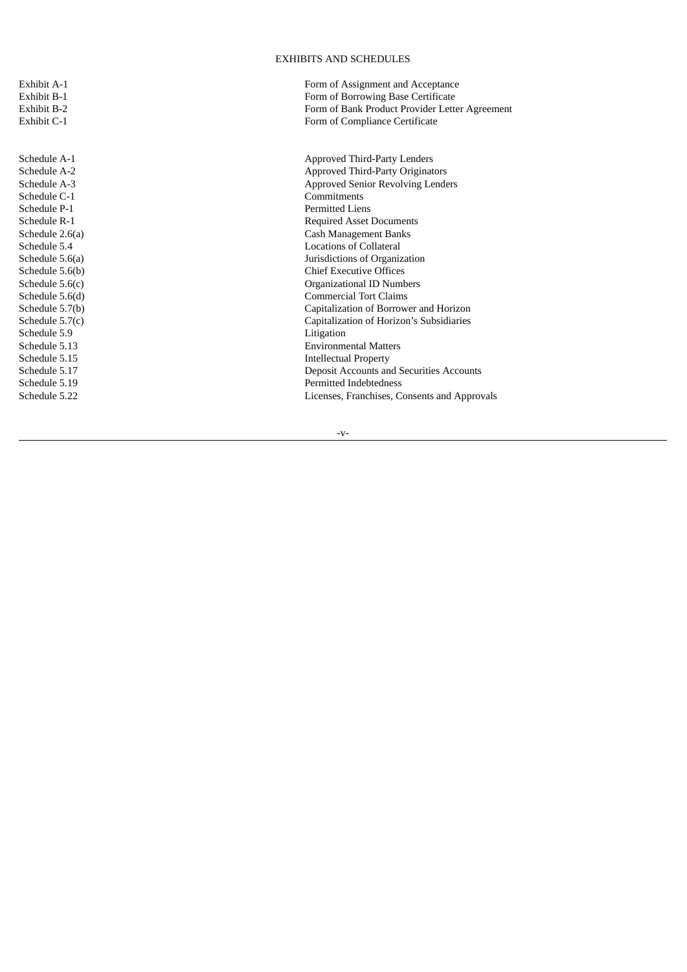| Exhibit A-1       | Form of Assignment and Acceptance               |
|-------------------|-------------------------------------------------|
| Exhibit B-1       | Form of Borrowing Base Certificate              |
| Exhibit B-2       | Form of Bank Product Provider Letter Agreement  |
| Exhibit C-1       | Form of Compliance Certificate                  |
| Schedule A-1      | <b>Approved Third-Party Lenders</b>             |
| Schedule A-2      | Approved Third-Party Originators                |
| Schedule A-3      | <b>Approved Senior Revolving Lenders</b>        |
| Schedule C-1      | Commitments                                     |
| Schedule P-1      | <b>Permitted Liens</b>                          |
| Schedule R-1      | <b>Required Asset Documents</b>                 |
| Schedule 2.6(a)   | <b>Cash Management Banks</b>                    |
| Schedule 5.4      | <b>Locations of Collateral</b>                  |
| Schedule $5.6(a)$ | Jurisdictions of Organization                   |
| Schedule 5.6(b)   | <b>Chief Executive Offices</b>                  |
| Schedule $5.6(c)$ | Organizational ID Numbers                       |
| Schedule 5.6(d)   | Commercial Tort Claims                          |
| Schedule 5.7(b)   | Capitalization of Borrower and Horizon          |
| Schedule 5.7(c)   | Capitalization of Horizon's Subsidiaries        |
| Schedule 5.9      | Litigation                                      |
| Schedule 5.13     | <b>Environmental Matters</b>                    |
| Schedule 5.15     | <b>Intellectual Property</b>                    |
| Schedule 5.17     | <b>Deposit Accounts and Securities Accounts</b> |
| Schedule 5.19     | Permitted Indebtedness                          |
| Schedule 5.22     | Licenses, Franchises, Consents and Approvals    |
|                   |                                                 |

#### - v -

EXHIBITS AND SCHEDULES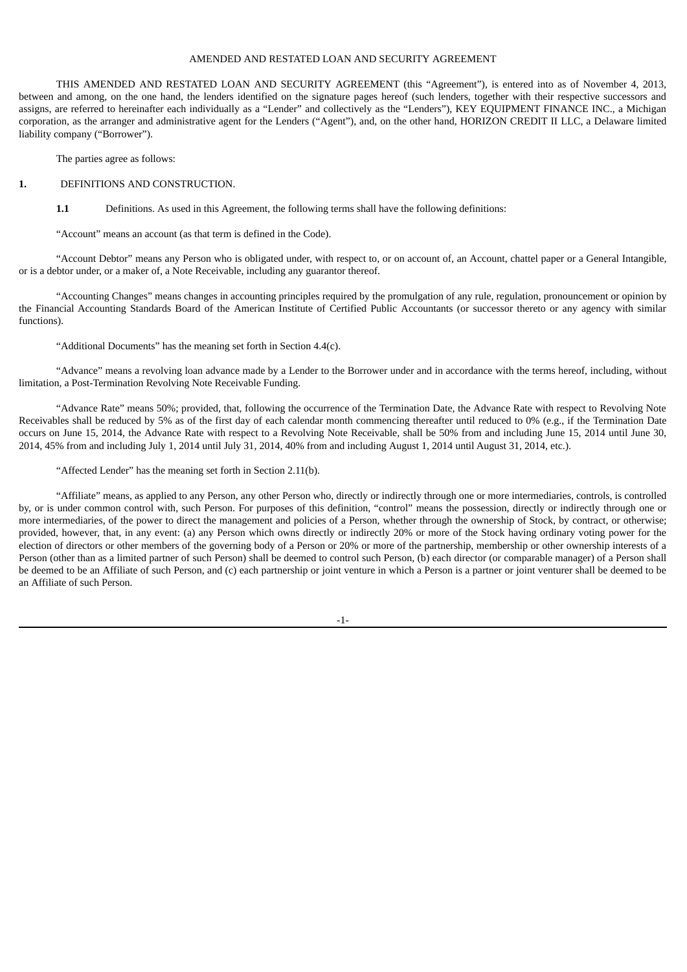#### AMENDED AND RESTATED LOAN AND SECURITY AGREEMENT

THIS AMENDED AND RESTATED LOAN AND SECURITY AGREEMENT (this "Agreement"), is entered into as of November 4, 2013, between and among, on the one hand, the lenders identified on the signature pages hereof (such lenders, together with their respective successors and assigns, are referred to hereinafter each individually as a "Lender" and collectively as the "Lenders"), KEY EQUIPMENT FINANCE INC., a Michigan corporation, as the arranger and administrative agent for the Lenders ("Agent"), and, on the other hand, HORIZON CREDIT II LLC, a Delaware limited liability company ("Borrower").

The parties agree as follows:

#### **1.** DEFINITIONS AND CONSTRUCTION.

**1.1** Definitions. As used in this Agreement, the following terms shall have the following definitions:

"Account" means an account (as that term is defined in the Code).

"Account Debtor" means any Person who is obligated under, with respect to, or on account of, an Account, chattel paper or a General Intangible, or is a debtor under, or a maker of, a Note Receivable, including any guarantor thereof.

"Accounting Changes" means changes in accounting principles required by the promulgation of any rule, regulation, pronouncement or opinion by the Financial Accounting Standards Board of the American Institute of Certified Public Accountants (or successor thereto or any agency with similar functions).

"Additional Documents" has the meaning set forth in Section 4.4(c).

"Advance" means a revolving loan advance made by a Lender to the Borrower under and in accordance with the terms hereof, including, without limitation, a Post-Termination Revolving Note Receivable Funding.

"Advance Rate" means 50%; provided, that, following the occurrence of the Termination Date, the Advance Rate with respect to Revolving Note Receivables shall be reduced by 5% as of the first day of each calendar month commencing thereafter until reduced to 0% (e.g., if the Termination Date occurs on June 15, 2014, the Advance Rate with respect to a Revolving Note Receivable, shall be 50% from and including June 15, 2014 until June 30, 2014, 45% from and including July 1, 2014 until July 31, 2014, 40% from and including August 1, 2014 until August 31, 2014, etc.).

"Affected Lender" has the meaning set forth in Section 2.11(b).

"Affiliate" means, as applied to any Person, any other Person who, directly or indirectly through one or more intermediaries, controls, is controlled by, or is under common control with, such Person. For purposes of this definition, "control" means the possession, directly or indirectly through one or more intermediaries, of the power to direct the management and policies of a Person, whether through the ownership of Stock, by contract, or otherwise; provided, however, that, in any event: (a) any Person which owns directly or indirectly 20% or more of the Stock having ordinary voting power for the election of directors or other members of the governing body of a Person or 20% or more of the partnership, membership or other ownership interests of a Person (other than as a limited partner of such Person) shall be deemed to control such Person, (b) each director (or comparable manager) of a Person shall be deemed to be an Affiliate of such Person, and (c) each partnership or joint venture in which a Person is a partner or joint venturer shall be deemed to be an Affiliate of such Person.

-1-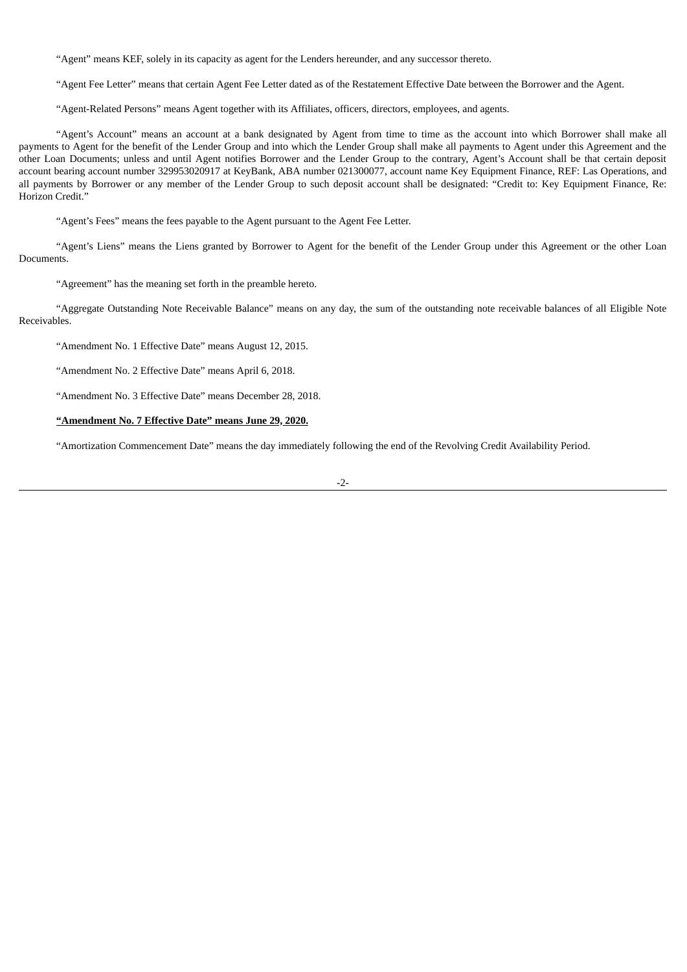"Agent" means KEF, solely in its capacity as agent for the Lenders hereunder, and any successor thereto.

"Agent Fee Letter" means that certain Agent Fee Letter dated as of the Restatement Effective Date between the Borrower and the Agent.

"Agent-Related Persons" means Agent together with its Affiliates, officers, directors, employees, and agents.

"Agent's Account" means an account at a bank designated by Agent from time to time as the account into which Borrower shall make all payments to Agent for the benefit of the Lender Group and into which the Lender Group shall make all payments to Agent under this Agreement and the other Loan Documents; unless and until Agent notifies Borrower and the Lender Group to the contrary, Agent's Account shall be that certain deposit account bearing account number 329953020917 at KeyBank, ABA number 021300077, account name Key Equipment Finance, REF: Las Operations, and all payments by Borrower or any member of the Lender Group to such deposit account shall be designated: "Credit to: Key Equipment Finance, Re: Horizon Credit."

"Agent's Fees" means the fees payable to the Agent pursuant to the Agent Fee Letter.

"Agent's Liens" means the Liens granted by Borrower to Agent for the benefit of the Lender Group under this Agreement or the other Loan Documents.

"Agreement" has the meaning set forth in the preamble hereto.

"Aggregate Outstanding Note Receivable Balance" means on any day, the sum of the outstanding note receivable balances of all Eligible Note Receivables.

"Amendment No. 1 Effective Date" means August 12, 2015.

"Amendment No. 2 Effective Date" means April 6, 2018.

"Amendment No. 3 Effective Date" means December 28, 2018.

#### **"Amendment No. 7 Effective Date" means June 29, 2020.**

"Amortization Commencement Date" means the day immediately following the end of the Revolving Credit Availability Period.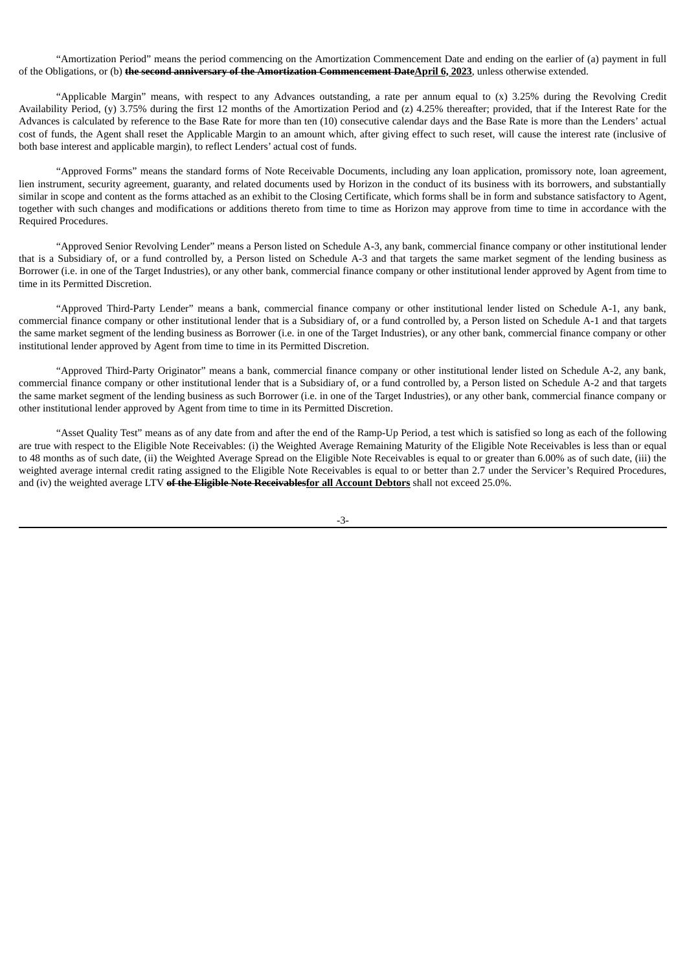"Amortization Period" means the period commencing on the Amortization Commencement Date and ending on the earlier of (a) payment in full of the Obligations, or (b) **the second anniversary of the Amortization Commencement DateApril 6, 2023**, unless otherwise extended.

"Applicable Margin" means, with respect to any Advances outstanding, a rate per annum equal to (x) 3.25% during the Revolving Credit Availability Period, (y) 3.75% during the first 12 months of the Amortization Period and (z) 4.25% thereafter; provided, that if the Interest Rate for the Advances is calculated by reference to the Base Rate for more than ten (10) consecutive calendar days and the Base Rate is more than the Lenders' actual cost of funds, the Agent shall reset the Applicable Margin to an amount which, after giving effect to such reset, will cause the interest rate (inclusive of both base interest and applicable margin), to reflect Lenders' actual cost of funds.

"Approved Forms" means the standard forms of Note Receivable Documents, including any loan application, promissory note, loan agreement, lien instrument, security agreement, guaranty, and related documents used by Horizon in the conduct of its business with its borrowers, and substantially similar in scope and content as the forms attached as an exhibit to the Closing Certificate, which forms shall be in form and substance satisfactory to Agent, together with such changes and modifications or additions thereto from time to time as Horizon may approve from time to time in accordance with the Required Procedures.

"Approved Senior Revolving Lender" means a Person listed on Schedule A-3, any bank, commercial finance company or other institutional lender that is a Subsidiary of, or a fund controlled by, a Person listed on Schedule A-3 and that targets the same market segment of the lending business as Borrower (i.e. in one of the Target Industries), or any other bank, commercial finance company or other institutional lender approved by Agent from time to time in its Permitted Discretion.

"Approved Third-Party Lender" means a bank, commercial finance company or other institutional lender listed on Schedule A-1, any bank, commercial finance company or other institutional lender that is a Subsidiary of, or a fund controlled by, a Person listed on Schedule A-1 and that targets the same market segment of the lending business as Borrower (i.e. in one of the Target Industries), or any other bank, commercial finance company or other institutional lender approved by Agent from time to time in its Permitted Discretion.

"Approved Third-Party Originator" means a bank, commercial finance company or other institutional lender listed on Schedule A-2, any bank, commercial finance company or other institutional lender that is a Subsidiary of, or a fund controlled by, a Person listed on Schedule A-2 and that targets the same market segment of the lending business as such Borrower (i.e. in one of the Target Industries), or any other bank, commercial finance company or other institutional lender approved by Agent from time to time in its Permitted Discretion.

"Asset Quality Test" means as of any date from and after the end of the Ramp-Up Period, a test which is satisfied so long as each of the following are true with respect to the Eligible Note Receivables: (i) the Weighted Average Remaining Maturity of the Eligible Note Receivables is less than or equal to 48 months as of such date, (ii) the Weighted Average Spread on the Eligible Note Receivables is equal to or greater than 6.00% as of such date, (iii) the weighted average internal credit rating assigned to the Eligible Note Receivables is equal to or better than 2.7 under the Servicer's Required Procedures, and (iv) the weighted average LTV **of the Eligible Note Receivablesfor all Account Debtors** shall not exceed 25.0%.

-3-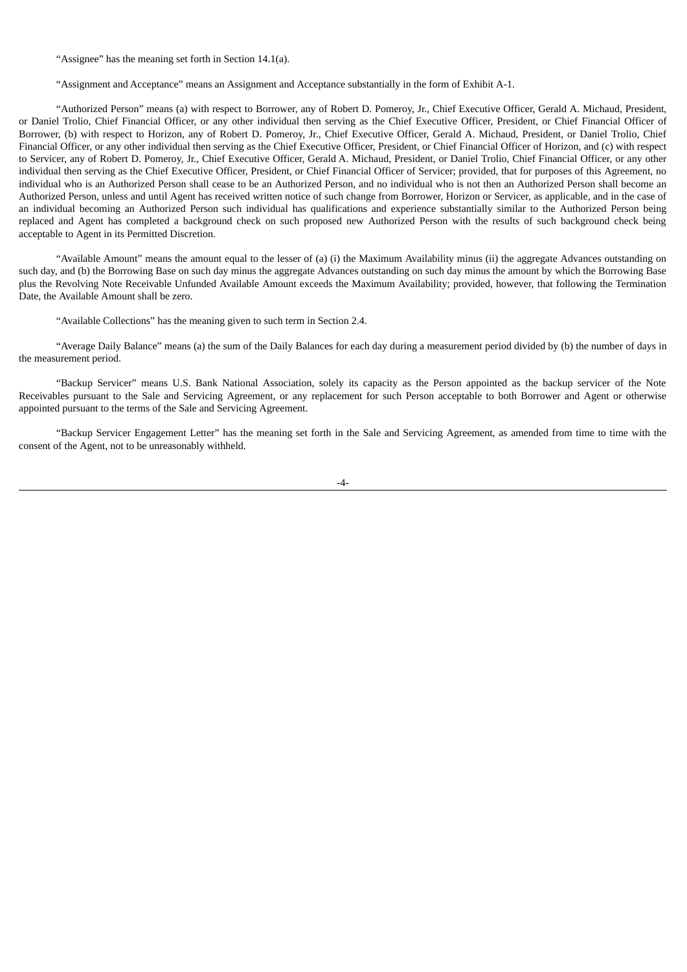"Assignee" has the meaning set forth in Section 14.1(a).

"Assignment and Acceptance" means an Assignment and Acceptance substantially in the form of Exhibit A-1.

"Authorized Person" means (a) with respect to Borrower, any of Robert D. Pomeroy, Jr., Chief Executive Officer, Gerald A. Michaud, President, or Daniel Trolio, Chief Financial Officer, or any other individual then serving as the Chief Executive Officer, President, or Chief Financial Officer of Borrower, (b) with respect to Horizon, any of Robert D. Pomeroy, Jr., Chief Executive Officer, Gerald A. Michaud, President, or Daniel Trolio, Chief Financial Officer, or any other individual then serving as the Chief Executive Officer, President, or Chief Financial Officer of Horizon, and (c) with respect to Servicer, any of Robert D. Pomeroy, Jr., Chief Executive Officer, Gerald A. Michaud, President, or Daniel Trolio, Chief Financial Officer, or any other individual then serving as the Chief Executive Officer, President, or Chief Financial Officer of Servicer; provided, that for purposes of this Agreement, no individual who is an Authorized Person shall cease to be an Authorized Person, and no individual who is not then an Authorized Person shall become an Authorized Person, unless and until Agent has received written notice of such change from Borrower, Horizon or Servicer, as applicable, and in the case of an individual becoming an Authorized Person such individual has qualifications and experience substantially similar to the Authorized Person being replaced and Agent has completed a background check on such proposed new Authorized Person with the results of such background check being acceptable to Agent in its Permitted Discretion.

"Available Amount" means the amount equal to the lesser of (a) (i) the Maximum Availability minus (ii) the aggregate Advances outstanding on such day, and (b) the Borrowing Base on such day minus the aggregate Advances outstanding on such day minus the amount by which the Borrowing Base plus the Revolving Note Receivable Unfunded Available Amount exceeds the Maximum Availability; provided, however, that following the Termination Date, the Available Amount shall be zero.

"Available Collections" has the meaning given to such term in Section 2.4.

"Average Daily Balance" means (a) the sum of the Daily Balances for each day during a measurement period divided by (b) the number of days in the measurement period.

"Backup Servicer" means U.S. Bank National Association, solely its capacity as the Person appointed as the backup servicer of the Note Receivables pursuant to the Sale and Servicing Agreement, or any replacement for such Person acceptable to both Borrower and Agent or otherwise appointed pursuant to the terms of the Sale and Servicing Agreement.

"Backup Servicer Engagement Letter" has the meaning set forth in the Sale and Servicing Agreement, as amended from time to time with the consent of the Agent, not to be unreasonably withheld.

-4-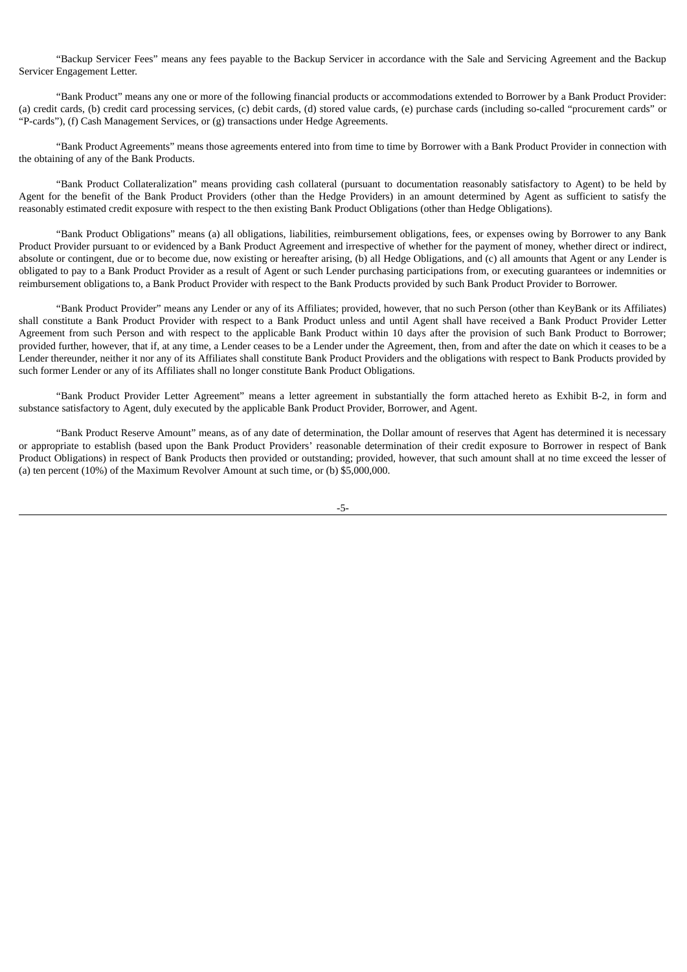"Backup Servicer Fees" means any fees payable to the Backup Servicer in accordance with the Sale and Servicing Agreement and the Backup Servicer Engagement Letter.

"Bank Product" means any one or more of the following financial products or accommodations extended to Borrower by a Bank Product Provider: (a) credit cards, (b) credit card processing services, (c) debit cards, (d) stored value cards, (e) purchase cards (including so-called "procurement cards" or "P-cards"), (f) Cash Management Services, or (g) transactions under Hedge Agreements.

"Bank Product Agreements" means those agreements entered into from time to time by Borrower with a Bank Product Provider in connection with the obtaining of any of the Bank Products.

"Bank Product Collateralization" means providing cash collateral (pursuant to documentation reasonably satisfactory to Agent) to be held by Agent for the benefit of the Bank Product Providers (other than the Hedge Providers) in an amount determined by Agent as sufficient to satisfy the reasonably estimated credit exposure with respect to the then existing Bank Product Obligations (other than Hedge Obligations).

"Bank Product Obligations" means (a) all obligations, liabilities, reimbursement obligations, fees, or expenses owing by Borrower to any Bank Product Provider pursuant to or evidenced by a Bank Product Agreement and irrespective of whether for the payment of money, whether direct or indirect, absolute or contingent, due or to become due, now existing or hereafter arising, (b) all Hedge Obligations, and (c) all amounts that Agent or any Lender is obligated to pay to a Bank Product Provider as a result of Agent or such Lender purchasing participations from, or executing guarantees or indemnities or reimbursement obligations to, a Bank Product Provider with respect to the Bank Products provided by such Bank Product Provider to Borrower.

"Bank Product Provider" means any Lender or any of its Affiliates; provided, however, that no such Person (other than KeyBank or its Affiliates) shall constitute a Bank Product Provider with respect to a Bank Product unless and until Agent shall have received a Bank Product Provider Letter Agreement from such Person and with respect to the applicable Bank Product within 10 days after the provision of such Bank Product to Borrower; provided further, however, that if, at any time, a Lender ceases to be a Lender under the Agreement, then, from and after the date on which it ceases to be a Lender thereunder, neither it nor any of its Affiliates shall constitute Bank Product Providers and the obligations with respect to Bank Products provided by such former Lender or any of its Affiliates shall no longer constitute Bank Product Obligations.

"Bank Product Provider Letter Agreement" means a letter agreement in substantially the form attached hereto as Exhibit B-2, in form and substance satisfactory to Agent, duly executed by the applicable Bank Product Provider, Borrower, and Agent.

"Bank Product Reserve Amount" means, as of any date of determination, the Dollar amount of reserves that Agent has determined it is necessary or appropriate to establish (based upon the Bank Product Providers' reasonable determination of their credit exposure to Borrower in respect of Bank Product Obligations) in respect of Bank Products then provided or outstanding; provided, however, that such amount shall at no time exceed the lesser of (a) ten percent (10%) of the Maximum Revolver Amount at such time, or (b) \$5,000,000.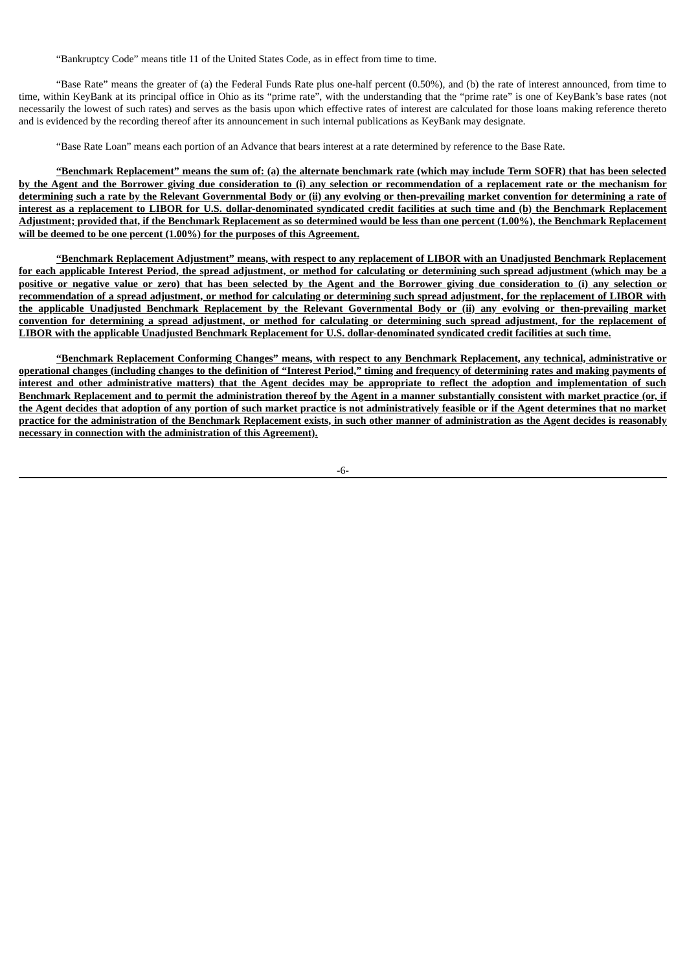"Bankruptcy Code" means title 11 of the United States Code, as in effect from time to time.

"Base Rate" means the greater of (a) the Federal Funds Rate plus one-half percent (0.50%), and (b) the rate of interest announced, from time to time, within KeyBank at its principal office in Ohio as its "prime rate", with the understanding that the "prime rate" is one of KeyBank's base rates (not necessarily the lowest of such rates) and serves as the basis upon which effective rates of interest are calculated for those loans making reference thereto and is evidenced by the recording thereof after its announcement in such internal publications as KeyBank may designate.

"Base Rate Loan" means each portion of an Advance that bears interest at a rate determined by reference to the Base Rate.

"Benchmark Replacement" means the sum of: (a) the alternate benchmark rate (which may include Term SOFR) that has been selected by the Agent and the Borrower giving due consideration to (i) any selection or recommendation of a replacement rate or the mechanism for determining such a rate by the Relevant Governmental Body or (ii) any evolving or then-prevailing market convention for determining a rate of interest as a replacement to LIBOR for U.S. dollar-denominated syndicated credit facilities at such time and (b) the Benchmark Replacement Adjustment; provided that, if the Benchmark Replacement as so determined would be less than one percent (1.00%), the Benchmark Replacement **will be deemed to be one percent (1.00%) for the purposes of this Agreement.**

"Benchmark Replacement Adjustment" means, with respect to any replacement of LIBOR with an Unadjusted Benchmark Replacement for each applicable Interest Period, the spread adjustment, or method for calculating or determining such spread adjustment (which may be a positive or negative value or zero) that has been selected by the Agent and the Borrower giving due consideration to (i) any selection or recommendation of a spread adjustment, or method for calculating or determining such spread adjustment, for the replacement of LIBOR with the applicable Unadjusted Benchmark Replacement by the Relevant Governmental Body or (ii) any evolving or then-prevailing market convention for determining a spread adjustment, or method for calculating or determining such spread adjustment, for the replacement of LIBOR with the applicable Unadjusted Benchmark Replacement for U.S. dollar-denominated syndicated credit facilities at such time.

"Benchmark Replacement Conforming Changes" means, with respect to any Benchmark Replacement, any technical, administrative or operational changes (including changes to the definition of "Interest Period," timing and frequency of determining rates and making payments of interest and other administrative matters) that the Agent decides may be appropriate to reflect the adoption and implementation of such Benchmark Replacement and to permit the administration thereof by the Agent in a manner substantially consistent with market practice (or, if the Agent decides that adoption of any portion of such market practice is not administratively feasible or if the Agent determines that no market practice for the administration of the Benchmark Replacement exists, in such other manner of administration as the Agent decides is reasonably **necessary in connection with the administration of this Agreement).**

-6-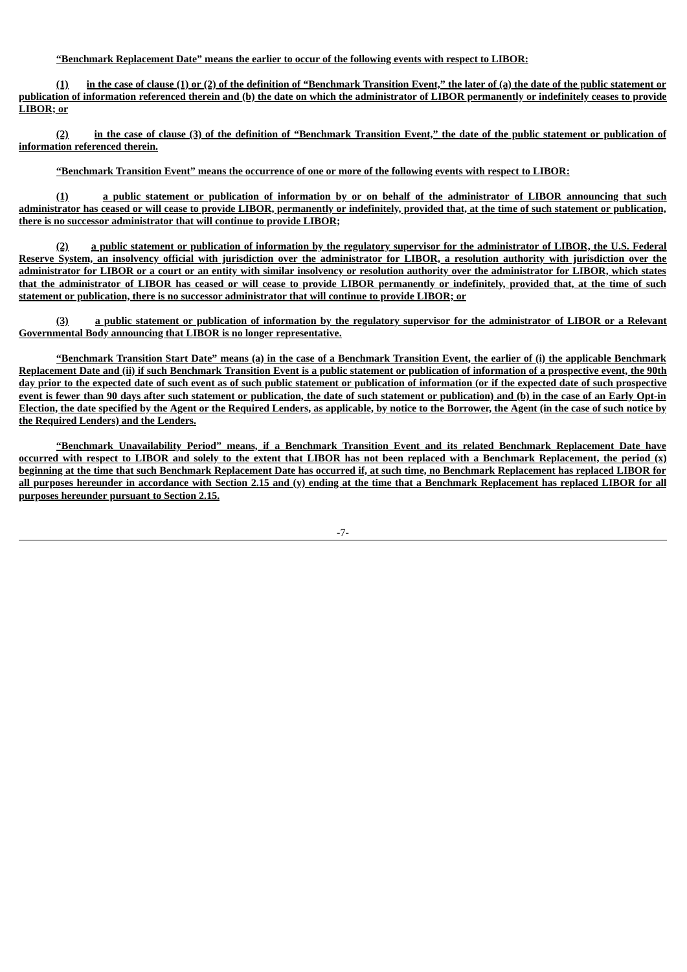## **"Benchmark Replacement Date" means the earlier to occur of the following events with respect to LIBOR:**

(1) in the case of clause (1) or (2) of the definition of "Benchmark Transition Event," the later of (a) the date of the public statement or publication of information referenced therein and (b) the date on which the administrator of LIBOR permanently or indefinitely ceases to provide **LIBOR; or**

(2) in the case of clause (3) of the definition of "Benchmark Transition Event," the date of the public statement or publication of **information referenced therein.**

"Benchmark Transition Event" means the occurrence of one or more of the following events with respect to LIBOR:

(1) a public statement or publication of information by or on behalf of the administrator of LIBOR announcing that such administrator has ceased or will cease to provide LIBOR, permanently or indefinitely, provided that, at the time of such statement or publication, **there is no successor administrator that will continue to provide LIBOR;**

(2) a public statement or publication of information by the regulatory supervisor for the administrator of LIBOR, the U.S. Federal Reserve System, an insolvency official with jurisdiction over the administrator for LIBOR, a resolution authority with jurisdiction over the administrator for LIBOR or a court or an entity with similar insolvency or resolution authority over the administrator for LIBOR, which states that the administrator of LIBOR has ceased or will cease to provide LIBOR permanently or indefinitely, provided that, at the time of such **statement or publication, there is no successor administrator that will continue to provide LIBOR; or**

(3) a public statement or publication of information by the regulatory supervisor for the administrator of LIBOR or a Relevant **Governmental Body announcing that LIBOR is no longer representative.**

"Benchmark Transition Start Date" means (a) in the case of a Benchmark Transition Event, the earlier of (i) the applicable Benchmark Replacement Date and (ii) if such Benchmark Transition Event is a public statement or publication of information of a prospective event, the 90th day prior to the expected date of such event as of such public statement or publication of information (or if the expected date of such prospective event is fewer than 90 days after such statement or publication, the date of such statement or publication) and (b) in the case of an Early Opt-in Election, the date specified by the Agent or the Required Lenders, as applicable, by notice to the Borrower, the Agent (in the case of such notice by **the Required Lenders) and the Lenders.**

<u>"Benchmark Unavailability Period" means, if a Benchmark Transition Event and its related Benchmark Replacement Date have</u> occurred with respect to LIBOR and solely to the extent that LIBOR has not been replaced with a Benchmark Replacement, the period (x) beginning at the time that such Benchmark Replacement Date has occurred if, at such time, no Benchmark Replacement has replaced LIBOR for all purposes hereunder in accordance with Section 2.15 and (y) ending at the time that a Benchmark Replacement has replaced LIBOR for all **purposes hereunder pursuant to Section 2.15.**

-7-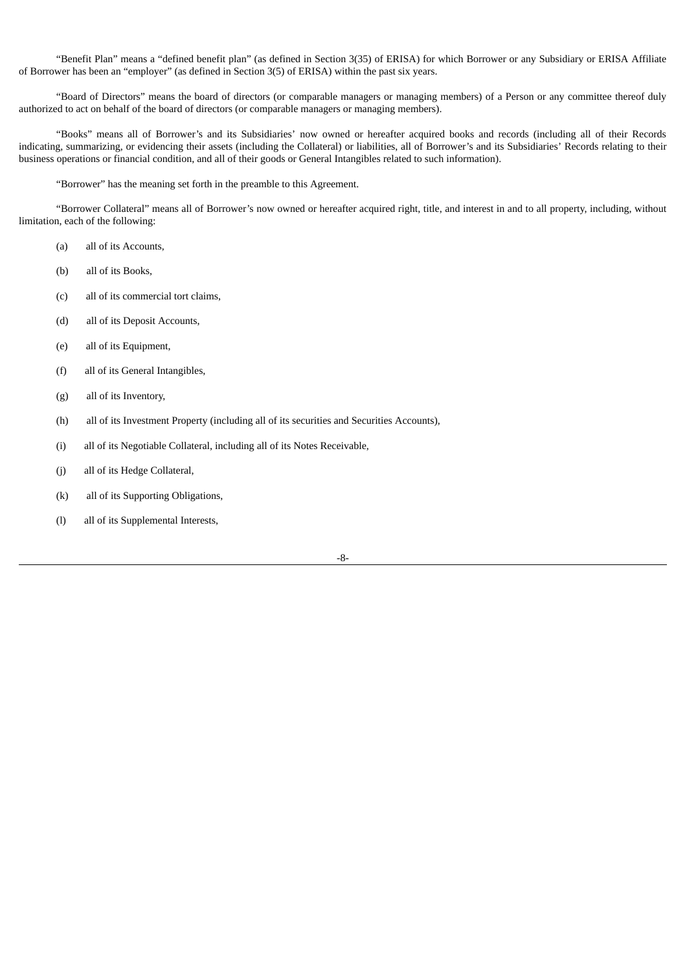"Benefit Plan" means a "defined benefit plan" (as defined in Section 3(35) of ERISA) for which Borrower or any Subsidiary or ERISA Affiliate of Borrower has been an "employer" (as defined in Section 3(5) of ERISA) within the past six years.

"Board of Directors" means the board of directors (or comparable managers or managing members) of a Person or any committee thereof duly authorized to act on behalf of the board of directors (or comparable managers or managing members).

"Books" means all of Borrower's and its Subsidiaries' now owned or hereafter acquired books and records (including all of their Records indicating, summarizing, or evidencing their assets (including the Collateral) or liabilities, all of Borrower's and its Subsidiaries' Records relating to their business operations or financial condition, and all of their goods or General Intangibles related to such information).

"Borrower" has the meaning set forth in the preamble to this Agreement.

"Borrower Collateral" means all of Borrower's now owned or hereafter acquired right, title, and interest in and to all property, including, without limitation, each of the following:

- (a) all of its Accounts,
- (b) all of its Books,
- (c) all of its commercial tort claims,
- (d) all of its Deposit Accounts,
- (e) all of its Equipment,
- (f) all of its General Intangibles,
- (g) all of its Inventory,
- (h) all of its Investment Property (including all of its securities and Securities Accounts),
- (i) all of its Negotiable Collateral, including all of its Notes Receivable,
- (j) all of its Hedge Collateral,
- (k) all of its Supporting Obligations,
- (l) all of its Supplemental Interests,

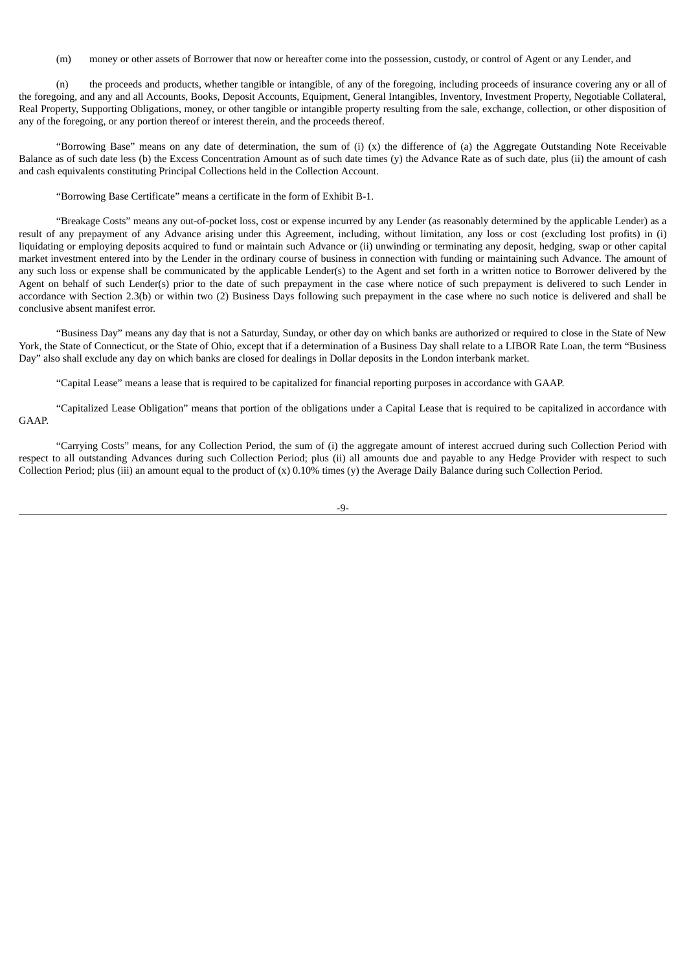(m) money or other assets of Borrower that now or hereafter come into the possession, custody, or control of Agent or any Lender, and

(n) the proceeds and products, whether tangible or intangible, of any of the foregoing, including proceeds of insurance covering any or all of the foregoing, and any and all Accounts, Books, Deposit Accounts, Equipment, General Intangibles, Inventory, Investment Property, Negotiable Collateral, Real Property, Supporting Obligations, money, or other tangible or intangible property resulting from the sale, exchange, collection, or other disposition of any of the foregoing, or any portion thereof or interest therein, and the proceeds thereof.

"Borrowing Base" means on any date of determination, the sum of (i) (x) the difference of (a) the Aggregate Outstanding Note Receivable Balance as of such date less (b) the Excess Concentration Amount as of such date times (y) the Advance Rate as of such date, plus (ii) the amount of cash and cash equivalents constituting Principal Collections held in the Collection Account.

"Borrowing Base Certificate" means a certificate in the form of Exhibit B-1.

"Breakage Costs" means any out-of-pocket loss, cost or expense incurred by any Lender (as reasonably determined by the applicable Lender) as a result of any prepayment of any Advance arising under this Agreement, including, without limitation, any loss or cost (excluding lost profits) in (i) liquidating or employing deposits acquired to fund or maintain such Advance or (ii) unwinding or terminating any deposit, hedging, swap or other capital market investment entered into by the Lender in the ordinary course of business in connection with funding or maintaining such Advance. The amount of any such loss or expense shall be communicated by the applicable Lender(s) to the Agent and set forth in a written notice to Borrower delivered by the Agent on behalf of such Lender(s) prior to the date of such prepayment in the case where notice of such prepayment is delivered to such Lender in accordance with Section 2.3(b) or within two (2) Business Days following such prepayment in the case where no such notice is delivered and shall be conclusive absent manifest error.

"Business Day" means any day that is not a Saturday, Sunday, or other day on which banks are authorized or required to close in the State of New York, the State of Connecticut, or the State of Ohio, except that if a determination of a Business Day shall relate to a LIBOR Rate Loan, the term "Business Day" also shall exclude any day on which banks are closed for dealings in Dollar deposits in the London interbank market.

"Capital Lease" means a lease that is required to be capitalized for financial reporting purposes in accordance with GAAP.

"Capitalized Lease Obligation" means that portion of the obligations under a Capital Lease that is required to be capitalized in accordance with GAAP.

"Carrying Costs" means, for any Collection Period, the sum of (i) the aggregate amount of interest accrued during such Collection Period with respect to all outstanding Advances during such Collection Period; plus (ii) all amounts due and payable to any Hedge Provider with respect to such Collection Period; plus (iii) an amount equal to the product of (x) 0.10% times (y) the Average Daily Balance during such Collection Period.

-9-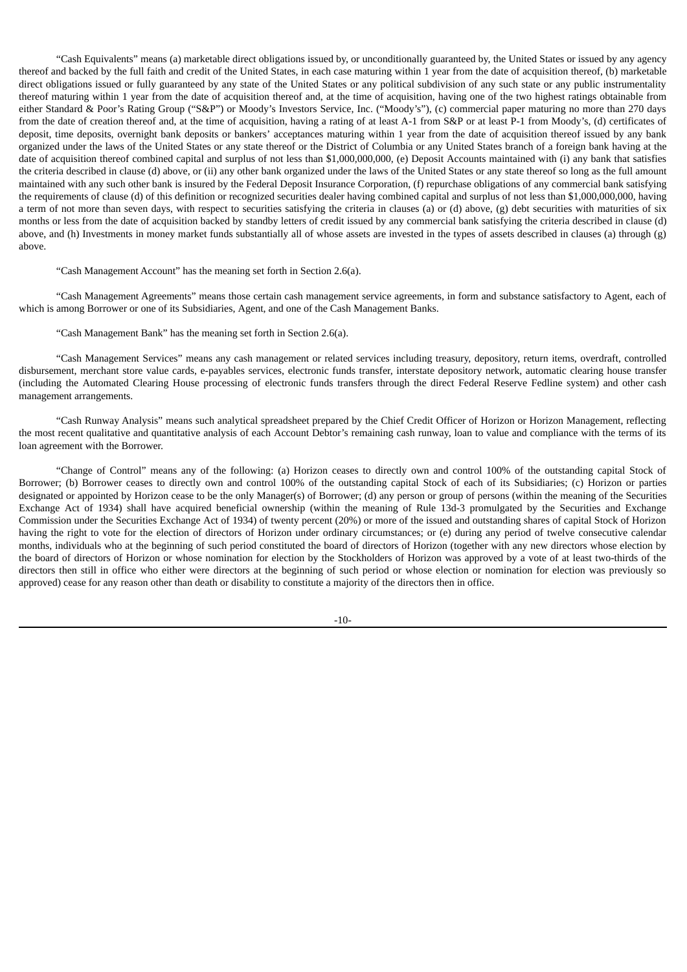"Cash Equivalents" means (a) marketable direct obligations issued by, or unconditionally guaranteed by, the United States or issued by any agency thereof and backed by the full faith and credit of the United States, in each case maturing within 1 year from the date of acquisition thereof, (b) marketable direct obligations issued or fully guaranteed by any state of the United States or any political subdivision of any such state or any public instrumentality thereof maturing within 1 year from the date of acquisition thereof and, at the time of acquisition, having one of the two highest ratings obtainable from either Standard & Poor's Rating Group ("S&P") or Moody's Investors Service, Inc. ("Moody's"), (c) commercial paper maturing no more than 270 days from the date of creation thereof and, at the time of acquisition, having a rating of at least A-1 from S&P or at least P-1 from Moody's, (d) certificates of deposit, time deposits, overnight bank deposits or bankers' acceptances maturing within 1 year from the date of acquisition thereof issued by any bank organized under the laws of the United States or any state thereof or the District of Columbia or any United States branch of a foreign bank having at the date of acquisition thereof combined capital and surplus of not less than \$1,000,000,000, (e) Deposit Accounts maintained with (i) any bank that satisfies the criteria described in clause (d) above, or (ii) any other bank organized under the laws of the United States or any state thereof so long as the full amount maintained with any such other bank is insured by the Federal Deposit Insurance Corporation, (f) repurchase obligations of any commercial bank satisfying the requirements of clause (d) of this definition or recognized securities dealer having combined capital and surplus of not less than \$1,000,000,000, having a term of not more than seven days, with respect to securities satisfying the criteria in clauses (a) or (d) above, (g) debt securities with maturities of six months or less from the date of acquisition backed by standby letters of credit issued by any commercial bank satisfying the criteria described in clause (d) above, and (h) Investments in money market funds substantially all of whose assets are invested in the types of assets described in clauses (a) through (g) above.

"Cash Management Account" has the meaning set forth in Section 2.6(a).

"Cash Management Agreements" means those certain cash management service agreements, in form and substance satisfactory to Agent, each of which is among Borrower or one of its Subsidiaries, Agent, and one of the Cash Management Banks.

"Cash Management Bank" has the meaning set forth in Section 2.6(a).

"Cash Management Services" means any cash management or related services including treasury, depository, return items, overdraft, controlled disbursement, merchant store value cards, e-payables services, electronic funds transfer, interstate depository network, automatic clearing house transfer (including the Automated Clearing House processing of electronic funds transfers through the direct Federal Reserve Fedline system) and other cash management arrangements.

"Cash Runway Analysis" means such analytical spreadsheet prepared by the Chief Credit Officer of Horizon or Horizon Management, reflecting the most recent qualitative and quantitative analysis of each Account Debtor's remaining cash runway, loan to value and compliance with the terms of its loan agreement with the Borrower.

"Change of Control" means any of the following: (a) Horizon ceases to directly own and control 100% of the outstanding capital Stock of Borrower; (b) Borrower ceases to directly own and control 100% of the outstanding capital Stock of each of its Subsidiaries; (c) Horizon or parties designated or appointed by Horizon cease to be the only Manager(s) of Borrower; (d) any person or group of persons (within the meaning of the Securities Exchange Act of 1934) shall have acquired beneficial ownership (within the meaning of Rule 13d-3 promulgated by the Securities and Exchange Commission under the Securities Exchange Act of 1934) of twenty percent (20%) or more of the issued and outstanding shares of capital Stock of Horizon having the right to vote for the election of directors of Horizon under ordinary circumstances; or (e) during any period of twelve consecutive calendar months, individuals who at the beginning of such period constituted the board of directors of Horizon (together with any new directors whose election by the board of directors of Horizon or whose nomination for election by the Stockholders of Horizon was approved by a vote of at least two-thirds of the directors then still in office who either were directors at the beginning of such period or whose election or nomination for election was previously so approved) cease for any reason other than death or disability to constitute a majority of the directors then in office.

-10-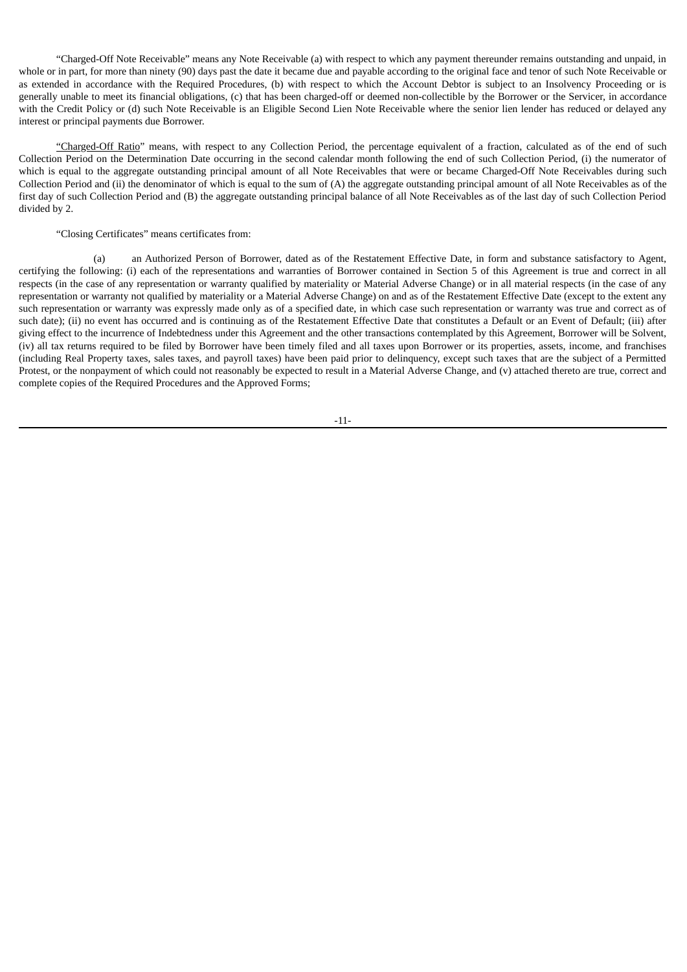"Charged-Off Note Receivable" means any Note Receivable (a) with respect to which any payment thereunder remains outstanding and unpaid, in whole or in part, for more than ninety (90) days past the date it became due and payable according to the original face and tenor of such Note Receivable or as extended in accordance with the Required Procedures, (b) with respect to which the Account Debtor is subject to an Insolvency Proceeding or is generally unable to meet its financial obligations, (c) that has been charged-off or deemed non-collectible by the Borrower or the Servicer, in accordance with the Credit Policy or (d) such Note Receivable is an Eligible Second Lien Note Receivable where the senior lien lender has reduced or delayed any interest or principal payments due Borrower.

"Charged-Off Ratio" means, with respect to any Collection Period, the percentage equivalent of a fraction, calculated as of the end of such Collection Period on the Determination Date occurring in the second calendar month following the end of such Collection Period, (i) the numerator of which is equal to the aggregate outstanding principal amount of all Note Receivables that were or became Charged-Off Note Receivables during such Collection Period and (ii) the denominator of which is equal to the sum of (A) the aggregate outstanding principal amount of all Note Receivables as of the first day of such Collection Period and (B) the aggregate outstanding principal balance of all Note Receivables as of the last day of such Collection Period divided by 2.

#### "Closing Certificates" means certificates from:

(a) an Authorized Person of Borrower, dated as of the Restatement Effective Date, in form and substance satisfactory to Agent, certifying the following: (i) each of the representations and warranties of Borrower contained in Section 5 of this Agreement is true and correct in all respects (in the case of any representation or warranty qualified by materiality or Material Adverse Change) or in all material respects (in the case of any representation or warranty not qualified by materiality or a Material Adverse Change) on and as of the Restatement Effective Date (except to the extent any such representation or warranty was expressly made only as of a specified date, in which case such representation or warranty was true and correct as of such date); (ii) no event has occurred and is continuing as of the Restatement Effective Date that constitutes a Default or an Event of Default; (iii) after giving effect to the incurrence of Indebtedness under this Agreement and the other transactions contemplated by this Agreement, Borrower will be Solvent, (iv) all tax returns required to be filed by Borrower have been timely filed and all taxes upon Borrower or its properties, assets, income, and franchises (including Real Property taxes, sales taxes, and payroll taxes) have been paid prior to delinquency, except such taxes that are the subject of a Permitted Protest, or the nonpayment of which could not reasonably be expected to result in a Material Adverse Change, and (v) attached thereto are true, correct and complete copies of the Required Procedures and the Approved Forms;

-11-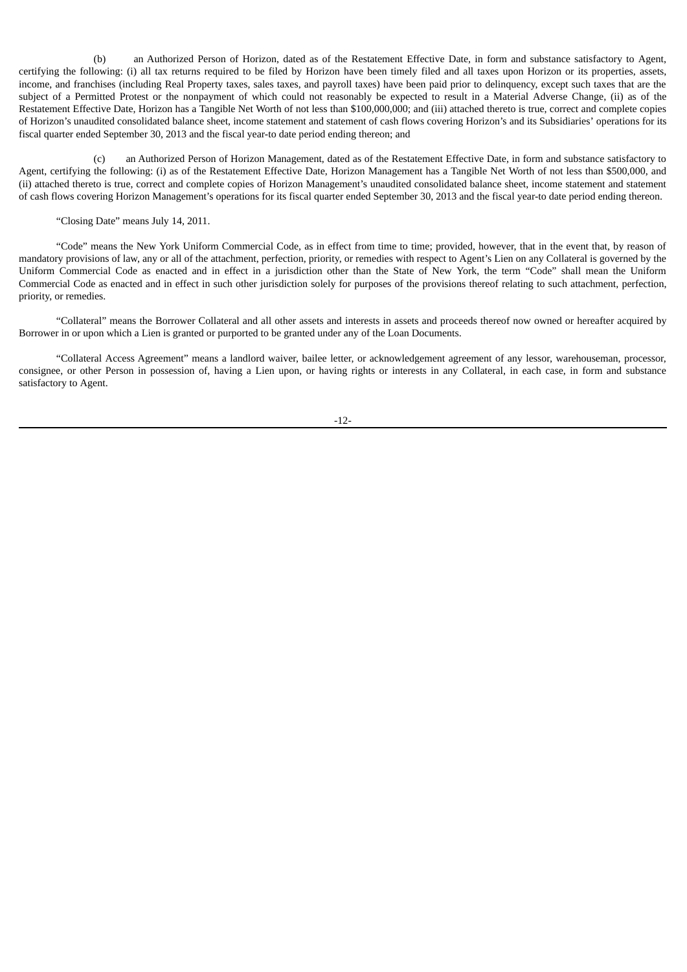(b) an Authorized Person of Horizon, dated as of the Restatement Effective Date, in form and substance satisfactory to Agent, certifying the following: (i) all tax returns required to be filed by Horizon have been timely filed and all taxes upon Horizon or its properties, assets, income, and franchises (including Real Property taxes, sales taxes, and payroll taxes) have been paid prior to delinquency, except such taxes that are the subject of a Permitted Protest or the nonpayment of which could not reasonably be expected to result in a Material Adverse Change, (ii) as of the Restatement Effective Date, Horizon has a Tangible Net Worth of not less than \$100,000,000; and (iii) attached thereto is true, correct and complete copies of Horizon's unaudited consolidated balance sheet, income statement and statement of cash flows covering Horizon's and its Subsidiaries' operations for its fiscal quarter ended September 30, 2013 and the fiscal year-to date period ending thereon; and

(c) an Authorized Person of Horizon Management, dated as of the Restatement Effective Date, in form and substance satisfactory to Agent, certifying the following: (i) as of the Restatement Effective Date, Horizon Management has a Tangible Net Worth of not less than \$500,000, and (ii) attached thereto is true, correct and complete copies of Horizon Management's unaudited consolidated balance sheet, income statement and statement of cash flows covering Horizon Management's operations for its fiscal quarter ended September 30, 2013 and the fiscal year-to date period ending thereon.

"Closing Date" means July 14, 2011.

"Code" means the New York Uniform Commercial Code, as in effect from time to time; provided, however, that in the event that, by reason of mandatory provisions of law, any or all of the attachment, perfection, priority, or remedies with respect to Agent's Lien on any Collateral is governed by the Uniform Commercial Code as enacted and in effect in a jurisdiction other than the State of New York, the term "Code" shall mean the Uniform Commercial Code as enacted and in effect in such other jurisdiction solely for purposes of the provisions thereof relating to such attachment, perfection, priority, or remedies.

"Collateral" means the Borrower Collateral and all other assets and interests in assets and proceeds thereof now owned or hereafter acquired by Borrower in or upon which a Lien is granted or purported to be granted under any of the Loan Documents.

"Collateral Access Agreement" means a landlord waiver, bailee letter, or acknowledgement agreement of any lessor, warehouseman, processor, consignee, or other Person in possession of, having a Lien upon, or having rights or interests in any Collateral, in each case, in form and substance satisfactory to Agent.

-12-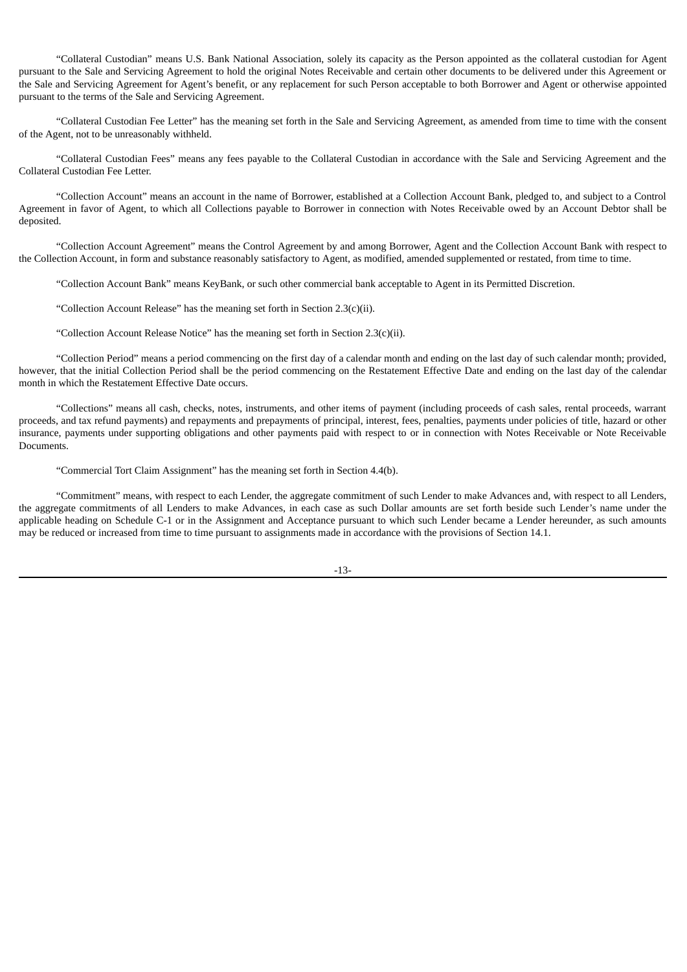"Collateral Custodian" means U.S. Bank National Association, solely its capacity as the Person appointed as the collateral custodian for Agent pursuant to the Sale and Servicing Agreement to hold the original Notes Receivable and certain other documents to be delivered under this Agreement or the Sale and Servicing Agreement for Agent's benefit, or any replacement for such Person acceptable to both Borrower and Agent or otherwise appointed pursuant to the terms of the Sale and Servicing Agreement.

"Collateral Custodian Fee Letter" has the meaning set forth in the Sale and Servicing Agreement, as amended from time to time with the consent of the Agent, not to be unreasonably withheld.

"Collateral Custodian Fees" means any fees payable to the Collateral Custodian in accordance with the Sale and Servicing Agreement and the Collateral Custodian Fee Letter.

"Collection Account" means an account in the name of Borrower, established at a Collection Account Bank, pledged to, and subject to a Control Agreement in favor of Agent, to which all Collections payable to Borrower in connection with Notes Receivable owed by an Account Debtor shall be deposited.

"Collection Account Agreement" means the Control Agreement by and among Borrower, Agent and the Collection Account Bank with respect to the Collection Account, in form and substance reasonably satisfactory to Agent, as modified, amended supplemented or restated, from time to time.

"Collection Account Bank" means KeyBank, or such other commercial bank acceptable to Agent in its Permitted Discretion.

"Collection Account Release" has the meaning set forth in Section 2.3(c)(ii).

"Collection Account Release Notice" has the meaning set forth in Section 2.3(c)(ii).

"Collection Period" means a period commencing on the first day of a calendar month and ending on the last day of such calendar month; provided, however, that the initial Collection Period shall be the period commencing on the Restatement Effective Date and ending on the last day of the calendar month in which the Restatement Effective Date occurs.

"Collections" means all cash, checks, notes, instruments, and other items of payment (including proceeds of cash sales, rental proceeds, warrant proceeds, and tax refund payments) and repayments and prepayments of principal, interest, fees, penalties, payments under policies of title, hazard or other insurance, payments under supporting obligations and other payments paid with respect to or in connection with Notes Receivable or Note Receivable Documents.

"Commercial Tort Claim Assignment" has the meaning set forth in Section 4.4(b).

"Commitment" means, with respect to each Lender, the aggregate commitment of such Lender to make Advances and, with respect to all Lenders, the aggregate commitments of all Lenders to make Advances, in each case as such Dollar amounts are set forth beside such Lender's name under the applicable heading on Schedule C-1 or in the Assignment and Acceptance pursuant to which such Lender became a Lender hereunder, as such amounts may be reduced or increased from time to time pursuant to assignments made in accordance with the provisions of Section 14.1.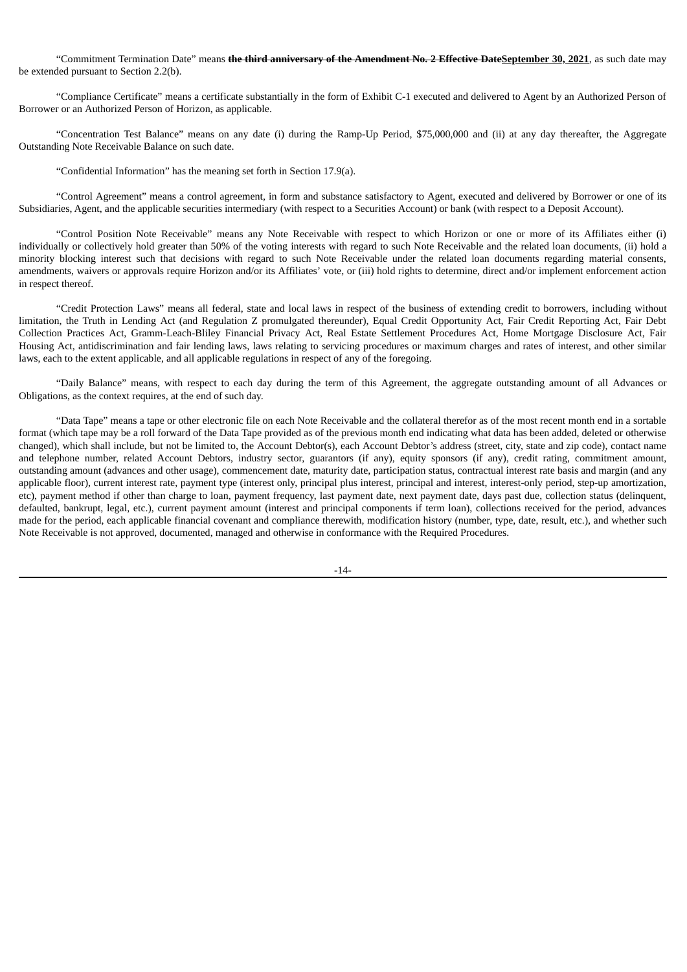"Commitment Termination Date" means **the third anniversary of the Amendment No. 2 Effective DateSeptember 30, 2021**, as such date may be extended pursuant to Section 2.2(b).

"Compliance Certificate" means a certificate substantially in the form of Exhibit C-1 executed and delivered to Agent by an Authorized Person of Borrower or an Authorized Person of Horizon, as applicable.

"Concentration Test Balance" means on any date (i) during the Ramp-Up Period, \$75,000,000 and (ii) at any day thereafter, the Aggregate Outstanding Note Receivable Balance on such date.

"Confidential Information" has the meaning set forth in Section 17.9(a).

"Control Agreement" means a control agreement, in form and substance satisfactory to Agent, executed and delivered by Borrower or one of its Subsidiaries, Agent, and the applicable securities intermediary (with respect to a Securities Account) or bank (with respect to a Deposit Account).

"Control Position Note Receivable" means any Note Receivable with respect to which Horizon or one or more of its Affiliates either (i) individually or collectively hold greater than 50% of the voting interests with regard to such Note Receivable and the related loan documents, (ii) hold a minority blocking interest such that decisions with regard to such Note Receivable under the related loan documents regarding material consents, amendments, waivers or approvals require Horizon and/or its Affiliates' vote, or (iii) hold rights to determine, direct and/or implement enforcement action in respect thereof.

"Credit Protection Laws" means all federal, state and local laws in respect of the business of extending credit to borrowers, including without limitation, the Truth in Lending Act (and Regulation Z promulgated thereunder), Equal Credit Opportunity Act, Fair Credit Reporting Act, Fair Debt Collection Practices Act, Gramm-Leach-Bliley Financial Privacy Act, Real Estate Settlement Procedures Act, Home Mortgage Disclosure Act, Fair Housing Act, antidiscrimination and fair lending laws, laws relating to servicing procedures or maximum charges and rates of interest, and other similar laws, each to the extent applicable, and all applicable regulations in respect of any of the foregoing.

"Daily Balance" means, with respect to each day during the term of this Agreement, the aggregate outstanding amount of all Advances or Obligations, as the context requires, at the end of such day.

"Data Tape" means a tape or other electronic file on each Note Receivable and the collateral therefor as of the most recent month end in a sortable format (which tape may be a roll forward of the Data Tape provided as of the previous month end indicating what data has been added, deleted or otherwise changed), which shall include, but not be limited to, the Account Debtor(s), each Account Debtor's address (street, city, state and zip code), contact name and telephone number, related Account Debtors, industry sector, guarantors (if any), equity sponsors (if any), credit rating, commitment amount, outstanding amount (advances and other usage), commencement date, maturity date, participation status, contractual interest rate basis and margin (and any applicable floor), current interest rate, payment type (interest only, principal plus interest, principal and interest, interest-only period, step-up amortization, etc), payment method if other than charge to loan, payment frequency, last payment date, next payment date, days past due, collection status (delinquent, defaulted, bankrupt, legal, etc.), current payment amount (interest and principal components if term loan), collections received for the period, advances made for the period, each applicable financial covenant and compliance therewith, modification history (number, type, date, result, etc.), and whether such Note Receivable is not approved, documented, managed and otherwise in conformance with the Required Procedures.

-14-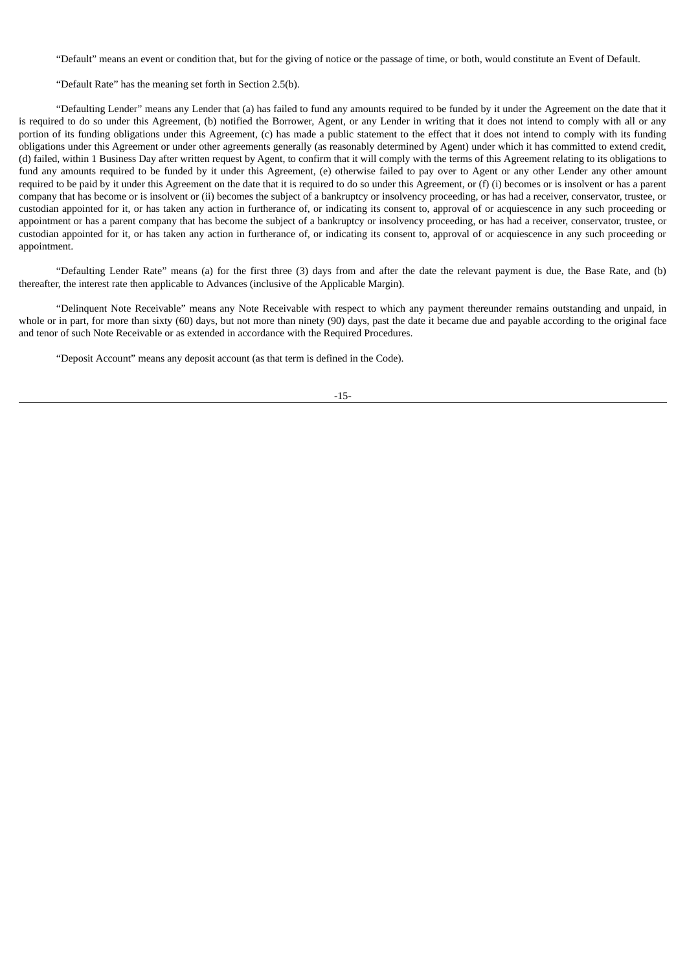"Default" means an event or condition that, but for the giving of notice or the passage of time, or both, would constitute an Event of Default.

"Default Rate" has the meaning set forth in Section 2.5(b).

"Defaulting Lender" means any Lender that (a) has failed to fund any amounts required to be funded by it under the Agreement on the date that it is required to do so under this Agreement, (b) notified the Borrower, Agent, or any Lender in writing that it does not intend to comply with all or any portion of its funding obligations under this Agreement, (c) has made a public statement to the effect that it does not intend to comply with its funding obligations under this Agreement or under other agreements generally (as reasonably determined by Agent) under which it has committed to extend credit, (d) failed, within 1 Business Day after written request by Agent, to confirm that it will comply with the terms of this Agreement relating to its obligations to fund any amounts required to be funded by it under this Agreement, (e) otherwise failed to pay over to Agent or any other Lender any other amount required to be paid by it under this Agreement on the date that it is required to do so under this Agreement, or (f) (i) becomes or is insolvent or has a parent company that has become or is insolvent or (ii) becomes the subject of a bankruptcy or insolvency proceeding, or has had a receiver, conservator, trustee, or custodian appointed for it, or has taken any action in furtherance of, or indicating its consent to, approval of or acquiescence in any such proceeding or appointment or has a parent company that has become the subject of a bankruptcy or insolvency proceeding, or has had a receiver, conservator, trustee, or custodian appointed for it, or has taken any action in furtherance of, or indicating its consent to, approval of or acquiescence in any such proceeding or appointment.

"Defaulting Lender Rate" means (a) for the first three (3) days from and after the date the relevant payment is due, the Base Rate, and (b) thereafter, the interest rate then applicable to Advances (inclusive of the Applicable Margin).

"Delinquent Note Receivable" means any Note Receivable with respect to which any payment thereunder remains outstanding and unpaid, in whole or in part, for more than sixty (60) days, but not more than ninety (90) days, past the date it became due and payable according to the original face and tenor of such Note Receivable or as extended in accordance with the Required Procedures.

"Deposit Account" means any deposit account (as that term is defined in the Code).

-15-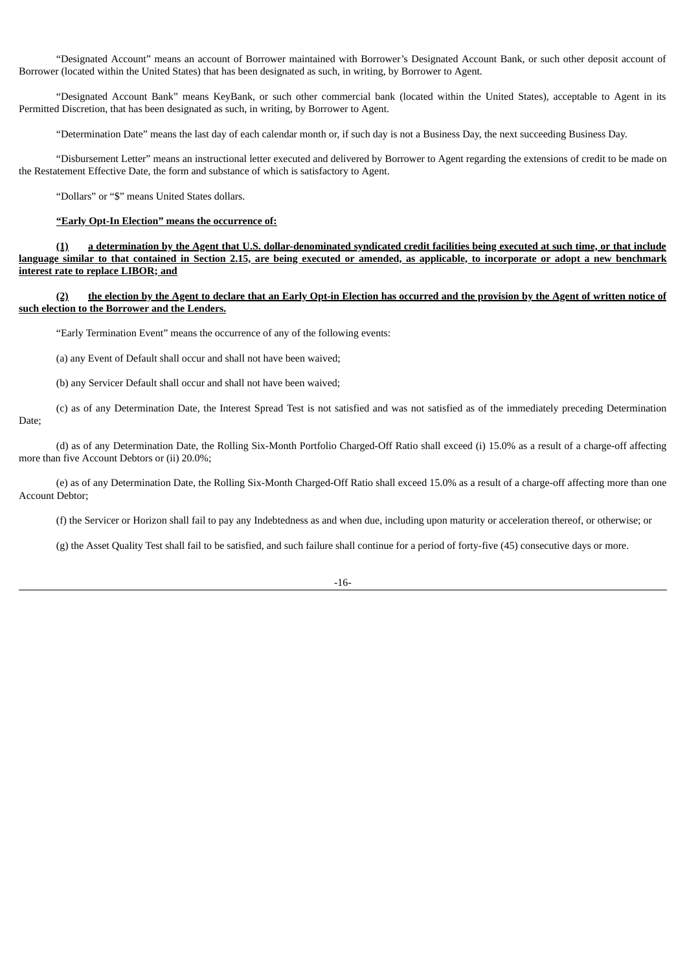"Designated Account" means an account of Borrower maintained with Borrower's Designated Account Bank, or such other deposit account of Borrower (located within the United States) that has been designated as such, in writing, by Borrower to Agent.

"Designated Account Bank" means KeyBank, or such other commercial bank (located within the United States), acceptable to Agent in its Permitted Discretion, that has been designated as such, in writing, by Borrower to Agent.

"Determination Date" means the last day of each calendar month or, if such day is not a Business Day, the next succeeding Business Day.

"Disbursement Letter" means an instructional letter executed and delivered by Borrower to Agent regarding the extensions of credit to be made on the Restatement Effective Date, the form and substance of which is satisfactory to Agent.

"Dollars" or "\$" means United States dollars.

#### **"Early Opt-In Election" means the occurrence of:**

(1) a determination by the Agent that U.S. dollar-denominated syndicated credit facilities being executed at such time, or that include language similar to that contained in Section 2.15, are being executed or amended, as applicable, to incorporate or adopt a new benchmark **interest rate to replace LIBOR; and**

(2) the election by the Agent to declare that an Early Opt-in Election has occurred and the provision by the Agent of written notice of **such election to the Borrower and the Lenders.**

"Early Termination Event" means the occurrence of any of the following events:

(a) any Event of Default shall occur and shall not have been waived;

(b) any Servicer Default shall occur and shall not have been waived;

(c) as of any Determination Date, the Interest Spread Test is not satisfied and was not satisfied as of the immediately preceding Determination Date;

(d) as of any Determination Date, the Rolling Six-Month Portfolio Charged-Off Ratio shall exceed (i) 15.0% as a result of a charge-off affecting more than five Account Debtors or (ii) 20.0%;

(e) as of any Determination Date, the Rolling Six-Month Charged-Off Ratio shall exceed 15.0% as a result of a charge-off affecting more than one Account Debtor;

(f) the Servicer or Horizon shall fail to pay any Indebtedness as and when due, including upon maturity or acceleration thereof, or otherwise; or

(g) the Asset Quality Test shall fail to be satisfied, and such failure shall continue for a period of forty-five (45) consecutive days or more.

-16-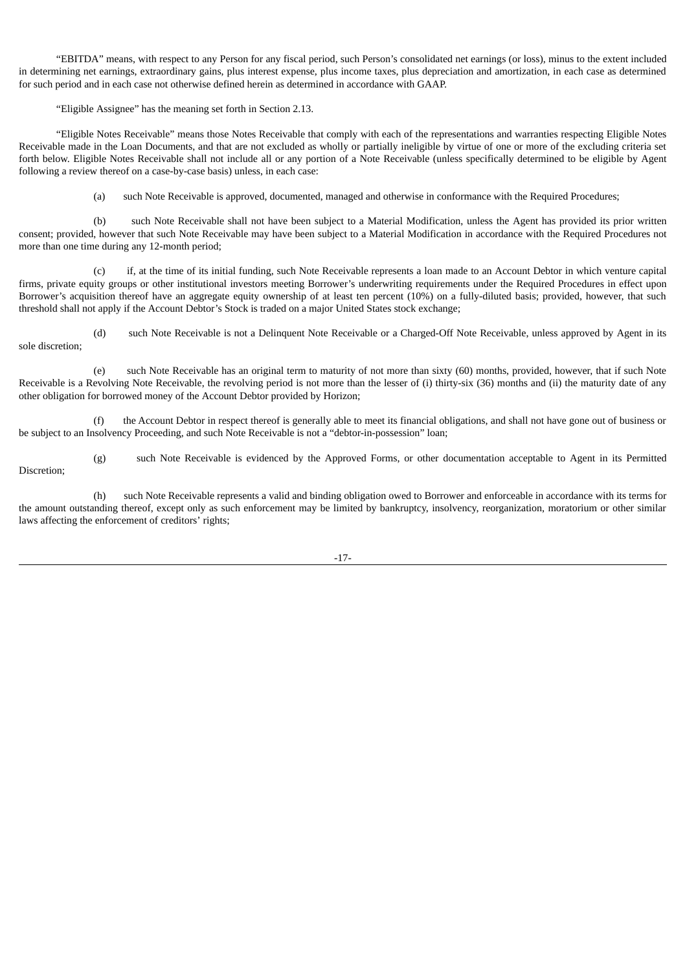"EBITDA" means, with respect to any Person for any fiscal period, such Person's consolidated net earnings (or loss), minus to the extent included in determining net earnings, extraordinary gains, plus interest expense, plus income taxes, plus depreciation and amortization, in each case as determined for such period and in each case not otherwise defined herein as determined in accordance with GAAP.

"Eligible Assignee" has the meaning set forth in Section 2.13.

"Eligible Notes Receivable" means those Notes Receivable that comply with each of the representations and warranties respecting Eligible Notes Receivable made in the Loan Documents, and that are not excluded as wholly or partially ineligible by virtue of one or more of the excluding criteria set forth below. Eligible Notes Receivable shall not include all or any portion of a Note Receivable (unless specifically determined to be eligible by Agent following a review thereof on a case-by-case basis) unless, in each case:

(a) such Note Receivable is approved, documented, managed and otherwise in conformance with the Required Procedures;

(b) such Note Receivable shall not have been subject to a Material Modification, unless the Agent has provided its prior written consent; provided, however that such Note Receivable may have been subject to a Material Modification in accordance with the Required Procedures not more than one time during any 12-month period;

(c) if, at the time of its initial funding, such Note Receivable represents a loan made to an Account Debtor in which venture capital firms, private equity groups or other institutional investors meeting Borrower's underwriting requirements under the Required Procedures in effect upon Borrower's acquisition thereof have an aggregate equity ownership of at least ten percent (10%) on a fully-diluted basis; provided, however, that such threshold shall not apply if the Account Debtor's Stock is traded on a major United States stock exchange;

(d) such Note Receivable is not a Delinquent Note Receivable or a Charged-Off Note Receivable, unless approved by Agent in its sole discretion;

(e) such Note Receivable has an original term to maturity of not more than sixty (60) months, provided, however, that if such Note Receivable is a Revolving Note Receivable, the revolving period is not more than the lesser of (i) thirty-six (36) months and (ii) the maturity date of any other obligation for borrowed money of the Account Debtor provided by Horizon;

(f) the Account Debtor in respect thereof is generally able to meet its financial obligations, and shall not have gone out of business or be subject to an Insolvency Proceeding, and such Note Receivable is not a "debtor-in-possession" loan;

(g) such Note Receivable is evidenced by the Approved Forms, or other documentation acceptable to Agent in its Permitted Discretion;

(h) such Note Receivable represents a valid and binding obligation owed to Borrower and enforceable in accordance with its terms for the amount outstanding thereof, except only as such enforcement may be limited by bankruptcy, insolvency, reorganization, moratorium or other similar laws affecting the enforcement of creditors' rights;

-17-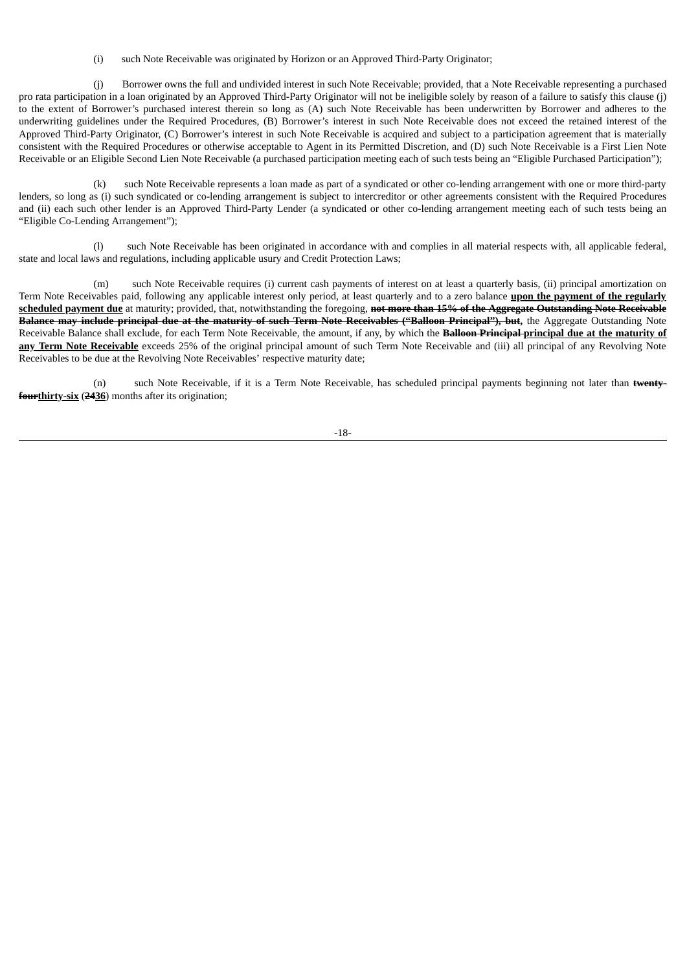(i) such Note Receivable was originated by Horizon or an Approved Third-Party Originator;

(j) Borrower owns the full and undivided interest in such Note Receivable; provided, that a Note Receivable representing a purchased pro rata participation in a loan originated by an Approved Third-Party Originator will not be ineligible solely by reason of a failure to satisfy this clause (j) to the extent of Borrower's purchased interest therein so long as (A) such Note Receivable has been underwritten by Borrower and adheres to the underwriting guidelines under the Required Procedures, (B) Borrower's interest in such Note Receivable does not exceed the retained interest of the Approved Third-Party Originator, (C) Borrower's interest in such Note Receivable is acquired and subject to a participation agreement that is materially consistent with the Required Procedures or otherwise acceptable to Agent in its Permitted Discretion, and (D) such Note Receivable is a First Lien Note Receivable or an Eligible Second Lien Note Receivable (a purchased participation meeting each of such tests being an "Eligible Purchased Participation");

(k) such Note Receivable represents a loan made as part of a syndicated or other co-lending arrangement with one or more third-party lenders, so long as (i) such syndicated or co-lending arrangement is subject to intercreditor or other agreements consistent with the Required Procedures and (ii) each such other lender is an Approved Third-Party Lender (a syndicated or other co-lending arrangement meeting each of such tests being an "Eligible Co-Lending Arrangement");

(l) such Note Receivable has been originated in accordance with and complies in all material respects with, all applicable federal, state and local laws and regulations, including applicable usury and Credit Protection Laws;

(m) such Note Receivable requires (i) current cash payments of interest on at least a quarterly basis, (ii) principal amortization on Term Note Receivables paid, following any applicable interest only period, at least quarterly and to a zero balance **upon the payment of the regularly** scheduled payment due at maturity; provided, that, notwithstanding the foregoing, not more than 15% of the Aggregate Outstanding Note Receivable **Balance may include principal due at the maturity of such Term Note Receivables ("Balloon Principal"), but, the Aggregate Outstanding Note** Receivable Balance shall exclude, for each Term Note Receivable, the amount, if any, by which the **Balloon Principal principal due at the maturity of any Term Note Receivable** exceeds 25% of the original principal amount of such Term Note Receivable and (iii) all principal of any Revolving Note Receivables to be due at the Revolving Note Receivables' respective maturity date;

(n) such Note Receivable, if it is a Term Note Receivable, has scheduled principal payments beginning not later than **twentyfourthirty-six** (**2436**) months after its origination;

-18-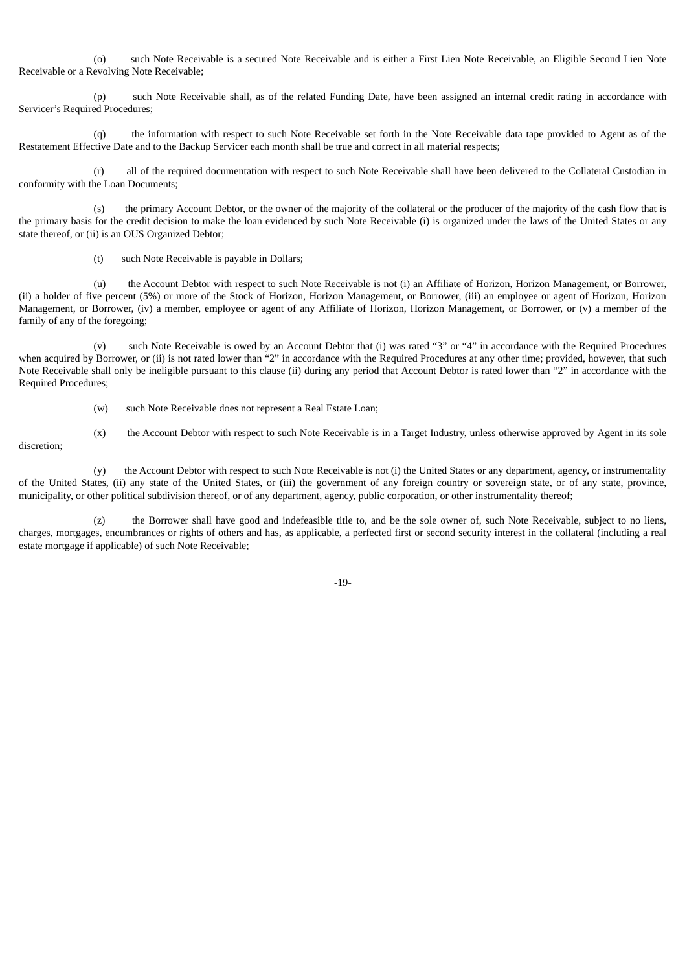(o) such Note Receivable is a secured Note Receivable and is either a First Lien Note Receivable, an Eligible Second Lien Note Receivable or a Revolving Note Receivable;

(p) such Note Receivable shall, as of the related Funding Date, have been assigned an internal credit rating in accordance with Servicer's Required Procedures;

(q) the information with respect to such Note Receivable set forth in the Note Receivable data tape provided to Agent as of the Restatement Effective Date and to the Backup Servicer each month shall be true and correct in all material respects;

(r) all of the required documentation with respect to such Note Receivable shall have been delivered to the Collateral Custodian in conformity with the Loan Documents;

(s) the primary Account Debtor, or the owner of the majority of the collateral or the producer of the majority of the cash flow that is the primary basis for the credit decision to make the loan evidenced by such Note Receivable (i) is organized under the laws of the United States or any state thereof, or (ii) is an OUS Organized Debtor;

(t) such Note Receivable is payable in Dollars;

(u) the Account Debtor with respect to such Note Receivable is not (i) an Affiliate of Horizon, Horizon Management, or Borrower, (ii) a holder of five percent (5%) or more of the Stock of Horizon, Horizon Management, or Borrower, (iii) an employee or agent of Horizon, Horizon Management, or Borrower, (iv) a member, employee or agent of any Affiliate of Horizon, Horizon Management, or Borrower, or (v) a member of the family of any of the foregoing;

(v) such Note Receivable is owed by an Account Debtor that (i) was rated "3" or "4" in accordance with the Required Procedures when acquired by Borrower, or (ii) is not rated lower than "2" in accordance with the Required Procedures at any other time; provided, however, that such Note Receivable shall only be ineligible pursuant to this clause (ii) during any period that Account Debtor is rated lower than "2" in accordance with the Required Procedures;

(w) such Note Receivable does not represent a Real Estate Loan;

discretion;

(x) the Account Debtor with respect to such Note Receivable is in a Target Industry, unless otherwise approved by Agent in its sole

(y) the Account Debtor with respect to such Note Receivable is not (i) the United States or any department, agency, or instrumentality of the United States, (ii) any state of the United States, or (iii) the government of any foreign country or sovereign state, or of any state, province, municipality, or other political subdivision thereof, or of any department, agency, public corporation, or other instrumentality thereof;

(z) the Borrower shall have good and indefeasible title to, and be the sole owner of, such Note Receivable, subject to no liens, charges, mortgages, encumbrances or rights of others and has, as applicable, a perfected first or second security interest in the collateral (including a real estate mortgage if applicable) of such Note Receivable;

 $-19-$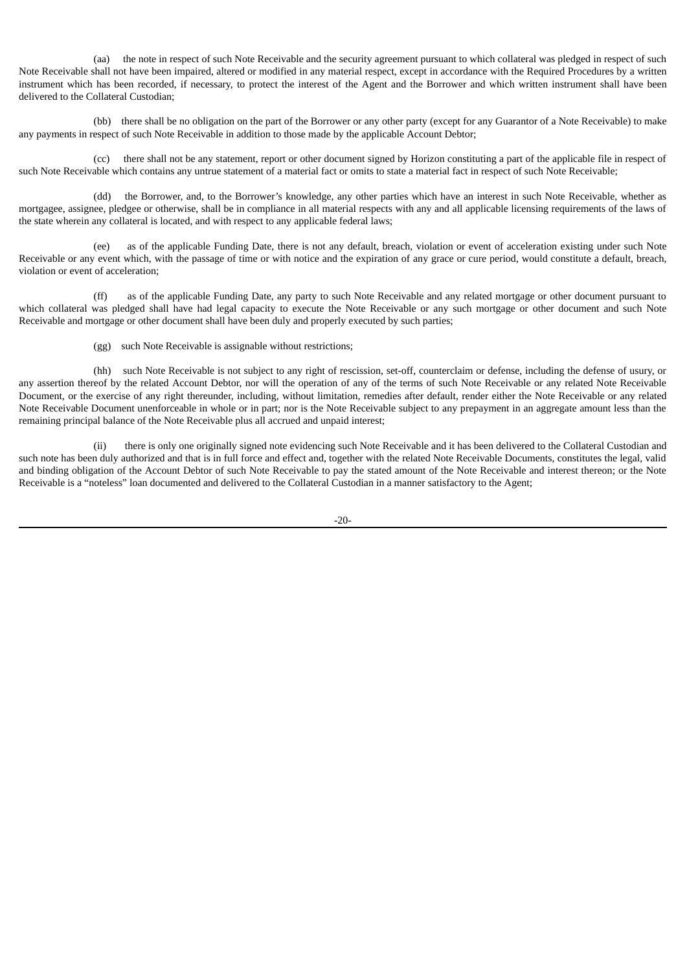(aa) the note in respect of such Note Receivable and the security agreement pursuant to which collateral was pledged in respect of such Note Receivable shall not have been impaired, altered or modified in any material respect, except in accordance with the Required Procedures by a written instrument which has been recorded, if necessary, to protect the interest of the Agent and the Borrower and which written instrument shall have been delivered to the Collateral Custodian;

(bb) there shall be no obligation on the part of the Borrower or any other party (except for any Guarantor of a Note Receivable) to make any payments in respect of such Note Receivable in addition to those made by the applicable Account Debtor;

(cc) there shall not be any statement, report or other document signed by Horizon constituting a part of the applicable file in respect of such Note Receivable which contains any untrue statement of a material fact or omits to state a material fact in respect of such Note Receivable;

(dd) the Borrower, and, to the Borrower's knowledge, any other parties which have an interest in such Note Receivable, whether as mortgagee, assignee, pledgee or otherwise, shall be in compliance in all material respects with any and all applicable licensing requirements of the laws of the state wherein any collateral is located, and with respect to any applicable federal laws;

(ee) as of the applicable Funding Date, there is not any default, breach, violation or event of acceleration existing under such Note Receivable or any event which, with the passage of time or with notice and the expiration of any grace or cure period, would constitute a default, breach, violation or event of acceleration;

(ff) as of the applicable Funding Date, any party to such Note Receivable and any related mortgage or other document pursuant to which collateral was pledged shall have had legal capacity to execute the Note Receivable or any such mortgage or other document and such Note Receivable and mortgage or other document shall have been duly and properly executed by such parties;

(gg) such Note Receivable is assignable without restrictions;

(hh) such Note Receivable is not subject to any right of rescission, set-off, counterclaim or defense, including the defense of usury, or any assertion thereof by the related Account Debtor, nor will the operation of any of the terms of such Note Receivable or any related Note Receivable Document, or the exercise of any right thereunder, including, without limitation, remedies after default, render either the Note Receivable or any related Note Receivable Document unenforceable in whole or in part; nor is the Note Receivable subject to any prepayment in an aggregate amount less than the remaining principal balance of the Note Receivable plus all accrued and unpaid interest;

(ii) there is only one originally signed note evidencing such Note Receivable and it has been delivered to the Collateral Custodian and such note has been duly authorized and that is in full force and effect and, together with the related Note Receivable Documents, constitutes the legal, valid and binding obligation of the Account Debtor of such Note Receivable to pay the stated amount of the Note Receivable and interest thereon; or the Note Receivable is a "noteless" loan documented and delivered to the Collateral Custodian in a manner satisfactory to the Agent;

-20-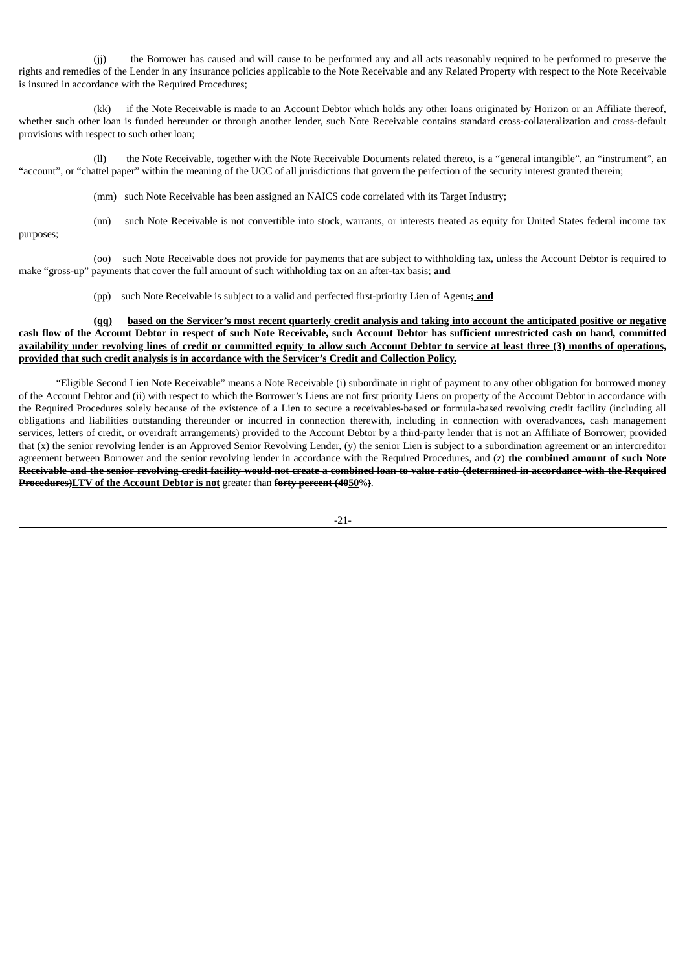(jj) the Borrower has caused and will cause to be performed any and all acts reasonably required to be performed to preserve the rights and remedies of the Lender in any insurance policies applicable to the Note Receivable and any Related Property with respect to the Note Receivable is insured in accordance with the Required Procedures;

(kk) if the Note Receivable is made to an Account Debtor which holds any other loans originated by Horizon or an Affiliate thereof, whether such other loan is funded hereunder or through another lender, such Note Receivable contains standard cross-collateralization and cross-default provisions with respect to such other loan;

(ll) the Note Receivable, together with the Note Receivable Documents related thereto, is a "general intangible", an "instrument", an "account", or "chattel paper" within the meaning of the UCC of all jurisdictions that govern the perfection of the security interest granted therein;

- (mm) such Note Receivable has been assigned an NAICS code correlated with its Target Industry;
- purposes;

(nn) such Note Receivable is not convertible into stock, warrants, or interests treated as equity for United States federal income tax

(oo) such Note Receivable does not provide for payments that are subject to withholding tax, unless the Account Debtor is required to make "gross-up" payments that cover the full amount of such withholding tax on an after-tax basis; **and**

(pp) such Note Receivable is subject to a valid and perfected first-priority Lien of Agent**.; and**

# (qq) based on the Servicer's most recent quarterly credit analysis and taking into account the anticipated positive or negative cash flow of the Account Debtor in respect of such Note Receivable, such Account Debtor has sufficient unrestricted cash on hand, committed availability under revolving lines of credit or committed equity to allow such Account Debtor to service at least three (3) months of operations, **provided that such credit analysis is in accordance with the Servicer's Credit and Collection Policy.**

"Eligible Second Lien Note Receivable" means a Note Receivable (i) subordinate in right of payment to any other obligation for borrowed money of the Account Debtor and (ii) with respect to which the Borrower's Liens are not first priority Liens on property of the Account Debtor in accordance with the Required Procedures solely because of the existence of a Lien to secure a receivables-based or formula-based revolving credit facility (including all obligations and liabilities outstanding thereunder or incurred in connection therewith, including in connection with overadvances, cash management services, letters of credit, or overdraft arrangements) provided to the Account Debtor by a third-party lender that is not an Affiliate of Borrower; provided that (x) the senior revolving lender is an Approved Senior Revolving Lender, (y) the senior Lien is subject to a subordination agreement or an intercreditor agreement between Borrower and the senior revolving lender in accordance with the Required Procedures, and (z) **the combined amount of such Note** Receivable and the senior revolving credit facility would not create a combined loan to value ratio (determined in accordance with the Required **Procedures)LTV of the Account Debtor is not** greater than **forty percent (4050**%**)**.

-21-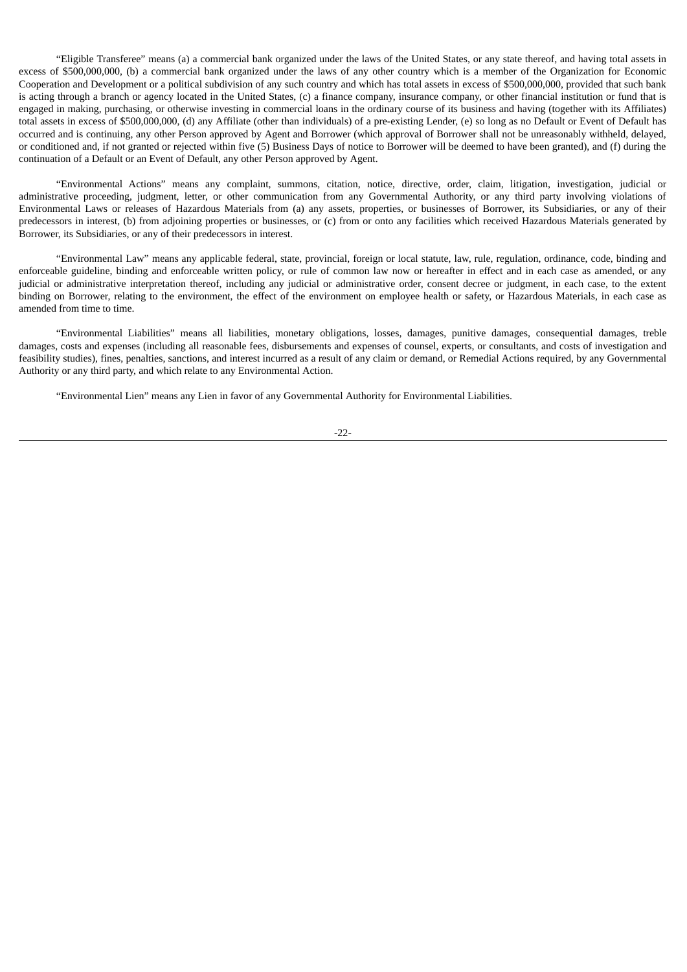"Eligible Transferee" means (a) a commercial bank organized under the laws of the United States, or any state thereof, and having total assets in excess of \$500,000,000, (b) a commercial bank organized under the laws of any other country which is a member of the Organization for Economic Cooperation and Development or a political subdivision of any such country and which has total assets in excess of \$500,000,000, provided that such bank is acting through a branch or agency located in the United States, (c) a finance company, insurance company, or other financial institution or fund that is engaged in making, purchasing, or otherwise investing in commercial loans in the ordinary course of its business and having (together with its Affiliates) total assets in excess of \$500,000,000, (d) any Affiliate (other than individuals) of a pre-existing Lender, (e) so long as no Default or Event of Default has occurred and is continuing, any other Person approved by Agent and Borrower (which approval of Borrower shall not be unreasonably withheld, delayed, or conditioned and, if not granted or rejected within five (5) Business Days of notice to Borrower will be deemed to have been granted), and (f) during the continuation of a Default or an Event of Default, any other Person approved by Agent.

"Environmental Actions" means any complaint, summons, citation, notice, directive, order, claim, litigation, investigation, judicial or administrative proceeding, judgment, letter, or other communication from any Governmental Authority, or any third party involving violations of Environmental Laws or releases of Hazardous Materials from (a) any assets, properties, or businesses of Borrower, its Subsidiaries, or any of their predecessors in interest, (b) from adjoining properties or businesses, or (c) from or onto any facilities which received Hazardous Materials generated by Borrower, its Subsidiaries, or any of their predecessors in interest.

"Environmental Law" means any applicable federal, state, provincial, foreign or local statute, law, rule, regulation, ordinance, code, binding and enforceable guideline, binding and enforceable written policy, or rule of common law now or hereafter in effect and in each case as amended, or any judicial or administrative interpretation thereof, including any judicial or administrative order, consent decree or judgment, in each case, to the extent binding on Borrower, relating to the environment, the effect of the environment on employee health or safety, or Hazardous Materials, in each case as amended from time to time.

"Environmental Liabilities" means all liabilities, monetary obligations, losses, damages, punitive damages, consequential damages, treble damages, costs and expenses (including all reasonable fees, disbursements and expenses of counsel, experts, or consultants, and costs of investigation and feasibility studies), fines, penalties, sanctions, and interest incurred as a result of any claim or demand, or Remedial Actions required, by any Governmental Authority or any third party, and which relate to any Environmental Action.

"Environmental Lien" means any Lien in favor of any Governmental Authority for Environmental Liabilities.

-22-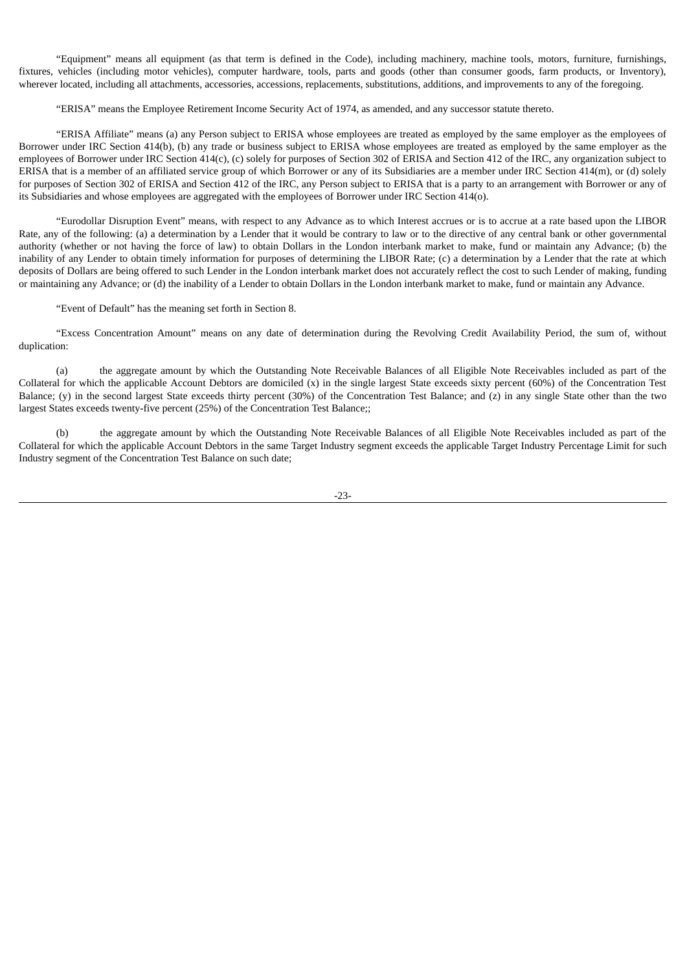"Equipment" means all equipment (as that term is defined in the Code), including machinery, machine tools, motors, furniture, furnishings, fixtures, vehicles (including motor vehicles), computer hardware, tools, parts and goods (other than consumer goods, farm products, or Inventory), wherever located, including all attachments, accessories, accessions, replacements, substitutions, additions, and improvements to any of the foregoing.

"ERISA" means the Employee Retirement Income Security Act of 1974, as amended, and any successor statute thereto.

"ERISA Affiliate" means (a) any Person subject to ERISA whose employees are treated as employed by the same employer as the employees of Borrower under IRC Section 414(b), (b) any trade or business subject to ERISA whose employees are treated as employed by the same employer as the employees of Borrower under IRC Section 414(c), (c) solely for purposes of Section 302 of ERISA and Section 412 of the IRC, any organization subject to ERISA that is a member of an affiliated service group of which Borrower or any of its Subsidiaries are a member under IRC Section 414(m), or (d) solely for purposes of Section 302 of ERISA and Section 412 of the IRC, any Person subject to ERISA that is a party to an arrangement with Borrower or any of its Subsidiaries and whose employees are aggregated with the employees of Borrower under IRC Section 414(o).

"Eurodollar Disruption Event" means, with respect to any Advance as to which Interest accrues or is to accrue at a rate based upon the LIBOR Rate, any of the following: (a) a determination by a Lender that it would be contrary to law or to the directive of any central bank or other governmental authority (whether or not having the force of law) to obtain Dollars in the London interbank market to make, fund or maintain any Advance; (b) the inability of any Lender to obtain timely information for purposes of determining the LIBOR Rate; (c) a determination by a Lender that the rate at which deposits of Dollars are being offered to such Lender in the London interbank market does not accurately reflect the cost to such Lender of making, funding or maintaining any Advance; or (d) the inability of a Lender to obtain Dollars in the London interbank market to make, fund or maintain any Advance.

"Event of Default" has the meaning set forth in Section 8.

"Excess Concentration Amount" means on any date of determination during the Revolving Credit Availability Period, the sum of, without duplication:

(a) the aggregate amount by which the Outstanding Note Receivable Balances of all Eligible Note Receivables included as part of the Collateral for which the applicable Account Debtors are domiciled (x) in the single largest State exceeds sixty percent (60%) of the Concentration Test Balance; (y) in the second largest State exceeds thirty percent (30%) of the Concentration Test Balance; and (z) in any single State other than the two largest States exceeds twenty-five percent (25%) of the Concentration Test Balance;;

(b) the aggregate amount by which the Outstanding Note Receivable Balances of all Eligible Note Receivables included as part of the Collateral for which the applicable Account Debtors in the same Target Industry segment exceeds the applicable Target Industry Percentage Limit for such Industry segment of the Concentration Test Balance on such date;

-23-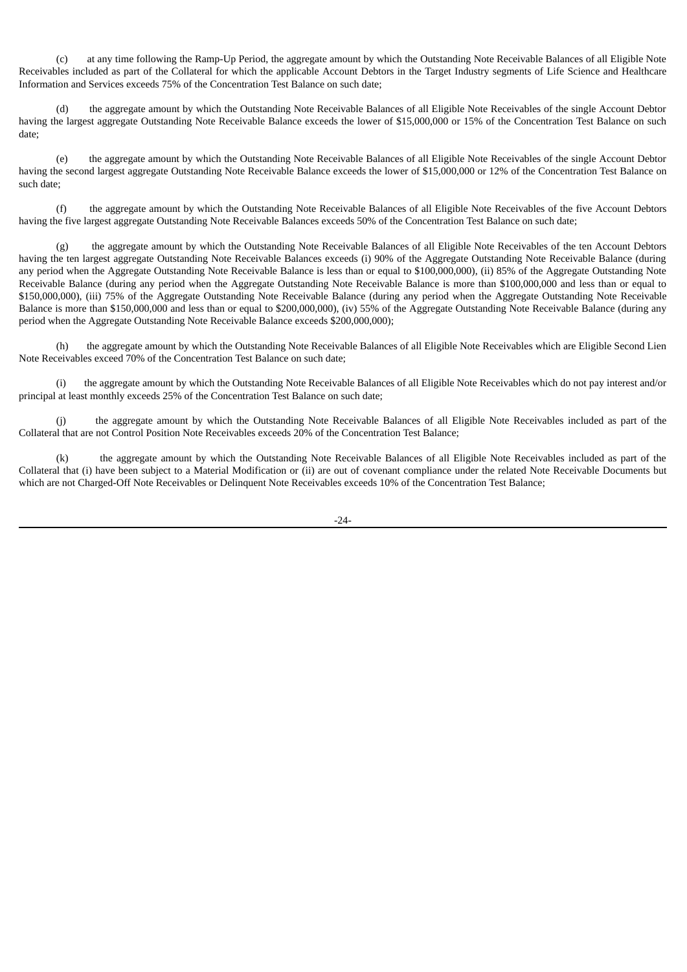(c) at any time following the Ramp-Up Period, the aggregate amount by which the Outstanding Note Receivable Balances of all Eligible Note Receivables included as part of the Collateral for which the applicable Account Debtors in the Target Industry segments of Life Science and Healthcare Information and Services exceeds 75% of the Concentration Test Balance on such date;

(d) the aggregate amount by which the Outstanding Note Receivable Balances of all Eligible Note Receivables of the single Account Debtor having the largest aggregate Outstanding Note Receivable Balance exceeds the lower of \$15,000,000 or 15% of the Concentration Test Balance on such date;

(e) the aggregate amount by which the Outstanding Note Receivable Balances of all Eligible Note Receivables of the single Account Debtor having the second largest aggregate Outstanding Note Receivable Balance exceeds the lower of \$15,000,000 or 12% of the Concentration Test Balance on such date;

(f) the aggregate amount by which the Outstanding Note Receivable Balances of all Eligible Note Receivables of the five Account Debtors having the five largest aggregate Outstanding Note Receivable Balances exceeds 50% of the Concentration Test Balance on such date;

(g) the aggregate amount by which the Outstanding Note Receivable Balances of all Eligible Note Receivables of the ten Account Debtors having the ten largest aggregate Outstanding Note Receivable Balances exceeds (i) 90% of the Aggregate Outstanding Note Receivable Balance (during any period when the Aggregate Outstanding Note Receivable Balance is less than or equal to \$100,000,000), (ii) 85% of the Aggregate Outstanding Note Receivable Balance (during any period when the Aggregate Outstanding Note Receivable Balance is more than \$100,000,000 and less than or equal to \$150,000,000), (iii) 75% of the Aggregate Outstanding Note Receivable Balance (during any period when the Aggregate Outstanding Note Receivable Balance is more than \$150,000,000 and less than or equal to \$200,000,000), (iv) 55% of the Aggregate Outstanding Note Receivable Balance (during any period when the Aggregate Outstanding Note Receivable Balance exceeds \$200,000,000);

(h) the aggregate amount by which the Outstanding Note Receivable Balances of all Eligible Note Receivables which are Eligible Second Lien Note Receivables exceed 70% of the Concentration Test Balance on such date;

(i) the aggregate amount by which the Outstanding Note Receivable Balances of all Eligible Note Receivables which do not pay interest and/or principal at least monthly exceeds 25% of the Concentration Test Balance on such date;

(j) the aggregate amount by which the Outstanding Note Receivable Balances of all Eligible Note Receivables included as part of the Collateral that are not Control Position Note Receivables exceeds 20% of the Concentration Test Balance;

(k) the aggregate amount by which the Outstanding Note Receivable Balances of all Eligible Note Receivables included as part of the Collateral that (i) have been subject to a Material Modification or (ii) are out of covenant compliance under the related Note Receivable Documents but which are not Charged-Off Note Receivables or Delinquent Note Receivables exceeds 10% of the Concentration Test Balance;

-24-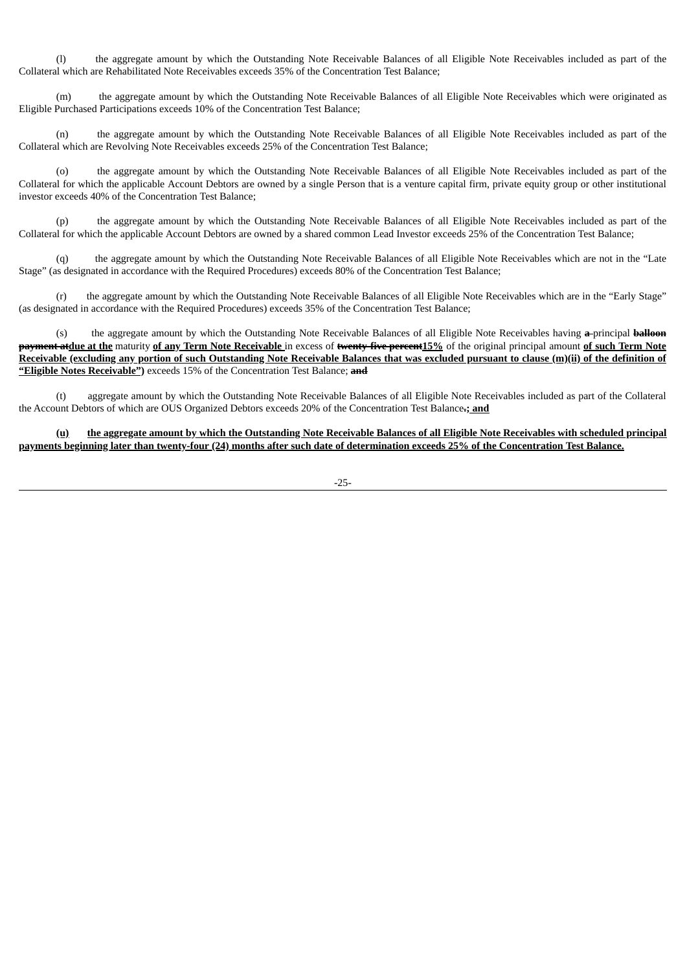(l) the aggregate amount by which the Outstanding Note Receivable Balances of all Eligible Note Receivables included as part of the Collateral which are Rehabilitated Note Receivables exceeds 35% of the Concentration Test Balance;

(m) the aggregate amount by which the Outstanding Note Receivable Balances of all Eligible Note Receivables which were originated as Eligible Purchased Participations exceeds 10% of the Concentration Test Balance;

(n) the aggregate amount by which the Outstanding Note Receivable Balances of all Eligible Note Receivables included as part of the Collateral which are Revolving Note Receivables exceeds 25% of the Concentration Test Balance;

(o) the aggregate amount by which the Outstanding Note Receivable Balances of all Eligible Note Receivables included as part of the Collateral for which the applicable Account Debtors are owned by a single Person that is a venture capital firm, private equity group or other institutional investor exceeds 40% of the Concentration Test Balance;

(p) the aggregate amount by which the Outstanding Note Receivable Balances of all Eligible Note Receivables included as part of the Collateral for which the applicable Account Debtors are owned by a shared common Lead Investor exceeds 25% of the Concentration Test Balance;

(q) the aggregate amount by which the Outstanding Note Receivable Balances of all Eligible Note Receivables which are not in the "Late Stage" (as designated in accordance with the Required Procedures) exceeds 80% of the Concentration Test Balance;

(r) the aggregate amount by which the Outstanding Note Receivable Balances of all Eligible Note Receivables which are in the "Early Stage" (as designated in accordance with the Required Procedures) exceeds 35% of the Concentration Test Balance;

(s) the aggregate amount by which the Outstanding Note Receivable Balances of all Eligible Note Receivables having **a** principal **balloon** payment atdue at the maturity of any Term Note Receivable in excess of twenty five percent15% of the original principal amount of such Term Note Receivable (excluding any portion of such Outstanding Note Receivable Balances that was excluded pursuant to clause (m)(ii) of the definition of **"Eligible Notes Receivable")** exceeds 15% of the Concentration Test Balance; **and**

(t) aggregate amount by which the Outstanding Note Receivable Balances of all Eligible Note Receivables included as part of the Collateral the Account Debtors of which are OUS Organized Debtors exceeds 20% of the Concentration Test Balance**.; and**

(u) the aggregate amount by which the Outstanding Note Receivable Balances of all Eligible Note Receivables with scheduled principal payments beginning later than twenty-four (24) months after such date of determination exceeds 25% of the Concentration Test Balance.

-25-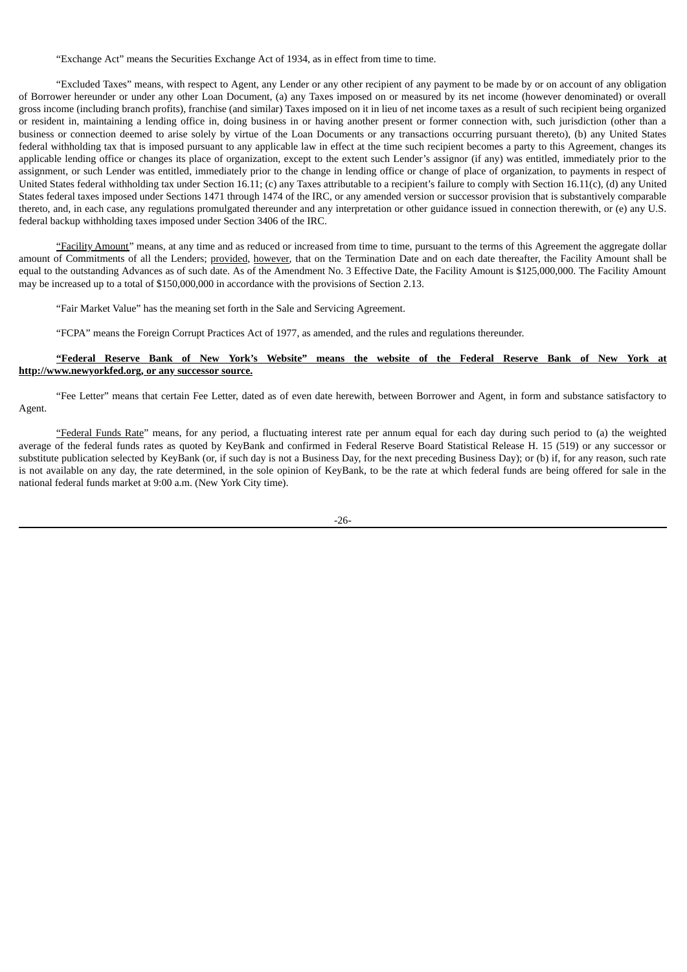"Exchange Act" means the Securities Exchange Act of 1934, as in effect from time to time.

"Excluded Taxes" means, with respect to Agent, any Lender or any other recipient of any payment to be made by or on account of any obligation of Borrower hereunder or under any other Loan Document, (a) any Taxes imposed on or measured by its net income (however denominated) or overall gross income (including branch profits), franchise (and similar) Taxes imposed on it in lieu of net income taxes as a result of such recipient being organized or resident in, maintaining a lending office in, doing business in or having another present or former connection with, such jurisdiction (other than a business or connection deemed to arise solely by virtue of the Loan Documents or any transactions occurring pursuant thereto), (b) any United States federal withholding tax that is imposed pursuant to any applicable law in effect at the time such recipient becomes a party to this Agreement, changes its applicable lending office or changes its place of organization, except to the extent such Lender's assignor (if any) was entitled, immediately prior to the assignment, or such Lender was entitled, immediately prior to the change in lending office or change of place of organization, to payments in respect of United States federal withholding tax under Section 16.11; (c) any Taxes attributable to a recipient's failure to comply with Section 16.11(c), (d) any United States federal taxes imposed under Sections 1471 through 1474 of the IRC, or any amended version or successor provision that is substantively comparable thereto, and, in each case, any regulations promulgated thereunder and any interpretation or other guidance issued in connection therewith, or (e) any U.S. federal backup withholding taxes imposed under Section 3406 of the IRC.

"Facility Amount" means, at any time and as reduced or increased from time to time, pursuant to the terms of this Agreement the aggregate dollar amount of Commitments of all the Lenders; provided, however, that on the Termination Date and on each date thereafter, the Facility Amount shall be equal to the outstanding Advances as of such date. As of the Amendment No. 3 Effective Date, the Facility Amount is \$125,000,000. The Facility Amount may be increased up to a total of \$150,000,000 in accordance with the provisions of Section 2.13.

"Fair Market Value" has the meaning set forth in the Sale and Servicing Agreement.

"FCPA" means the Foreign Corrupt Practices Act of 1977, as amended, and the rules and regulations thereunder.

# "Federal Reserve Bank of New York's Website" means the website of the Federal Reserve Bank of New York at **http://www.newyorkfed.org, or any successor source.**

"Fee Letter" means that certain Fee Letter, dated as of even date herewith, between Borrower and Agent, in form and substance satisfactory to Agent.

"Federal Funds Rate" means, for any period, a fluctuating interest rate per annum equal for each day during such period to (a) the weighted average of the federal funds rates as quoted by KeyBank and confirmed in Federal Reserve Board Statistical Release H. 15 (519) or any successor or substitute publication selected by KeyBank (or, if such day is not a Business Day, for the next preceding Business Day); or (b) if, for any reason, such rate is not available on any day, the rate determined, in the sole opinion of KeyBank, to be the rate at which federal funds are being offered for sale in the national federal funds market at 9:00 a.m. (New York City time).

-26-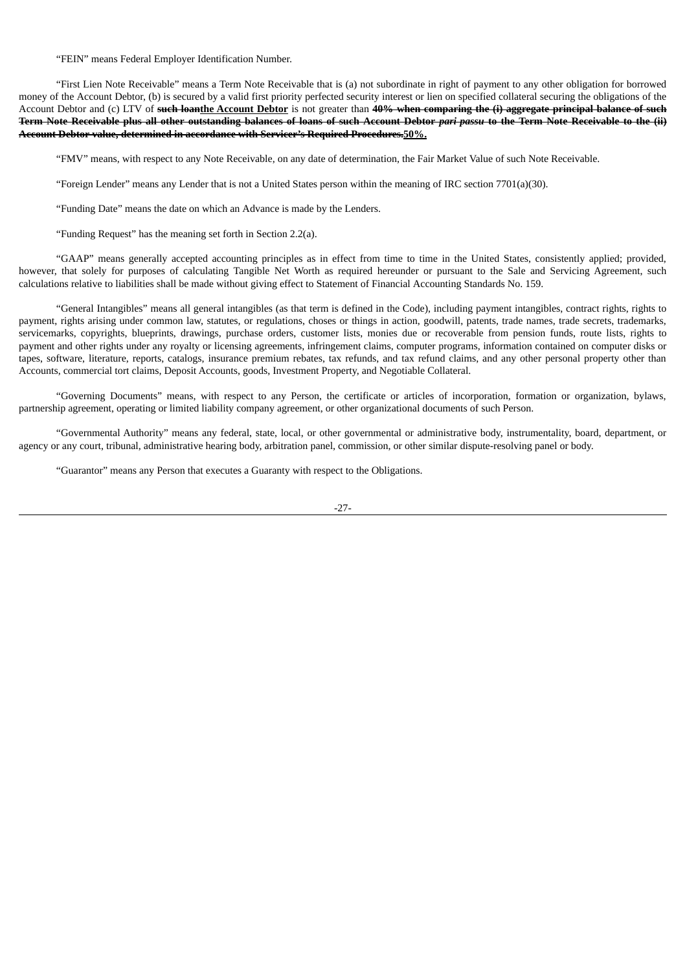"FEIN" means Federal Employer Identification Number.

"First Lien Note Receivable" means a Term Note Receivable that is (a) not subordinate in right of payment to any other obligation for borrowed money of the Account Debtor, (b) is secured by a valid first priority perfected security interest or lien on specified collateral securing the obligations of the Account Debtor and (c) LTV of such loan the Account Debtor is not greater than 40% when comparing the (i) aggregate principal balance of such Term Note Receivable plus all other outstanding balances of loans of such Account Debtor pari passu to the Term Note Receivable to the (ii) **Account Debtor value, determined in accordance with Servicer's Required Procedures.50%.**

"FMV" means, with respect to any Note Receivable, on any date of determination, the Fair Market Value of such Note Receivable.

"Foreign Lender" means any Lender that is not a United States person within the meaning of IRC section 7701(a)(30).

"Funding Date" means the date on which an Advance is made by the Lenders.

"Funding Request" has the meaning set forth in Section 2.2(a).

"GAAP" means generally accepted accounting principles as in effect from time to time in the United States, consistently applied; provided, however, that solely for purposes of calculating Tangible Net Worth as required hereunder or pursuant to the Sale and Servicing Agreement, such calculations relative to liabilities shall be made without giving effect to Statement of Financial Accounting Standards No. 159.

"General Intangibles" means all general intangibles (as that term is defined in the Code), including payment intangibles, contract rights, rights to payment, rights arising under common law, statutes, or regulations, choses or things in action, goodwill, patents, trade names, trade secrets, trademarks, servicemarks, copyrights, blueprints, drawings, purchase orders, customer lists, monies due or recoverable from pension funds, route lists, rights to payment and other rights under any royalty or licensing agreements, infringement claims, computer programs, information contained on computer disks or tapes, software, literature, reports, catalogs, insurance premium rebates, tax refunds, and tax refund claims, and any other personal property other than Accounts, commercial tort claims, Deposit Accounts, goods, Investment Property, and Negotiable Collateral.

"Governing Documents" means, with respect to any Person, the certificate or articles of incorporation, formation or organization, bylaws, partnership agreement, operating or limited liability company agreement, or other organizational documents of such Person.

"Governmental Authority" means any federal, state, local, or other governmental or administrative body, instrumentality, board, department, or agency or any court, tribunal, administrative hearing body, arbitration panel, commission, or other similar dispute-resolving panel or body.

"Guarantor" means any Person that executes a Guaranty with respect to the Obligations.

-27-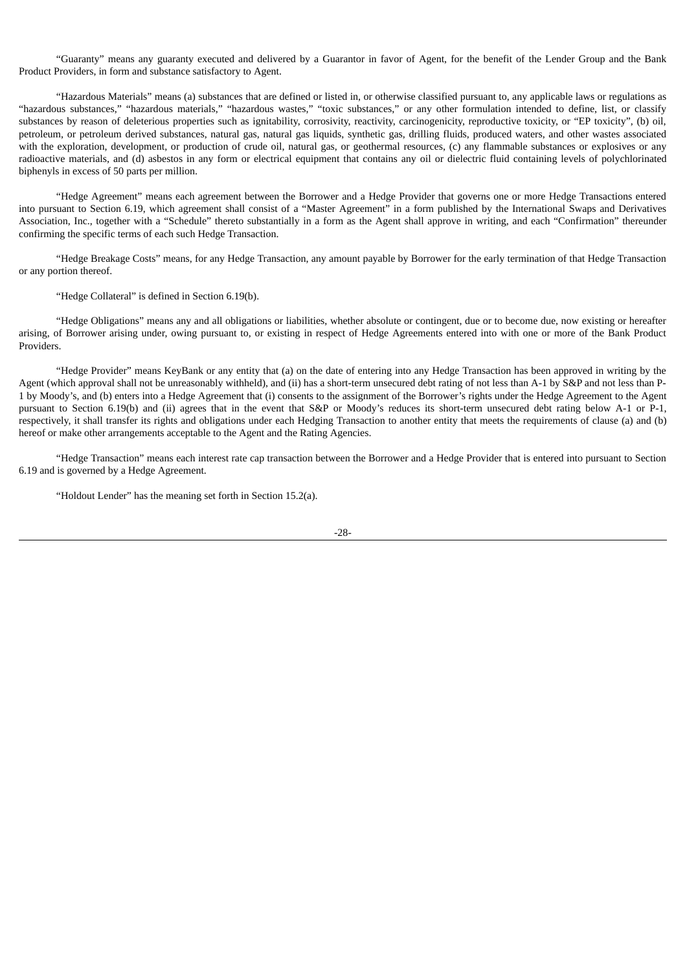"Guaranty" means any guaranty executed and delivered by a Guarantor in favor of Agent, for the benefit of the Lender Group and the Bank Product Providers, in form and substance satisfactory to Agent.

"Hazardous Materials" means (a) substances that are defined or listed in, or otherwise classified pursuant to, any applicable laws or regulations as "hazardous substances," "hazardous materials," "hazardous wastes," "toxic substances," or any other formulation intended to define, list, or classify substances by reason of deleterious properties such as ignitability, corrosivity, reactivity, carcinogenicity, reproductive toxicity, or "EP toxicity", (b) oil, petroleum, or petroleum derived substances, natural gas, natural gas liquids, synthetic gas, drilling fluids, produced waters, and other wastes associated with the exploration, development, or production of crude oil, natural gas, or geothermal resources, (c) any flammable substances or explosives or any radioactive materials, and (d) asbestos in any form or electrical equipment that contains any oil or dielectric fluid containing levels of polychlorinated biphenyls in excess of 50 parts per million.

"Hedge Agreement" means each agreement between the Borrower and a Hedge Provider that governs one or more Hedge Transactions entered into pursuant to Section 6.19, which agreement shall consist of a "Master Agreement" in a form published by the International Swaps and Derivatives Association, Inc., together with a "Schedule" thereto substantially in a form as the Agent shall approve in writing, and each "Confirmation" thereunder confirming the specific terms of each such Hedge Transaction.

"Hedge Breakage Costs" means, for any Hedge Transaction, any amount payable by Borrower for the early termination of that Hedge Transaction or any portion thereof.

"Hedge Collateral" is defined in Section 6.19(b).

"Hedge Obligations" means any and all obligations or liabilities, whether absolute or contingent, due or to become due, now existing or hereafter arising, of Borrower arising under, owing pursuant to, or existing in respect of Hedge Agreements entered into with one or more of the Bank Product Providers.

"Hedge Provider" means KeyBank or any entity that (a) on the date of entering into any Hedge Transaction has been approved in writing by the Agent (which approval shall not be unreasonably withheld), and (ii) has a short-term unsecured debt rating of not less than A-1 by S&P and not less than P-1 by Moody's, and (b) enters into a Hedge Agreement that (i) consents to the assignment of the Borrower's rights under the Hedge Agreement to the Agent pursuant to Section 6.19(b) and (ii) agrees that in the event that S&P or Moody's reduces its short-term unsecured debt rating below A-1 or P-1, respectively, it shall transfer its rights and obligations under each Hedging Transaction to another entity that meets the requirements of clause (a) and (b) hereof or make other arrangements acceptable to the Agent and the Rating Agencies.

"Hedge Transaction" means each interest rate cap transaction between the Borrower and a Hedge Provider that is entered into pursuant to Section 6.19 and is governed by a Hedge Agreement.

"Holdout Lender" has the meaning set forth in Section 15.2(a).

-28-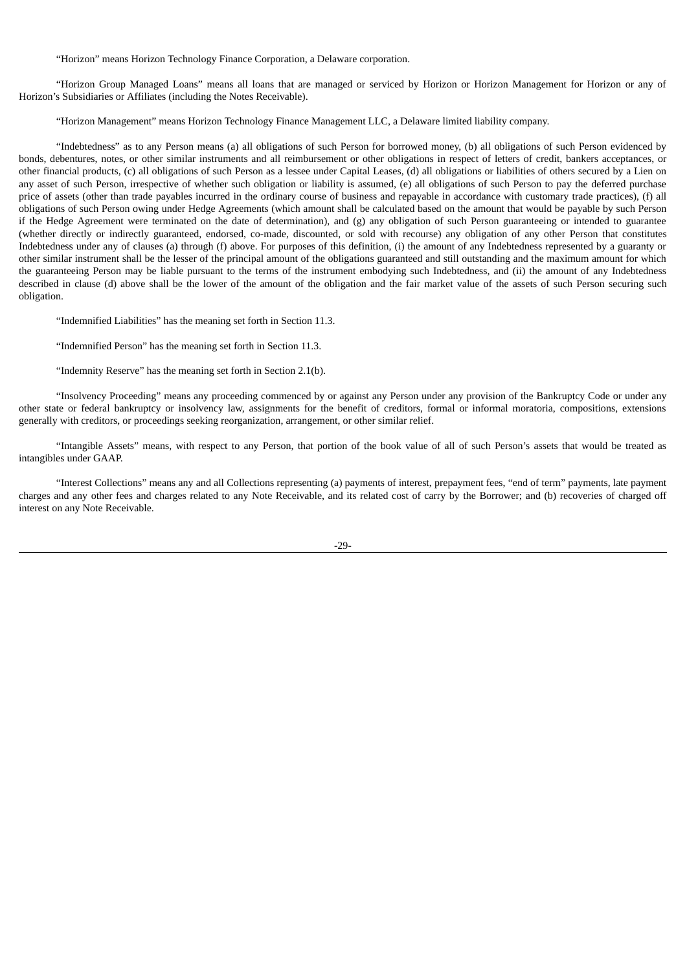"Horizon" means Horizon Technology Finance Corporation, a Delaware corporation.

"Horizon Group Managed Loans" means all loans that are managed or serviced by Horizon or Horizon Management for Horizon or any of Horizon's Subsidiaries or Affiliates (including the Notes Receivable).

"Horizon Management" means Horizon Technology Finance Management LLC, a Delaware limited liability company.

"Indebtedness" as to any Person means (a) all obligations of such Person for borrowed money, (b) all obligations of such Person evidenced by bonds, debentures, notes, or other similar instruments and all reimbursement or other obligations in respect of letters of credit, bankers acceptances, or other financial products, (c) all obligations of such Person as a lessee under Capital Leases, (d) all obligations or liabilities of others secured by a Lien on any asset of such Person, irrespective of whether such obligation or liability is assumed, (e) all obligations of such Person to pay the deferred purchase price of assets (other than trade payables incurred in the ordinary course of business and repayable in accordance with customary trade practices), (f) all obligations of such Person owing under Hedge Agreements (which amount shall be calculated based on the amount that would be payable by such Person if the Hedge Agreement were terminated on the date of determination), and (g) any obligation of such Person guaranteeing or intended to guarantee (whether directly or indirectly guaranteed, endorsed, co-made, discounted, or sold with recourse) any obligation of any other Person that constitutes Indebtedness under any of clauses (a) through (f) above. For purposes of this definition, (i) the amount of any Indebtedness represented by a guaranty or other similar instrument shall be the lesser of the principal amount of the obligations guaranteed and still outstanding and the maximum amount for which the guaranteeing Person may be liable pursuant to the terms of the instrument embodying such Indebtedness, and (ii) the amount of any Indebtedness described in clause (d) above shall be the lower of the amount of the obligation and the fair market value of the assets of such Person securing such obligation.

"Indemnified Liabilities" has the meaning set forth in Section 11.3.

"Indemnified Person" has the meaning set forth in Section 11.3.

"Indemnity Reserve" has the meaning set forth in Section 2.1(b).

"Insolvency Proceeding" means any proceeding commenced by or against any Person under any provision of the Bankruptcy Code or under any other state or federal bankruptcy or insolvency law, assignments for the benefit of creditors, formal or informal moratoria, compositions, extensions generally with creditors, or proceedings seeking reorganization, arrangement, or other similar relief.

"Intangible Assets" means, with respect to any Person, that portion of the book value of all of such Person's assets that would be treated as intangibles under GAAP.

"Interest Collections" means any and all Collections representing (a) payments of interest, prepayment fees, "end of term" payments, late payment charges and any other fees and charges related to any Note Receivable, and its related cost of carry by the Borrower; and (b) recoveries of charged off interest on any Note Receivable.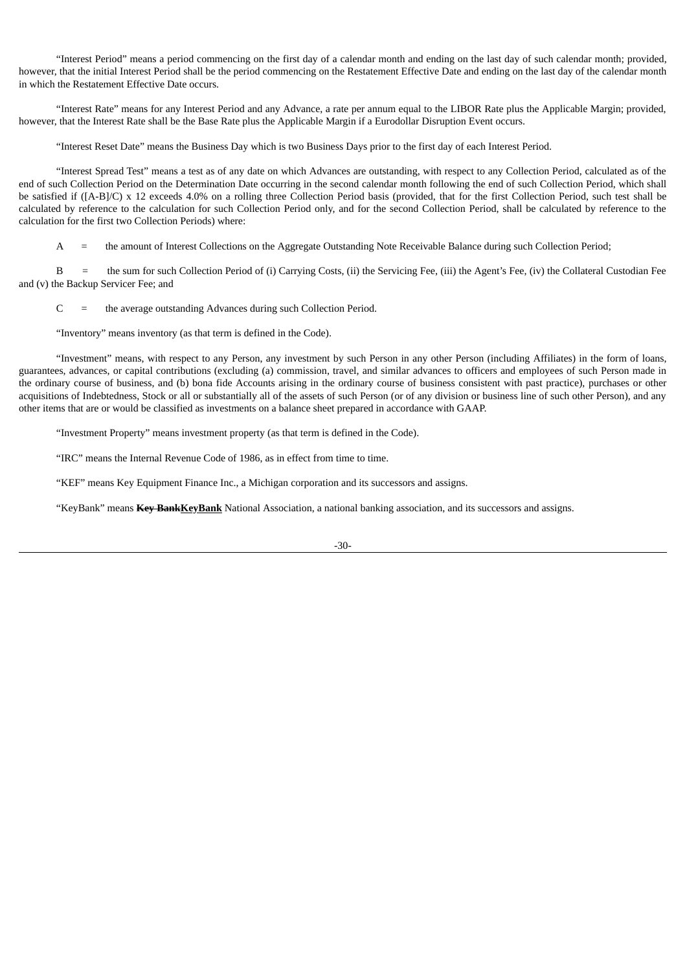"Interest Period" means a period commencing on the first day of a calendar month and ending on the last day of such calendar month; provided, however, that the initial Interest Period shall be the period commencing on the Restatement Effective Date and ending on the last day of the calendar month in which the Restatement Effective Date occurs.

"Interest Rate" means for any Interest Period and any Advance, a rate per annum equal to the LIBOR Rate plus the Applicable Margin; provided, however, that the Interest Rate shall be the Base Rate plus the Applicable Margin if a Eurodollar Disruption Event occurs.

"Interest Reset Date" means the Business Day which is two Business Days prior to the first day of each Interest Period.

"Interest Spread Test" means a test as of any date on which Advances are outstanding, with respect to any Collection Period, calculated as of the end of such Collection Period on the Determination Date occurring in the second calendar month following the end of such Collection Period, which shall be satisfied if ([A-B]/C) x 12 exceeds 4.0% on a rolling three Collection Period basis (provided, that for the first Collection Period, such test shall be calculated by reference to the calculation for such Collection Period only, and for the second Collection Period, shall be calculated by reference to the calculation for the first two Collection Periods) where:

A = the amount of Interest Collections on the Aggregate Outstanding Note Receivable Balance during such Collection Period;

B = the sum for such Collection Period of (i) Carrying Costs, (ii) the Servicing Fee, (iii) the Agent's Fee, (iv) the Collateral Custodian Fee and (v) the Backup Servicer Fee; and

 $C =$  the average outstanding Advances during such Collection Period.

"Inventory" means inventory (as that term is defined in the Code).

"Investment" means, with respect to any Person, any investment by such Person in any other Person (including Affiliates) in the form of loans, guarantees, advances, or capital contributions (excluding (a) commission, travel, and similar advances to officers and employees of such Person made in the ordinary course of business, and (b) bona fide Accounts arising in the ordinary course of business consistent with past practice), purchases or other acquisitions of Indebtedness, Stock or all or substantially all of the assets of such Person (or of any division or business line of such other Person), and any other items that are or would be classified as investments on a balance sheet prepared in accordance with GAAP.

"Investment Property" means investment property (as that term is defined in the Code).

"IRC" means the Internal Revenue Code of 1986, as in effect from time to time.

"KEF" means Key Equipment Finance Inc., a Michigan corporation and its successors and assigns.

"KeyBank" means **Key BankKeyBank** National Association, a national banking association, and its successors and assigns.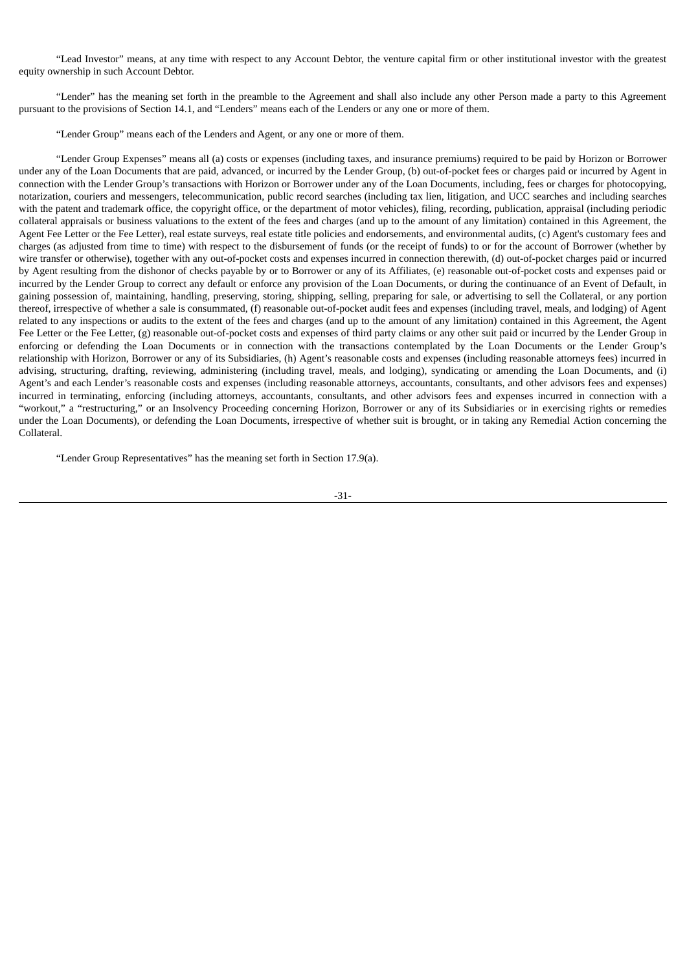"Lead Investor" means, at any time with respect to any Account Debtor, the venture capital firm or other institutional investor with the greatest equity ownership in such Account Debtor.

"Lender" has the meaning set forth in the preamble to the Agreement and shall also include any other Person made a party to this Agreement pursuant to the provisions of Section 14.1, and "Lenders" means each of the Lenders or any one or more of them.

"Lender Group" means each of the Lenders and Agent, or any one or more of them.

"Lender Group Expenses" means all (a) costs or expenses (including taxes, and insurance premiums) required to be paid by Horizon or Borrower under any of the Loan Documents that are paid, advanced, or incurred by the Lender Group, (b) out-of-pocket fees or charges paid or incurred by Agent in connection with the Lender Group's transactions with Horizon or Borrower under any of the Loan Documents, including, fees or charges for photocopying, notarization, couriers and messengers, telecommunication, public record searches (including tax lien, litigation, and UCC searches and including searches with the patent and trademark office, the copyright office, or the department of motor vehicles), filing, recording, publication, appraisal (including periodic collateral appraisals or business valuations to the extent of the fees and charges (and up to the amount of any limitation) contained in this Agreement, the Agent Fee Letter or the Fee Letter), real estate surveys, real estate title policies and endorsements, and environmental audits, (c) Agent's customary fees and charges (as adjusted from time to time) with respect to the disbursement of funds (or the receipt of funds) to or for the account of Borrower (whether by wire transfer or otherwise), together with any out-of-pocket costs and expenses incurred in connection therewith, (d) out-of-pocket charges paid or incurred by Agent resulting from the dishonor of checks payable by or to Borrower or any of its Affiliates, (e) reasonable out-of-pocket costs and expenses paid or incurred by the Lender Group to correct any default or enforce any provision of the Loan Documents, or during the continuance of an Event of Default, in gaining possession of, maintaining, handling, preserving, storing, shipping, selling, preparing for sale, or advertising to sell the Collateral, or any portion thereof, irrespective of whether a sale is consummated, (f) reasonable out-of-pocket audit fees and expenses (including travel, meals, and lodging) of Agent related to any inspections or audits to the extent of the fees and charges (and up to the amount of any limitation) contained in this Agreement, the Agent Fee Letter or the Fee Letter, (g) reasonable out-of-pocket costs and expenses of third party claims or any other suit paid or incurred by the Lender Group in enforcing or defending the Loan Documents or in connection with the transactions contemplated by the Loan Documents or the Lender Group's relationship with Horizon, Borrower or any of its Subsidiaries, (h) Agent's reasonable costs and expenses (including reasonable attorneys fees) incurred in advising, structuring, drafting, reviewing, administering (including travel, meals, and lodging), syndicating or amending the Loan Documents, and (i) Agent's and each Lender's reasonable costs and expenses (including reasonable attorneys, accountants, consultants, and other advisors fees and expenses) incurred in terminating, enforcing (including attorneys, accountants, consultants, and other advisors fees and expenses incurred in connection with a "workout," a "restructuring," or an Insolvency Proceeding concerning Horizon, Borrower or any of its Subsidiaries or in exercising rights or remedies under the Loan Documents), or defending the Loan Documents, irrespective of whether suit is brought, or in taking any Remedial Action concerning the Collateral.

"Lender Group Representatives" has the meaning set forth in Section 17.9(a).

-31-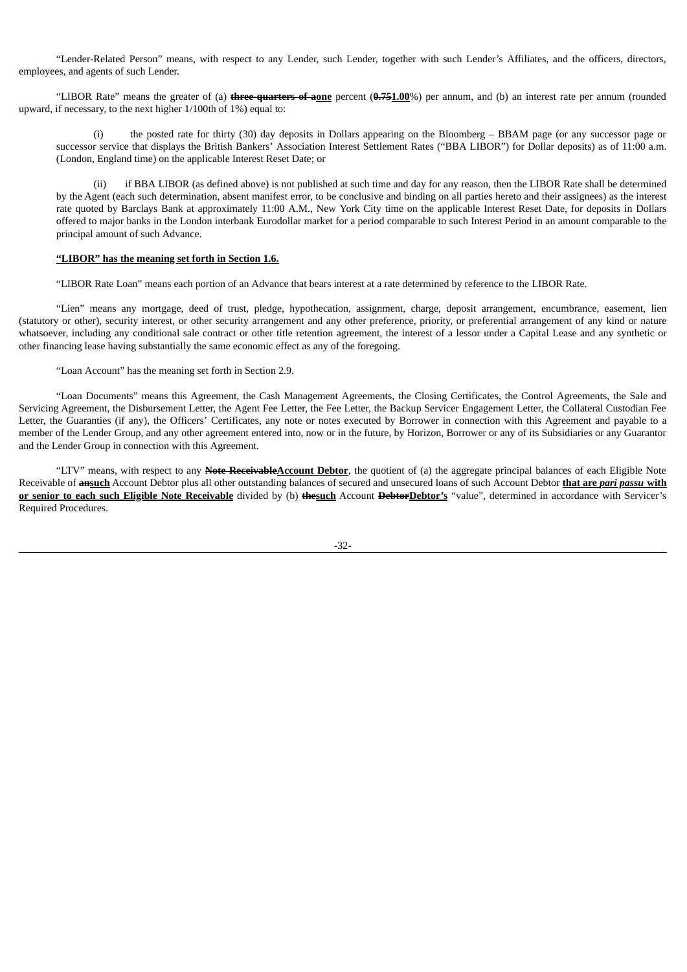"Lender-Related Person" means, with respect to any Lender, such Lender, together with such Lender's Affiliates, and the officers, directors, employees, and agents of such Lender.

"LIBOR Rate" means the greater of (a) **three-quarters of aone** percent (**0.751.00**%) per annum, and (b) an interest rate per annum (rounded upward, if necessary, to the next higher 1/100th of 1%) equal to:

(i) the posted rate for thirty (30) day deposits in Dollars appearing on the Bloomberg – BBAM page (or any successor page or successor service that displays the British Bankers' Association Interest Settlement Rates ("BBA LIBOR") for Dollar deposits) as of 11:00 a.m. (London, England time) on the applicable Interest Reset Date; or

(ii) if BBA LIBOR (as defined above) is not published at such time and day for any reason, then the LIBOR Rate shall be determined by the Agent (each such determination, absent manifest error, to be conclusive and binding on all parties hereto and their assignees) as the interest rate quoted by Barclays Bank at approximately 11:00 A.M., New York City time on the applicable Interest Reset Date, for deposits in Dollars offered to major banks in the London interbank Eurodollar market for a period comparable to such Interest Period in an amount comparable to the principal amount of such Advance.

#### **"LIBOR" has the meaning set forth in Section 1.6.**

"LIBOR Rate Loan" means each portion of an Advance that bears interest at a rate determined by reference to the LIBOR Rate.

"Lien" means any mortgage, deed of trust, pledge, hypothecation, assignment, charge, deposit arrangement, encumbrance, easement, lien (statutory or other), security interest, or other security arrangement and any other preference, priority, or preferential arrangement of any kind or nature whatsoever, including any conditional sale contract or other title retention agreement, the interest of a lessor under a Capital Lease and any synthetic or other financing lease having substantially the same economic effect as any of the foregoing.

"Loan Account" has the meaning set forth in Section 2.9.

"Loan Documents" means this Agreement, the Cash Management Agreements, the Closing Certificates, the Control Agreements, the Sale and Servicing Agreement, the Disbursement Letter, the Agent Fee Letter, the Fee Letter, the Backup Servicer Engagement Letter, the Collateral Custodian Fee Letter, the Guaranties (if any), the Officers' Certificates, any note or notes executed by Borrower in connection with this Agreement and payable to a member of the Lender Group, and any other agreement entered into, now or in the future, by Horizon, Borrower or any of its Subsidiaries or any Guarantor and the Lender Group in connection with this Agreement.

"LTV" means, with respect to any **Note ReceivableAccount Debtor**, the quotient of (a) the aggregate principal balances of each Eligible Note Receivable of **ansuch** Account Debtor plus all other outstanding balances of secured and unsecured loans of such Account Debtor **that are** *pari passu* **with or senior to each such Eligible Note Receivable** divided by (b) **thesuch** Account **DebtorDebtor's** "value", determined in accordance with Servicer's Required Procedures.

-32-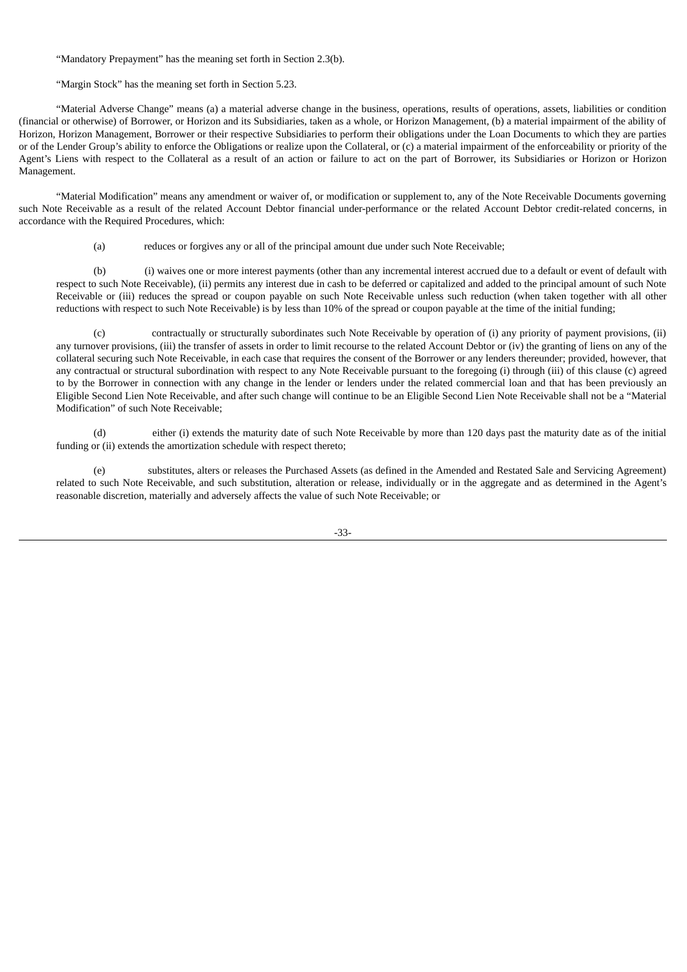"Mandatory Prepayment" has the meaning set forth in Section 2.3(b).

"Margin Stock" has the meaning set forth in Section 5.23.

"Material Adverse Change" means (a) a material adverse change in the business, operations, results of operations, assets, liabilities or condition (financial or otherwise) of Borrower, or Horizon and its Subsidiaries, taken as a whole, or Horizon Management, (b) a material impairment of the ability of Horizon, Horizon Management, Borrower or their respective Subsidiaries to perform their obligations under the Loan Documents to which they are parties or of the Lender Group's ability to enforce the Obligations or realize upon the Collateral, or (c) a material impairment of the enforceability or priority of the Agent's Liens with respect to the Collateral as a result of an action or failure to act on the part of Borrower, its Subsidiaries or Horizon or Horizon Management.

"Material Modification" means any amendment or waiver of, or modification or supplement to, any of the Note Receivable Documents governing such Note Receivable as a result of the related Account Debtor financial under-performance or the related Account Debtor credit-related concerns, in accordance with the Required Procedures, which:

(a) reduces or forgives any or all of the principal amount due under such Note Receivable;

(b) (i) waives one or more interest payments (other than any incremental interest accrued due to a default or event of default with respect to such Note Receivable), (ii) permits any interest due in cash to be deferred or capitalized and added to the principal amount of such Note Receivable or (iii) reduces the spread or coupon payable on such Note Receivable unless such reduction (when taken together with all other reductions with respect to such Note Receivable) is by less than 10% of the spread or coupon payable at the time of the initial funding;

(c) contractually or structurally subordinates such Note Receivable by operation of (i) any priority of payment provisions, (ii) any turnover provisions, (iii) the transfer of assets in order to limit recourse to the related Account Debtor or (iv) the granting of liens on any of the collateral securing such Note Receivable, in each case that requires the consent of the Borrower or any lenders thereunder; provided, however, that any contractual or structural subordination with respect to any Note Receivable pursuant to the foregoing (i) through (iii) of this clause (c) agreed to by the Borrower in connection with any change in the lender or lenders under the related commercial loan and that has been previously an Eligible Second Lien Note Receivable, and after such change will continue to be an Eligible Second Lien Note Receivable shall not be a "Material Modification" of such Note Receivable;

either (i) extends the maturity date of such Note Receivable by more than 120 days past the maturity date as of the initial funding or (ii) extends the amortization schedule with respect thereto;

(e) substitutes, alters or releases the Purchased Assets (as defined in the Amended and Restated Sale and Servicing Agreement) related to such Note Receivable, and such substitution, alteration or release, individually or in the aggregate and as determined in the Agent's reasonable discretion, materially and adversely affects the value of such Note Receivable; or

-33-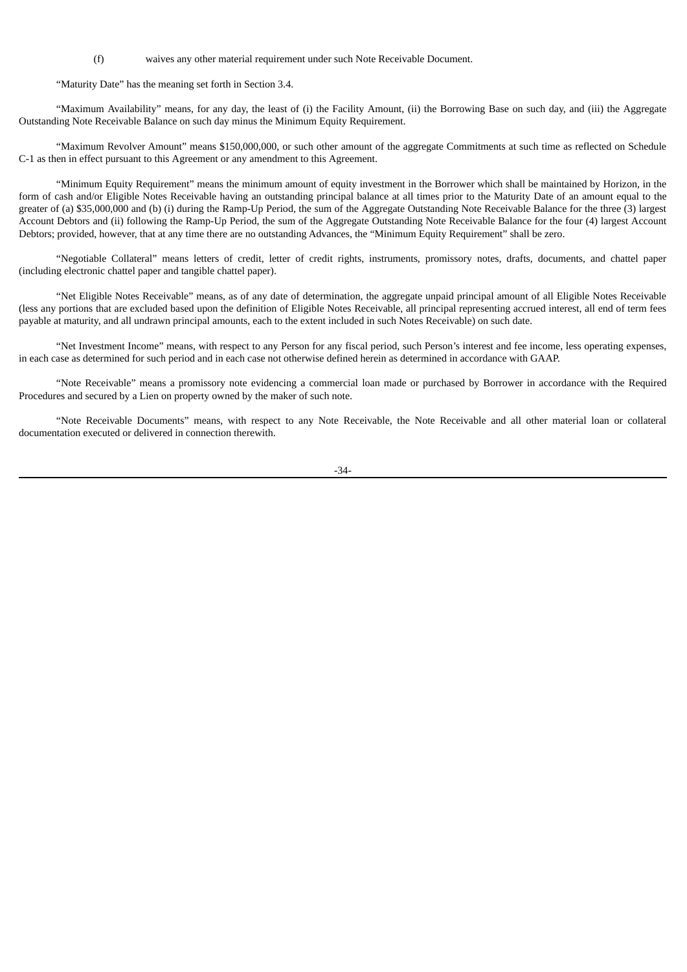(f) waives any other material requirement under such Note Receivable Document.

"Maturity Date" has the meaning set forth in Section 3.4.

"Maximum Availability" means, for any day, the least of (i) the Facility Amount, (ii) the Borrowing Base on such day, and (iii) the Aggregate Outstanding Note Receivable Balance on such day minus the Minimum Equity Requirement.

"Maximum Revolver Amount" means \$150,000,000, or such other amount of the aggregate Commitments at such time as reflected on Schedule C-1 as then in effect pursuant to this Agreement or any amendment to this Agreement.

"Minimum Equity Requirement" means the minimum amount of equity investment in the Borrower which shall be maintained by Horizon, in the form of cash and/or Eligible Notes Receivable having an outstanding principal balance at all times prior to the Maturity Date of an amount equal to the greater of (a) \$35,000,000 and (b) (i) during the Ramp-Up Period, the sum of the Aggregate Outstanding Note Receivable Balance for the three (3) largest Account Debtors and (ii) following the Ramp-Up Period, the sum of the Aggregate Outstanding Note Receivable Balance for the four (4) largest Account Debtors; provided, however, that at any time there are no outstanding Advances, the "Minimum Equity Requirement" shall be zero.

"Negotiable Collateral" means letters of credit, letter of credit rights, instruments, promissory notes, drafts, documents, and chattel paper (including electronic chattel paper and tangible chattel paper).

"Net Eligible Notes Receivable" means, as of any date of determination, the aggregate unpaid principal amount of all Eligible Notes Receivable (less any portions that are excluded based upon the definition of Eligible Notes Receivable, all principal representing accrued interest, all end of term fees payable at maturity, and all undrawn principal amounts, each to the extent included in such Notes Receivable) on such date.

"Net Investment Income" means, with respect to any Person for any fiscal period, such Person's interest and fee income, less operating expenses, in each case as determined for such period and in each case not otherwise defined herein as determined in accordance with GAAP.

"Note Receivable" means a promissory note evidencing a commercial loan made or purchased by Borrower in accordance with the Required Procedures and secured by a Lien on property owned by the maker of such note.

"Note Receivable Documents" means, with respect to any Note Receivable, the Note Receivable and all other material loan or collateral documentation executed or delivered in connection therewith.

-34-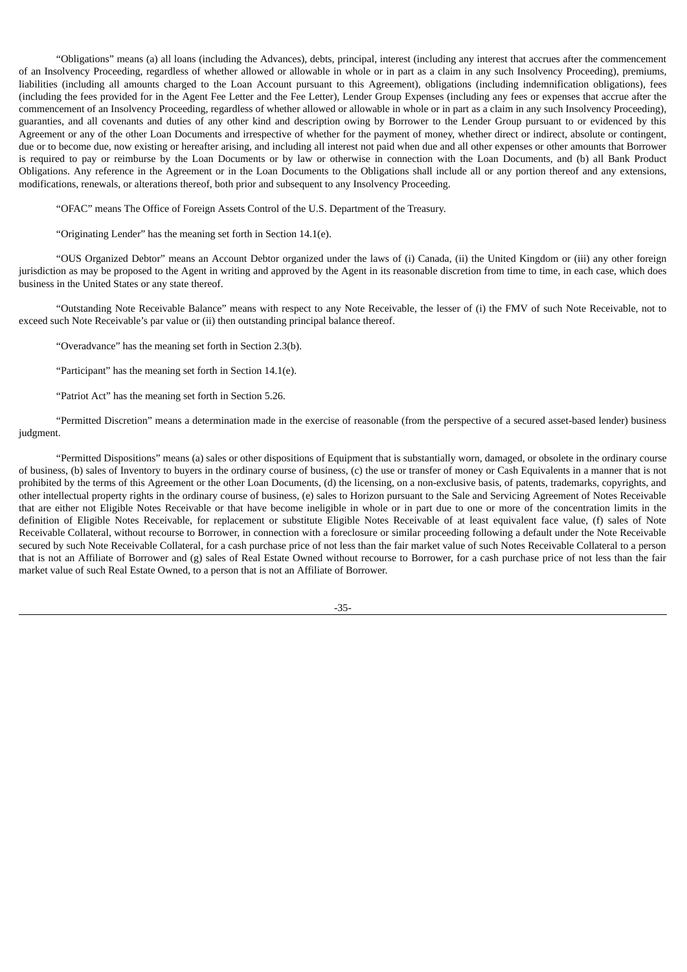"Obligations" means (a) all loans (including the Advances), debts, principal, interest (including any interest that accrues after the commencement of an Insolvency Proceeding, regardless of whether allowed or allowable in whole or in part as a claim in any such Insolvency Proceeding), premiums, liabilities (including all amounts charged to the Loan Account pursuant to this Agreement), obligations (including indemnification obligations), fees (including the fees provided for in the Agent Fee Letter and the Fee Letter), Lender Group Expenses (including any fees or expenses that accrue after the commencement of an Insolvency Proceeding, regardless of whether allowed or allowable in whole or in part as a claim in any such Insolvency Proceeding), guaranties, and all covenants and duties of any other kind and description owing by Borrower to the Lender Group pursuant to or evidenced by this Agreement or any of the other Loan Documents and irrespective of whether for the payment of money, whether direct or indirect, absolute or contingent, due or to become due, now existing or hereafter arising, and including all interest not paid when due and all other expenses or other amounts that Borrower is required to pay or reimburse by the Loan Documents or by law or otherwise in connection with the Loan Documents, and (b) all Bank Product Obligations. Any reference in the Agreement or in the Loan Documents to the Obligations shall include all or any portion thereof and any extensions, modifications, renewals, or alterations thereof, both prior and subsequent to any Insolvency Proceeding.

"OFAC" means The Office of Foreign Assets Control of the U.S. Department of the Treasury.

"Originating Lender" has the meaning set forth in Section 14.1(e).

"OUS Organized Debtor" means an Account Debtor organized under the laws of (i) Canada, (ii) the United Kingdom or (iii) any other foreign jurisdiction as may be proposed to the Agent in writing and approved by the Agent in its reasonable discretion from time to time, in each case, which does business in the United States or any state thereof.

"Outstanding Note Receivable Balance" means with respect to any Note Receivable, the lesser of (i) the FMV of such Note Receivable, not to exceed such Note Receivable's par value or (ii) then outstanding principal balance thereof.

"Overadvance" has the meaning set forth in Section 2.3(b).

"Participant" has the meaning set forth in Section 14.1(e).

"Patriot Act" has the meaning set forth in Section 5.26.

"Permitted Discretion" means a determination made in the exercise of reasonable (from the perspective of a secured asset-based lender) business judgment.

"Permitted Dispositions" means (a) sales or other dispositions of Equipment that is substantially worn, damaged, or obsolete in the ordinary course of business, (b) sales of Inventory to buyers in the ordinary course of business, (c) the use or transfer of money or Cash Equivalents in a manner that is not prohibited by the terms of this Agreement or the other Loan Documents, (d) the licensing, on a non-exclusive basis, of patents, trademarks, copyrights, and other intellectual property rights in the ordinary course of business, (e) sales to Horizon pursuant to the Sale and Servicing Agreement of Notes Receivable that are either not Eligible Notes Receivable or that have become ineligible in whole or in part due to one or more of the concentration limits in the definition of Eligible Notes Receivable, for replacement or substitute Eligible Notes Receivable of at least equivalent face value, (f) sales of Note Receivable Collateral, without recourse to Borrower, in connection with a foreclosure or similar proceeding following a default under the Note Receivable secured by such Note Receivable Collateral, for a cash purchase price of not less than the fair market value of such Notes Receivable Collateral to a person that is not an Affiliate of Borrower and (g) sales of Real Estate Owned without recourse to Borrower, for a cash purchase price of not less than the fair market value of such Real Estate Owned, to a person that is not an Affiliate of Borrower.

-35-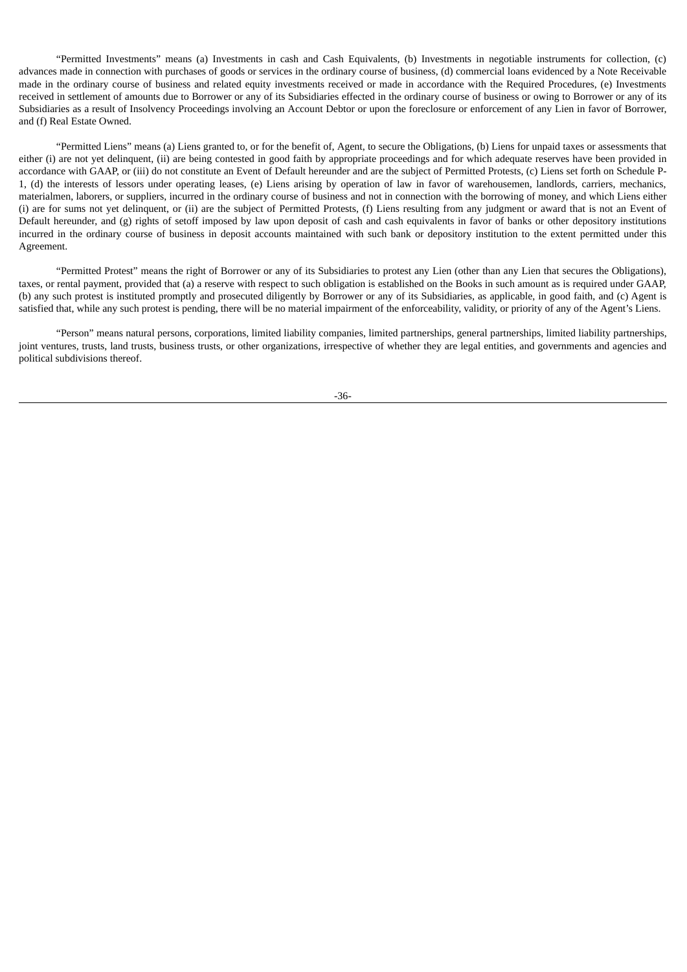"Permitted Investments" means (a) Investments in cash and Cash Equivalents, (b) Investments in negotiable instruments for collection, (c) advances made in connection with purchases of goods or services in the ordinary course of business, (d) commercial loans evidenced by a Note Receivable made in the ordinary course of business and related equity investments received or made in accordance with the Required Procedures, (e) Investments received in settlement of amounts due to Borrower or any of its Subsidiaries effected in the ordinary course of business or owing to Borrower or any of its Subsidiaries as a result of Insolvency Proceedings involving an Account Debtor or upon the foreclosure or enforcement of any Lien in favor of Borrower, and (f) Real Estate Owned.

"Permitted Liens" means (a) Liens granted to, or for the benefit of, Agent, to secure the Obligations, (b) Liens for unpaid taxes or assessments that either (i) are not yet delinquent, (ii) are being contested in good faith by appropriate proceedings and for which adequate reserves have been provided in accordance with GAAP, or (iii) do not constitute an Event of Default hereunder and are the subject of Permitted Protests, (c) Liens set forth on Schedule P-1, (d) the interests of lessors under operating leases, (e) Liens arising by operation of law in favor of warehousemen, landlords, carriers, mechanics, materialmen, laborers, or suppliers, incurred in the ordinary course of business and not in connection with the borrowing of money, and which Liens either (i) are for sums not yet delinquent, or (ii) are the subject of Permitted Protests, (f) Liens resulting from any judgment or award that is not an Event of Default hereunder, and (g) rights of setoff imposed by law upon deposit of cash and cash equivalents in favor of banks or other depository institutions incurred in the ordinary course of business in deposit accounts maintained with such bank or depository institution to the extent permitted under this Agreement.

"Permitted Protest" means the right of Borrower or any of its Subsidiaries to protest any Lien (other than any Lien that secures the Obligations), taxes, or rental payment, provided that (a) a reserve with respect to such obligation is established on the Books in such amount as is required under GAAP, (b) any such protest is instituted promptly and prosecuted diligently by Borrower or any of its Subsidiaries, as applicable, in good faith, and (c) Agent is satisfied that, while any such protest is pending, there will be no material impairment of the enforceability, validity, or priority of any of the Agent's Liens.

"Person" means natural persons, corporations, limited liability companies, limited partnerships, general partnerships, limited liability partnerships, joint ventures, trusts, land trusts, business trusts, or other organizations, irrespective of whether they are legal entities, and governments and agencies and political subdivisions thereof.

-36-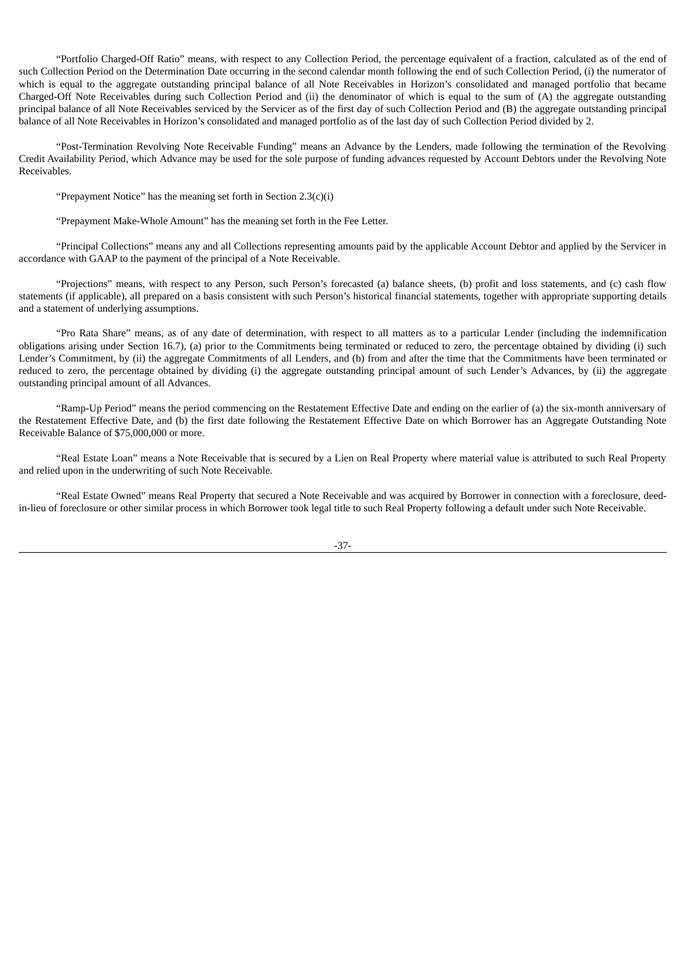"Portfolio Charged-Off Ratio" means, with respect to any Collection Period, the percentage equivalent of a fraction, calculated as of the end of such Collection Period on the Determination Date occurring in the second calendar month following the end of such Collection Period, (i) the numerator of which is equal to the aggregate outstanding principal balance of all Note Receivables in Horizon's consolidated and managed portfolio that became Charged-Off Note Receivables during such Collection Period and (ii) the denominator of which is equal to the sum of (A) the aggregate outstanding principal balance of all Note Receivables serviced by the Servicer as of the first day of such Collection Period and (B) the aggregate outstanding principal balance of all Note Receivables in Horizon's consolidated and managed portfolio as of the last day of such Collection Period divided by 2.

"Post-Termination Revolving Note Receivable Funding" means an Advance by the Lenders, made following the termination of the Revolving Credit Availability Period, which Advance may be used for the sole purpose of funding advances requested by Account Debtors under the Revolving Note Receivables.

"Prepayment Notice" has the meaning set forth in Section  $2.3(c)(i)$ 

"Prepayment Make-Whole Amount" has the meaning set forth in the Fee Letter.

"Principal Collections" means any and all Collections representing amounts paid by the applicable Account Debtor and applied by the Servicer in accordance with GAAP to the payment of the principal of a Note Receivable.

"Projections" means, with respect to any Person, such Person's forecasted (a) balance sheets, (b) profit and loss statements, and (c) cash flow statements (if applicable), all prepared on a basis consistent with such Person's historical financial statements, together with appropriate supporting details and a statement of underlying assumptions.

"Pro Rata Share" means, as of any date of determination, with respect to all matters as to a particular Lender (including the indemnification obligations arising under Section 16.7), (a) prior to the Commitments being terminated or reduced to zero, the percentage obtained by dividing (i) such Lender's Commitment, by (ii) the aggregate Commitments of all Lenders, and (b) from and after the time that the Commitments have been terminated or reduced to zero, the percentage obtained by dividing (i) the aggregate outstanding principal amount of such Lender's Advances, by (ii) the aggregate outstanding principal amount of all Advances.

"Ramp-Up Period" means the period commencing on the Restatement Effective Date and ending on the earlier of (a) the six-month anniversary of the Restatement Effective Date, and (b) the first date following the Restatement Effective Date on which Borrower has an Aggregate Outstanding Note Receivable Balance of \$75,000,000 or more.

"Real Estate Loan" means a Note Receivable that is secured by a Lien on Real Property where material value is attributed to such Real Property and relied upon in the underwriting of such Note Receivable.

"Real Estate Owned" means Real Property that secured a Note Receivable and was acquired by Borrower in connection with a foreclosure, deedin-lieu of foreclosure or other similar process in which Borrower took legal title to such Real Property following a default under such Note Receivable.

-37-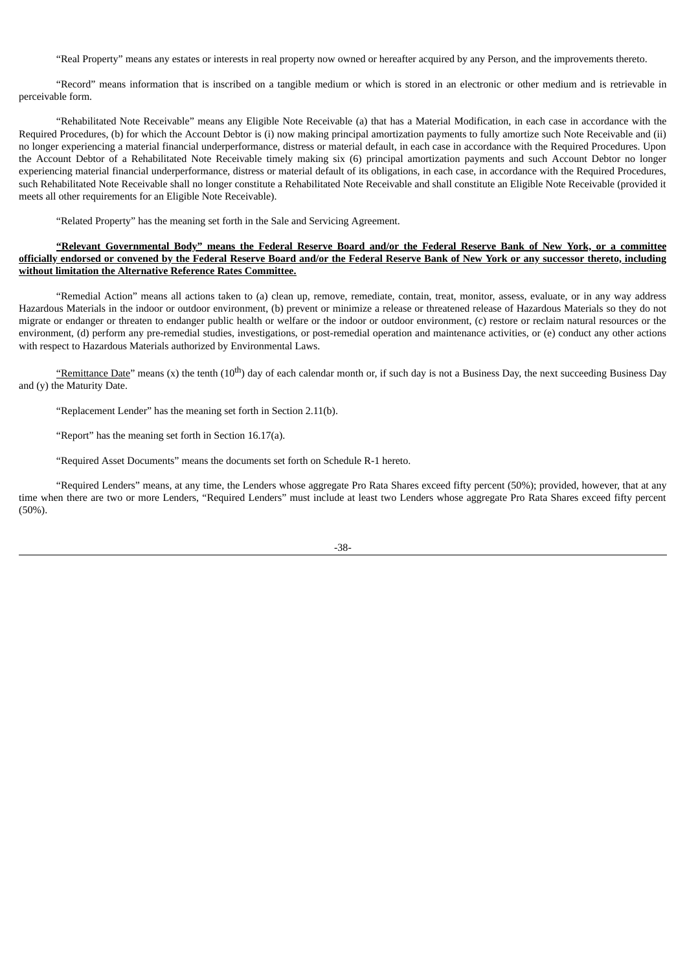"Real Property" means any estates or interests in real property now owned or hereafter acquired by any Person, and the improvements thereto.

"Record" means information that is inscribed on a tangible medium or which is stored in an electronic or other medium and is retrievable in perceivable form.

"Rehabilitated Note Receivable" means any Eligible Note Receivable (a) that has a Material Modification, in each case in accordance with the Required Procedures, (b) for which the Account Debtor is (i) now making principal amortization payments to fully amortize such Note Receivable and (ii) no longer experiencing a material financial underperformance, distress or material default, in each case in accordance with the Required Procedures. Upon the Account Debtor of a Rehabilitated Note Receivable timely making six (6) principal amortization payments and such Account Debtor no longer experiencing material financial underperformance, distress or material default of its obligations, in each case, in accordance with the Required Procedures, such Rehabilitated Note Receivable shall no longer constitute a Rehabilitated Note Receivable and shall constitute an Eligible Note Receivable (provided it meets all other requirements for an Eligible Note Receivable).

"Related Property" has the meaning set forth in the Sale and Servicing Agreement.

# "Relevant Governmental Body" means the Federal Reserve Board and/or the Federal Reserve Bank of New York, or a committee officially endorsed or convened by the Federal Reserve Board and/or the Federal Reserve Bank of New York or any successor thereto, including **without limitation the Alternative Reference Rates Committee.**

"Remedial Action" means all actions taken to (a) clean up, remove, remediate, contain, treat, monitor, assess, evaluate, or in any way address Hazardous Materials in the indoor or outdoor environment, (b) prevent or minimize a release or threatened release of Hazardous Materials so they do not migrate or endanger or threaten to endanger public health or welfare or the indoor or outdoor environment, (c) restore or reclaim natural resources or the environment, (d) perform any pre-remedial studies, investigations, or post-remedial operation and maintenance activities, or (e) conduct any other actions with respect to Hazardous Materials authorized by Environmental Laws.

"Remittance Date" means (x) the tenth (10<sup>th</sup>) day of each calendar month or, if such day is not a Business Day, the next succeeding Business Day and (y) the Maturity Date.

"Replacement Lender" has the meaning set forth in Section 2.11(b).

"Report" has the meaning set forth in Section 16.17(a).

"Required Asset Documents" means the documents set forth on Schedule R-1 hereto.

"Required Lenders" means, at any time, the Lenders whose aggregate Pro Rata Shares exceed fifty percent (50%); provided, however, that at any time when there are two or more Lenders, "Required Lenders" must include at least two Lenders whose aggregate Pro Rata Shares exceed fifty percent (50%).

-38-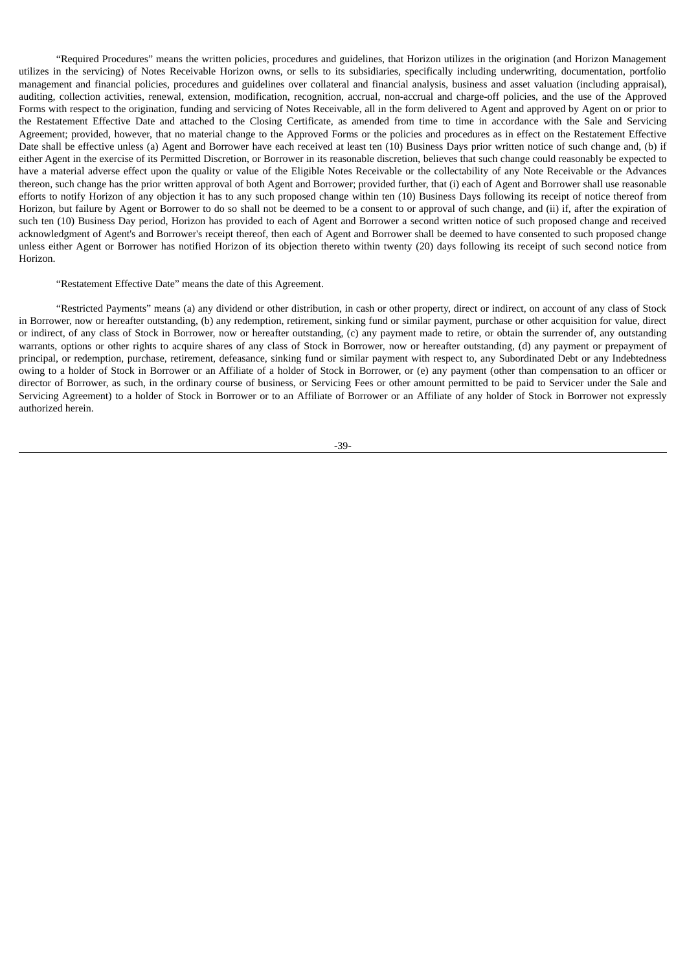"Required Procedures" means the written policies, procedures and guidelines, that Horizon utilizes in the origination (and Horizon Management utilizes in the servicing) of Notes Receivable Horizon owns, or sells to its subsidiaries, specifically including underwriting, documentation, portfolio management and financial policies, procedures and guidelines over collateral and financial analysis, business and asset valuation (including appraisal), auditing, collection activities, renewal, extension, modification, recognition, accrual, non-accrual and charge-off policies, and the use of the Approved Forms with respect to the origination, funding and servicing of Notes Receivable, all in the form delivered to Agent and approved by Agent on or prior to the Restatement Effective Date and attached to the Closing Certificate, as amended from time to time in accordance with the Sale and Servicing Agreement; provided, however, that no material change to the Approved Forms or the policies and procedures as in effect on the Restatement Effective Date shall be effective unless (a) Agent and Borrower have each received at least ten (10) Business Days prior written notice of such change and, (b) if either Agent in the exercise of its Permitted Discretion, or Borrower in its reasonable discretion, believes that such change could reasonably be expected to have a material adverse effect upon the quality or value of the Eligible Notes Receivable or the collectability of any Note Receivable or the Advances thereon, such change has the prior written approval of both Agent and Borrower; provided further, that (i) each of Agent and Borrower shall use reasonable efforts to notify Horizon of any objection it has to any such proposed change within ten (10) Business Days following its receipt of notice thereof from Horizon, but failure by Agent or Borrower to do so shall not be deemed to be a consent to or approval of such change, and (ii) if, after the expiration of such ten (10) Business Day period, Horizon has provided to each of Agent and Borrower a second written notice of such proposed change and received acknowledgment of Agent's and Borrower's receipt thereof, then each of Agent and Borrower shall be deemed to have consented to such proposed change unless either Agent or Borrower has notified Horizon of its objection thereto within twenty (20) days following its receipt of such second notice from Horizon.

#### "Restatement Effective Date" means the date of this Agreement.

"Restricted Payments" means (a) any dividend or other distribution, in cash or other property, direct or indirect, on account of any class of Stock in Borrower, now or hereafter outstanding, (b) any redemption, retirement, sinking fund or similar payment, purchase or other acquisition for value, direct or indirect, of any class of Stock in Borrower, now or hereafter outstanding, (c) any payment made to retire, or obtain the surrender of, any outstanding warrants, options or other rights to acquire shares of any class of Stock in Borrower, now or hereafter outstanding, (d) any payment or prepayment of principal, or redemption, purchase, retirement, defeasance, sinking fund or similar payment with respect to, any Subordinated Debt or any Indebtedness owing to a holder of Stock in Borrower or an Affiliate of a holder of Stock in Borrower, or (e) any payment (other than compensation to an officer or director of Borrower, as such, in the ordinary course of business, or Servicing Fees or other amount permitted to be paid to Servicer under the Sale and Servicing Agreement) to a holder of Stock in Borrower or to an Affiliate of Borrower or an Affiliate of any holder of Stock in Borrower not expressly authorized herein.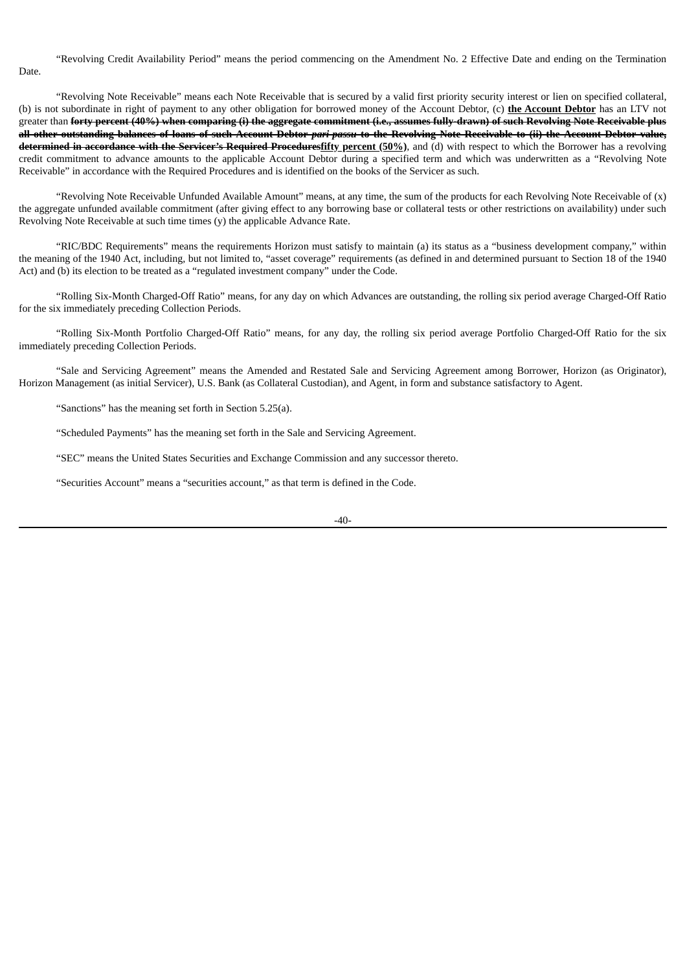"Revolving Credit Availability Period" means the period commencing on the Amendment No. 2 Effective Date and ending on the Termination Date.

"Revolving Note Receivable" means each Note Receivable that is secured by a valid first priority security interest or lien on specified collateral, (b) is not subordinate in right of payment to any other obligation for borrowed money of the Account Debtor, (c) **the Account Debtor** has an LTV not greater than forty percent (40%) when comparing (i) the aggregate commitment (i.e., assumes fully-drawn) of such Revolving Note Receivable plus all other outstanding balances of loans of such Account Debtor pari passu to the Revolving Note Receivable to (ii) the Account Debtor value, **determined in accordance with the Servicer's Required Proceduresfifty percent (50%)**, and (d) with respect to which the Borrower has a revolving credit commitment to advance amounts to the applicable Account Debtor during a specified term and which was underwritten as a "Revolving Note Receivable" in accordance with the Required Procedures and is identified on the books of the Servicer as such.

"Revolving Note Receivable Unfunded Available Amount" means, at any time, the sum of the products for each Revolving Note Receivable of (x) the aggregate unfunded available commitment (after giving effect to any borrowing base or collateral tests or other restrictions on availability) under such Revolving Note Receivable at such time times (y) the applicable Advance Rate.

"RIC/BDC Requirements" means the requirements Horizon must satisfy to maintain (a) its status as a "business development company," within the meaning of the 1940 Act, including, but not limited to, "asset coverage" requirements (as defined in and determined pursuant to Section 18 of the 1940 Act) and (b) its election to be treated as a "regulated investment company" under the Code.

"Rolling Six-Month Charged-Off Ratio" means, for any day on which Advances are outstanding, the rolling six period average Charged-Off Ratio for the six immediately preceding Collection Periods.

"Rolling Six-Month Portfolio Charged-Off Ratio" means, for any day, the rolling six period average Portfolio Charged-Off Ratio for the six immediately preceding Collection Periods.

"Sale and Servicing Agreement" means the Amended and Restated Sale and Servicing Agreement among Borrower, Horizon (as Originator), Horizon Management (as initial Servicer), U.S. Bank (as Collateral Custodian), and Agent, in form and substance satisfactory to Agent.

"Sanctions" has the meaning set forth in Section 5.25(a).

"Scheduled Payments" has the meaning set forth in the Sale and Servicing Agreement.

"SEC" means the United States Securities and Exchange Commission and any successor thereto.

"Securities Account" means a "securities account," as that term is defined in the Code.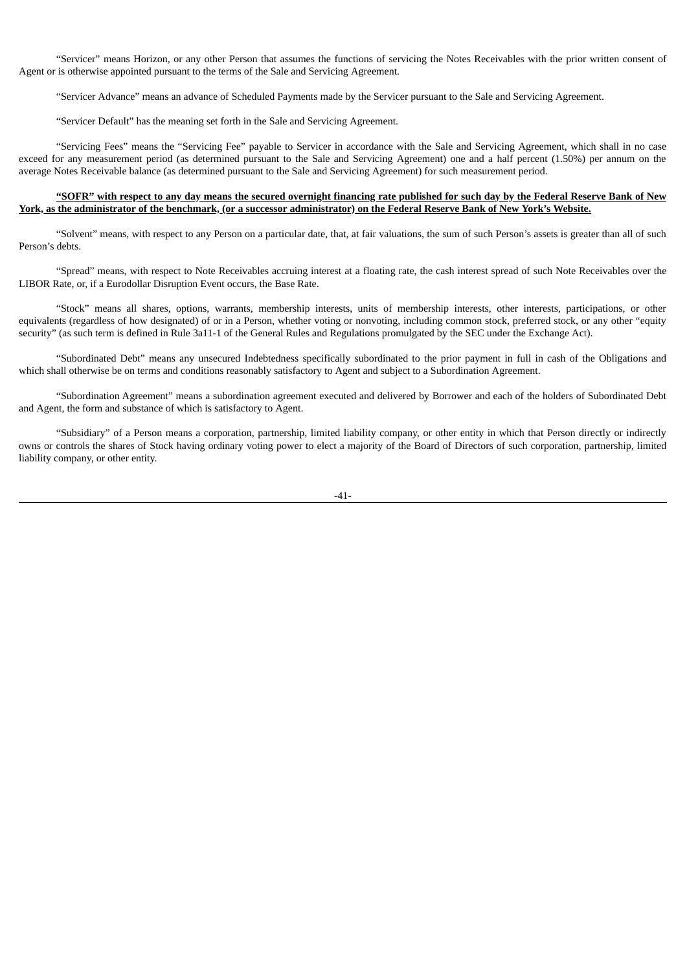"Servicer" means Horizon, or any other Person that assumes the functions of servicing the Notes Receivables with the prior written consent of Agent or is otherwise appointed pursuant to the terms of the Sale and Servicing Agreement.

"Servicer Advance" means an advance of Scheduled Payments made by the Servicer pursuant to the Sale and Servicing Agreement.

"Servicer Default" has the meaning set forth in the Sale and Servicing Agreement.

"Servicing Fees" means the "Servicing Fee" payable to Servicer in accordance with the Sale and Servicing Agreement, which shall in no case exceed for any measurement period (as determined pursuant to the Sale and Servicing Agreement) one and a half percent (1.50%) per annum on the average Notes Receivable balance (as determined pursuant to the Sale and Servicing Agreement) for such measurement period.

#### "SOFR" with respect to any day means the secured overnight financing rate published for such day by the Federal Reserve Bank of New York, as the administrator of the benchmark, (or a successor administrator) on the Federal Reserve Bank of New York's Website.

"Solvent" means, with respect to any Person on a particular date, that, at fair valuations, the sum of such Person's assets is greater than all of such Person's debts.

"Spread" means, with respect to Note Receivables accruing interest at a floating rate, the cash interest spread of such Note Receivables over the LIBOR Rate, or, if a Eurodollar Disruption Event occurs, the Base Rate.

"Stock" means all shares, options, warrants, membership interests, units of membership interests, other interests, participations, or other equivalents (regardless of how designated) of or in a Person, whether voting or nonvoting, including common stock, preferred stock, or any other "equity security" (as such term is defined in Rule 3a11-1 of the General Rules and Regulations promulgated by the SEC under the Exchange Act).

"Subordinated Debt" means any unsecured Indebtedness specifically subordinated to the prior payment in full in cash of the Obligations and which shall otherwise be on terms and conditions reasonably satisfactory to Agent and subject to a Subordination Agreement.

"Subordination Agreement" means a subordination agreement executed and delivered by Borrower and each of the holders of Subordinated Debt and Agent, the form and substance of which is satisfactory to Agent.

"Subsidiary" of a Person means a corporation, partnership, limited liability company, or other entity in which that Person directly or indirectly owns or controls the shares of Stock having ordinary voting power to elect a majority of the Board of Directors of such corporation, partnership, limited liability company, or other entity.

-41-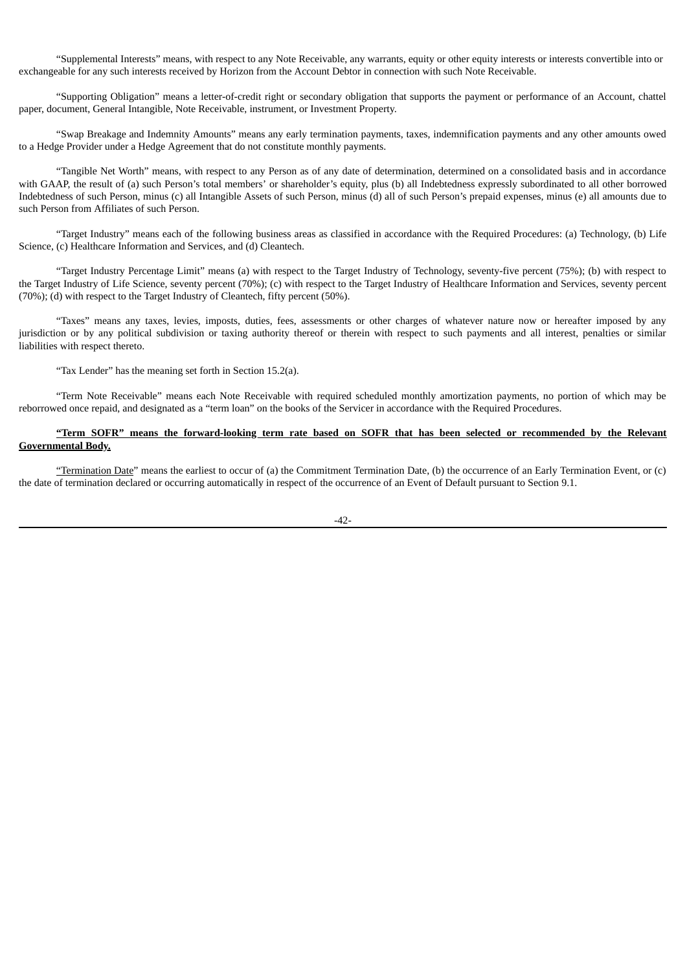"Supplemental Interests" means, with respect to any Note Receivable, any warrants, equity or other equity interests or interests convertible into or exchangeable for any such interests received by Horizon from the Account Debtor in connection with such Note Receivable.

"Supporting Obligation" means a letter-of-credit right or secondary obligation that supports the payment or performance of an Account, chattel paper, document, General Intangible, Note Receivable, instrument, or Investment Property.

"Swap Breakage and Indemnity Amounts" means any early termination payments, taxes, indemnification payments and any other amounts owed to a Hedge Provider under a Hedge Agreement that do not constitute monthly payments.

"Tangible Net Worth" means, with respect to any Person as of any date of determination, determined on a consolidated basis and in accordance with GAAP, the result of (a) such Person's total members' or shareholder's equity, plus (b) all Indebtedness expressly subordinated to all other borrowed Indebtedness of such Person, minus (c) all Intangible Assets of such Person, minus (d) all of such Person's prepaid expenses, minus (e) all amounts due to such Person from Affiliates of such Person.

"Target Industry" means each of the following business areas as classified in accordance with the Required Procedures: (a) Technology, (b) Life Science, (c) Healthcare Information and Services, and (d) Cleantech.

"Target Industry Percentage Limit" means (a) with respect to the Target Industry of Technology, seventy-five percent (75%); (b) with respect to the Target Industry of Life Science, seventy percent (70%); (c) with respect to the Target Industry of Healthcare Information and Services, seventy percent (70%); (d) with respect to the Target Industry of Cleantech, fifty percent (50%).

"Taxes" means any taxes, levies, imposts, duties, fees, assessments or other charges of whatever nature now or hereafter imposed by any jurisdiction or by any political subdivision or taxing authority thereof or therein with respect to such payments and all interest, penalties or similar liabilities with respect thereto.

"Tax Lender" has the meaning set forth in Section 15.2(a).

"Term Note Receivable" means each Note Receivable with required scheduled monthly amortization payments, no portion of which may be reborrowed once repaid, and designated as a "term loan" on the books of the Servicer in accordance with the Required Procedures.

### "Term SOFR" means the forward-looking term rate based on SOFR that has been selected or recommended by the Relevant **Governmental Body.**

"Termination Date" means the earliest to occur of (a) the Commitment Termination Date, (b) the occurrence of an Early Termination Event, or (c) the date of termination declared or occurring automatically in respect of the occurrence of an Event of Default pursuant to Section 9.1.

 $-42-$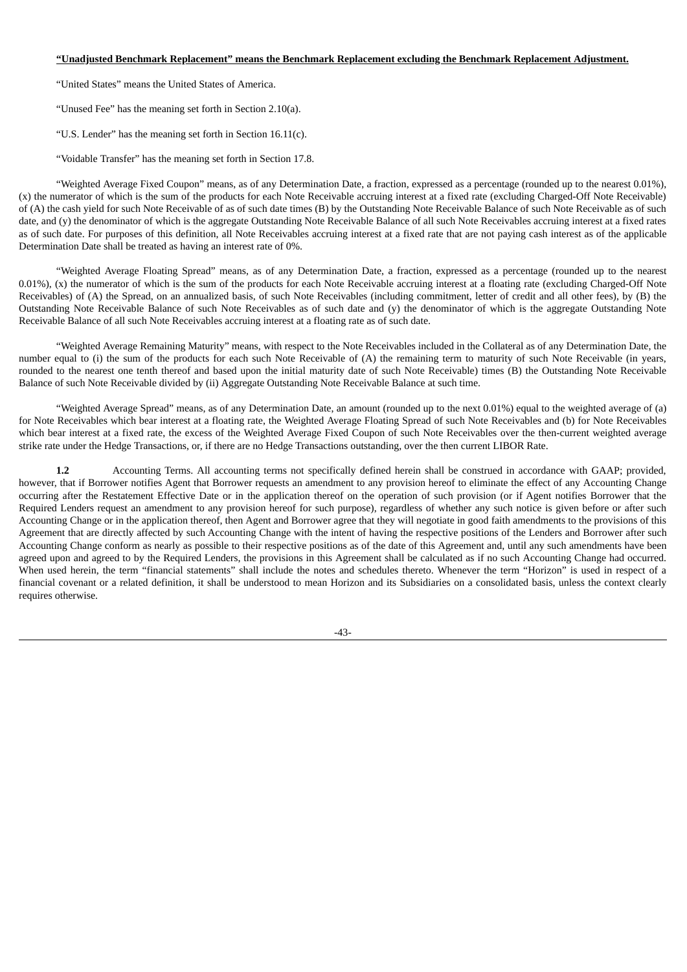#### **"Unadjusted Benchmark Replacement" means the Benchmark Replacement excluding the Benchmark Replacement Adjustment.**

"United States" means the United States of America.

"Unused Fee" has the meaning set forth in Section 2.10(a).

"U.S. Lender" has the meaning set forth in Section 16.11(c).

"Voidable Transfer" has the meaning set forth in Section 17.8.

"Weighted Average Fixed Coupon" means, as of any Determination Date, a fraction, expressed as a percentage (rounded up to the nearest 0.01%), (x) the numerator of which is the sum of the products for each Note Receivable accruing interest at a fixed rate (excluding Charged-Off Note Receivable) of (A) the cash yield for such Note Receivable of as of such date times (B) by the Outstanding Note Receivable Balance of such Note Receivable as of such date, and (y) the denominator of which is the aggregate Outstanding Note Receivable Balance of all such Note Receivables accruing interest at a fixed rates as of such date. For purposes of this definition, all Note Receivables accruing interest at a fixed rate that are not paying cash interest as of the applicable Determination Date shall be treated as having an interest rate of 0%.

"Weighted Average Floating Spread" means, as of any Determination Date, a fraction, expressed as a percentage (rounded up to the nearest 0.01%), (x) the numerator of which is the sum of the products for each Note Receivable accruing interest at a floating rate (excluding Charged-Off Note Receivables) of (A) the Spread, on an annualized basis, of such Note Receivables (including commitment, letter of credit and all other fees), by (B) the Outstanding Note Receivable Balance of such Note Receivables as of such date and (y) the denominator of which is the aggregate Outstanding Note Receivable Balance of all such Note Receivables accruing interest at a floating rate as of such date.

"Weighted Average Remaining Maturity" means, with respect to the Note Receivables included in the Collateral as of any Determination Date, the number equal to (i) the sum of the products for each such Note Receivable of (A) the remaining term to maturity of such Note Receivable (in years, rounded to the nearest one tenth thereof and based upon the initial maturity date of such Note Receivable) times (B) the Outstanding Note Receivable Balance of such Note Receivable divided by (ii) Aggregate Outstanding Note Receivable Balance at such time.

"Weighted Average Spread" means, as of any Determination Date, an amount (rounded up to the next 0.01%) equal to the weighted average of (a) for Note Receivables which bear interest at a floating rate, the Weighted Average Floating Spread of such Note Receivables and (b) for Note Receivables which bear interest at a fixed rate, the excess of the Weighted Average Fixed Coupon of such Note Receivables over the then-current weighted average strike rate under the Hedge Transactions, or, if there are no Hedge Transactions outstanding, over the then current LIBOR Rate.

**1.2** Accounting Terms. All accounting terms not specifically defined herein shall be construed in accordance with GAAP; provided, however, that if Borrower notifies Agent that Borrower requests an amendment to any provision hereof to eliminate the effect of any Accounting Change occurring after the Restatement Effective Date or in the application thereof on the operation of such provision (or if Agent notifies Borrower that the Required Lenders request an amendment to any provision hereof for such purpose), regardless of whether any such notice is given before or after such Accounting Change or in the application thereof, then Agent and Borrower agree that they will negotiate in good faith amendments to the provisions of this Agreement that are directly affected by such Accounting Change with the intent of having the respective positions of the Lenders and Borrower after such Accounting Change conform as nearly as possible to their respective positions as of the date of this Agreement and, until any such amendments have been agreed upon and agreed to by the Required Lenders, the provisions in this Agreement shall be calculated as if no such Accounting Change had occurred. When used herein, the term "financial statements" shall include the notes and schedules thereto. Whenever the term "Horizon" is used in respect of a financial covenant or a related definition, it shall be understood to mean Horizon and its Subsidiaries on a consolidated basis, unless the context clearly requires otherwise.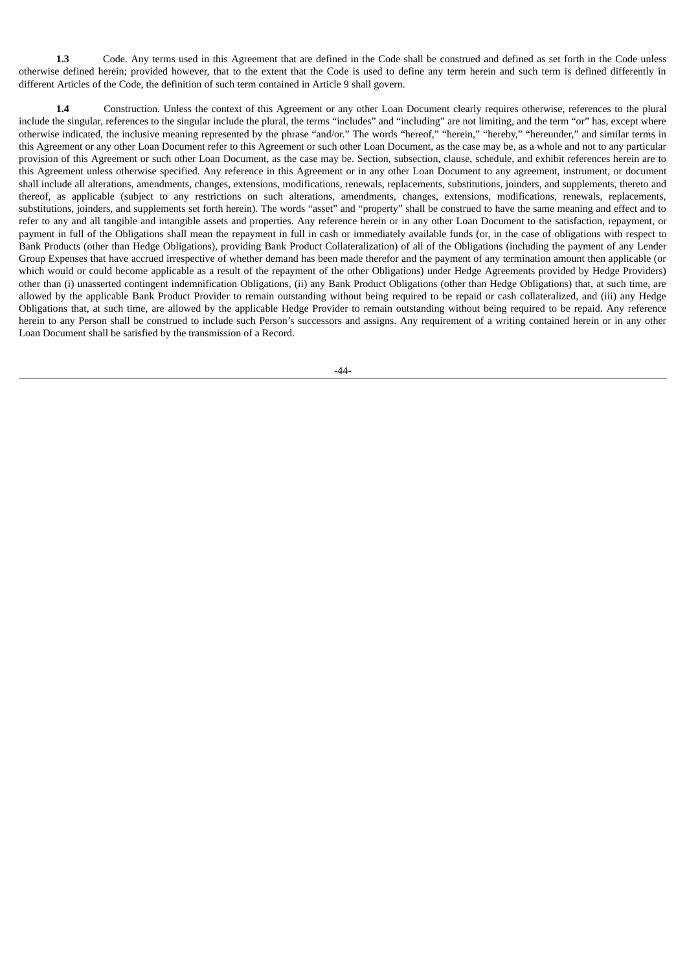**1.3** Code. Any terms used in this Agreement that are defined in the Code shall be construed and defined as set forth in the Code unless otherwise defined herein; provided however, that to the extent that the Code is used to define any term herein and such term is defined differently in different Articles of the Code, the definition of such term contained in Article 9 shall govern.

**1.4** Construction. Unless the context of this Agreement or any other Loan Document clearly requires otherwise, references to the plural include the singular, references to the singular include the plural, the terms "includes" and "including" are not limiting, and the term "or" has, except where otherwise indicated, the inclusive meaning represented by the phrase "and/or." The words "hereof," "herein," "hereby," "hereunder," and similar terms in this Agreement or any other Loan Document refer to this Agreement or such other Loan Document, as the case may be, as a whole and not to any particular provision of this Agreement or such other Loan Document, as the case may be. Section, subsection, clause, schedule, and exhibit references herein are to this Agreement unless otherwise specified. Any reference in this Agreement or in any other Loan Document to any agreement, instrument, or document shall include all alterations, amendments, changes, extensions, modifications, renewals, replacements, substitutions, joinders, and supplements, thereto and thereof, as applicable (subject to any restrictions on such alterations, amendments, changes, extensions, modifications, renewals, replacements, substitutions, joinders, and supplements set forth herein). The words "asset" and "property" shall be construed to have the same meaning and effect and to refer to any and all tangible and intangible assets and properties. Any reference herein or in any other Loan Document to the satisfaction, repayment, or payment in full of the Obligations shall mean the repayment in full in cash or immediately available funds (or, in the case of obligations with respect to Bank Products (other than Hedge Obligations), providing Bank Product Collateralization) of all of the Obligations (including the payment of any Lender Group Expenses that have accrued irrespective of whether demand has been made therefor and the payment of any termination amount then applicable (or which would or could become applicable as a result of the repayment of the other Obligations) under Hedge Agreements provided by Hedge Providers) other than (i) unasserted contingent indemnification Obligations, (ii) any Bank Product Obligations (other than Hedge Obligations) that, at such time, are allowed by the applicable Bank Product Provider to remain outstanding without being required to be repaid or cash collateralized, and (iii) any Hedge Obligations that, at such time, are allowed by the applicable Hedge Provider to remain outstanding without being required to be repaid. Any reference herein to any Person shall be construed to include such Person's successors and assigns. Any requirement of a writing contained herein or in any other Loan Document shall be satisfied by the transmission of a Record.

-44-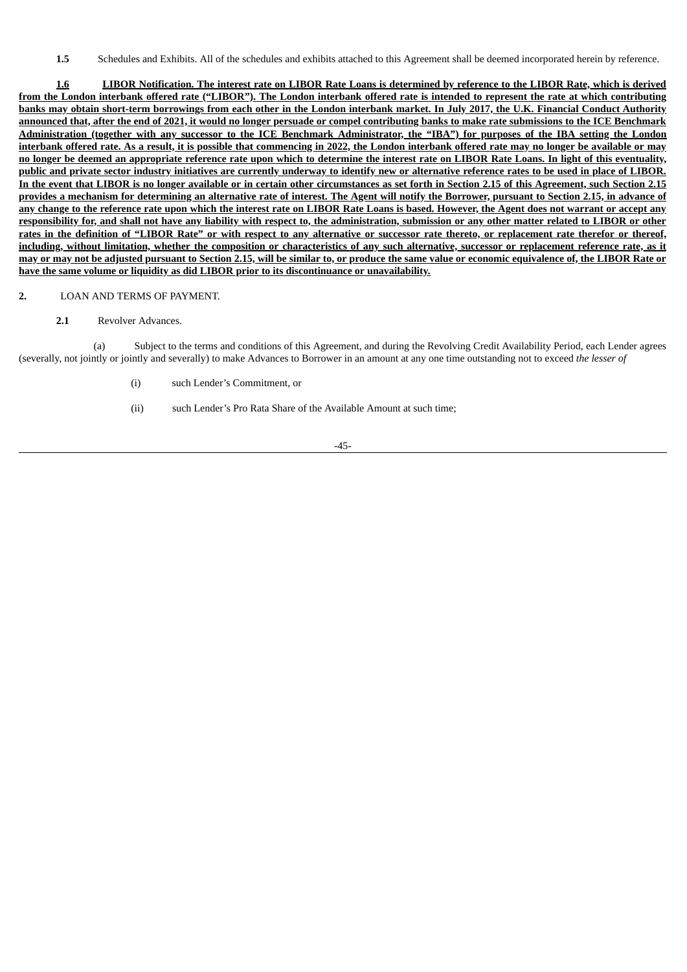**1.5** Schedules and Exhibits. All of the schedules and exhibits attached to this Agreement shall be deemed incorporated herein by reference.

1.6 LIBOR Notification. The interest rate on LIBOR Rate Loans is determined by reference to the LIBOR Rate, which is derived from the London interbank offered rate ("LIBOR"). The London interbank offered rate is intended to represent the rate at which contributing banks may obtain short-term borrowings from each other in the London interbank market. In July 2017, the U.K. Financial Conduct Authority announced that, after the end of 2021, it would no longer persuade or compel contributing banks to make rate submissions to the ICE Benchmark Administration (together with any successor to the ICE Benchmark Administrator, the "IBA") for purposes of the IBA setting the London interbank offered rate. As a result, it is possible that commencing in 2022, the London interbank offered rate may no longer be available or may no longer be deemed an appropriate reference rate upon which to determine the interest rate on LIBOR Rate Loans. In light of this eventuality, public and private sector industry initiatives are currently underway to identify new or alternative reference rates to be used in place of LIBOR. In the event that LIBOR is no longer available or in certain other circumstances as set forth in Section 2.15 of this Agreement, such Section 2.15 provides a mechanism for determining an alternative rate of interest. The Agent will notify the Borrower, pursuant to Section 2.15, in advance of any change to the reference rate upon which the interest rate on LIBOR Rate Loans is based. However, the Agent does not warrant or accept any responsibility for, and shall not have any liability with respect to, the administration, submission or any other matter related to LIBOR or other rates in the definition of "LIBOR Rate" or with respect to any alternative or successor rate thereto, or replacement rate therefor or thereof, including, without limitation, whether the composition or characteristics of any such alternative, successor or replacement reference rate, as it may or may not be adjusted pursuant to Section 2.15, will be similar to, or produce the same value or economic equivalence of, the LIBOR Rate or **have the same volume or liquidity as did LIBOR prior to its discontinuance or unavailability.**

# **2.** LOAN AND TERMS OF PAYMENT.

# **2.1** Revolver Advances.

(a) Subject to the terms and conditions of this Agreement, and during the Revolving Credit Availability Period, each Lender agrees (severally, not jointly or jointly and severally) to make Advances to Borrower in an amount at any one time outstanding not to exceed *the lesser of*

- (i) such Lender's Commitment, or
- (ii) such Lender's Pro Rata Share of the Available Amount at such time;

-45-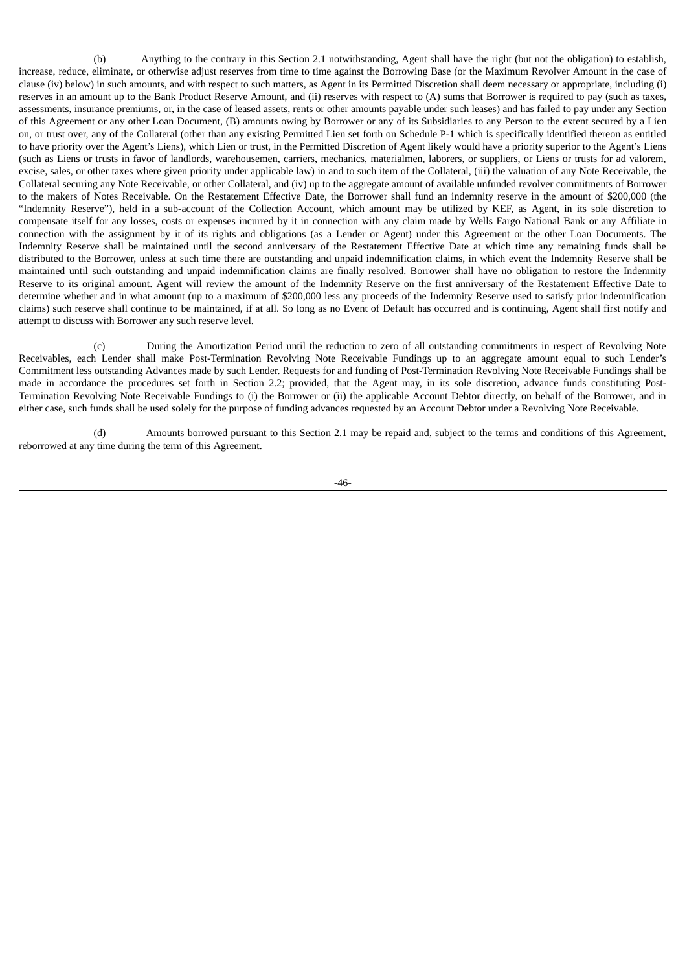(b) Anything to the contrary in this Section 2.1 notwithstanding, Agent shall have the right (but not the obligation) to establish, increase, reduce, eliminate, or otherwise adjust reserves from time to time against the Borrowing Base (or the Maximum Revolver Amount in the case of clause (iv) below) in such amounts, and with respect to such matters, as Agent in its Permitted Discretion shall deem necessary or appropriate, including (i) reserves in an amount up to the Bank Product Reserve Amount, and (ii) reserves with respect to (A) sums that Borrower is required to pay (such as taxes, assessments, insurance premiums, or, in the case of leased assets, rents or other amounts payable under such leases) and has failed to pay under any Section of this Agreement or any other Loan Document, (B) amounts owing by Borrower or any of its Subsidiaries to any Person to the extent secured by a Lien on, or trust over, any of the Collateral (other than any existing Permitted Lien set forth on Schedule P-1 which is specifically identified thereon as entitled to have priority over the Agent's Liens), which Lien or trust, in the Permitted Discretion of Agent likely would have a priority superior to the Agent's Liens (such as Liens or trusts in favor of landlords, warehousemen, carriers, mechanics, materialmen, laborers, or suppliers, or Liens or trusts for ad valorem, excise, sales, or other taxes where given priority under applicable law) in and to such item of the Collateral, (iii) the valuation of any Note Receivable, the Collateral securing any Note Receivable, or other Collateral, and (iv) up to the aggregate amount of available unfunded revolver commitments of Borrower to the makers of Notes Receivable. On the Restatement Effective Date, the Borrower shall fund an indemnity reserve in the amount of \$200,000 (the "Indemnity Reserve"), held in a sub-account of the Collection Account, which amount may be utilized by KEF, as Agent, in its sole discretion to compensate itself for any losses, costs or expenses incurred by it in connection with any claim made by Wells Fargo National Bank or any Affiliate in connection with the assignment by it of its rights and obligations (as a Lender or Agent) under this Agreement or the other Loan Documents. The Indemnity Reserve shall be maintained until the second anniversary of the Restatement Effective Date at which time any remaining funds shall be distributed to the Borrower, unless at such time there are outstanding and unpaid indemnification claims, in which event the Indemnity Reserve shall be maintained until such outstanding and unpaid indemnification claims are finally resolved. Borrower shall have no obligation to restore the Indemnity Reserve to its original amount. Agent will review the amount of the Indemnity Reserve on the first anniversary of the Restatement Effective Date to determine whether and in what amount (up to a maximum of \$200,000 less any proceeds of the Indemnity Reserve used to satisfy prior indemnification claims) such reserve shall continue to be maintained, if at all. So long as no Event of Default has occurred and is continuing, Agent shall first notify and attempt to discuss with Borrower any such reserve level.

(c) During the Amortization Period until the reduction to zero of all outstanding commitments in respect of Revolving Note Receivables, each Lender shall make Post-Termination Revolving Note Receivable Fundings up to an aggregate amount equal to such Lender's Commitment less outstanding Advances made by such Lender. Requests for and funding of Post-Termination Revolving Note Receivable Fundings shall be made in accordance the procedures set forth in Section 2.2; provided, that the Agent may, in its sole discretion, advance funds constituting Post-Termination Revolving Note Receivable Fundings to (i) the Borrower or (ii) the applicable Account Debtor directly, on behalf of the Borrower, and in either case, such funds shall be used solely for the purpose of funding advances requested by an Account Debtor under a Revolving Note Receivable.

(d) Amounts borrowed pursuant to this Section 2.1 may be repaid and, subject to the terms and conditions of this Agreement, reborrowed at any time during the term of this Agreement.

-46-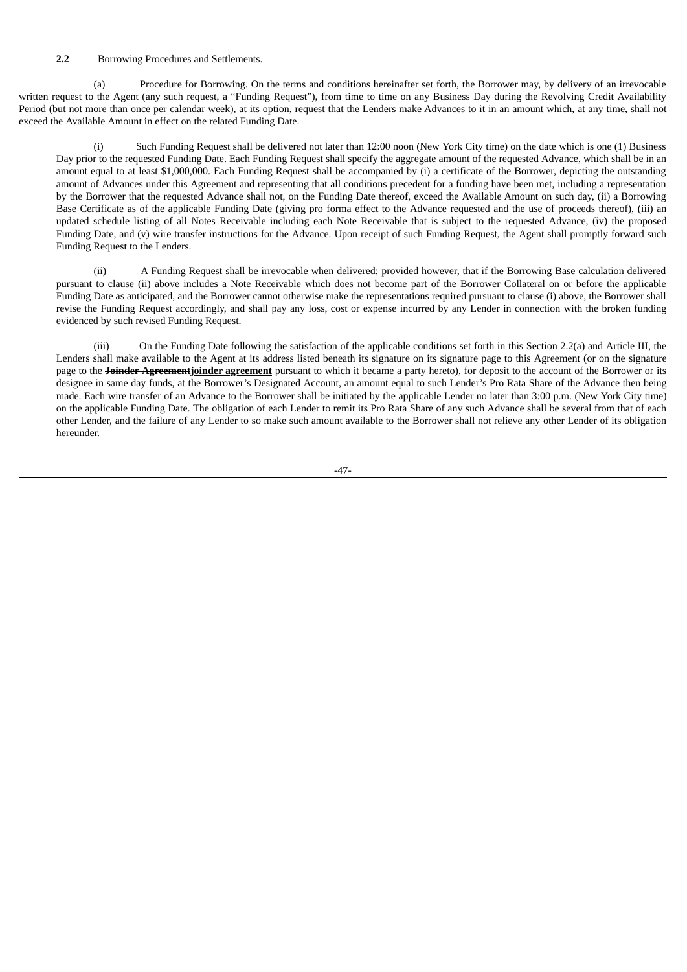#### **2.2** Borrowing Procedures and Settlements.

(a) Procedure for Borrowing. On the terms and conditions hereinafter set forth, the Borrower may, by delivery of an irrevocable written request to the Agent (any such request, a "Funding Request"), from time to time on any Business Day during the Revolving Credit Availability Period (but not more than once per calendar week), at its option, request that the Lenders make Advances to it in an amount which, at any time, shall not exceed the Available Amount in effect on the related Funding Date.

(i) Such Funding Request shall be delivered not later than 12:00 noon (New York City time) on the date which is one (1) Business Day prior to the requested Funding Date. Each Funding Request shall specify the aggregate amount of the requested Advance, which shall be in an amount equal to at least \$1,000,000. Each Funding Request shall be accompanied by (i) a certificate of the Borrower, depicting the outstanding amount of Advances under this Agreement and representing that all conditions precedent for a funding have been met, including a representation by the Borrower that the requested Advance shall not, on the Funding Date thereof, exceed the Available Amount on such day, (ii) a Borrowing Base Certificate as of the applicable Funding Date (giving pro forma effect to the Advance requested and the use of proceeds thereof), (iii) an updated schedule listing of all Notes Receivable including each Note Receivable that is subject to the requested Advance, (iv) the proposed Funding Date, and (v) wire transfer instructions for the Advance. Upon receipt of such Funding Request, the Agent shall promptly forward such Funding Request to the Lenders.

(ii) A Funding Request shall be irrevocable when delivered; provided however, that if the Borrowing Base calculation delivered pursuant to clause (ii) above includes a Note Receivable which does not become part of the Borrower Collateral on or before the applicable Funding Date as anticipated, and the Borrower cannot otherwise make the representations required pursuant to clause (i) above, the Borrower shall revise the Funding Request accordingly, and shall pay any loss, cost or expense incurred by any Lender in connection with the broken funding evidenced by such revised Funding Request.

(iii) On the Funding Date following the satisfaction of the applicable conditions set forth in this Section 2.2(a) and Article III, the Lenders shall make available to the Agent at its address listed beneath its signature on its signature page to this Agreement (or on the signature page to the **Joinder Agreementjoinder agreement** pursuant to which it became a party hereto), for deposit to the account of the Borrower or its designee in same day funds, at the Borrower's Designated Account, an amount equal to such Lender's Pro Rata Share of the Advance then being made. Each wire transfer of an Advance to the Borrower shall be initiated by the applicable Lender no later than 3:00 p.m. (New York City time) on the applicable Funding Date. The obligation of each Lender to remit its Pro Rata Share of any such Advance shall be several from that of each other Lender, and the failure of any Lender to so make such amount available to the Borrower shall not relieve any other Lender of its obligation hereunder.

-47-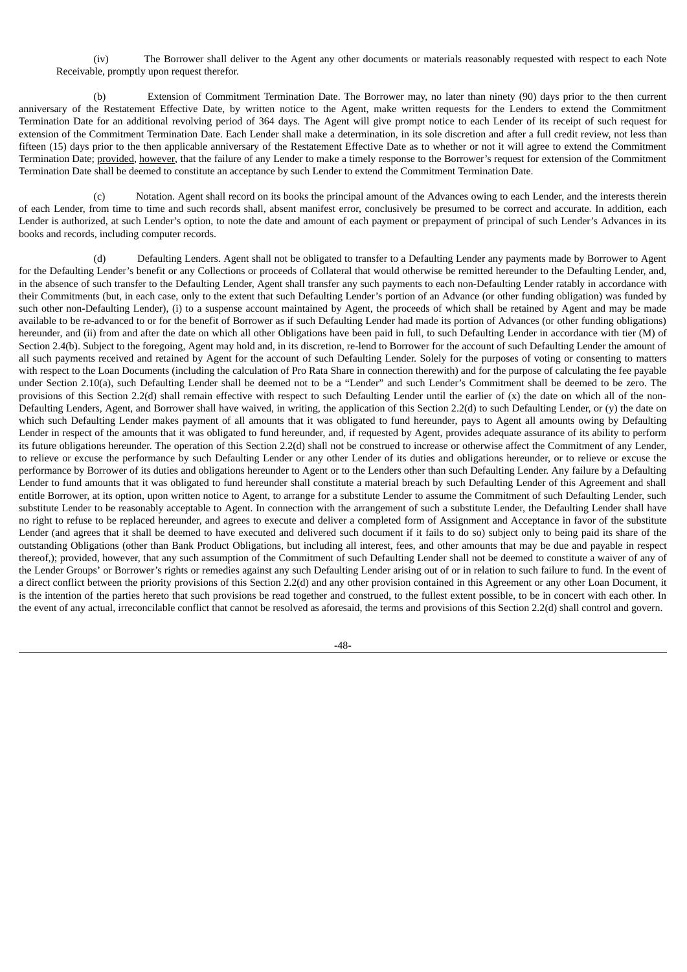# (iv) The Borrower shall deliver to the Agent any other documents or materials reasonably requested with respect to each Note Receivable, promptly upon request therefor.

(b) Extension of Commitment Termination Date. The Borrower may, no later than ninety (90) days prior to the then current anniversary of the Restatement Effective Date, by written notice to the Agent, make written requests for the Lenders to extend the Commitment Termination Date for an additional revolving period of 364 days. The Agent will give prompt notice to each Lender of its receipt of such request for extension of the Commitment Termination Date. Each Lender shall make a determination, in its sole discretion and after a full credit review, not less than fifteen (15) days prior to the then applicable anniversary of the Restatement Effective Date as to whether or not it will agree to extend the Commitment Termination Date; provided, however, that the failure of any Lender to make a timely response to the Borrower's request for extension of the Commitment Termination Date shall be deemed to constitute an acceptance by such Lender to extend the Commitment Termination Date.

(c) Notation. Agent shall record on its books the principal amount of the Advances owing to each Lender, and the interests therein of each Lender, from time to time and such records shall, absent manifest error, conclusively be presumed to be correct and accurate. In addition, each Lender is authorized, at such Lender's option, to note the date and amount of each payment or prepayment of principal of such Lender's Advances in its books and records, including computer records.

(d) Defaulting Lenders. Agent shall not be obligated to transfer to a Defaulting Lender any payments made by Borrower to Agent for the Defaulting Lender's benefit or any Collections or proceeds of Collateral that would otherwise be remitted hereunder to the Defaulting Lender, and, in the absence of such transfer to the Defaulting Lender, Agent shall transfer any such payments to each non-Defaulting Lender ratably in accordance with their Commitments (but, in each case, only to the extent that such Defaulting Lender's portion of an Advance (or other funding obligation) was funded by such other non-Defaulting Lender), (i) to a suspense account maintained by Agent, the proceeds of which shall be retained by Agent and may be made available to be re-advanced to or for the benefit of Borrower as if such Defaulting Lender had made its portion of Advances (or other funding obligations) hereunder, and (ii) from and after the date on which all other Obligations have been paid in full, to such Defaulting Lender in accordance with tier (M) of Section 2.4(b). Subject to the foregoing, Agent may hold and, in its discretion, re-lend to Borrower for the account of such Defaulting Lender the amount of all such payments received and retained by Agent for the account of such Defaulting Lender. Solely for the purposes of voting or consenting to matters with respect to the Loan Documents (including the calculation of Pro Rata Share in connection therewith) and for the purpose of calculating the fee payable under Section 2.10(a), such Defaulting Lender shall be deemed not to be a "Lender" and such Lender's Commitment shall be deemed to be zero. The provisions of this Section 2.2(d) shall remain effective with respect to such Defaulting Lender until the earlier of (x) the date on which all of the non-Defaulting Lenders, Agent, and Borrower shall have waived, in writing, the application of this Section 2.2(d) to such Defaulting Lender, or (y) the date on which such Defaulting Lender makes payment of all amounts that it was obligated to fund hereunder, pays to Agent all amounts owing by Defaulting Lender in respect of the amounts that it was obligated to fund hereunder, and, if requested by Agent, provides adequate assurance of its ability to perform its future obligations hereunder. The operation of this Section 2.2(d) shall not be construed to increase or otherwise affect the Commitment of any Lender, to relieve or excuse the performance by such Defaulting Lender or any other Lender of its duties and obligations hereunder, or to relieve or excuse the performance by Borrower of its duties and obligations hereunder to Agent or to the Lenders other than such Defaulting Lender. Any failure by a Defaulting Lender to fund amounts that it was obligated to fund hereunder shall constitute a material breach by such Defaulting Lender of this Agreement and shall entitle Borrower, at its option, upon written notice to Agent, to arrange for a substitute Lender to assume the Commitment of such Defaulting Lender, such substitute Lender to be reasonably acceptable to Agent. In connection with the arrangement of such a substitute Lender, the Defaulting Lender shall have no right to refuse to be replaced hereunder, and agrees to execute and deliver a completed form of Assignment and Acceptance in favor of the substitute Lender (and agrees that it shall be deemed to have executed and delivered such document if it fails to do so) subject only to being paid its share of the outstanding Obligations (other than Bank Product Obligations, but including all interest, fees, and other amounts that may be due and payable in respect thereof,); provided, however, that any such assumption of the Commitment of such Defaulting Lender shall not be deemed to constitute a waiver of any of the Lender Groups' or Borrower's rights or remedies against any such Defaulting Lender arising out of or in relation to such failure to fund. In the event of a direct conflict between the priority provisions of this Section 2.2(d) and any other provision contained in this Agreement or any other Loan Document, it is the intention of the parties hereto that such provisions be read together and construed, to the fullest extent possible, to be in concert with each other. In the event of any actual, irreconcilable conflict that cannot be resolved as aforesaid, the terms and provisions of this Section 2.2(d) shall control and govern.

 $-48$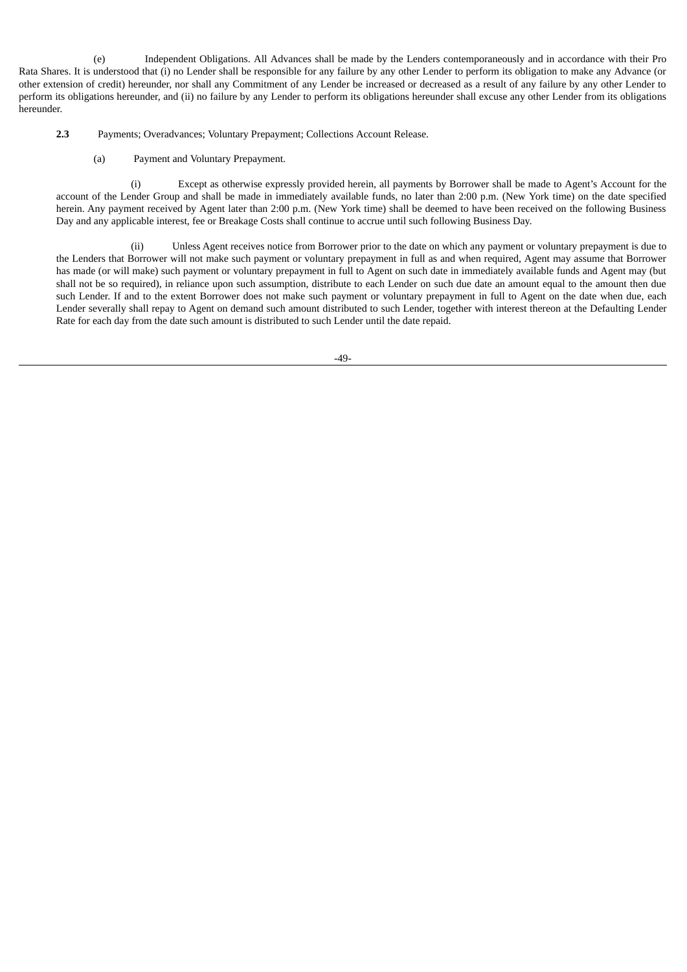(e) Independent Obligations. All Advances shall be made by the Lenders contemporaneously and in accordance with their Pro Rata Shares. It is understood that (i) no Lender shall be responsible for any failure by any other Lender to perform its obligation to make any Advance (or other extension of credit) hereunder, nor shall any Commitment of any Lender be increased or decreased as a result of any failure by any other Lender to perform its obligations hereunder, and (ii) no failure by any Lender to perform its obligations hereunder shall excuse any other Lender from its obligations hereunder.

**2.3** Payments; Overadvances; Voluntary Prepayment; Collections Account Release.

(a) Payment and Voluntary Prepayment.

(i) Except as otherwise expressly provided herein, all payments by Borrower shall be made to Agent's Account for the account of the Lender Group and shall be made in immediately available funds, no later than 2:00 p.m. (New York time) on the date specified herein. Any payment received by Agent later than 2:00 p.m. (New York time) shall be deemed to have been received on the following Business Day and any applicable interest, fee or Breakage Costs shall continue to accrue until such following Business Day.

(ii) Unless Agent receives notice from Borrower prior to the date on which any payment or voluntary prepayment is due to the Lenders that Borrower will not make such payment or voluntary prepayment in full as and when required, Agent may assume that Borrower has made (or will make) such payment or voluntary prepayment in full to Agent on such date in immediately available funds and Agent may (but shall not be so required), in reliance upon such assumption, distribute to each Lender on such due date an amount equal to the amount then due such Lender. If and to the extent Borrower does not make such payment or voluntary prepayment in full to Agent on the date when due, each Lender severally shall repay to Agent on demand such amount distributed to such Lender, together with interest thereon at the Defaulting Lender Rate for each day from the date such amount is distributed to such Lender until the date repaid.

-49-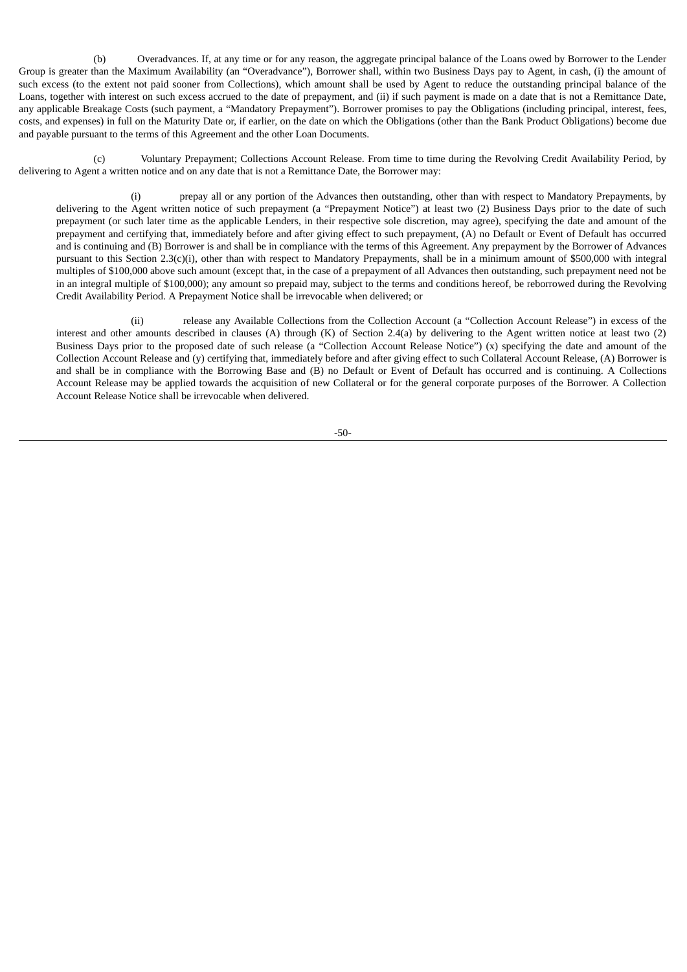(b) Overadvances. If, at any time or for any reason, the aggregate principal balance of the Loans owed by Borrower to the Lender Group is greater than the Maximum Availability (an "Overadvance"), Borrower shall, within two Business Days pay to Agent, in cash, (i) the amount of such excess (to the extent not paid sooner from Collections), which amount shall be used by Agent to reduce the outstanding principal balance of the Loans, together with interest on such excess accrued to the date of prepayment, and (ii) if such payment is made on a date that is not a Remittance Date, any applicable Breakage Costs (such payment, a "Mandatory Prepayment"). Borrower promises to pay the Obligations (including principal, interest, fees, costs, and expenses) in full on the Maturity Date or, if earlier, on the date on which the Obligations (other than the Bank Product Obligations) become due and payable pursuant to the terms of this Agreement and the other Loan Documents.

(c) Voluntary Prepayment; Collections Account Release. From time to time during the Revolving Credit Availability Period, by delivering to Agent a written notice and on any date that is not a Remittance Date, the Borrower may:

(i) prepay all or any portion of the Advances then outstanding, other than with respect to Mandatory Prepayments, by delivering to the Agent written notice of such prepayment (a "Prepayment Notice") at least two (2) Business Days prior to the date of such prepayment (or such later time as the applicable Lenders, in their respective sole discretion, may agree), specifying the date and amount of the prepayment and certifying that, immediately before and after giving effect to such prepayment, (A) no Default or Event of Default has occurred and is continuing and (B) Borrower is and shall be in compliance with the terms of this Agreement. Any prepayment by the Borrower of Advances pursuant to this Section 2.3(c)(i), other than with respect to Mandatory Prepayments, shall be in a minimum amount of \$500,000 with integral multiples of \$100,000 above such amount (except that, in the case of a prepayment of all Advances then outstanding, such prepayment need not be in an integral multiple of \$100,000); any amount so prepaid may, subject to the terms and conditions hereof, be reborrowed during the Revolving Credit Availability Period. A Prepayment Notice shall be irrevocable when delivered; or

(ii) release any Available Collections from the Collection Account (a "Collection Account Release") in excess of the interest and other amounts described in clauses (A) through (K) of Section 2.4(a) by delivering to the Agent written notice at least two (2) Business Days prior to the proposed date of such release (a "Collection Account Release Notice") (x) specifying the date and amount of the Collection Account Release and (y) certifying that, immediately before and after giving effect to such Collateral Account Release, (A) Borrower is and shall be in compliance with the Borrowing Base and (B) no Default or Event of Default has occurred and is continuing. A Collections Account Release may be applied towards the acquisition of new Collateral or for the general corporate purposes of the Borrower. A Collection Account Release Notice shall be irrevocable when delivered.

-50-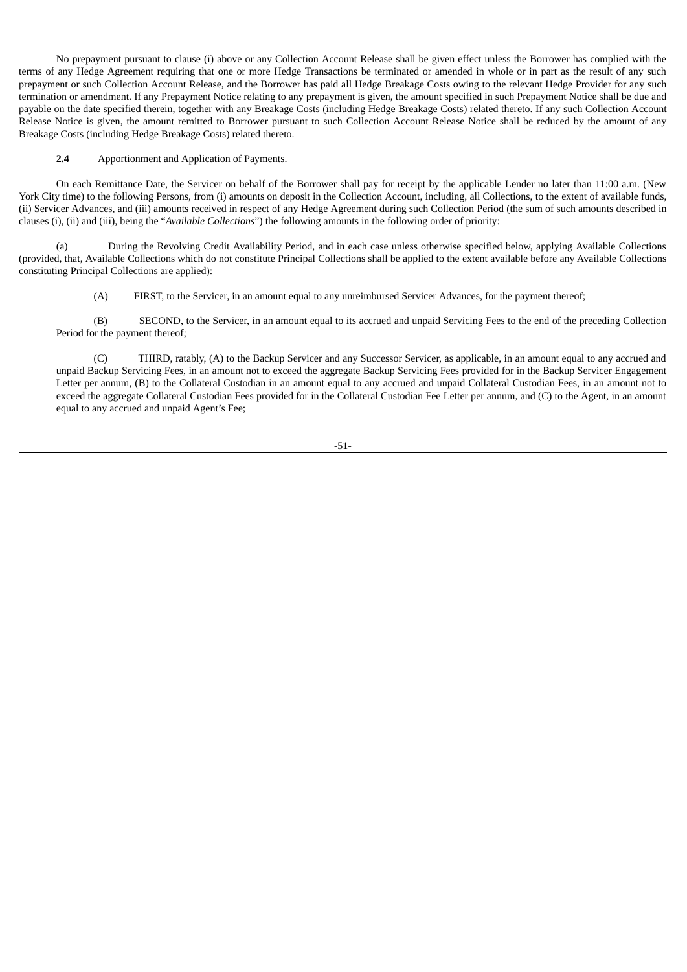No prepayment pursuant to clause (i) above or any Collection Account Release shall be given effect unless the Borrower has complied with the terms of any Hedge Agreement requiring that one or more Hedge Transactions be terminated or amended in whole or in part as the result of any such prepayment or such Collection Account Release, and the Borrower has paid all Hedge Breakage Costs owing to the relevant Hedge Provider for any such termination or amendment. If any Prepayment Notice relating to any prepayment is given, the amount specified in such Prepayment Notice shall be due and payable on the date specified therein, together with any Breakage Costs (including Hedge Breakage Costs) related thereto. If any such Collection Account Release Notice is given, the amount remitted to Borrower pursuant to such Collection Account Release Notice shall be reduced by the amount of any Breakage Costs (including Hedge Breakage Costs) related thereto.

**2.4** Apportionment and Application of Payments.

On each Remittance Date, the Servicer on behalf of the Borrower shall pay for receipt by the applicable Lender no later than 11:00 a.m. (New York City time) to the following Persons, from (i) amounts on deposit in the Collection Account, including, all Collections, to the extent of available funds, (ii) Servicer Advances, and (iii) amounts received in respect of any Hedge Agreement during such Collection Period (the sum of such amounts described in clauses (i), (ii) and (iii), being the "*Available Collections*") the following amounts in the following order of priority:

(a) During the Revolving Credit Availability Period, and in each case unless otherwise specified below, applying Available Collections (provided, that, Available Collections which do not constitute Principal Collections shall be applied to the extent available before any Available Collections constituting Principal Collections are applied):

(A) FIRST, to the Servicer, in an amount equal to any unreimbursed Servicer Advances, for the payment thereof;

(B) SECOND, to the Servicer, in an amount equal to its accrued and unpaid Servicing Fees to the end of the preceding Collection Period for the payment thereof;

(C) THIRD, ratably, (A) to the Backup Servicer and any Successor Servicer, as applicable, in an amount equal to any accrued and unpaid Backup Servicing Fees, in an amount not to exceed the aggregate Backup Servicing Fees provided for in the Backup Servicer Engagement Letter per annum, (B) to the Collateral Custodian in an amount equal to any accrued and unpaid Collateral Custodian Fees, in an amount not to exceed the aggregate Collateral Custodian Fees provided for in the Collateral Custodian Fee Letter per annum, and (C) to the Agent, in an amount equal to any accrued and unpaid Agent's Fee;

-51-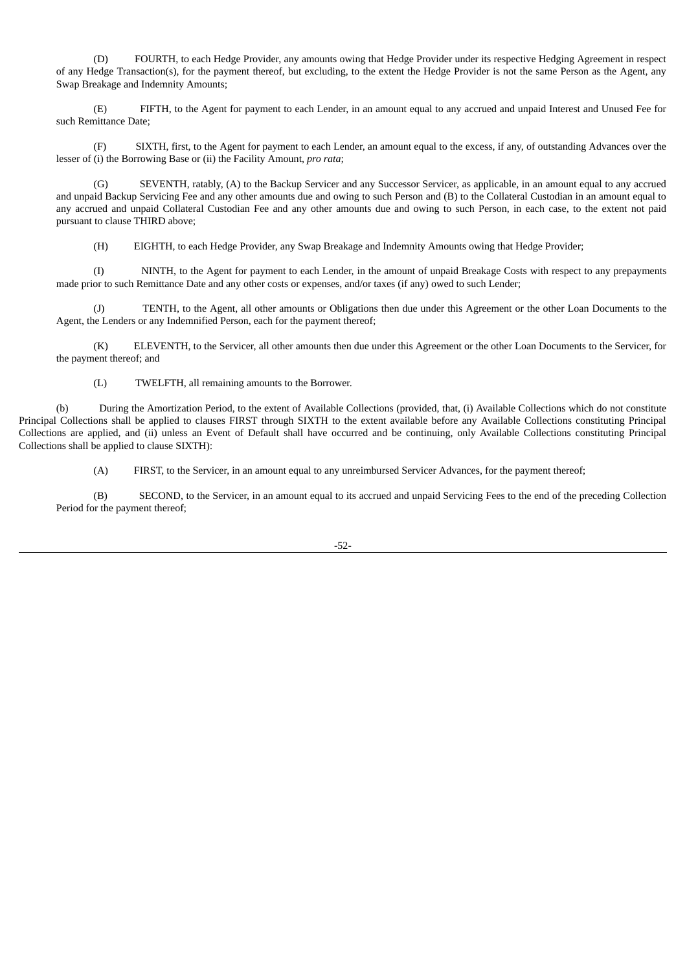(D) FOURTH, to each Hedge Provider, any amounts owing that Hedge Provider under its respective Hedging Agreement in respect of any Hedge Transaction(s), for the payment thereof, but excluding, to the extent the Hedge Provider is not the same Person as the Agent, any Swap Breakage and Indemnity Amounts;

(E) FIFTH, to the Agent for payment to each Lender, in an amount equal to any accrued and unpaid Interest and Unused Fee for such Remittance Date;

(F) SIXTH, first, to the Agent for payment to each Lender, an amount equal to the excess, if any, of outstanding Advances over the lesser of (i) the Borrowing Base or (ii) the Facility Amount, *pro rata*;

(G) SEVENTH, ratably, (A) to the Backup Servicer and any Successor Servicer, as applicable, in an amount equal to any accrued and unpaid Backup Servicing Fee and any other amounts due and owing to such Person and (B) to the Collateral Custodian in an amount equal to any accrued and unpaid Collateral Custodian Fee and any other amounts due and owing to such Person, in each case, to the extent not paid pursuant to clause THIRD above;

(H) EIGHTH, to each Hedge Provider, any Swap Breakage and Indemnity Amounts owing that Hedge Provider;

(I) NINTH, to the Agent for payment to each Lender, in the amount of unpaid Breakage Costs with respect to any prepayments made prior to such Remittance Date and any other costs or expenses, and/or taxes (if any) owed to such Lender;

(J) TENTH, to the Agent, all other amounts or Obligations then due under this Agreement or the other Loan Documents to the Agent, the Lenders or any Indemnified Person, each for the payment thereof;

(K) ELEVENTH, to the Servicer, all other amounts then due under this Agreement or the other Loan Documents to the Servicer, for the payment thereof; and

(L) TWELFTH, all remaining amounts to the Borrower.

(b) During the Amortization Period, to the extent of Available Collections (provided, that, (i) Available Collections which do not constitute Principal Collections shall be applied to clauses FIRST through SIXTH to the extent available before any Available Collections constituting Principal Collections are applied, and (ii) unless an Event of Default shall have occurred and be continuing, only Available Collections constituting Principal Collections shall be applied to clause SIXTH):

(A) FIRST, to the Servicer, in an amount equal to any unreimbursed Servicer Advances, for the payment thereof;

(B) SECOND, to the Servicer, in an amount equal to its accrued and unpaid Servicing Fees to the end of the preceding Collection Period for the payment thereof;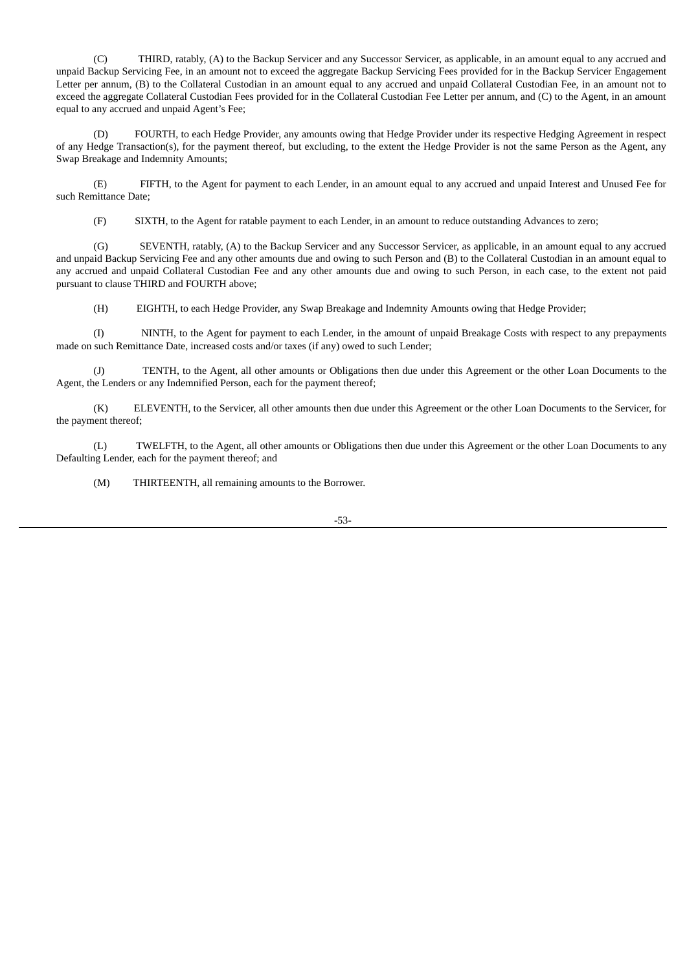(C) THIRD, ratably, (A) to the Backup Servicer and any Successor Servicer, as applicable, in an amount equal to any accrued and unpaid Backup Servicing Fee, in an amount not to exceed the aggregate Backup Servicing Fees provided for in the Backup Servicer Engagement Letter per annum, (B) to the Collateral Custodian in an amount equal to any accrued and unpaid Collateral Custodian Fee, in an amount not to exceed the aggregate Collateral Custodian Fees provided for in the Collateral Custodian Fee Letter per annum, and (C) to the Agent, in an amount equal to any accrued and unpaid Agent's Fee;

(D) FOURTH, to each Hedge Provider, any amounts owing that Hedge Provider under its respective Hedging Agreement in respect of any Hedge Transaction(s), for the payment thereof, but excluding, to the extent the Hedge Provider is not the same Person as the Agent, any Swap Breakage and Indemnity Amounts;

(E) FIFTH, to the Agent for payment to each Lender, in an amount equal to any accrued and unpaid Interest and Unused Fee for such Remittance Date;

(F) SIXTH, to the Agent for ratable payment to each Lender, in an amount to reduce outstanding Advances to zero;

(G) SEVENTH, ratably, (A) to the Backup Servicer and any Successor Servicer, as applicable, in an amount equal to any accrued and unpaid Backup Servicing Fee and any other amounts due and owing to such Person and (B) to the Collateral Custodian in an amount equal to any accrued and unpaid Collateral Custodian Fee and any other amounts due and owing to such Person, in each case, to the extent not paid pursuant to clause THIRD and FOURTH above;

(H) EIGHTH, to each Hedge Provider, any Swap Breakage and Indemnity Amounts owing that Hedge Provider;

(I) NINTH, to the Agent for payment to each Lender, in the amount of unpaid Breakage Costs with respect to any prepayments made on such Remittance Date, increased costs and/or taxes (if any) owed to such Lender;

(J) TENTH, to the Agent, all other amounts or Obligations then due under this Agreement or the other Loan Documents to the Agent, the Lenders or any Indemnified Person, each for the payment thereof;

(K) ELEVENTH, to the Servicer, all other amounts then due under this Agreement or the other Loan Documents to the Servicer, for the payment thereof;

(L) TWELFTH, to the Agent, all other amounts or Obligations then due under this Agreement or the other Loan Documents to any Defaulting Lender, each for the payment thereof; and

(M) THIRTEENTH, all remaining amounts to the Borrower.

-53-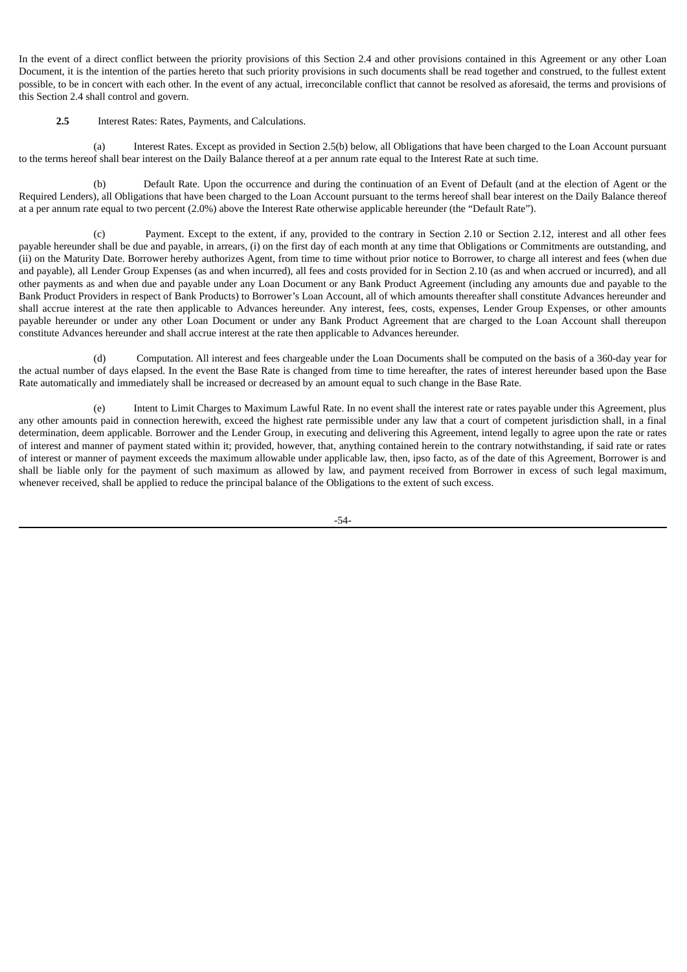In the event of a direct conflict between the priority provisions of this Section 2.4 and other provisions contained in this Agreement or any other Loan Document, it is the intention of the parties hereto that such priority provisions in such documents shall be read together and construed, to the fullest extent possible, to be in concert with each other. In the event of any actual, irreconcilable conflict that cannot be resolved as aforesaid, the terms and provisions of this Section 2.4 shall control and govern.

# **2.5** Interest Rates: Rates, Payments, and Calculations.

(a) Interest Rates. Except as provided in Section 2.5(b) below, all Obligations that have been charged to the Loan Account pursuant to the terms hereof shall bear interest on the Daily Balance thereof at a per annum rate equal to the Interest Rate at such time.

(b) Default Rate. Upon the occurrence and during the continuation of an Event of Default (and at the election of Agent or the Required Lenders), all Obligations that have been charged to the Loan Account pursuant to the terms hereof shall bear interest on the Daily Balance thereof at a per annum rate equal to two percent (2.0%) above the Interest Rate otherwise applicable hereunder (the "Default Rate").

(c) Payment. Except to the extent, if any, provided to the contrary in Section 2.10 or Section 2.12, interest and all other fees payable hereunder shall be due and payable, in arrears, (i) on the first day of each month at any time that Obligations or Commitments are outstanding, and (ii) on the Maturity Date. Borrower hereby authorizes Agent, from time to time without prior notice to Borrower, to charge all interest and fees (when due and payable), all Lender Group Expenses (as and when incurred), all fees and costs provided for in Section 2.10 (as and when accrued or incurred), and all other payments as and when due and payable under any Loan Document or any Bank Product Agreement (including any amounts due and payable to the Bank Product Providers in respect of Bank Products) to Borrower's Loan Account, all of which amounts thereafter shall constitute Advances hereunder and shall accrue interest at the rate then applicable to Advances hereunder. Any interest, fees, costs, expenses, Lender Group Expenses, or other amounts payable hereunder or under any other Loan Document or under any Bank Product Agreement that are charged to the Loan Account shall thereupon constitute Advances hereunder and shall accrue interest at the rate then applicable to Advances hereunder.

(d) Computation. All interest and fees chargeable under the Loan Documents shall be computed on the basis of a 360-day year for the actual number of days elapsed. In the event the Base Rate is changed from time to time hereafter, the rates of interest hereunder based upon the Base Rate automatically and immediately shall be increased or decreased by an amount equal to such change in the Base Rate.

(e) Intent to Limit Charges to Maximum Lawful Rate. In no event shall the interest rate or rates payable under this Agreement, plus any other amounts paid in connection herewith, exceed the highest rate permissible under any law that a court of competent jurisdiction shall, in a final determination, deem applicable. Borrower and the Lender Group, in executing and delivering this Agreement, intend legally to agree upon the rate or rates of interest and manner of payment stated within it; provided, however, that, anything contained herein to the contrary notwithstanding, if said rate or rates of interest or manner of payment exceeds the maximum allowable under applicable law, then, ipso facto*,* as of the date of this Agreement, Borrower is and shall be liable only for the payment of such maximum as allowed by law, and payment received from Borrower in excess of such legal maximum, whenever received, shall be applied to reduce the principal balance of the Obligations to the extent of such excess.

-54-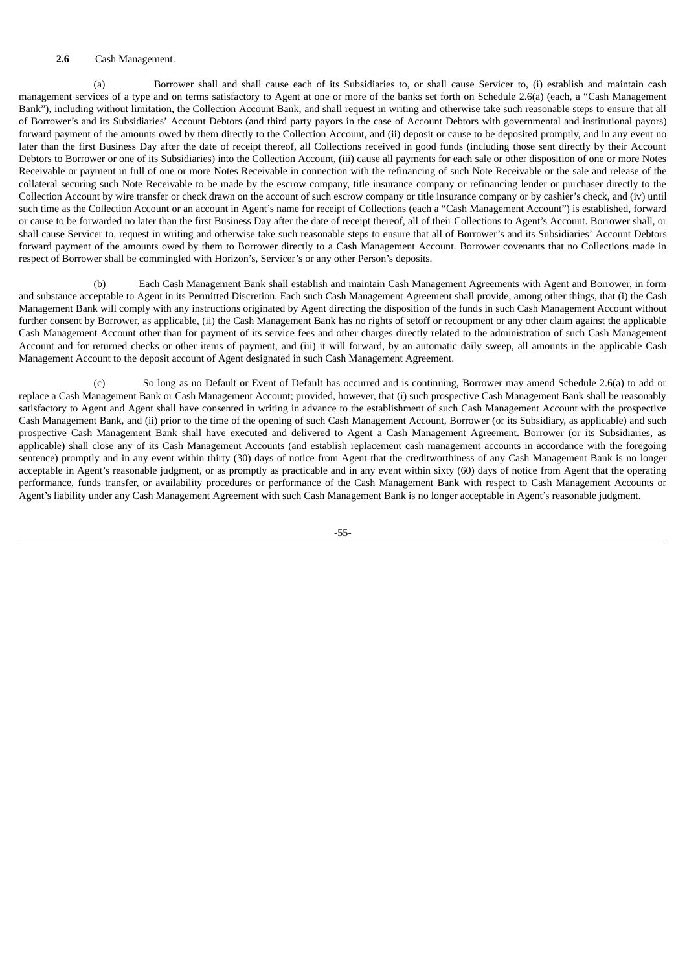#### **2.6** Cash Management.

(a) Borrower shall and shall cause each of its Subsidiaries to, or shall cause Servicer to, (i) establish and maintain cash management services of a type and on terms satisfactory to Agent at one or more of the banks set forth on Schedule 2.6(a) (each, a "Cash Management Bank"), including without limitation, the Collection Account Bank, and shall request in writing and otherwise take such reasonable steps to ensure that all of Borrower's and its Subsidiaries' Account Debtors (and third party payors in the case of Account Debtors with governmental and institutional payors) forward payment of the amounts owed by them directly to the Collection Account, and (ii) deposit or cause to be deposited promptly, and in any event no later than the first Business Day after the date of receipt thereof, all Collections received in good funds (including those sent directly by their Account Debtors to Borrower or one of its Subsidiaries) into the Collection Account, (iii) cause all payments for each sale or other disposition of one or more Notes Receivable or payment in full of one or more Notes Receivable in connection with the refinancing of such Note Receivable or the sale and release of the collateral securing such Note Receivable to be made by the escrow company, title insurance company or refinancing lender or purchaser directly to the Collection Account by wire transfer or check drawn on the account of such escrow company or title insurance company or by cashier's check, and (iv) until such time as the Collection Account or an account in Agent's name for receipt of Collections (each a "Cash Management Account") is established, forward or cause to be forwarded no later than the first Business Day after the date of receipt thereof, all of their Collections to Agent's Account. Borrower shall, or shall cause Servicer to, request in writing and otherwise take such reasonable steps to ensure that all of Borrower's and its Subsidiaries' Account Debtors forward payment of the amounts owed by them to Borrower directly to a Cash Management Account. Borrower covenants that no Collections made in respect of Borrower shall be commingled with Horizon's, Servicer's or any other Person's deposits.

Each Cash Management Bank shall establish and maintain Cash Management Agreements with Agent and Borrower, in form and substance acceptable to Agent in its Permitted Discretion. Each such Cash Management Agreement shall provide, among other things, that (i) the Cash Management Bank will comply with any instructions originated by Agent directing the disposition of the funds in such Cash Management Account without further consent by Borrower, as applicable, (ii) the Cash Management Bank has no rights of setoff or recoupment or any other claim against the applicable Cash Management Account other than for payment of its service fees and other charges directly related to the administration of such Cash Management Account and for returned checks or other items of payment, and (iii) it will forward, by an automatic daily sweep, all amounts in the applicable Cash Management Account to the deposit account of Agent designated in such Cash Management Agreement.

(c) So long as no Default or Event of Default has occurred and is continuing, Borrower may amend Schedule 2.6(a) to add or replace a Cash Management Bank or Cash Management Account; provided, however, that (i) such prospective Cash Management Bank shall be reasonably satisfactory to Agent and Agent shall have consented in writing in advance to the establishment of such Cash Management Account with the prospective Cash Management Bank, and (ii) prior to the time of the opening of such Cash Management Account, Borrower (or its Subsidiary, as applicable) and such prospective Cash Management Bank shall have executed and delivered to Agent a Cash Management Agreement. Borrower (or its Subsidiaries, as applicable) shall close any of its Cash Management Accounts (and establish replacement cash management accounts in accordance with the foregoing sentence) promptly and in any event within thirty (30) days of notice from Agent that the creditworthiness of any Cash Management Bank is no longer acceptable in Agent's reasonable judgment, or as promptly as practicable and in any event within sixty (60) days of notice from Agent that the operating performance, funds transfer, or availability procedures or performance of the Cash Management Bank with respect to Cash Management Accounts or Agent's liability under any Cash Management Agreement with such Cash Management Bank is no longer acceptable in Agent's reasonable judgment.

-55-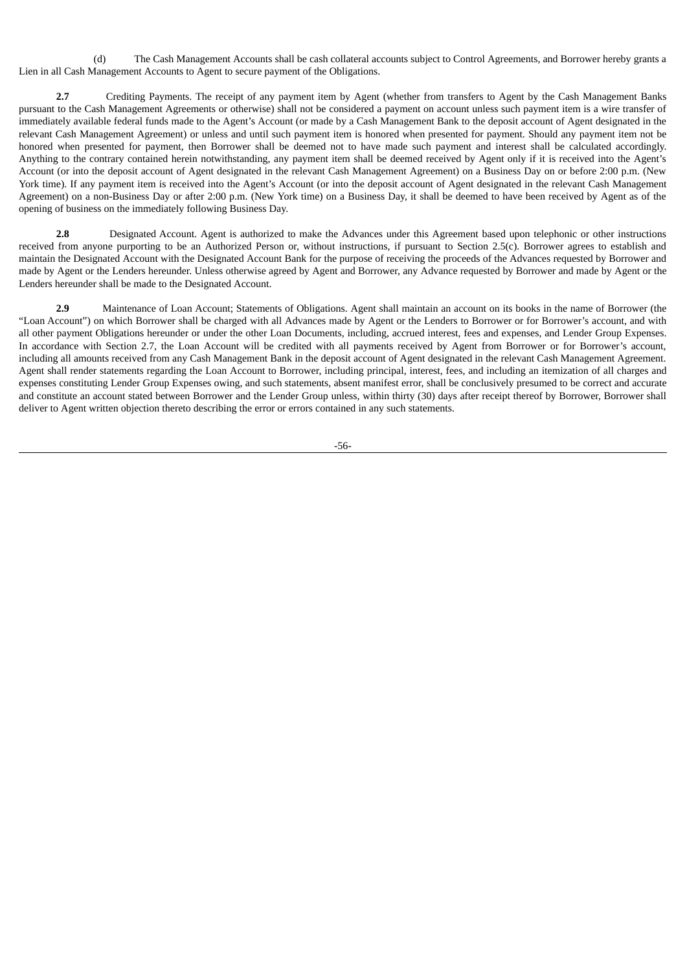(d) The Cash Management Accounts shall be cash collateral accounts subject to Control Agreements, and Borrower hereby grants a Lien in all Cash Management Accounts to Agent to secure payment of the Obligations.

**2.7** Crediting Payments. The receipt of any payment item by Agent (whether from transfers to Agent by the Cash Management Banks pursuant to the Cash Management Agreements or otherwise) shall not be considered a payment on account unless such payment item is a wire transfer of immediately available federal funds made to the Agent's Account (or made by a Cash Management Bank to the deposit account of Agent designated in the relevant Cash Management Agreement) or unless and until such payment item is honored when presented for payment. Should any payment item not be honored when presented for payment, then Borrower shall be deemed not to have made such payment and interest shall be calculated accordingly. Anything to the contrary contained herein notwithstanding, any payment item shall be deemed received by Agent only if it is received into the Agent's Account (or into the deposit account of Agent designated in the relevant Cash Management Agreement) on a Business Day on or before 2:00 p.m. (New York time). If any payment item is received into the Agent's Account (or into the deposit account of Agent designated in the relevant Cash Management Agreement) on a non-Business Day or after 2:00 p.m. (New York time) on a Business Day, it shall be deemed to have been received by Agent as of the opening of business on the immediately following Business Day.

**2.8** Designated Account. Agent is authorized to make the Advances under this Agreement based upon telephonic or other instructions received from anyone purporting to be an Authorized Person or, without instructions, if pursuant to Section 2.5(c). Borrower agrees to establish and maintain the Designated Account with the Designated Account Bank for the purpose of receiving the proceeds of the Advances requested by Borrower and made by Agent or the Lenders hereunder. Unless otherwise agreed by Agent and Borrower, any Advance requested by Borrower and made by Agent or the Lenders hereunder shall be made to the Designated Account.

**2.9** Maintenance of Loan Account; Statements of Obligations. Agent shall maintain an account on its books in the name of Borrower (the "Loan Account") on which Borrower shall be charged with all Advances made by Agent or the Lenders to Borrower or for Borrower's account, and with all other payment Obligations hereunder or under the other Loan Documents, including, accrued interest, fees and expenses, and Lender Group Expenses. In accordance with Section 2.7, the Loan Account will be credited with all payments received by Agent from Borrower or for Borrower's account, including all amounts received from any Cash Management Bank in the deposit account of Agent designated in the relevant Cash Management Agreement. Agent shall render statements regarding the Loan Account to Borrower, including principal, interest, fees, and including an itemization of all charges and expenses constituting Lender Group Expenses owing, and such statements, absent manifest error, shall be conclusively presumed to be correct and accurate and constitute an account stated between Borrower and the Lender Group unless, within thirty (30) days after receipt thereof by Borrower, Borrower shall deliver to Agent written objection thereto describing the error or errors contained in any such statements.

-56-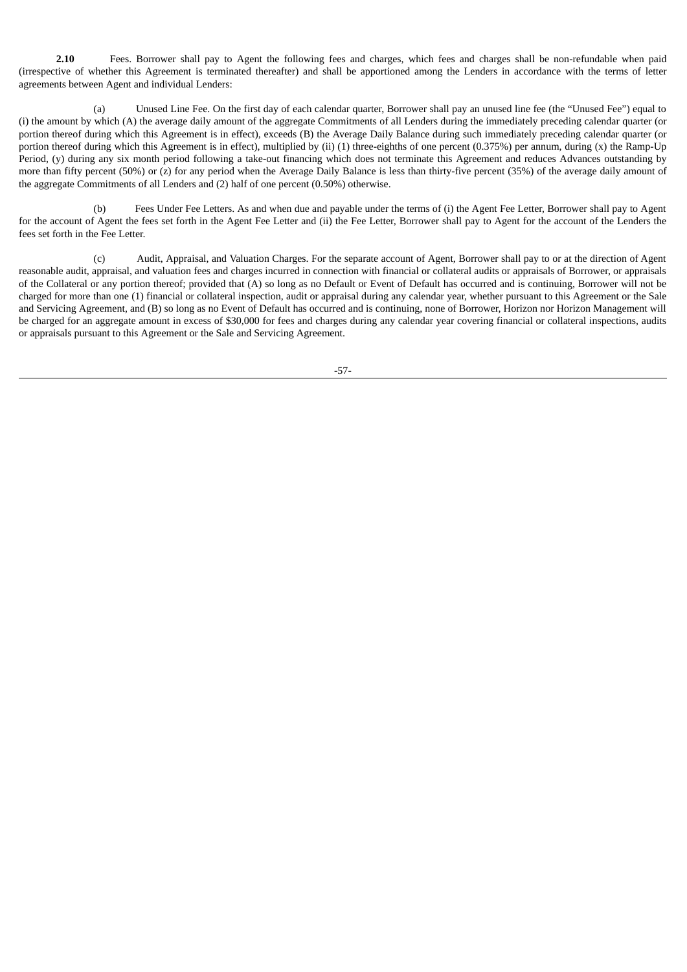**2.10** Fees. Borrower shall pay to Agent the following fees and charges, which fees and charges shall be non-refundable when paid (irrespective of whether this Agreement is terminated thereafter) and shall be apportioned among the Lenders in accordance with the terms of letter agreements between Agent and individual Lenders:

(a) Unused Line Fee. On the first day of each calendar quarter, Borrower shall pay an unused line fee (the "Unused Fee") equal to (i) the amount by which (A) the average daily amount of the aggregate Commitments of all Lenders during the immediately preceding calendar quarter (or portion thereof during which this Agreement is in effect), exceeds (B) the Average Daily Balance during such immediately preceding calendar quarter (or portion thereof during which this Agreement is in effect), multiplied by (ii) (1) three-eighths of one percent (0.375%) per annum, during (x) the Ramp-Up Period, (y) during any six month period following a take-out financing which does not terminate this Agreement and reduces Advances outstanding by more than fifty percent (50%) or (z) for any period when the Average Daily Balance is less than thirty-five percent (35%) of the average daily amount of the aggregate Commitments of all Lenders and (2) half of one percent (0.50%) otherwise.

(b) Fees Under Fee Letters. As and when due and payable under the terms of (i) the Agent Fee Letter, Borrower shall pay to Agent for the account of Agent the fees set forth in the Agent Fee Letter and (ii) the Fee Letter, Borrower shall pay to Agent for the account of the Lenders the fees set forth in the Fee Letter.

(c) Audit, Appraisal, and Valuation Charges. For the separate account of Agent, Borrower shall pay to or at the direction of Agent reasonable audit, appraisal, and valuation fees and charges incurred in connection with financial or collateral audits or appraisals of Borrower, or appraisals of the Collateral or any portion thereof; provided that (A) so long as no Default or Event of Default has occurred and is continuing, Borrower will not be charged for more than one (1) financial or collateral inspection, audit or appraisal during any calendar year, whether pursuant to this Agreement or the Sale and Servicing Agreement, and (B) so long as no Event of Default has occurred and is continuing, none of Borrower, Horizon nor Horizon Management will be charged for an aggregate amount in excess of \$30,000 for fees and charges during any calendar year covering financial or collateral inspections, audits or appraisals pursuant to this Agreement or the Sale and Servicing Agreement.

-57-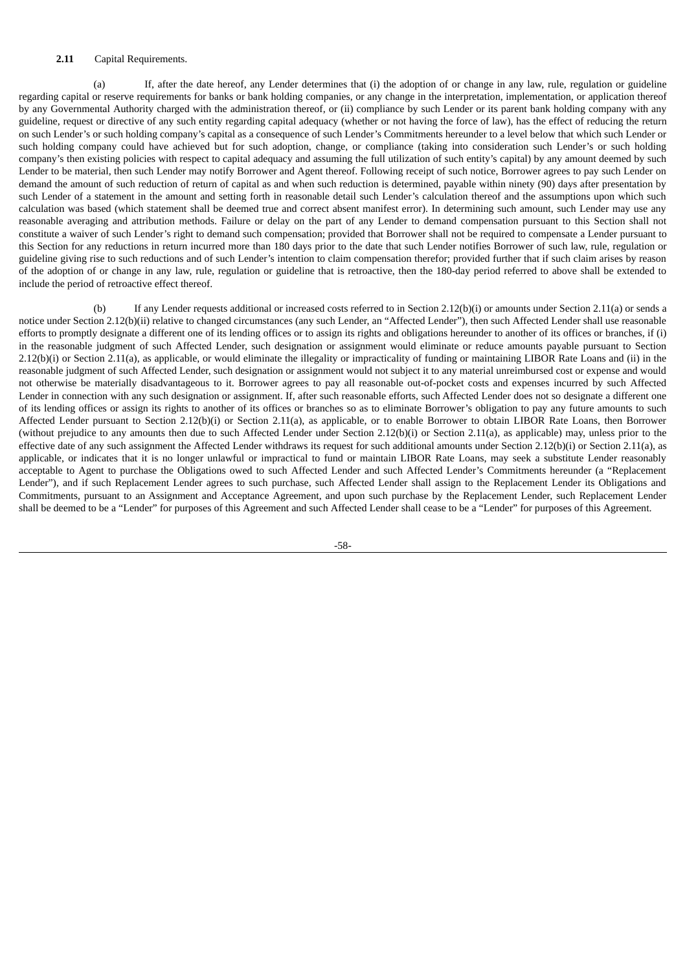#### **2.11** Capital Requirements.

(a) If, after the date hereof, any Lender determines that (i) the adoption of or change in any law, rule, regulation or guideline regarding capital or reserve requirements for banks or bank holding companies, or any change in the interpretation, implementation, or application thereof by any Governmental Authority charged with the administration thereof, or (ii) compliance by such Lender or its parent bank holding company with any guideline, request or directive of any such entity regarding capital adequacy (whether or not having the force of law), has the effect of reducing the return on such Lender's or such holding company's capital as a consequence of such Lender's Commitments hereunder to a level below that which such Lender or such holding company could have achieved but for such adoption, change, or compliance (taking into consideration such Lender's or such holding company's then existing policies with respect to capital adequacy and assuming the full utilization of such entity's capital) by any amount deemed by such Lender to be material, then such Lender may notify Borrower and Agent thereof. Following receipt of such notice, Borrower agrees to pay such Lender on demand the amount of such reduction of return of capital as and when such reduction is determined, payable within ninety (90) days after presentation by such Lender of a statement in the amount and setting forth in reasonable detail such Lender's calculation thereof and the assumptions upon which such calculation was based (which statement shall be deemed true and correct absent manifest error). In determining such amount, such Lender may use any reasonable averaging and attribution methods. Failure or delay on the part of any Lender to demand compensation pursuant to this Section shall not constitute a waiver of such Lender's right to demand such compensation; provided that Borrower shall not be required to compensate a Lender pursuant to this Section for any reductions in return incurred more than 180 days prior to the date that such Lender notifies Borrower of such law, rule, regulation or guideline giving rise to such reductions and of such Lender's intention to claim compensation therefor; provided further that if such claim arises by reason of the adoption of or change in any law, rule, regulation or guideline that is retroactive, then the 180-day period referred to above shall be extended to include the period of retroactive effect thereof.

(b) If any Lender requests additional or increased costs referred to in Section 2.12(b)(i) or amounts under Section 2.11(a) or sends a notice under Section 2.12(b)(ii) relative to changed circumstances (any such Lender, an "Affected Lender"), then such Affected Lender shall use reasonable efforts to promptly designate a different one of its lending offices or to assign its rights and obligations hereunder to another of its offices or branches, if (i) in the reasonable judgment of such Affected Lender, such designation or assignment would eliminate or reduce amounts payable pursuant to Section 2.12(b)(i) or Section 2.11(a), as applicable, or would eliminate the illegality or impracticality of funding or maintaining LIBOR Rate Loans and (ii) in the reasonable judgment of such Affected Lender, such designation or assignment would not subject it to any material unreimbursed cost or expense and would not otherwise be materially disadvantageous to it. Borrower agrees to pay all reasonable out-of-pocket costs and expenses incurred by such Affected Lender in connection with any such designation or assignment. If, after such reasonable efforts, such Affected Lender does not so designate a different one of its lending offices or assign its rights to another of its offices or branches so as to eliminate Borrower's obligation to pay any future amounts to such Affected Lender pursuant to Section 2.12(b)(i) or Section 2.11(a), as applicable, or to enable Borrower to obtain LIBOR Rate Loans, then Borrower (without prejudice to any amounts then due to such Affected Lender under Section 2.12(b)(i) or Section 2.11(a), as applicable) may, unless prior to the effective date of any such assignment the Affected Lender withdraws its request for such additional amounts under Section 2.12(b)(i) or Section 2.11(a), as applicable, or indicates that it is no longer unlawful or impractical to fund or maintain LIBOR Rate Loans, may seek a substitute Lender reasonably acceptable to Agent to purchase the Obligations owed to such Affected Lender and such Affected Lender's Commitments hereunder (a "Replacement Lender"), and if such Replacement Lender agrees to such purchase, such Affected Lender shall assign to the Replacement Lender its Obligations and Commitments, pursuant to an Assignment and Acceptance Agreement, and upon such purchase by the Replacement Lender, such Replacement Lender shall be deemed to be a "Lender" for purposes of this Agreement and such Affected Lender shall cease to be a "Lender" for purposes of this Agreement.

-58-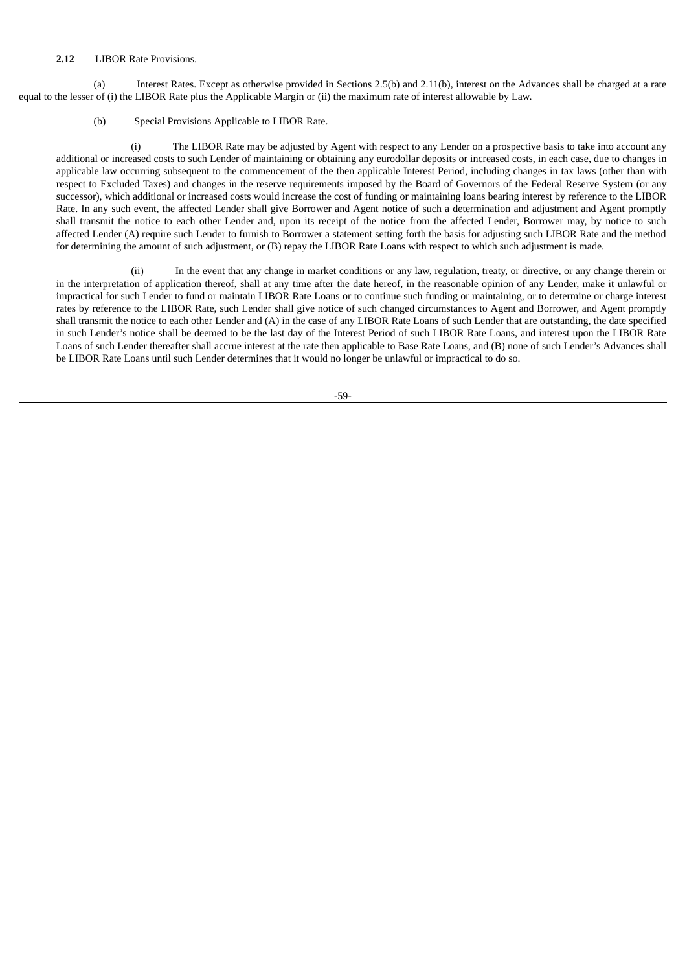#### **2.12** LIBOR Rate Provisions.

(a) Interest Rates. Except as otherwise provided in Sections 2.5(b) and 2.11(b), interest on the Advances shall be charged at a rate equal to the lesser of (i) the LIBOR Rate plus the Applicable Margin or (ii) the maximum rate of interest allowable by Law.

### (b) Special Provisions Applicable to LIBOR Rate.

(i) The LIBOR Rate may be adjusted by Agent with respect to any Lender on a prospective basis to take into account any additional or increased costs to such Lender of maintaining or obtaining any eurodollar deposits or increased costs, in each case, due to changes in applicable law occurring subsequent to the commencement of the then applicable Interest Period, including changes in tax laws (other than with respect to Excluded Taxes) and changes in the reserve requirements imposed by the Board of Governors of the Federal Reserve System (or any successor), which additional or increased costs would increase the cost of funding or maintaining loans bearing interest by reference to the LIBOR Rate. In any such event, the affected Lender shall give Borrower and Agent notice of such a determination and adjustment and Agent promptly shall transmit the notice to each other Lender and, upon its receipt of the notice from the affected Lender, Borrower may, by notice to such affected Lender (A) require such Lender to furnish to Borrower a statement setting forth the basis for adjusting such LIBOR Rate and the method for determining the amount of such adjustment, or (B) repay the LIBOR Rate Loans with respect to which such adjustment is made.

(ii) In the event that any change in market conditions or any law, regulation, treaty, or directive, or any change therein or in the interpretation of application thereof, shall at any time after the date hereof, in the reasonable opinion of any Lender, make it unlawful or impractical for such Lender to fund or maintain LIBOR Rate Loans or to continue such funding or maintaining, or to determine or charge interest rates by reference to the LIBOR Rate, such Lender shall give notice of such changed circumstances to Agent and Borrower, and Agent promptly shall transmit the notice to each other Lender and (A) in the case of any LIBOR Rate Loans of such Lender that are outstanding, the date specified in such Lender's notice shall be deemed to be the last day of the Interest Period of such LIBOR Rate Loans, and interest upon the LIBOR Rate Loans of such Lender thereafter shall accrue interest at the rate then applicable to Base Rate Loans, and (B) none of such Lender's Advances shall be LIBOR Rate Loans until such Lender determines that it would no longer be unlawful or impractical to do so.

-59-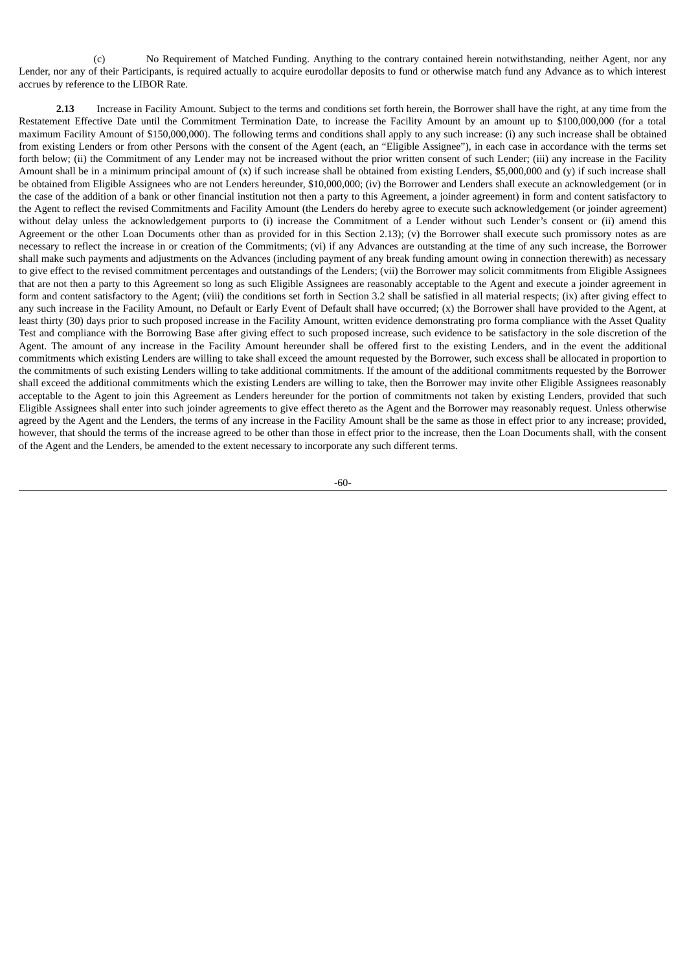(c) No Requirement of Matched Funding. Anything to the contrary contained herein notwithstanding, neither Agent, nor any Lender, nor any of their Participants, is required actually to acquire eurodollar deposits to fund or otherwise match fund any Advance as to which interest accrues by reference to the LIBOR Rate.

**2.13** Increase in Facility Amount. Subject to the terms and conditions set forth herein, the Borrower shall have the right, at any time from the Restatement Effective Date until the Commitment Termination Date, to increase the Facility Amount by an amount up to \$100,000,000 (for a total maximum Facility Amount of \$150,000,000). The following terms and conditions shall apply to any such increase: (i) any such increase shall be obtained from existing Lenders or from other Persons with the consent of the Agent (each, an "Eligible Assignee"), in each case in accordance with the terms set forth below; (ii) the Commitment of any Lender may not be increased without the prior written consent of such Lender; (iii) any increase in the Facility Amount shall be in a minimum principal amount of (x) if such increase shall be obtained from existing Lenders, \$5,000,000 and (y) if such increase shall be obtained from Eligible Assignees who are not Lenders hereunder, \$10,000,000; (iv) the Borrower and Lenders shall execute an acknowledgement (or in the case of the addition of a bank or other financial institution not then a party to this Agreement, a joinder agreement) in form and content satisfactory to the Agent to reflect the revised Commitments and Facility Amount (the Lenders do hereby agree to execute such acknowledgement (or joinder agreement) without delay unless the acknowledgement purports to (i) increase the Commitment of a Lender without such Lender's consent or (ii) amend this Agreement or the other Loan Documents other than as provided for in this Section 2.13); (v) the Borrower shall execute such promissory notes as are necessary to reflect the increase in or creation of the Commitments; (vi) if any Advances are outstanding at the time of any such increase, the Borrower shall make such payments and adjustments on the Advances (including payment of any break funding amount owing in connection therewith) as necessary to give effect to the revised commitment percentages and outstandings of the Lenders; (vii) the Borrower may solicit commitments from Eligible Assignees that are not then a party to this Agreement so long as such Eligible Assignees are reasonably acceptable to the Agent and execute a joinder agreement in form and content satisfactory to the Agent; (viii) the conditions set forth in Section 3.2 shall be satisfied in all material respects; (ix) after giving effect to any such increase in the Facility Amount, no Default or Early Event of Default shall have occurred; (x) the Borrower shall have provided to the Agent, at least thirty (30) days prior to such proposed increase in the Facility Amount, written evidence demonstrating pro forma compliance with the Asset Quality Test and compliance with the Borrowing Base after giving effect to such proposed increase, such evidence to be satisfactory in the sole discretion of the Agent. The amount of any increase in the Facility Amount hereunder shall be offered first to the existing Lenders, and in the event the additional commitments which existing Lenders are willing to take shall exceed the amount requested by the Borrower, such excess shall be allocated in proportion to the commitments of such existing Lenders willing to take additional commitments. If the amount of the additional commitments requested by the Borrower shall exceed the additional commitments which the existing Lenders are willing to take, then the Borrower may invite other Eligible Assignees reasonably acceptable to the Agent to join this Agreement as Lenders hereunder for the portion of commitments not taken by existing Lenders, provided that such Eligible Assignees shall enter into such joinder agreements to give effect thereto as the Agent and the Borrower may reasonably request. Unless otherwise agreed by the Agent and the Lenders, the terms of any increase in the Facility Amount shall be the same as those in effect prior to any increase; provided, however, that should the terms of the increase agreed to be other than those in effect prior to the increase, then the Loan Documents shall, with the consent of the Agent and the Lenders, be amended to the extent necessary to incorporate any such different terms.

-60-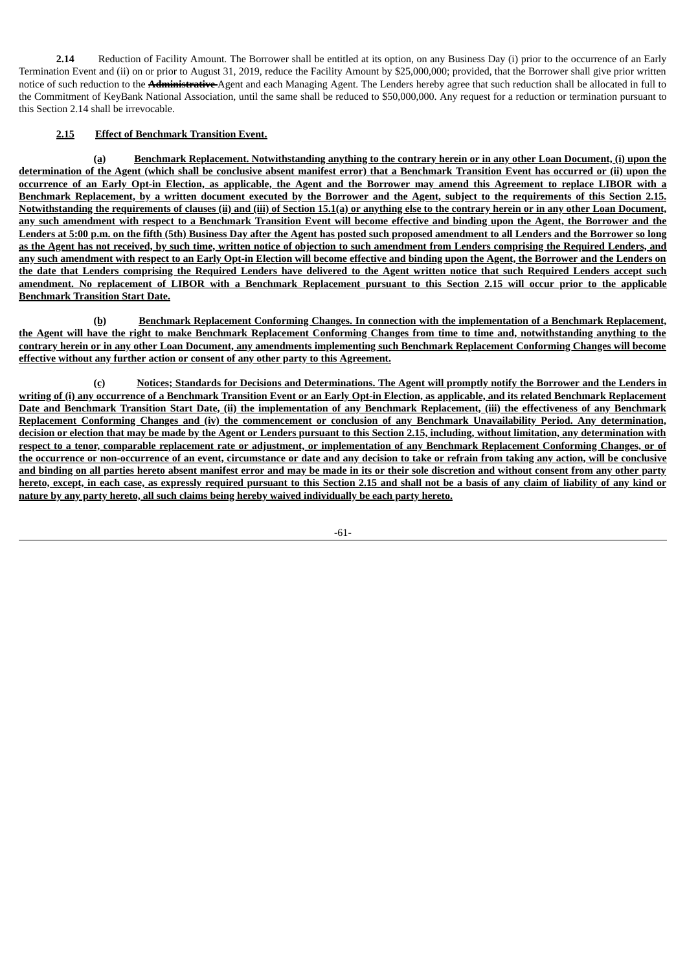**2.14** Reduction of Facility Amount. The Borrower shall be entitled at its option, on any Business Day (i) prior to the occurrence of an Early Termination Event and (ii) on or prior to August 31, 2019, reduce the Facility Amount by \$25,000,000; provided, that the Borrower shall give prior written notice of such reduction to the **Administrative** Agent and each Managing Agent. The Lenders hereby agree that such reduction shall be allocated in full to the Commitment of KeyBank National Association, until the same shall be reduced to \$50,000,000. Any request for a reduction or termination pursuant to this Section 2.14 shall be irrevocable.

# **2.15 Effect of Benchmark Transition Event.**

(a) Benchmark Replacement. Notwithstanding anything to the contrary herein or in any other Loan Document, (i) upon the determination of the Agent (which shall be conclusive absent manifest error) that a Benchmark Transition Event has occurred or (ii) upon the occurrence of an Early Opt-in Election, as applicable, the Agent and the Borrower may amend this Agreement to replace LIBOR with a Benchmark Replacement, by a written document executed by the Borrower and the Agent, subject to the requirements of this Section 2.15. Notwithstanding the requirements of clauses (ii) and (iii) of Section 15.1(a) or anything else to the contrary herein or in any other Loan Document, any such amendment with respect to a Benchmark Transition Event will become effective and binding upon the Agent, the Borrower and the Lenders at 5:00 p.m. on the fifth (5th) Business Day after the Agent has posted such proposed amendment to all Lenders and the Borrower so long as the Agent has not received, by such time, written notice of objection to such amendment from Lenders comprising the Required Lenders, and any such amendment with respect to an Early Opt-in Election will become effective and binding upon the Agent, the Borrower and the Lenders on the date that Lenders comprising the Required Lenders have delivered to the Agent written notice that such Required Lenders accept such amendment. No replacement of LIBOR with a Benchmark Replacement pursuant to this Section 2.15 will occur prior to the applicable **Benchmark Transition Start Date.**

**(b) Benchmark Replacement Conforming Changes. In connection with the implementation of a Benchmark Replacement,** the Agent will have the right to make Benchmark Replacement Conforming Changes from time to time and, notwithstanding anything to the contrary herein or in any other Loan Document, any amendments implementing such Benchmark Replacement Conforming Changes will become **effective without any further action or consent of any other party to this Agreement.**

(c) Notices; Standards for Decisions and Determinations. The Agent will promptly notify the Borrower and the Lenders in writing of (i) any occurrence of a Benchmark Transition Event or an Early Opt-in Election, as applicable, and its related Benchmark Replacement Date and Benchmark Transition Start Date, (ii) the implementation of any Benchmark Replacement, (iii) the effectiveness of any Benchmark Replacement Conforming Changes and (iv) the commencement or conclusion of any Benchmark Unavailability Period. Any determination, decision or election that may be made by the Agent or Lenders pursuant to this Section 2.15, including, without limitation, any determination with respect to a tenor, comparable replacement rate or adjustment, or implementation of any Benchmark Replacement Conforming Changes, or of the occurrence or non-occurrence of an event, circumstance or date and any decision to take or refrain from taking any action, will be conclusive and binding on all parties hereto absent manifest error and may be made in its or their sole discretion and without consent from any other party hereto, except, in each case, as expressly required pursuant to this Section 2.15 and shall not be a basis of any claim of liability of any kind or **nature by any party hereto, all such claims being hereby waived individually be each party hereto.**

-61-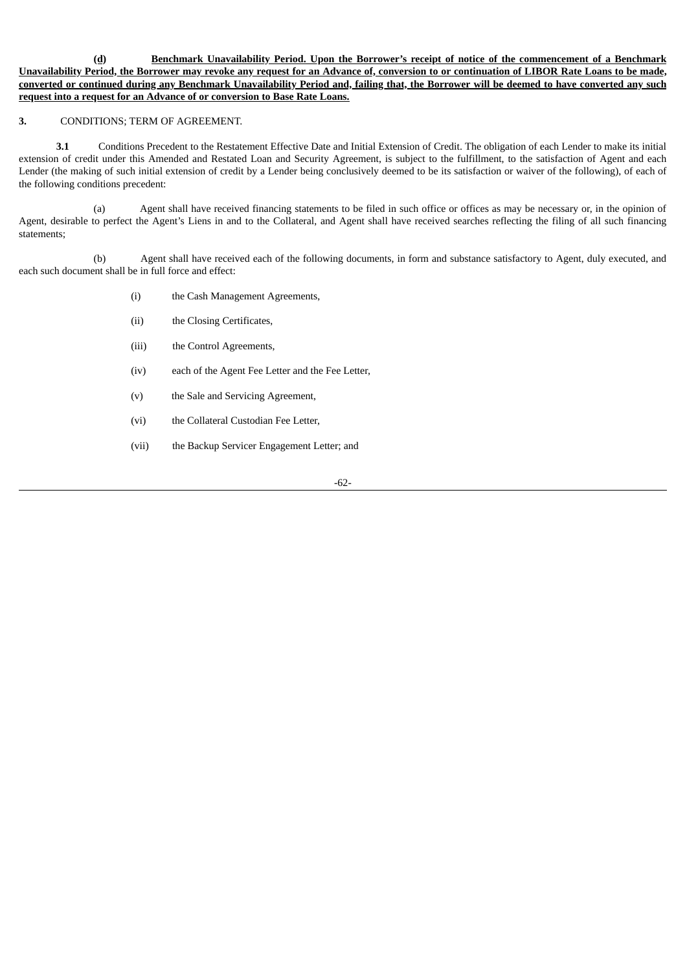**(d) Benchmark Unavailability Period. Upon the Borrower's receipt of notice of the commencement of a Benchmark** Unavailability Period, the Borrower may revoke any request for an Advance of, conversion to or continuation of LIBOR Rate Loans to be made, converted or continued during any Benchmark Unavailability Period and, failing that, the Borrower will be deemed to have converted any such **request into a request for an Advance of or conversion to Base Rate Loans.**

# **3.** CONDITIONS; TERM OF AGREEMENT.

**3.1** Conditions Precedent to the Restatement Effective Date and Initial Extension of Credit. The obligation of each Lender to make its initial extension of credit under this Amended and Restated Loan and Security Agreement, is subject to the fulfillment, to the satisfaction of Agent and each Lender (the making of such initial extension of credit by a Lender being conclusively deemed to be its satisfaction or waiver of the following), of each of the following conditions precedent:

(a) Agent shall have received financing statements to be filed in such office or offices as may be necessary or, in the opinion of Agent, desirable to perfect the Agent's Liens in and to the Collateral, and Agent shall have received searches reflecting the filing of all such financing statements;

(b) Agent shall have received each of the following documents, in form and substance satisfactory to Agent, duly executed, and each such document shall be in full force and effect:

- (i) the Cash Management Agreements,
- (ii) the Closing Certificates,
- (iii) the Control Agreements,
- (iv) each of the Agent Fee Letter and the Fee Letter,
- (v) the Sale and Servicing Agreement,
- (vi) the Collateral Custodian Fee Letter,
- (vii) the Backup Servicer Engagement Letter; and

-62-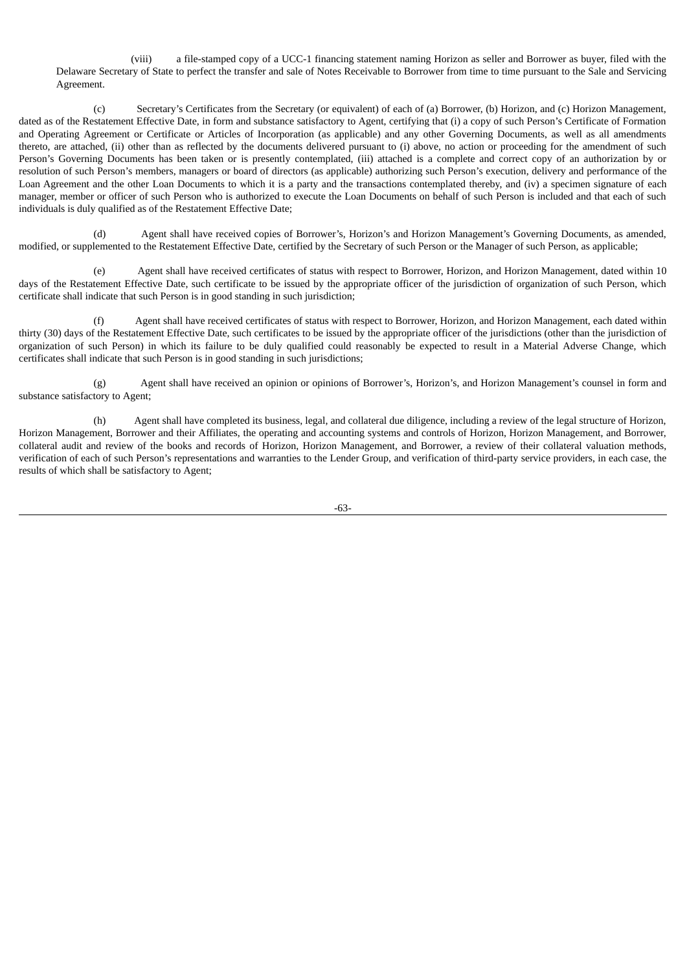(viii) a file-stamped copy of a UCC-1 financing statement naming Horizon as seller and Borrower as buyer, filed with the Delaware Secretary of State to perfect the transfer and sale of Notes Receivable to Borrower from time to time pursuant to the Sale and Servicing Agreement.

(c) Secretary's Certificates from the Secretary (or equivalent) of each of (a) Borrower, (b) Horizon, and (c) Horizon Management, dated as of the Restatement Effective Date, in form and substance satisfactory to Agent, certifying that (i) a copy of such Person's Certificate of Formation and Operating Agreement or Certificate or Articles of Incorporation (as applicable) and any other Governing Documents, as well as all amendments thereto, are attached, (ii) other than as reflected by the documents delivered pursuant to (i) above, no action or proceeding for the amendment of such Person's Governing Documents has been taken or is presently contemplated, (iii) attached is a complete and correct copy of an authorization by or resolution of such Person's members, managers or board of directors (as applicable) authorizing such Person's execution, delivery and performance of the Loan Agreement and the other Loan Documents to which it is a party and the transactions contemplated thereby, and (iv) a specimen signature of each manager, member or officer of such Person who is authorized to execute the Loan Documents on behalf of such Person is included and that each of such individuals is duly qualified as of the Restatement Effective Date;

(d) Agent shall have received copies of Borrower's, Horizon's and Horizon Management's Governing Documents, as amended, modified, or supplemented to the Restatement Effective Date, certified by the Secretary of such Person or the Manager of such Person, as applicable;

(e) Agent shall have received certificates of status with respect to Borrower, Horizon, and Horizon Management, dated within 10 days of the Restatement Effective Date, such certificate to be issued by the appropriate officer of the jurisdiction of organization of such Person, which certificate shall indicate that such Person is in good standing in such jurisdiction;

(f) Agent shall have received certificates of status with respect to Borrower, Horizon, and Horizon Management, each dated within thirty (30) days of the Restatement Effective Date, such certificates to be issued by the appropriate officer of the jurisdictions (other than the jurisdiction of organization of such Person) in which its failure to be duly qualified could reasonably be expected to result in a Material Adverse Change, which certificates shall indicate that such Person is in good standing in such jurisdictions;

(g) Agent shall have received an opinion or opinions of Borrower's, Horizon's, and Horizon Management's counsel in form and substance satisfactory to Agent;

(h) Agent shall have completed its business, legal, and collateral due diligence, including a review of the legal structure of Horizon, Horizon Management, Borrower and their Affiliates, the operating and accounting systems and controls of Horizon, Horizon Management, and Borrower, collateral audit and review of the books and records of Horizon, Horizon Management, and Borrower, a review of their collateral valuation methods, verification of each of such Person's representations and warranties to the Lender Group, and verification of third-party service providers, in each case, the results of which shall be satisfactory to Agent;

-63-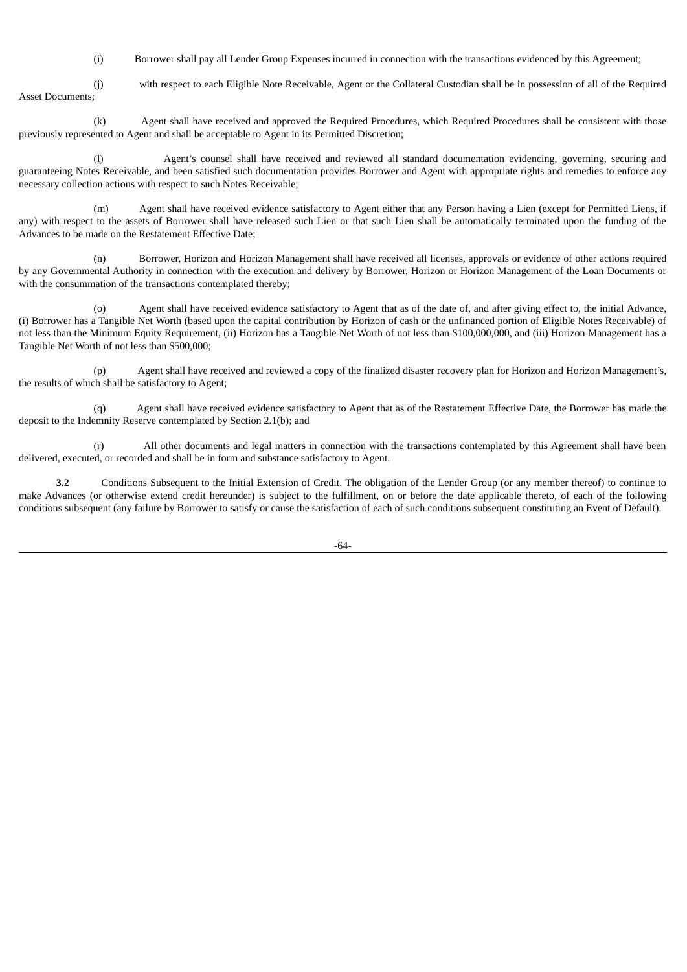(i) Borrower shall pay all Lender Group Expenses incurred in connection with the transactions evidenced by this Agreement;

(j) with respect to each Eligible Note Receivable, Agent or the Collateral Custodian shall be in possession of all of the Required Asset Documents;

(k) Agent shall have received and approved the Required Procedures, which Required Procedures shall be consistent with those previously represented to Agent and shall be acceptable to Agent in its Permitted Discretion;

(l) Agent's counsel shall have received and reviewed all standard documentation evidencing, governing, securing and guaranteeing Notes Receivable, and been satisfied such documentation provides Borrower and Agent with appropriate rights and remedies to enforce any necessary collection actions with respect to such Notes Receivable;

(m) Agent shall have received evidence satisfactory to Agent either that any Person having a Lien (except for Permitted Liens, if any) with respect to the assets of Borrower shall have released such Lien or that such Lien shall be automatically terminated upon the funding of the Advances to be made on the Restatement Effective Date;

(n) Borrower, Horizon and Horizon Management shall have received all licenses, approvals or evidence of other actions required by any Governmental Authority in connection with the execution and delivery by Borrower, Horizon or Horizon Management of the Loan Documents or with the consummation of the transactions contemplated thereby;

(o) Agent shall have received evidence satisfactory to Agent that as of the date of, and after giving effect to, the initial Advance, (i) Borrower has a Tangible Net Worth (based upon the capital contribution by Horizon of cash or the unfinanced portion of Eligible Notes Receivable) of not less than the Minimum Equity Requirement, (ii) Horizon has a Tangible Net Worth of not less than \$100,000,000, and (iii) Horizon Management has a Tangible Net Worth of not less than \$500,000;

(p) Agent shall have received and reviewed a copy of the finalized disaster recovery plan for Horizon and Horizon Management's, the results of which shall be satisfactory to Agent;

(q) Agent shall have received evidence satisfactory to Agent that as of the Restatement Effective Date, the Borrower has made the deposit to the Indemnity Reserve contemplated by Section 2.1(b); and

(r) All other documents and legal matters in connection with the transactions contemplated by this Agreement shall have been delivered, executed, or recorded and shall be in form and substance satisfactory to Agent.

**3.2** Conditions Subsequent to the Initial Extension of Credit. The obligation of the Lender Group (or any member thereof) to continue to make Advances (or otherwise extend credit hereunder) is subject to the fulfillment, on or before the date applicable thereto, of each of the following conditions subsequent (any failure by Borrower to satisfy or cause the satisfaction of each of such conditions subsequent constituting an Event of Default):

-64-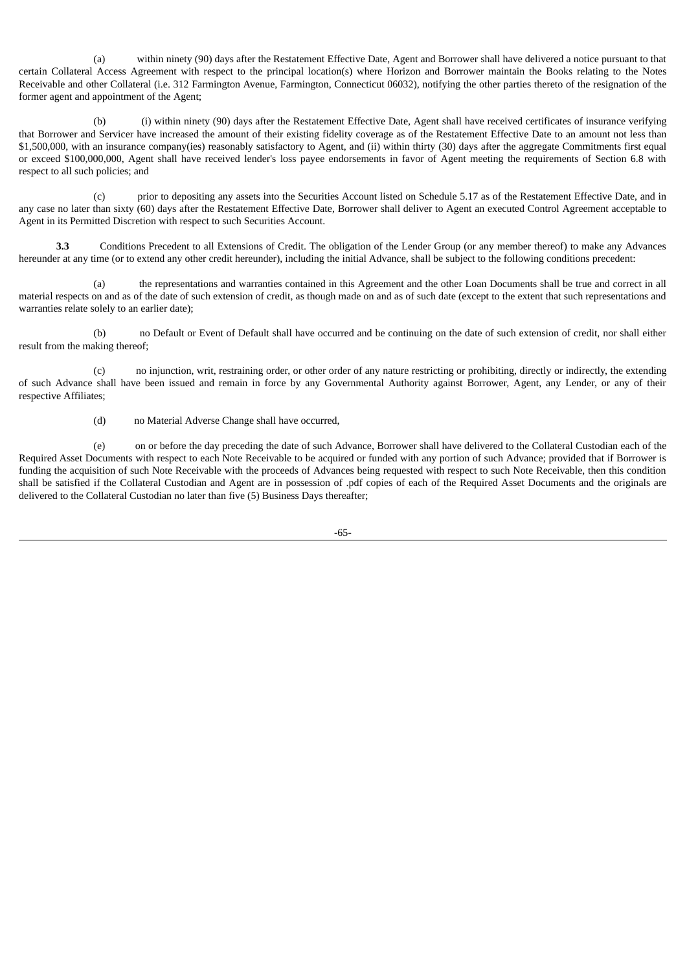(a) within ninety (90) days after the Restatement Effective Date, Agent and Borrower shall have delivered a notice pursuant to that certain Collateral Access Agreement with respect to the principal location(s) where Horizon and Borrower maintain the Books relating to the Notes Receivable and other Collateral (i.e. 312 Farmington Avenue, Farmington, Connecticut 06032), notifying the other parties thereto of the resignation of the former agent and appointment of the Agent;

(b) (i) within ninety (90) days after the Restatement Effective Date, Agent shall have received certificates of insurance verifying that Borrower and Servicer have increased the amount of their existing fidelity coverage as of the Restatement Effective Date to an amount not less than \$1,500,000, with an insurance company(ies) reasonably satisfactory to Agent, and (ii) within thirty (30) days after the aggregate Commitments first equal or exceed \$100,000,000, Agent shall have received lender's loss payee endorsements in favor of Agent meeting the requirements of Section 6.8 with respect to all such policies; and

(c) prior to depositing any assets into the Securities Account listed on Schedule 5.17 as of the Restatement Effective Date, and in any case no later than sixty (60) days after the Restatement Effective Date, Borrower shall deliver to Agent an executed Control Agreement acceptable to Agent in its Permitted Discretion with respect to such Securities Account.

**3.3** Conditions Precedent to all Extensions of Credit. The obligation of the Lender Group (or any member thereof) to make any Advances hereunder at any time (or to extend any other credit hereunder), including the initial Advance, shall be subject to the following conditions precedent:

(a) the representations and warranties contained in this Agreement and the other Loan Documents shall be true and correct in all material respects on and as of the date of such extension of credit, as though made on and as of such date (except to the extent that such representations and warranties relate solely to an earlier date);

(b) no Default or Event of Default shall have occurred and be continuing on the date of such extension of credit, nor shall either result from the making thereof;

(c) no injunction, writ, restraining order, or other order of any nature restricting or prohibiting, directly or indirectly, the extending of such Advance shall have been issued and remain in force by any Governmental Authority against Borrower, Agent, any Lender, or any of their respective Affiliates;

(d) no Material Adverse Change shall have occurred,

(e) on or before the day preceding the date of such Advance, Borrower shall have delivered to the Collateral Custodian each of the Required Asset Documents with respect to each Note Receivable to be acquired or funded with any portion of such Advance; provided that if Borrower is funding the acquisition of such Note Receivable with the proceeds of Advances being requested with respect to such Note Receivable, then this condition shall be satisfied if the Collateral Custodian and Agent are in possession of .pdf copies of each of the Required Asset Documents and the originals are delivered to the Collateral Custodian no later than five (5) Business Days thereafter;

-65-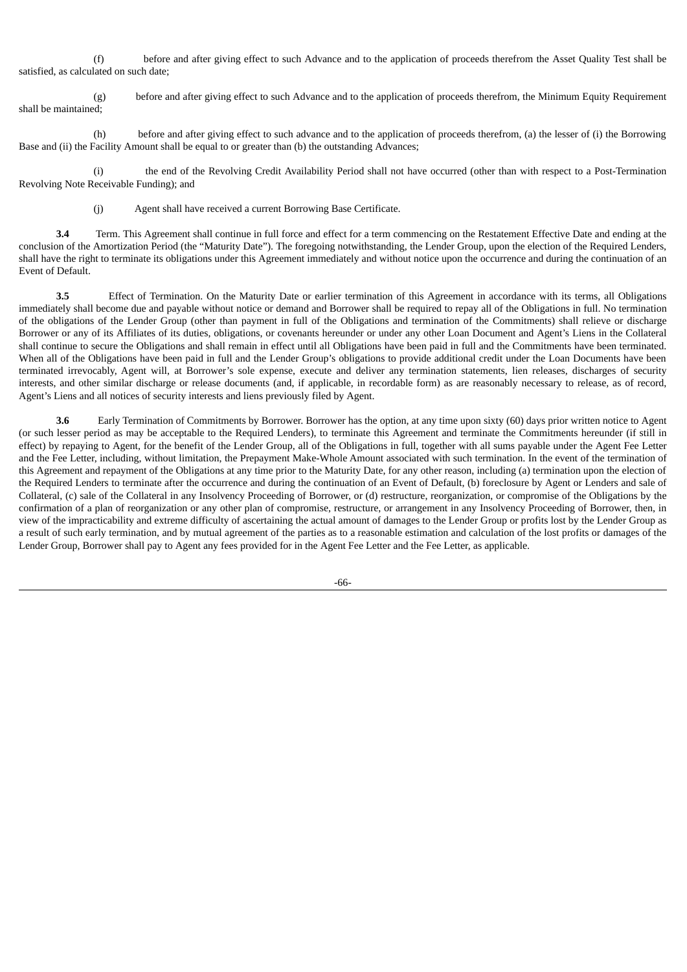(f) before and after giving effect to such Advance and to the application of proceeds therefrom the Asset Quality Test shall be satisfied, as calculated on such date;

(g) before and after giving effect to such Advance and to the application of proceeds therefrom, the Minimum Equity Requirement shall be maintained;

(h) before and after giving effect to such advance and to the application of proceeds therefrom, (a) the lesser of (i) the Borrowing Base and (ii) the Facility Amount shall be equal to or greater than (b) the outstanding Advances;

(i) the end of the Revolving Credit Availability Period shall not have occurred (other than with respect to a Post-Termination Revolving Note Receivable Funding); and

(j) Agent shall have received a current Borrowing Base Certificate.

**3.4** Term. This Agreement shall continue in full force and effect for a term commencing on the Restatement Effective Date and ending at the conclusion of the Amortization Period (the "Maturity Date"). The foregoing notwithstanding, the Lender Group, upon the election of the Required Lenders, shall have the right to terminate its obligations under this Agreement immediately and without notice upon the occurrence and during the continuation of an Event of Default.

**3.5** Effect of Termination. On the Maturity Date or earlier termination of this Agreement in accordance with its terms, all Obligations immediately shall become due and payable without notice or demand and Borrower shall be required to repay all of the Obligations in full. No termination of the obligations of the Lender Group (other than payment in full of the Obligations and termination of the Commitments) shall relieve or discharge Borrower or any of its Affiliates of its duties, obligations, or covenants hereunder or under any other Loan Document and Agent's Liens in the Collateral shall continue to secure the Obligations and shall remain in effect until all Obligations have been paid in full and the Commitments have been terminated. When all of the Obligations have been paid in full and the Lender Group's obligations to provide additional credit under the Loan Documents have been terminated irrevocably, Agent will, at Borrower's sole expense, execute and deliver any termination statements, lien releases, discharges of security interests, and other similar discharge or release documents (and, if applicable, in recordable form) as are reasonably necessary to release, as of record, Agent's Liens and all notices of security interests and liens previously filed by Agent.

**3.6** Early Termination of Commitments by Borrower. Borrower has the option, at any time upon sixty (60) days prior written notice to Agent (or such lesser period as may be acceptable to the Required Lenders), to terminate this Agreement and terminate the Commitments hereunder (if still in effect) by repaying to Agent, for the benefit of the Lender Group, all of the Obligations in full, together with all sums payable under the Agent Fee Letter and the Fee Letter, including, without limitation, the Prepayment Make-Whole Amount associated with such termination. In the event of the termination of this Agreement and repayment of the Obligations at any time prior to the Maturity Date, for any other reason, including (a) termination upon the election of the Required Lenders to terminate after the occurrence and during the continuation of an Event of Default, (b) foreclosure by Agent or Lenders and sale of Collateral, (c) sale of the Collateral in any Insolvency Proceeding of Borrower, or (d) restructure, reorganization, or compromise of the Obligations by the confirmation of a plan of reorganization or any other plan of compromise, restructure, or arrangement in any Insolvency Proceeding of Borrower, then, in view of the impracticability and extreme difficulty of ascertaining the actual amount of damages to the Lender Group or profits lost by the Lender Group as a result of such early termination, and by mutual agreement of the parties as to a reasonable estimation and calculation of the lost profits or damages of the Lender Group, Borrower shall pay to Agent any fees provided for in the Agent Fee Letter and the Fee Letter, as applicable.

-66-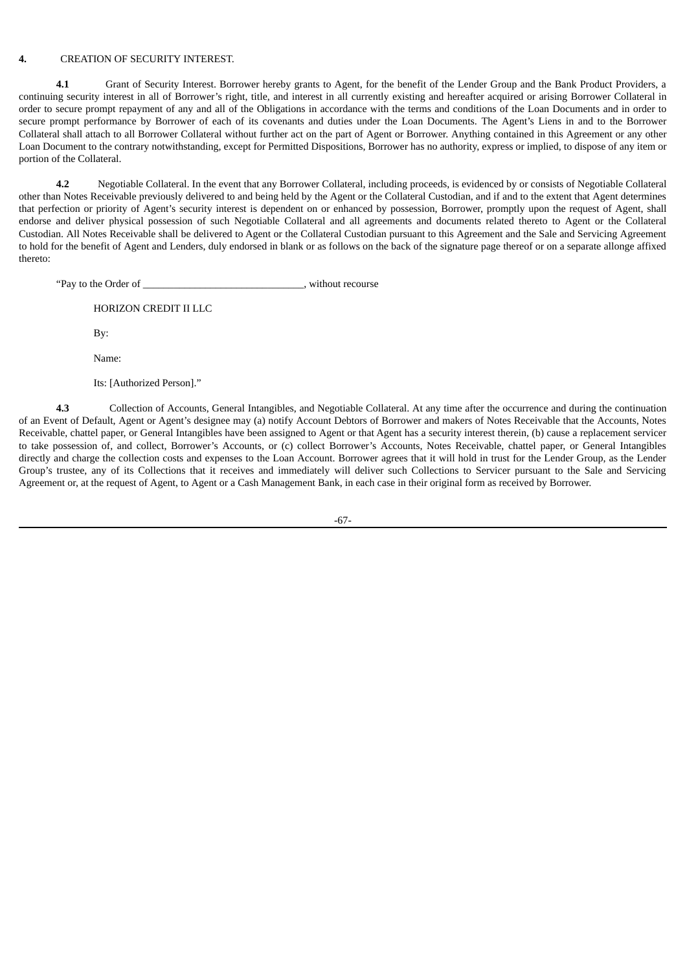### **4.** CREATION OF SECURITY INTEREST.

**4.1** Grant of Security Interest. Borrower hereby grants to Agent, for the benefit of the Lender Group and the Bank Product Providers, a continuing security interest in all of Borrower's right, title, and interest in all currently existing and hereafter acquired or arising Borrower Collateral in order to secure prompt repayment of any and all of the Obligations in accordance with the terms and conditions of the Loan Documents and in order to secure prompt performance by Borrower of each of its covenants and duties under the Loan Documents. The Agent's Liens in and to the Borrower Collateral shall attach to all Borrower Collateral without further act on the part of Agent or Borrower. Anything contained in this Agreement or any other Loan Document to the contrary notwithstanding, except for Permitted Dispositions, Borrower has no authority, express or implied, to dispose of any item or portion of the Collateral.

**4.2** Negotiable Collateral. In the event that any Borrower Collateral, including proceeds, is evidenced by or consists of Negotiable Collateral other than Notes Receivable previously delivered to and being held by the Agent or the Collateral Custodian, and if and to the extent that Agent determines that perfection or priority of Agent's security interest is dependent on or enhanced by possession, Borrower, promptly upon the request of Agent, shall endorse and deliver physical possession of such Negotiable Collateral and all agreements and documents related thereto to Agent or the Collateral Custodian. All Notes Receivable shall be delivered to Agent or the Collateral Custodian pursuant to this Agreement and the Sale and Servicing Agreement to hold for the benefit of Agent and Lenders, duly endorsed in blank or as follows on the back of the signature page thereof or on a separate allonge affixed thereto:

"Pay to the Order of \_\_\_\_\_\_\_\_\_\_\_\_\_\_\_\_\_\_\_\_\_\_\_\_\_\_\_\_\_\_\_, without recourse

HORIZON CREDIT II LLC

By:

Name:

Its: [Authorized Person]."

**4.3** Collection of Accounts, General Intangibles, and Negotiable Collateral. At any time after the occurrence and during the continuation of an Event of Default, Agent or Agent's designee may (a) notify Account Debtors of Borrower and makers of Notes Receivable that the Accounts, Notes Receivable, chattel paper, or General Intangibles have been assigned to Agent or that Agent has a security interest therein, (b) cause a replacement servicer to take possession of, and collect, Borrower's Accounts, or (c) collect Borrower's Accounts, Notes Receivable, chattel paper, or General Intangibles directly and charge the collection costs and expenses to the Loan Account. Borrower agrees that it will hold in trust for the Lender Group, as the Lender Group's trustee, any of its Collections that it receives and immediately will deliver such Collections to Servicer pursuant to the Sale and Servicing Agreement or, at the request of Agent, to Agent or a Cash Management Bank, in each case in their original form as received by Borrower.

-67-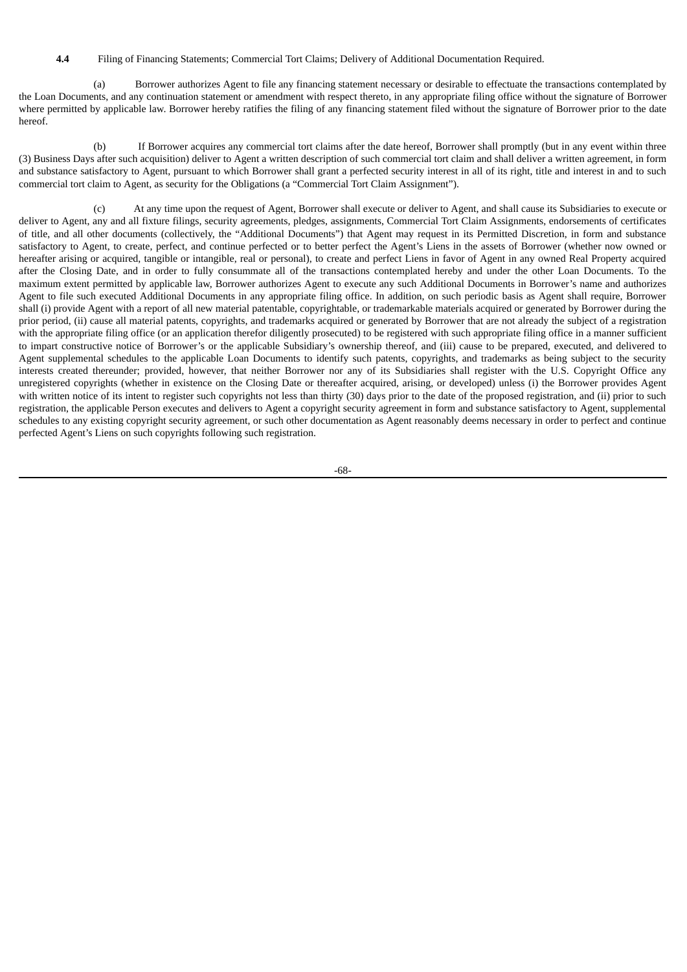**4.4** Filing of Financing Statements; Commercial Tort Claims; Delivery of Additional Documentation Required.

(a) Borrower authorizes Agent to file any financing statement necessary or desirable to effectuate the transactions contemplated by the Loan Documents, and any continuation statement or amendment with respect thereto, in any appropriate filing office without the signature of Borrower where permitted by applicable law. Borrower hereby ratifies the filing of any financing statement filed without the signature of Borrower prior to the date hereof.

(b) If Borrower acquires any commercial tort claims after the date hereof, Borrower shall promptly (but in any event within three (3) Business Days after such acquisition) deliver to Agent a written description of such commercial tort claim and shall deliver a written agreement, in form and substance satisfactory to Agent, pursuant to which Borrower shall grant a perfected security interest in all of its right, title and interest in and to such commercial tort claim to Agent, as security for the Obligations (a "Commercial Tort Claim Assignment").

(c) At any time upon the request of Agent, Borrower shall execute or deliver to Agent, and shall cause its Subsidiaries to execute or deliver to Agent, any and all fixture filings, security agreements, pledges, assignments, Commercial Tort Claim Assignments, endorsements of certificates of title, and all other documents (collectively, the "Additional Documents") that Agent may request in its Permitted Discretion, in form and substance satisfactory to Agent, to create, perfect, and continue perfected or to better perfect the Agent's Liens in the assets of Borrower (whether now owned or hereafter arising or acquired, tangible or intangible, real or personal), to create and perfect Liens in favor of Agent in any owned Real Property acquired after the Closing Date, and in order to fully consummate all of the transactions contemplated hereby and under the other Loan Documents. To the maximum extent permitted by applicable law, Borrower authorizes Agent to execute any such Additional Documents in Borrower's name and authorizes Agent to file such executed Additional Documents in any appropriate filing office. In addition, on such periodic basis as Agent shall require, Borrower shall (i) provide Agent with a report of all new material patentable, copyrightable, or trademarkable materials acquired or generated by Borrower during the prior period, (ii) cause all material patents, copyrights, and trademarks acquired or generated by Borrower that are not already the subject of a registration with the appropriate filing office (or an application therefor diligently prosecuted) to be registered with such appropriate filing office in a manner sufficient to impart constructive notice of Borrower's or the applicable Subsidiary's ownership thereof, and (iii) cause to be prepared, executed, and delivered to Agent supplemental schedules to the applicable Loan Documents to identify such patents, copyrights, and trademarks as being subject to the security interests created thereunder; provided, however, that neither Borrower nor any of its Subsidiaries shall register with the U.S. Copyright Office any unregistered copyrights (whether in existence on the Closing Date or thereafter acquired, arising, or developed) unless (i) the Borrower provides Agent with written notice of its intent to register such copyrights not less than thirty (30) days prior to the date of the proposed registration, and (ii) prior to such registration, the applicable Person executes and delivers to Agent a copyright security agreement in form and substance satisfactory to Agent, supplemental schedules to any existing copyright security agreement, or such other documentation as Agent reasonably deems necessary in order to perfect and continue perfected Agent's Liens on such copyrights following such registration.

-68-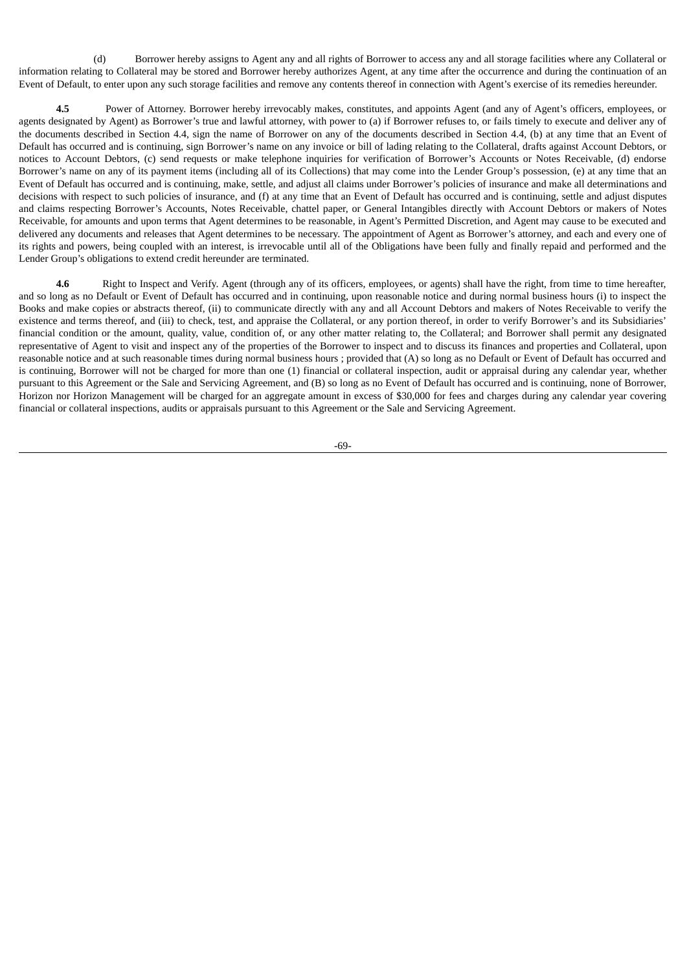(d) Borrower hereby assigns to Agent any and all rights of Borrower to access any and all storage facilities where any Collateral or information relating to Collateral may be stored and Borrower hereby authorizes Agent, at any time after the occurrence and during the continuation of an Event of Default, to enter upon any such storage facilities and remove any contents thereof in connection with Agent's exercise of its remedies hereunder.

**4.5** Power of Attorney. Borrower hereby irrevocably makes, constitutes, and appoints Agent (and any of Agent's officers, employees, or agents designated by Agent) as Borrower's true and lawful attorney, with power to (a) if Borrower refuses to, or fails timely to execute and deliver any of the documents described in Section 4.4, sign the name of Borrower on any of the documents described in Section 4.4, (b) at any time that an Event of Default has occurred and is continuing, sign Borrower's name on any invoice or bill of lading relating to the Collateral, drafts against Account Debtors, or notices to Account Debtors, (c) send requests or make telephone inquiries for verification of Borrower's Accounts or Notes Receivable, (d) endorse Borrower's name on any of its payment items (including all of its Collections) that may come into the Lender Group's possession, (e) at any time that an Event of Default has occurred and is continuing, make, settle, and adjust all claims under Borrower's policies of insurance and make all determinations and decisions with respect to such policies of insurance, and (f) at any time that an Event of Default has occurred and is continuing, settle and adjust disputes and claims respecting Borrower's Accounts, Notes Receivable, chattel paper, or General Intangibles directly with Account Debtors or makers of Notes Receivable, for amounts and upon terms that Agent determines to be reasonable, in Agent's Permitted Discretion, and Agent may cause to be executed and delivered any documents and releases that Agent determines to be necessary. The appointment of Agent as Borrower's attorney, and each and every one of its rights and powers, being coupled with an interest, is irrevocable until all of the Obligations have been fully and finally repaid and performed and the Lender Group's obligations to extend credit hereunder are terminated.

**4.6** Right to Inspect and Verify. Agent (through any of its officers, employees, or agents) shall have the right, from time to time hereafter, and so long as no Default or Event of Default has occurred and in continuing, upon reasonable notice and during normal business hours (i) to inspect the Books and make copies or abstracts thereof, (ii) to communicate directly with any and all Account Debtors and makers of Notes Receivable to verify the existence and terms thereof, and (iii) to check, test, and appraise the Collateral, or any portion thereof, in order to verify Borrower's and its Subsidiaries' financial condition or the amount, quality, value, condition of, or any other matter relating to, the Collateral; and Borrower shall permit any designated representative of Agent to visit and inspect any of the properties of the Borrower to inspect and to discuss its finances and properties and Collateral, upon reasonable notice and at such reasonable times during normal business hours ; provided that (A) so long as no Default or Event of Default has occurred and is continuing, Borrower will not be charged for more than one (1) financial or collateral inspection, audit or appraisal during any calendar year, whether pursuant to this Agreement or the Sale and Servicing Agreement, and (B) so long as no Event of Default has occurred and is continuing, none of Borrower, Horizon nor Horizon Management will be charged for an aggregate amount in excess of \$30,000 for fees and charges during any calendar year covering financial or collateral inspections, audits or appraisals pursuant to this Agreement or the Sale and Servicing Agreement.

-69-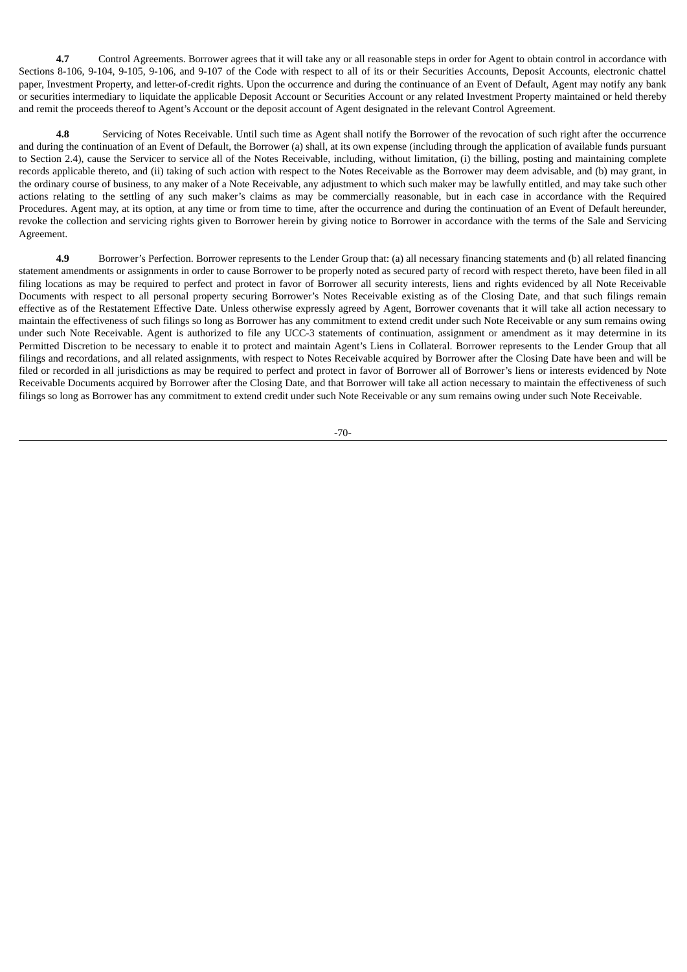**4.7** Control Agreements. Borrower agrees that it will take any or all reasonable steps in order for Agent to obtain control in accordance with Sections 8-106, 9-104, 9-105, 9-106, and 9-107 of the Code with respect to all of its or their Securities Accounts, Deposit Accounts, electronic chattel paper, Investment Property, and letter-of-credit rights. Upon the occurrence and during the continuance of an Event of Default, Agent may notify any bank or securities intermediary to liquidate the applicable Deposit Account or Securities Account or any related Investment Property maintained or held thereby and remit the proceeds thereof to Agent's Account or the deposit account of Agent designated in the relevant Control Agreement.

**4.8** Servicing of Notes Receivable. Until such time as Agent shall notify the Borrower of the revocation of such right after the occurrence and during the continuation of an Event of Default, the Borrower (a) shall, at its own expense (including through the application of available funds pursuant to Section 2.4), cause the Servicer to service all of the Notes Receivable, including, without limitation, (i) the billing, posting and maintaining complete records applicable thereto, and (ii) taking of such action with respect to the Notes Receivable as the Borrower may deem advisable, and (b) may grant, in the ordinary course of business, to any maker of a Note Receivable, any adjustment to which such maker may be lawfully entitled, and may take such other actions relating to the settling of any such maker's claims as may be commercially reasonable, but in each case in accordance with the Required Procedures. Agent may, at its option, at any time or from time to time, after the occurrence and during the continuation of an Event of Default hereunder, revoke the collection and servicing rights given to Borrower herein by giving notice to Borrower in accordance with the terms of the Sale and Servicing Agreement.

**4.9** Borrower's Perfection. Borrower represents to the Lender Group that: (a) all necessary financing statements and (b) all related financing statement amendments or assignments in order to cause Borrower to be properly noted as secured party of record with respect thereto, have been filed in all filing locations as may be required to perfect and protect in favor of Borrower all security interests, liens and rights evidenced by all Note Receivable Documents with respect to all personal property securing Borrower's Notes Receivable existing as of the Closing Date, and that such filings remain effective as of the Restatement Effective Date. Unless otherwise expressly agreed by Agent, Borrower covenants that it will take all action necessary to maintain the effectiveness of such filings so long as Borrower has any commitment to extend credit under such Note Receivable or any sum remains owing under such Note Receivable. Agent is authorized to file any UCC-3 statements of continuation, assignment or amendment as it may determine in its Permitted Discretion to be necessary to enable it to protect and maintain Agent's Liens in Collateral. Borrower represents to the Lender Group that all filings and recordations, and all related assignments, with respect to Notes Receivable acquired by Borrower after the Closing Date have been and will be filed or recorded in all jurisdictions as may be required to perfect and protect in favor of Borrower all of Borrower's liens or interests evidenced by Note Receivable Documents acquired by Borrower after the Closing Date, and that Borrower will take all action necessary to maintain the effectiveness of such filings so long as Borrower has any commitment to extend credit under such Note Receivable or any sum remains owing under such Note Receivable.

-70-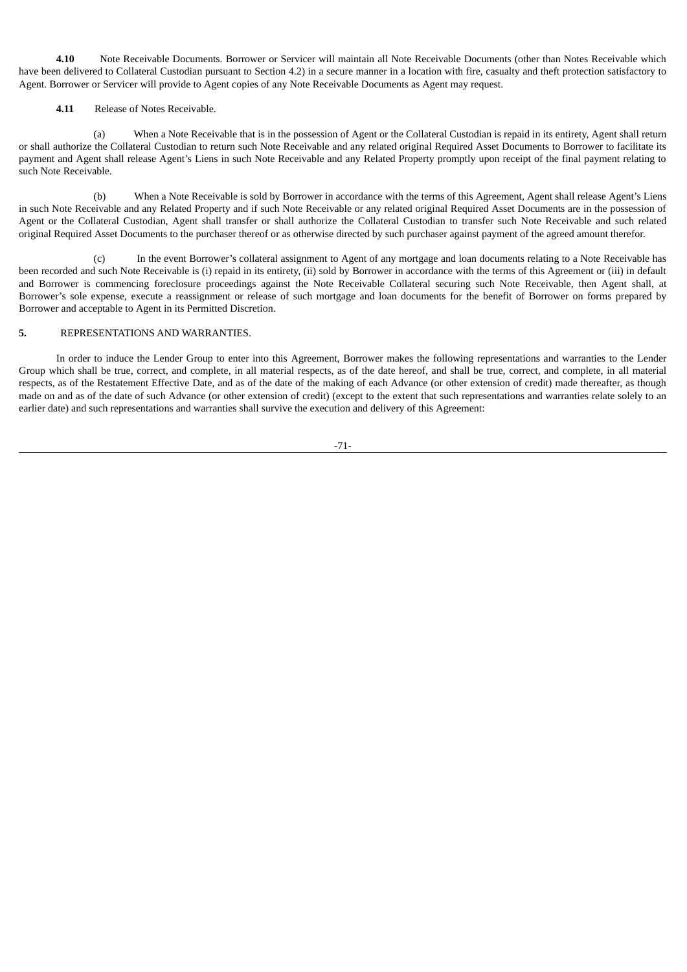**4.10** Note Receivable Documents. Borrower or Servicer will maintain all Note Receivable Documents (other than Notes Receivable which have been delivered to Collateral Custodian pursuant to Section 4.2) in a secure manner in a location with fire, casualty and theft protection satisfactory to Agent. Borrower or Servicer will provide to Agent copies of any Note Receivable Documents as Agent may request.

## **4.11** Release of Notes Receivable.

(a) When a Note Receivable that is in the possession of Agent or the Collateral Custodian is repaid in its entirety, Agent shall return or shall authorize the Collateral Custodian to return such Note Receivable and any related original Required Asset Documents to Borrower to facilitate its payment and Agent shall release Agent's Liens in such Note Receivable and any Related Property promptly upon receipt of the final payment relating to such Note Receivable.

(b) When a Note Receivable is sold by Borrower in accordance with the terms of this Agreement, Agent shall release Agent's Liens in such Note Receivable and any Related Property and if such Note Receivable or any related original Required Asset Documents are in the possession of Agent or the Collateral Custodian, Agent shall transfer or shall authorize the Collateral Custodian to transfer such Note Receivable and such related original Required Asset Documents to the purchaser thereof or as otherwise directed by such purchaser against payment of the agreed amount therefor.

(c) In the event Borrower's collateral assignment to Agent of any mortgage and loan documents relating to a Note Receivable has been recorded and such Note Receivable is (i) repaid in its entirety, (ii) sold by Borrower in accordance with the terms of this Agreement or (iii) in default and Borrower is commencing foreclosure proceedings against the Note Receivable Collateral securing such Note Receivable, then Agent shall, at Borrower's sole expense, execute a reassignment or release of such mortgage and loan documents for the benefit of Borrower on forms prepared by Borrower and acceptable to Agent in its Permitted Discretion.

## **5.** REPRESENTATIONS AND WARRANTIES.

In order to induce the Lender Group to enter into this Agreement, Borrower makes the following representations and warranties to the Lender Group which shall be true, correct, and complete, in all material respects, as of the date hereof, and shall be true, correct, and complete, in all material respects, as of the Restatement Effective Date, and as of the date of the making of each Advance (or other extension of credit) made thereafter, as though made on and as of the date of such Advance (or other extension of credit) (except to the extent that such representations and warranties relate solely to an earlier date) and such representations and warranties shall survive the execution and delivery of this Agreement:

-71-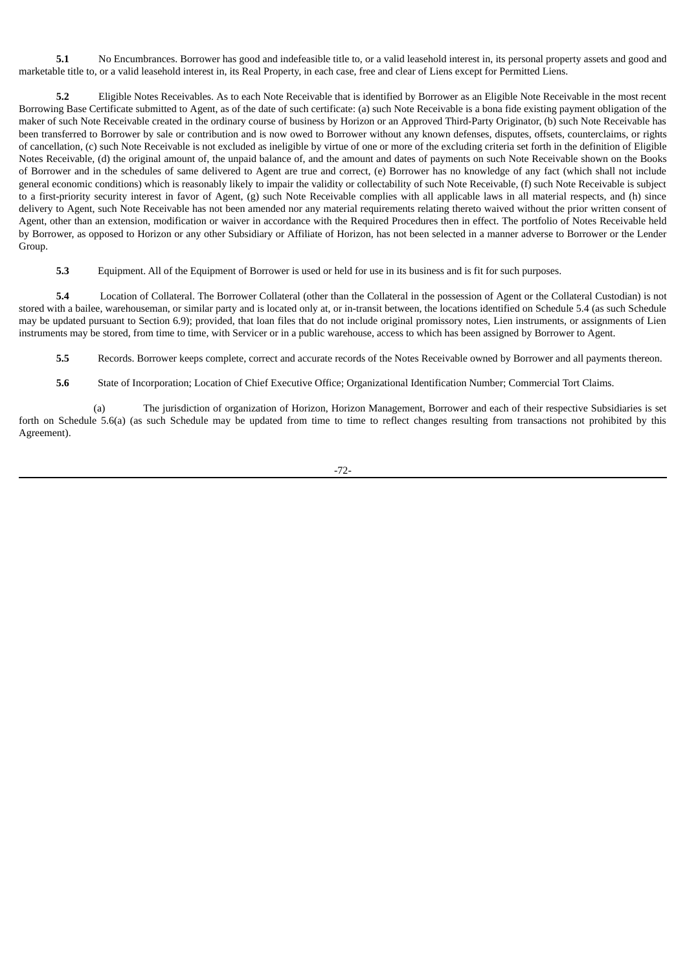**5.1** No Encumbrances. Borrower has good and indefeasible title to, or a valid leasehold interest in, its personal property assets and good and marketable title to, or a valid leasehold interest in, its Real Property, in each case, free and clear of Liens except for Permitted Liens.

**5.2** Eligible Notes Receivables. As to each Note Receivable that is identified by Borrower as an Eligible Note Receivable in the most recent Borrowing Base Certificate submitted to Agent, as of the date of such certificate: (a) such Note Receivable is a bona fide existing payment obligation of the maker of such Note Receivable created in the ordinary course of business by Horizon or an Approved Third-Party Originator, (b) such Note Receivable has been transferred to Borrower by sale or contribution and is now owed to Borrower without any known defenses, disputes, offsets, counterclaims, or rights of cancellation, (c) such Note Receivable is not excluded as ineligible by virtue of one or more of the excluding criteria set forth in the definition of Eligible Notes Receivable, (d) the original amount of, the unpaid balance of, and the amount and dates of payments on such Note Receivable shown on the Books of Borrower and in the schedules of same delivered to Agent are true and correct, (e) Borrower has no knowledge of any fact (which shall not include general economic conditions) which is reasonably likely to impair the validity or collectability of such Note Receivable, (f) such Note Receivable is subject to a first-priority security interest in favor of Agent, (g) such Note Receivable complies with all applicable laws in all material respects, and (h) since delivery to Agent, such Note Receivable has not been amended nor any material requirements relating thereto waived without the prior written consent of Agent, other than an extension, modification or waiver in accordance with the Required Procedures then in effect. The portfolio of Notes Receivable held by Borrower, as opposed to Horizon or any other Subsidiary or Affiliate of Horizon, has not been selected in a manner adverse to Borrower or the Lender Group.

**5.3** Equipment. All of the Equipment of Borrower is used or held for use in its business and is fit for such purposes.

**5.4** Location of Collateral. The Borrower Collateral (other than the Collateral in the possession of Agent or the Collateral Custodian) is not stored with a bailee, warehouseman, or similar party and is located only at, or in-transit between, the locations identified on Schedule 5.4 (as such Schedule may be updated pursuant to Section 6.9); provided, that loan files that do not include original promissory notes, Lien instruments, or assignments of Lien instruments may be stored, from time to time, with Servicer or in a public warehouse, access to which has been assigned by Borrower to Agent.

**5.5** Records. Borrower keeps complete, correct and accurate records of the Notes Receivable owned by Borrower and all payments thereon.

**5.6** State of Incorporation; Location of Chief Executive Office; Organizational Identification Number; Commercial Tort Claims.

(a) The jurisdiction of organization of Horizon, Horizon Management, Borrower and each of their respective Subsidiaries is set forth on Schedule 5.6(a) (as such Schedule may be updated from time to time to reflect changes resulting from transactions not prohibited by this Agreement).

-72-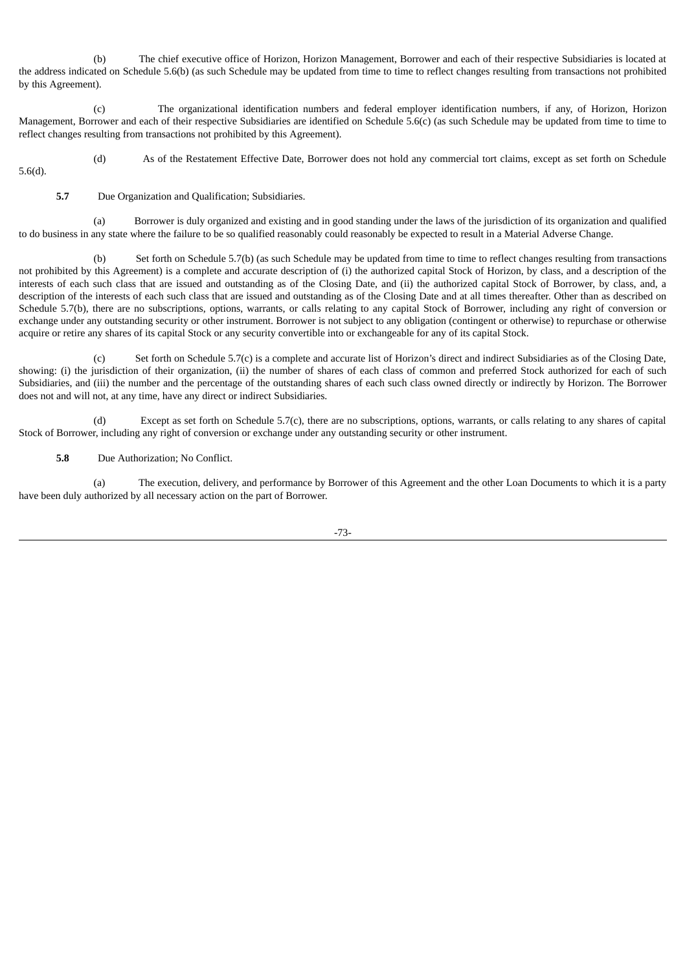(b) The chief executive office of Horizon, Horizon Management, Borrower and each of their respective Subsidiaries is located at the address indicated on Schedule 5.6(b) (as such Schedule may be updated from time to time to reflect changes resulting from transactions not prohibited by this Agreement).

(c) The organizational identification numbers and federal employer identification numbers, if any, of Horizon, Horizon Management, Borrower and each of their respective Subsidiaries are identified on Schedule 5.6(c) (as such Schedule may be updated from time to time to reflect changes resulting from transactions not prohibited by this Agreement).

(d) As of the Restatement Effective Date, Borrower does not hold any commercial tort claims, except as set forth on Schedule

5.6(d).

**5.7** Due Organization and Qualification; Subsidiaries.

(a) Borrower is duly organized and existing and in good standing under the laws of the jurisdiction of its organization and qualified to do business in any state where the failure to be so qualified reasonably could reasonably be expected to result in a Material Adverse Change.

(b) Set forth on Schedule 5.7(b) (as such Schedule may be updated from time to time to reflect changes resulting from transactions not prohibited by this Agreement) is a complete and accurate description of (i) the authorized capital Stock of Horizon, by class, and a description of the interests of each such class that are issued and outstanding as of the Closing Date, and (ii) the authorized capital Stock of Borrower, by class, and, a description of the interests of each such class that are issued and outstanding as of the Closing Date and at all times thereafter. Other than as described on Schedule 5.7(b), there are no subscriptions, options, warrants, or calls relating to any capital Stock of Borrower, including any right of conversion or exchange under any outstanding security or other instrument. Borrower is not subject to any obligation (contingent or otherwise) to repurchase or otherwise acquire or retire any shares of its capital Stock or any security convertible into or exchangeable for any of its capital Stock.

(c) Set forth on Schedule 5.7(c) is a complete and accurate list of Horizon's direct and indirect Subsidiaries as of the Closing Date, showing: (i) the jurisdiction of their organization, (ii) the number of shares of each class of common and preferred Stock authorized for each of such Subsidiaries, and (iii) the number and the percentage of the outstanding shares of each such class owned directly or indirectly by Horizon. The Borrower does not and will not, at any time, have any direct or indirect Subsidiaries.

(d) Except as set forth on Schedule 5.7(c), there are no subscriptions, options, warrants, or calls relating to any shares of capital Stock of Borrower, including any right of conversion or exchange under any outstanding security or other instrument.

**5.8** Due Authorization; No Conflict.

(a) The execution, delivery, and performance by Borrower of this Agreement and the other Loan Documents to which it is a party have been duly authorized by all necessary action on the part of Borrower.

-73-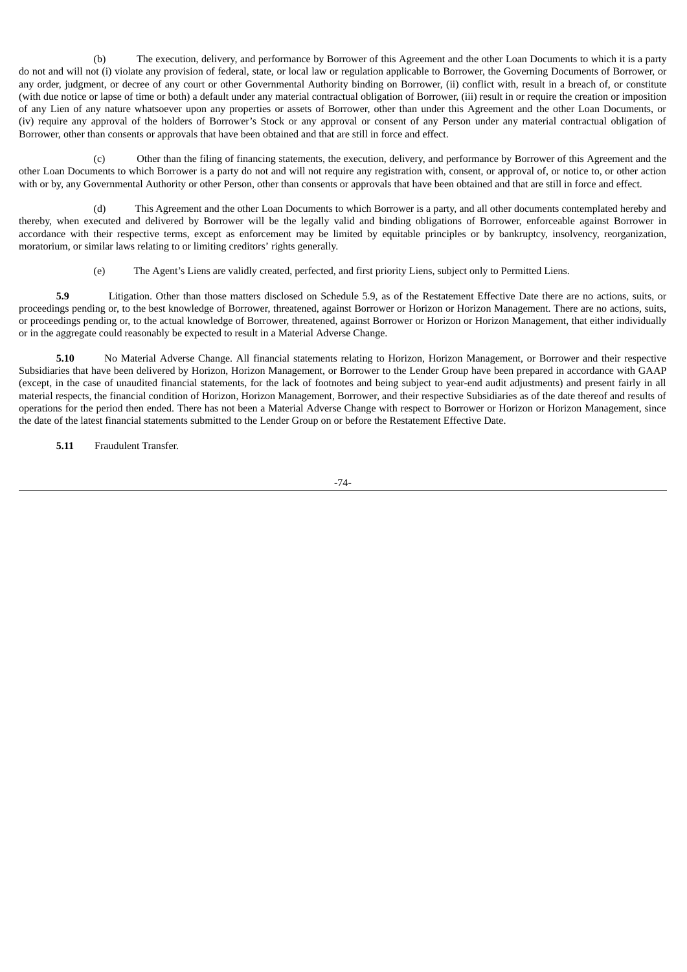(b) The execution, delivery, and performance by Borrower of this Agreement and the other Loan Documents to which it is a party do not and will not (i) violate any provision of federal, state, or local law or regulation applicable to Borrower, the Governing Documents of Borrower, or any order, judgment, or decree of any court or other Governmental Authority binding on Borrower, (ii) conflict with, result in a breach of, or constitute (with due notice or lapse of time or both) a default under any material contractual obligation of Borrower, (iii) result in or require the creation or imposition of any Lien of any nature whatsoever upon any properties or assets of Borrower, other than under this Agreement and the other Loan Documents, or (iv) require any approval of the holders of Borrower's Stock or any approval or consent of any Person under any material contractual obligation of Borrower, other than consents or approvals that have been obtained and that are still in force and effect.

(c) Other than the filing of financing statements, the execution, delivery, and performance by Borrower of this Agreement and the other Loan Documents to which Borrower is a party do not and will not require any registration with, consent, or approval of, or notice to, or other action with or by, any Governmental Authority or other Person, other than consents or approvals that have been obtained and that are still in force and effect.

(d) This Agreement and the other Loan Documents to which Borrower is a party, and all other documents contemplated hereby and thereby, when executed and delivered by Borrower will be the legally valid and binding obligations of Borrower, enforceable against Borrower in accordance with their respective terms, except as enforcement may be limited by equitable principles or by bankruptcy, insolvency, reorganization, moratorium, or similar laws relating to or limiting creditors' rights generally.

(e) The Agent's Liens are validly created, perfected, and first priority Liens, subject only to Permitted Liens.

**5.9** Litigation. Other than those matters disclosed on Schedule 5.9, as of the Restatement Effective Date there are no actions, suits, or proceedings pending or, to the best knowledge of Borrower, threatened, against Borrower or Horizon or Horizon Management. There are no actions, suits, or proceedings pending or, to the actual knowledge of Borrower, threatened, against Borrower or Horizon or Horizon Management, that either individually or in the aggregate could reasonably be expected to result in a Material Adverse Change.

**5.10** No Material Adverse Change. All financial statements relating to Horizon, Horizon Management, or Borrower and their respective Subsidiaries that have been delivered by Horizon, Horizon Management, or Borrower to the Lender Group have been prepared in accordance with GAAP (except, in the case of unaudited financial statements, for the lack of footnotes and being subject to year-end audit adjustments) and present fairly in all material respects, the financial condition of Horizon, Horizon Management, Borrower, and their respective Subsidiaries as of the date thereof and results of operations for the period then ended. There has not been a Material Adverse Change with respect to Borrower or Horizon or Horizon Management, since the date of the latest financial statements submitted to the Lender Group on or before the Restatement Effective Date.

**5.11** Fraudulent Transfer.

-74-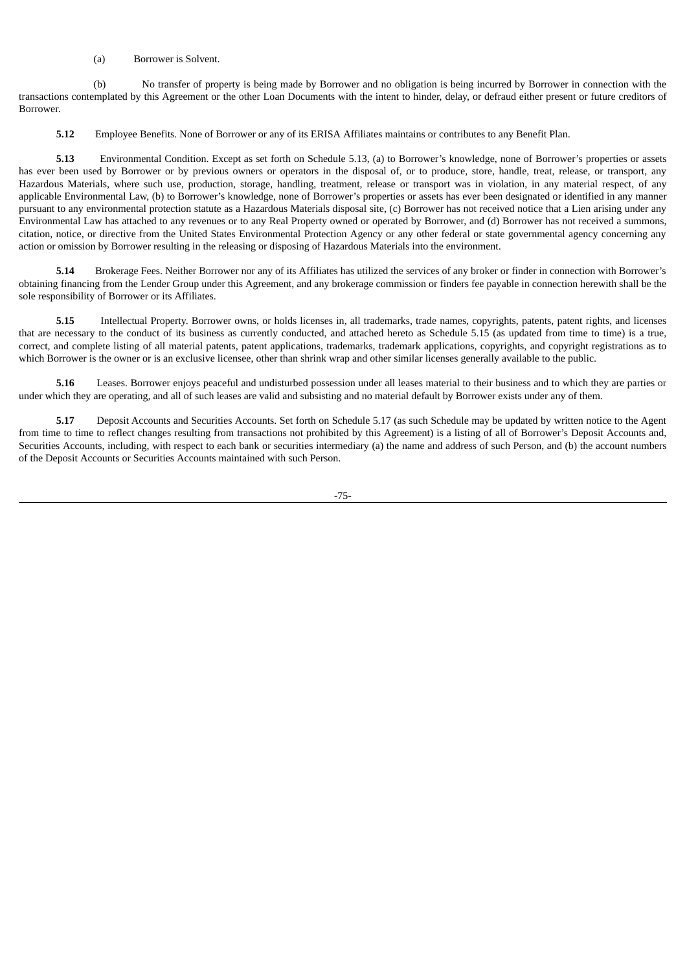### (a) Borrower is Solvent.

(b) No transfer of property is being made by Borrower and no obligation is being incurred by Borrower in connection with the transactions contemplated by this Agreement or the other Loan Documents with the intent to hinder, delay, or defraud either present or future creditors of Borrower.

**5.12** Employee Benefits. None of Borrower or any of its ERISA Affiliates maintains or contributes to any Benefit Plan.

**5.13** Environmental Condition. Except as set forth on Schedule 5.13, (a) to Borrower's knowledge, none of Borrower's properties or assets has ever been used by Borrower or by previous owners or operators in the disposal of, or to produce, store, handle, treat, release, or transport, any Hazardous Materials, where such use, production, storage, handling, treatment, release or transport was in violation, in any material respect, of any applicable Environmental Law, (b) to Borrower's knowledge, none of Borrower's properties or assets has ever been designated or identified in any manner pursuant to any environmental protection statute as a Hazardous Materials disposal site, (c) Borrower has not received notice that a Lien arising under any Environmental Law has attached to any revenues or to any Real Property owned or operated by Borrower, and (d) Borrower has not received a summons, citation, notice, or directive from the United States Environmental Protection Agency or any other federal or state governmental agency concerning any action or omission by Borrower resulting in the releasing or disposing of Hazardous Materials into the environment.

**5.14** Brokerage Fees. Neither Borrower nor any of its Affiliates has utilized the services of any broker or finder in connection with Borrower's obtaining financing from the Lender Group under this Agreement, and any brokerage commission or finders fee payable in connection herewith shall be the sole responsibility of Borrower or its Affiliates.

**5.15** Intellectual Property. Borrower owns, or holds licenses in, all trademarks, trade names, copyrights, patents, patent rights, and licenses that are necessary to the conduct of its business as currently conducted, and attached hereto as Schedule 5.15 (as updated from time to time) is a true, correct, and complete listing of all material patents, patent applications, trademarks, trademark applications, copyrights, and copyright registrations as to which Borrower is the owner or is an exclusive licensee, other than shrink wrap and other similar licenses generally available to the public.

**5.16** Leases. Borrower enjoys peaceful and undisturbed possession under all leases material to their business and to which they are parties or under which they are operating, and all of such leases are valid and subsisting and no material default by Borrower exists under any of them.

**5.17** Deposit Accounts and Securities Accounts. Set forth on Schedule 5.17 (as such Schedule may be updated by written notice to the Agent from time to time to reflect changes resulting from transactions not prohibited by this Agreement) is a listing of all of Borrower's Deposit Accounts and, Securities Accounts, including, with respect to each bank or securities intermediary (a) the name and address of such Person, and (b) the account numbers of the Deposit Accounts or Securities Accounts maintained with such Person.

-75-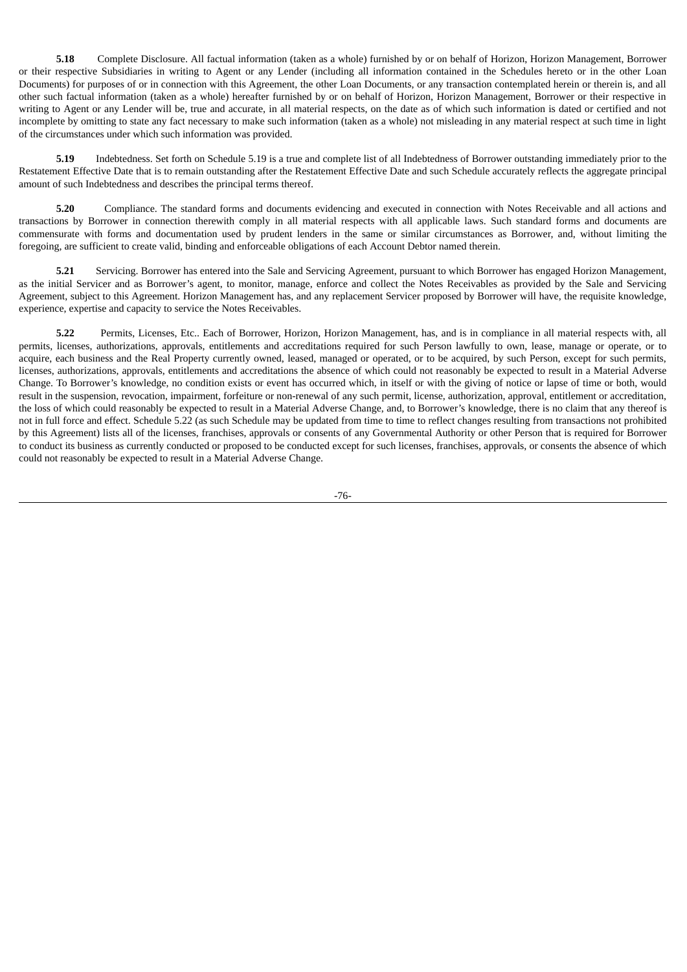**5.18** Complete Disclosure. All factual information (taken as a whole) furnished by or on behalf of Horizon, Horizon Management, Borrower or their respective Subsidiaries in writing to Agent or any Lender (including all information contained in the Schedules hereto or in the other Loan Documents) for purposes of or in connection with this Agreement, the other Loan Documents, or any transaction contemplated herein or therein is, and all other such factual information (taken as a whole) hereafter furnished by or on behalf of Horizon, Horizon Management, Borrower or their respective in writing to Agent or any Lender will be, true and accurate, in all material respects, on the date as of which such information is dated or certified and not incomplete by omitting to state any fact necessary to make such information (taken as a whole) not misleading in any material respect at such time in light of the circumstances under which such information was provided.

**5.19** Indebtedness. Set forth on Schedule 5.19 is a true and complete list of all Indebtedness of Borrower outstanding immediately prior to the Restatement Effective Date that is to remain outstanding after the Restatement Effective Date and such Schedule accurately reflects the aggregate principal amount of such Indebtedness and describes the principal terms thereof.

**5.20** Compliance. The standard forms and documents evidencing and executed in connection with Notes Receivable and all actions and transactions by Borrower in connection therewith comply in all material respects with all applicable laws. Such standard forms and documents are commensurate with forms and documentation used by prudent lenders in the same or similar circumstances as Borrower, and, without limiting the foregoing, are sufficient to create valid, binding and enforceable obligations of each Account Debtor named therein.

**5.21** Servicing. Borrower has entered into the Sale and Servicing Agreement, pursuant to which Borrower has engaged Horizon Management, as the initial Servicer and as Borrower's agent, to monitor, manage, enforce and collect the Notes Receivables as provided by the Sale and Servicing Agreement, subject to this Agreement. Horizon Management has, and any replacement Servicer proposed by Borrower will have, the requisite knowledge, experience, expertise and capacity to service the Notes Receivables.

**5.22** Permits, Licenses, Etc.. Each of Borrower, Horizon, Horizon Management, has, and is in compliance in all material respects with, all permits, licenses, authorizations, approvals, entitlements and accreditations required for such Person lawfully to own, lease, manage or operate, or to acquire, each business and the Real Property currently owned, leased, managed or operated, or to be acquired, by such Person, except for such permits, licenses, authorizations, approvals, entitlements and accreditations the absence of which could not reasonably be expected to result in a Material Adverse Change. To Borrower's knowledge, no condition exists or event has occurred which, in itself or with the giving of notice or lapse of time or both, would result in the suspension, revocation, impairment, forfeiture or non-renewal of any such permit, license, authorization, approval, entitlement or accreditation, the loss of which could reasonably be expected to result in a Material Adverse Change, and, to Borrower's knowledge, there is no claim that any thereof is not in full force and effect. Schedule 5.22 (as such Schedule may be updated from time to time to reflect changes resulting from transactions not prohibited by this Agreement) lists all of the licenses, franchises, approvals or consents of any Governmental Authority or other Person that is required for Borrower to conduct its business as currently conducted or proposed to be conducted except for such licenses, franchises, approvals, or consents the absence of which could not reasonably be expected to result in a Material Adverse Change.

-76-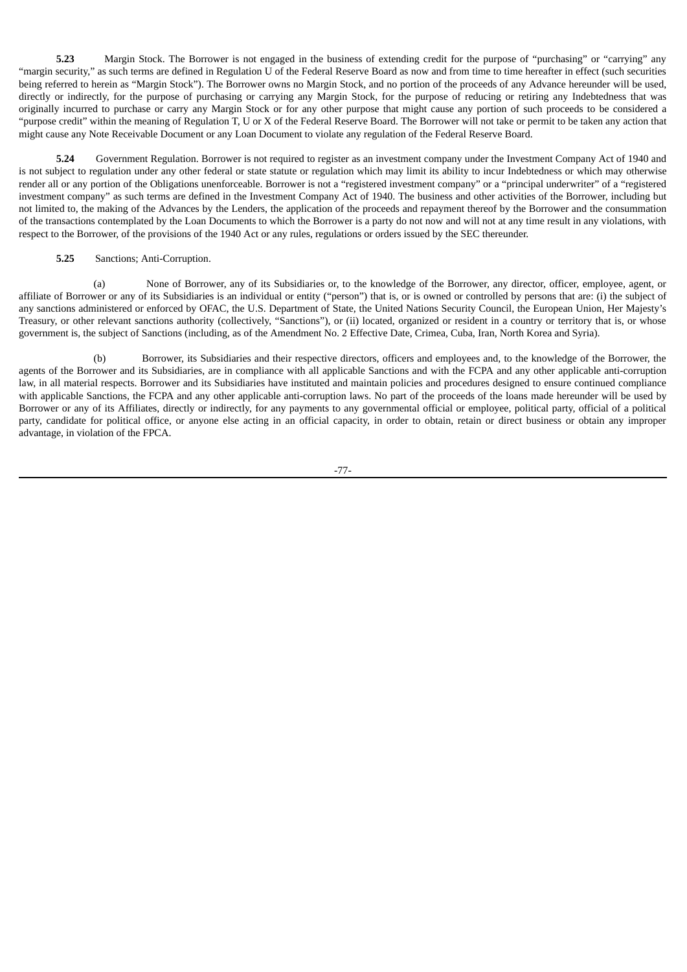**5.23** Margin Stock. The Borrower is not engaged in the business of extending credit for the purpose of "purchasing" or "carrying" any "margin security," as such terms are defined in Regulation U of the Federal Reserve Board as now and from time to time hereafter in effect (such securities being referred to herein as "Margin Stock"). The Borrower owns no Margin Stock, and no portion of the proceeds of any Advance hereunder will be used, directly or indirectly, for the purpose of purchasing or carrying any Margin Stock, for the purpose of reducing or retiring any Indebtedness that was originally incurred to purchase or carry any Margin Stock or for any other purpose that might cause any portion of such proceeds to be considered a "purpose credit" within the meaning of Regulation T, U or X of the Federal Reserve Board. The Borrower will not take or permit to be taken any action that might cause any Note Receivable Document or any Loan Document to violate any regulation of the Federal Reserve Board.

**5.24** Government Regulation. Borrower is not required to register as an investment company under the Investment Company Act of 1940 and is not subject to regulation under any other federal or state statute or regulation which may limit its ability to incur Indebtedness or which may otherwise render all or any portion of the Obligations unenforceable. Borrower is not a "registered investment company" or a "principal underwriter" of a "registered investment company" as such terms are defined in the Investment Company Act of 1940. The business and other activities of the Borrower, including but not limited to, the making of the Advances by the Lenders, the application of the proceeds and repayment thereof by the Borrower and the consummation of the transactions contemplated by the Loan Documents to which the Borrower is a party do not now and will not at any time result in any violations, with respect to the Borrower, of the provisions of the 1940 Act or any rules, regulations or orders issued by the SEC thereunder.

#### **5.25** Sanctions; Anti-Corruption.

(a) None of Borrower, any of its Subsidiaries or, to the knowledge of the Borrower, any director, officer, employee, agent, or affiliate of Borrower or any of its Subsidiaries is an individual or entity ("person") that is, or is owned or controlled by persons that are: (i) the subject of any sanctions administered or enforced by OFAC, the U.S. Department of State, the United Nations Security Council, the European Union, Her Majesty's Treasury, or other relevant sanctions authority (collectively, "Sanctions"), or (ii) located, organized or resident in a country or territory that is, or whose government is, the subject of Sanctions (including, as of the Amendment No. 2 Effective Date, Crimea, Cuba, Iran, North Korea and Syria).

(b) Borrower, its Subsidiaries and their respective directors, officers and employees and, to the knowledge of the Borrower, the agents of the Borrower and its Subsidiaries, are in compliance with all applicable Sanctions and with the FCPA and any other applicable anti-corruption law, in all material respects. Borrower and its Subsidiaries have instituted and maintain policies and procedures designed to ensure continued compliance with applicable Sanctions, the FCPA and any other applicable anti-corruption laws. No part of the proceeds of the loans made hereunder will be used by Borrower or any of its Affiliates, directly or indirectly, for any payments to any governmental official or employee, political party, official of a political party, candidate for political office, or anyone else acting in an official capacity, in order to obtain, retain or direct business or obtain any improper advantage, in violation of the FPCA.

-77-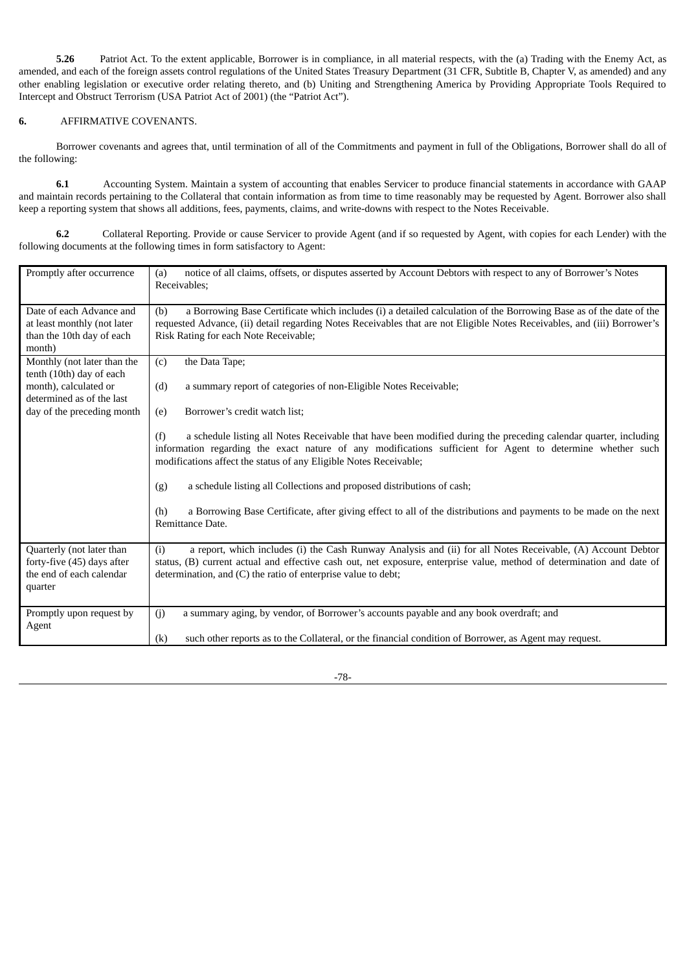**5.26** Patriot Act. To the extent applicable, Borrower is in compliance, in all material respects, with the (a) Trading with the Enemy Act, as amended, and each of the foreign assets control regulations of the United States Treasury Department (31 CFR, Subtitle B, Chapter V, as amended) and any other enabling legislation or executive order relating thereto, and (b) Uniting and Strengthening America by Providing Appropriate Tools Required to Intercept and Obstruct Terrorism (USA Patriot Act of 2001) (the "Patriot Act").

# **6.** AFFIRMATIVE COVENANTS.

Borrower covenants and agrees that, until termination of all of the Commitments and payment in full of the Obligations, Borrower shall do all of the following:

**6.1** Accounting System. Maintain a system of accounting that enables Servicer to produce financial statements in accordance with GAAP and maintain records pertaining to the Collateral that contain information as from time to time reasonably may be requested by Agent. Borrower also shall keep a reporting system that shows all additions, fees, payments, claims, and write-downs with respect to the Notes Receivable.

**6.2** Collateral Reporting. Provide or cause Servicer to provide Agent (and if so requested by Agent, with copies for each Lender) with the following documents at the following times in form satisfactory to Agent:

| Promptly after occurrence                          | notice of all claims, offsets, or disputes asserted by Account Debtors with respect to any of Borrower's Notes<br>(a)<br>Receivables;                                                                                                 |
|----------------------------------------------------|---------------------------------------------------------------------------------------------------------------------------------------------------------------------------------------------------------------------------------------|
| Date of each Advance and                           | a Borrowing Base Certificate which includes (i) a detailed calculation of the Borrowing Base as of the date of the<br>(b)                                                                                                             |
| at least monthly (not later                        | requested Advance, (ii) detail regarding Notes Receivables that are not Eligible Notes Receivables, and (iii) Borrower's                                                                                                              |
| than the 10th day of each                          | Risk Rating for each Note Receivable;                                                                                                                                                                                                 |
| month)                                             |                                                                                                                                                                                                                                       |
| Monthly (not later than the                        | the Data Tape;<br>(c)                                                                                                                                                                                                                 |
| tenth (10th) day of each                           |                                                                                                                                                                                                                                       |
| month), calculated or<br>determined as of the last | (d)<br>a summary report of categories of non-Eligible Notes Receivable;                                                                                                                                                               |
| day of the preceding month                         | Borrower's credit watch list;<br>(e)                                                                                                                                                                                                  |
|                                                    |                                                                                                                                                                                                                                       |
|                                                    | a schedule listing all Notes Receivable that have been modified during the preceding calendar quarter, including<br>(f)<br>information regarding the exact nature of any modifications sufficient for Agent to determine whether such |
|                                                    | modifications affect the status of any Eligible Notes Receivable;                                                                                                                                                                     |
|                                                    | a schedule listing all Collections and proposed distributions of cash;<br>(g)                                                                                                                                                         |
|                                                    | a Borrowing Base Certificate, after giving effect to all of the distributions and payments to be made on the next<br>(h)<br>Remittance Date.                                                                                          |
| Quarterly (not later than                          | (i)<br>a report, which includes (i) the Cash Runway Analysis and (ii) for all Notes Receivable, (A) Account Debtor                                                                                                                    |
| forty-five (45) days after                         | status, (B) current actual and effective cash out, net exposure, enterprise value, method of determination and date of                                                                                                                |
| the end of each calendar                           | determination, and (C) the ratio of enterprise value to debt;                                                                                                                                                                         |
| quarter                                            |                                                                                                                                                                                                                                       |
|                                                    |                                                                                                                                                                                                                                       |
| Promptly upon request by                           | (i)<br>a summary aging, by vendor, of Borrower's accounts payable and any book overdraft; and                                                                                                                                         |
| Agent                                              |                                                                                                                                                                                                                                       |
|                                                    | such other reports as to the Collateral, or the financial condition of Borrower, as Agent may request.<br>(k)                                                                                                                         |

-78-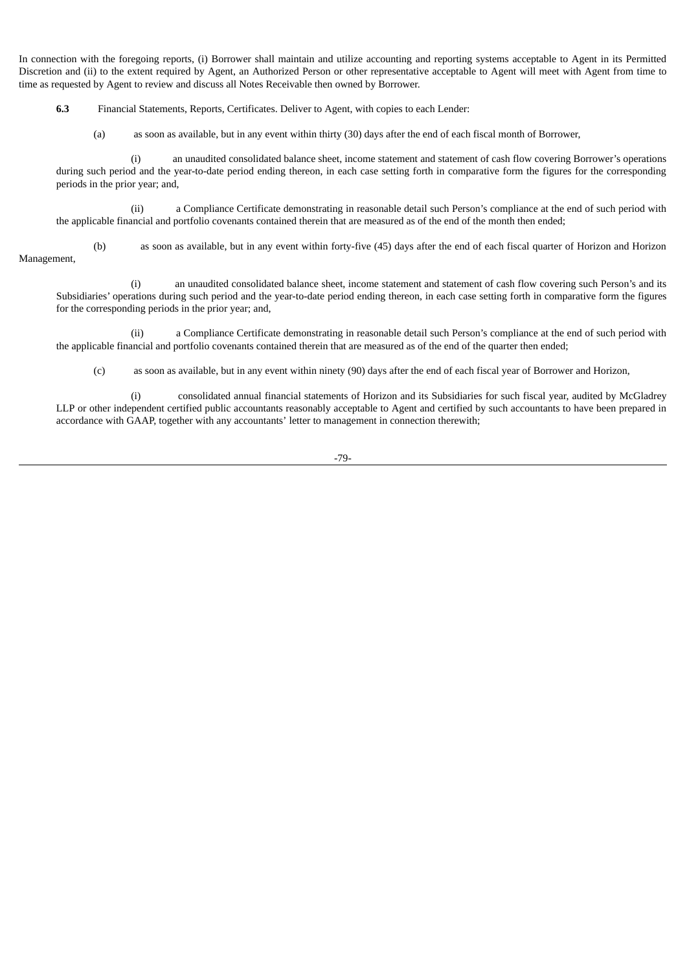In connection with the foregoing reports, (i) Borrower shall maintain and utilize accounting and reporting systems acceptable to Agent in its Permitted Discretion and (ii) to the extent required by Agent, an Authorized Person or other representative acceptable to Agent will meet with Agent from time to time as requested by Agent to review and discuss all Notes Receivable then owned by Borrower.

- **6.3** Financial Statements, Reports, Certificates. Deliver to Agent, with copies to each Lender:
	- (a) as soon as available, but in any event within thirty (30) days after the end of each fiscal month of Borrower,

(i) an unaudited consolidated balance sheet, income statement and statement of cash flow covering Borrower's operations during such period and the year-to-date period ending thereon, in each case setting forth in comparative form the figures for the corresponding periods in the prior year; and,

(ii) a Compliance Certificate demonstrating in reasonable detail such Person's compliance at the end of such period with the applicable financial and portfolio covenants contained therein that are measured as of the end of the month then ended;

(b) as soon as available, but in any event within forty-five (45) days after the end of each fiscal quarter of Horizon and Horizon Management,

(i) an unaudited consolidated balance sheet, income statement and statement of cash flow covering such Person's and its Subsidiaries' operations during such period and the year-to-date period ending thereon, in each case setting forth in comparative form the figures for the corresponding periods in the prior year; and,

(ii) a Compliance Certificate demonstrating in reasonable detail such Person's compliance at the end of such period with the applicable financial and portfolio covenants contained therein that are measured as of the end of the quarter then ended;

(c) as soon as available, but in any event within ninety (90) days after the end of each fiscal year of Borrower and Horizon,

(i) consolidated annual financial statements of Horizon and its Subsidiaries for such fiscal year, audited by McGladrey LLP or other independent certified public accountants reasonably acceptable to Agent and certified by such accountants to have been prepared in accordance with GAAP, together with any accountants' letter to management in connection therewith;

-79-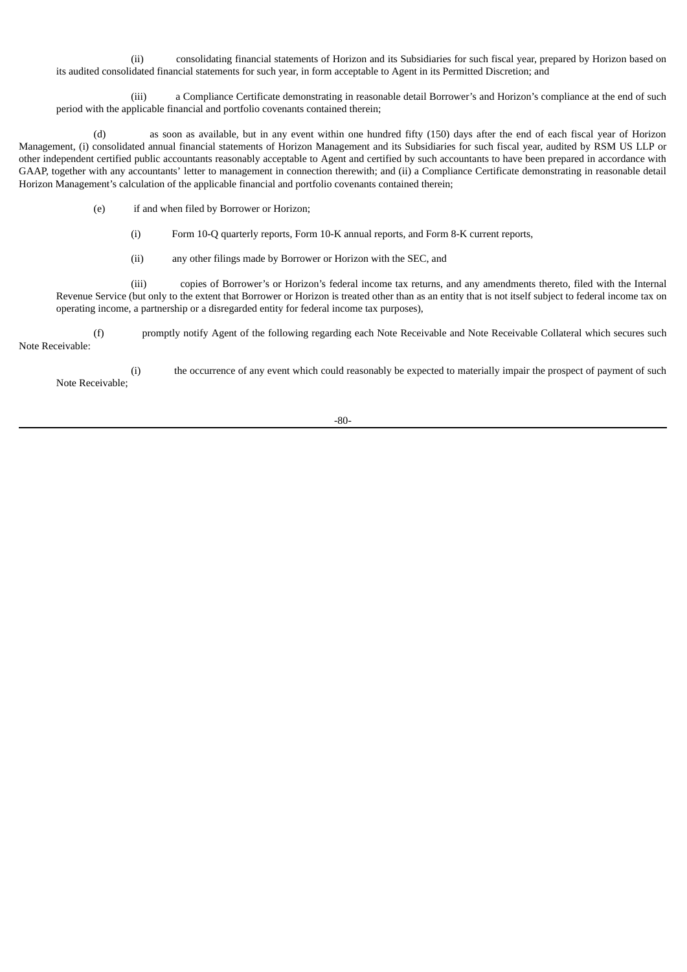(ii) consolidating financial statements of Horizon and its Subsidiaries for such fiscal year, prepared by Horizon based on its audited consolidated financial statements for such year, in form acceptable to Agent in its Permitted Discretion; and

(iii) a Compliance Certificate demonstrating in reasonable detail Borrower's and Horizon's compliance at the end of such period with the applicable financial and portfolio covenants contained therein;

(d) as soon as available, but in any event within one hundred fifty (150) days after the end of each fiscal year of Horizon Management, (i) consolidated annual financial statements of Horizon Management and its Subsidiaries for such fiscal year, audited by RSM US LLP or other independent certified public accountants reasonably acceptable to Agent and certified by such accountants to have been prepared in accordance with GAAP, together with any accountants' letter to management in connection therewith; and (ii) a Compliance Certificate demonstrating in reasonable detail Horizon Management's calculation of the applicable financial and portfolio covenants contained therein;

- (e) if and when filed by Borrower or Horizon;
	- (i) Form 10-Q quarterly reports, Form 10-K annual reports, and Form 8-K current reports,
	- (ii) any other filings made by Borrower or Horizon with the SEC, and

(iii) copies of Borrower's or Horizon's federal income tax returns, and any amendments thereto, filed with the Internal Revenue Service (but only to the extent that Borrower or Horizon is treated other than as an entity that is not itself subject to federal income tax on operating income, a partnership or a disregarded entity for federal income tax purposes),

(f) promptly notify Agent of the following regarding each Note Receivable and Note Receivable Collateral which secures such Note Receivable:

(i) the occurrence of any event which could reasonably be expected to materially impair the prospect of payment of such Note Receivable;

-80-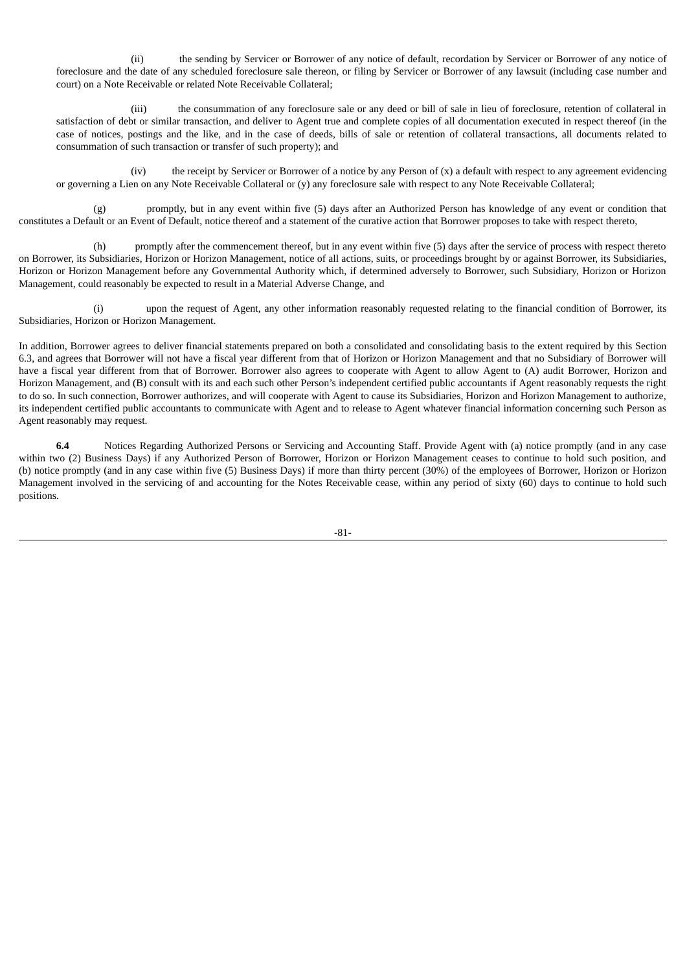(ii) the sending by Servicer or Borrower of any notice of default, recordation by Servicer or Borrower of any notice of foreclosure and the date of any scheduled foreclosure sale thereon, or filing by Servicer or Borrower of any lawsuit (including case number and court) on a Note Receivable or related Note Receivable Collateral;

(iii) the consummation of any foreclosure sale or any deed or bill of sale in lieu of foreclosure, retention of collateral in satisfaction of debt or similar transaction, and deliver to Agent true and complete copies of all documentation executed in respect thereof (in the case of notices, postings and the like, and in the case of deeds, bills of sale or retention of collateral transactions, all documents related to consummation of such transaction or transfer of such property); and

(iv) the receipt by Servicer or Borrower of a notice by any Person of (x) a default with respect to any agreement evidencing or governing a Lien on any Note Receivable Collateral or (y) any foreclosure sale with respect to any Note Receivable Collateral;

(g) promptly, but in any event within five (5) days after an Authorized Person has knowledge of any event or condition that constitutes a Default or an Event of Default, notice thereof and a statement of the curative action that Borrower proposes to take with respect thereto,

(h) promptly after the commencement thereof, but in any event within five (5) days after the service of process with respect thereto on Borrower, its Subsidiaries, Horizon or Horizon Management, notice of all actions, suits, or proceedings brought by or against Borrower, its Subsidiaries, Horizon or Horizon Management before any Governmental Authority which, if determined adversely to Borrower, such Subsidiary, Horizon or Horizon Management, could reasonably be expected to result in a Material Adverse Change, and

(i) upon the request of Agent, any other information reasonably requested relating to the financial condition of Borrower, its Subsidiaries, Horizon or Horizon Management.

In addition, Borrower agrees to deliver financial statements prepared on both a consolidated and consolidating basis to the extent required by this Section 6.3, and agrees that Borrower will not have a fiscal year different from that of Horizon or Horizon Management and that no Subsidiary of Borrower will have a fiscal year different from that of Borrower. Borrower also agrees to cooperate with Agent to allow Agent to (A) audit Borrower, Horizon and Horizon Management, and (B) consult with its and each such other Person's independent certified public accountants if Agent reasonably requests the right to do so. In such connection, Borrower authorizes, and will cooperate with Agent to cause its Subsidiaries, Horizon and Horizon Management to authorize, its independent certified public accountants to communicate with Agent and to release to Agent whatever financial information concerning such Person as Agent reasonably may request.

**6.4** Notices Regarding Authorized Persons or Servicing and Accounting Staff. Provide Agent with (a) notice promptly (and in any case within two (2) Business Days) if any Authorized Person of Borrower, Horizon or Horizon Management ceases to continue to hold such position, and (b) notice promptly (and in any case within five (5) Business Days) if more than thirty percent (30%) of the employees of Borrower, Horizon or Horizon Management involved in the servicing of and accounting for the Notes Receivable cease, within any period of sixty (60) days to continue to hold such positions.

-81-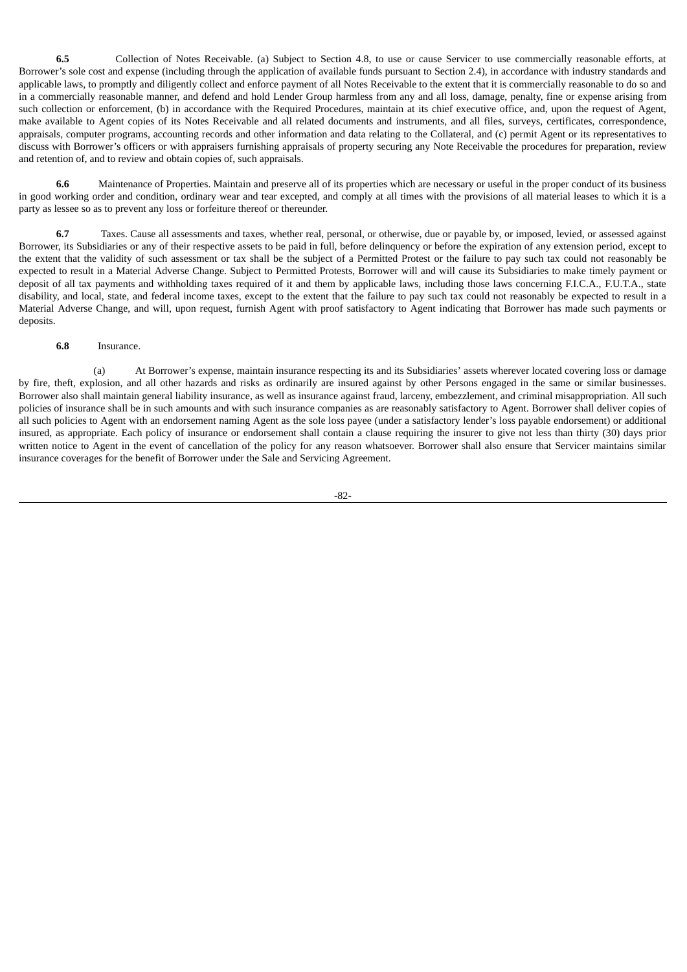**6.5** Collection of Notes Receivable. (a) Subject to Section 4.8, to use or cause Servicer to use commercially reasonable efforts, at Borrower's sole cost and expense (including through the application of available funds pursuant to Section 2.4), in accordance with industry standards and applicable laws, to promptly and diligently collect and enforce payment of all Notes Receivable to the extent that it is commercially reasonable to do so and in a commercially reasonable manner, and defend and hold Lender Group harmless from any and all loss, damage, penalty, fine or expense arising from such collection or enforcement, (b) in accordance with the Required Procedures, maintain at its chief executive office, and, upon the request of Agent, make available to Agent copies of its Notes Receivable and all related documents and instruments, and all files, surveys, certificates, correspondence, appraisals, computer programs, accounting records and other information and data relating to the Collateral, and (c) permit Agent or its representatives to discuss with Borrower's officers or with appraisers furnishing appraisals of property securing any Note Receivable the procedures for preparation, review and retention of, and to review and obtain copies of, such appraisals.

**6.6** Maintenance of Properties. Maintain and preserve all of its properties which are necessary or useful in the proper conduct of its business in good working order and condition, ordinary wear and tear excepted, and comply at all times with the provisions of all material leases to which it is a party as lessee so as to prevent any loss or forfeiture thereof or thereunder.

**6.7** Taxes. Cause all assessments and taxes, whether real, personal, or otherwise, due or payable by, or imposed, levied, or assessed against Borrower, its Subsidiaries or any of their respective assets to be paid in full, before delinquency or before the expiration of any extension period, except to the extent that the validity of such assessment or tax shall be the subject of a Permitted Protest or the failure to pay such tax could not reasonably be expected to result in a Material Adverse Change. Subject to Permitted Protests, Borrower will and will cause its Subsidiaries to make timely payment or deposit of all tax payments and withholding taxes required of it and them by applicable laws, including those laws concerning F.I.C.A., F.U.T.A., state disability, and local, state, and federal income taxes, except to the extent that the failure to pay such tax could not reasonably be expected to result in a Material Adverse Change, and will, upon request, furnish Agent with proof satisfactory to Agent indicating that Borrower has made such payments or deposits.

#### **6.8** Insurance.

(a) At Borrower's expense, maintain insurance respecting its and its Subsidiaries' assets wherever located covering loss or damage by fire, theft, explosion, and all other hazards and risks as ordinarily are insured against by other Persons engaged in the same or similar businesses. Borrower also shall maintain general liability insurance, as well as insurance against fraud, larceny, embezzlement, and criminal misappropriation. All such policies of insurance shall be in such amounts and with such insurance companies as are reasonably satisfactory to Agent. Borrower shall deliver copies of all such policies to Agent with an endorsement naming Agent as the sole loss payee (under a satisfactory lender's loss payable endorsement) or additional insured, as appropriate. Each policy of insurance or endorsement shall contain a clause requiring the insurer to give not less than thirty (30) days prior written notice to Agent in the event of cancellation of the policy for any reason whatsoever. Borrower shall also ensure that Servicer maintains similar insurance coverages for the benefit of Borrower under the Sale and Servicing Agreement.

-82-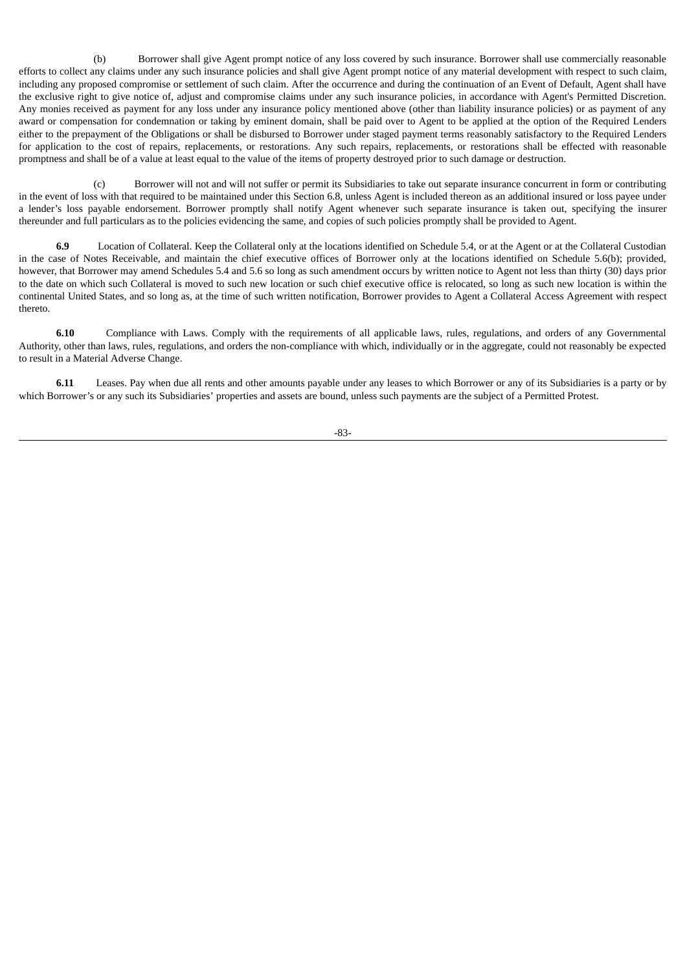(b) Borrower shall give Agent prompt notice of any loss covered by such insurance. Borrower shall use commercially reasonable efforts to collect any claims under any such insurance policies and shall give Agent prompt notice of any material development with respect to such claim, including any proposed compromise or settlement of such claim. After the occurrence and during the continuation of an Event of Default, Agent shall have the exclusive right to give notice of, adjust and compromise claims under any such insurance policies, in accordance with Agent's Permitted Discretion. Any monies received as payment for any loss under any insurance policy mentioned above (other than liability insurance policies) or as payment of any award or compensation for condemnation or taking by eminent domain, shall be paid over to Agent to be applied at the option of the Required Lenders either to the prepayment of the Obligations or shall be disbursed to Borrower under staged payment terms reasonably satisfactory to the Required Lenders for application to the cost of repairs, replacements, or restorations. Any such repairs, replacements, or restorations shall be effected with reasonable promptness and shall be of a value at least equal to the value of the items of property destroyed prior to such damage or destruction.

(c) Borrower will not and will not suffer or permit its Subsidiaries to take out separate insurance concurrent in form or contributing in the event of loss with that required to be maintained under this Section 6.8, unless Agent is included thereon as an additional insured or loss payee under a lender's loss payable endorsement. Borrower promptly shall notify Agent whenever such separate insurance is taken out, specifying the insurer thereunder and full particulars as to the policies evidencing the same, and copies of such policies promptly shall be provided to Agent.

**6.9** Location of Collateral. Keep the Collateral only at the locations identified on Schedule 5.4, or at the Agent or at the Collateral Custodian in the case of Notes Receivable, and maintain the chief executive offices of Borrower only at the locations identified on Schedule 5.6(b); provided, however, that Borrower may amend Schedules 5.4 and 5.6 so long as such amendment occurs by written notice to Agent not less than thirty (30) days prior to the date on which such Collateral is moved to such new location or such chief executive office is relocated, so long as such new location is within the continental United States, and so long as, at the time of such written notification, Borrower provides to Agent a Collateral Access Agreement with respect thereto.

**6.10** Compliance with Laws. Comply with the requirements of all applicable laws, rules, regulations, and orders of any Governmental Authority, other than laws, rules, regulations, and orders the non-compliance with which, individually or in the aggregate, could not reasonably be expected to result in a Material Adverse Change.

**6.11** Leases. Pay when due all rents and other amounts payable under any leases to which Borrower or any of its Subsidiaries is a party or by which Borrower's or any such its Subsidiaries' properties and assets are bound, unless such payments are the subject of a Permitted Protest.

-83-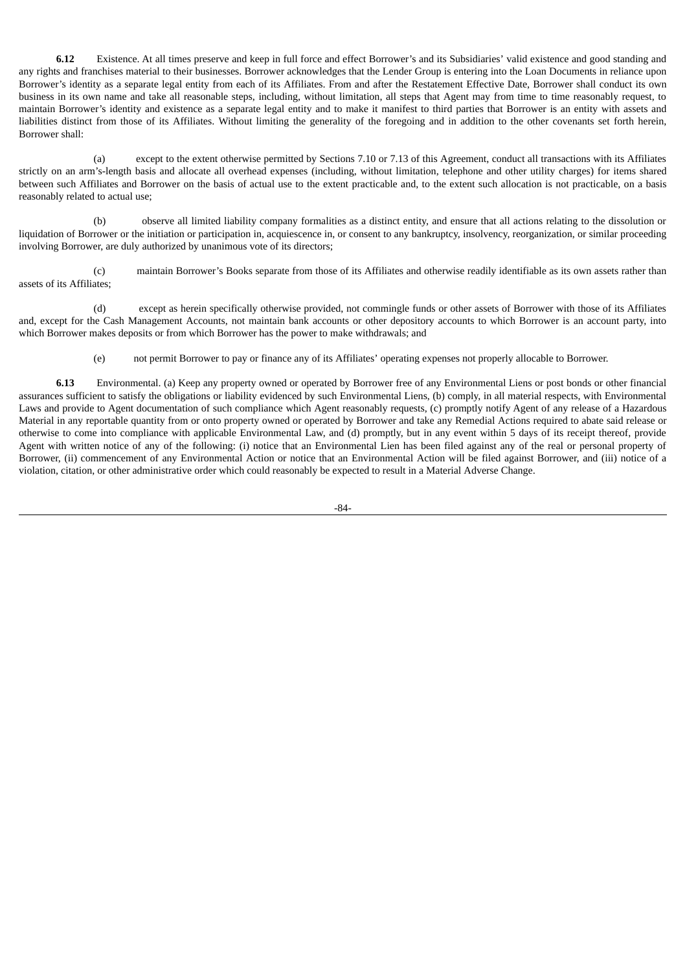**6.12** Existence. At all times preserve and keep in full force and effect Borrower's and its Subsidiaries' valid existence and good standing and any rights and franchises material to their businesses. Borrower acknowledges that the Lender Group is entering into the Loan Documents in reliance upon Borrower's identity as a separate legal entity from each of its Affiliates. From and after the Restatement Effective Date, Borrower shall conduct its own business in its own name and take all reasonable steps, including, without limitation, all steps that Agent may from time to time reasonably request, to maintain Borrower's identity and existence as a separate legal entity and to make it manifest to third parties that Borrower is an entity with assets and liabilities distinct from those of its Affiliates. Without limiting the generality of the foregoing and in addition to the other covenants set forth herein, Borrower shall:

(a) except to the extent otherwise permitted by Sections 7.10 or 7.13 of this Agreement, conduct all transactions with its Affiliates strictly on an arm's-length basis and allocate all overhead expenses (including, without limitation, telephone and other utility charges) for items shared between such Affiliates and Borrower on the basis of actual use to the extent practicable and, to the extent such allocation is not practicable, on a basis reasonably related to actual use;

(b) observe all limited liability company formalities as a distinct entity, and ensure that all actions relating to the dissolution or liquidation of Borrower or the initiation or participation in, acquiescence in, or consent to any bankruptcy, insolvency, reorganization, or similar proceeding involving Borrower, are duly authorized by unanimous vote of its directors;

(c) maintain Borrower's Books separate from those of its Affiliates and otherwise readily identifiable as its own assets rather than assets of its Affiliates;

(d) except as herein specifically otherwise provided, not commingle funds or other assets of Borrower with those of its Affiliates and, except for the Cash Management Accounts, not maintain bank accounts or other depository accounts to which Borrower is an account party, into which Borrower makes deposits or from which Borrower has the power to make withdrawals; and

(e) not permit Borrower to pay or finance any of its Affiliates' operating expenses not properly allocable to Borrower.

**6.13** Environmental. (a) Keep any property owned or operated by Borrower free of any Environmental Liens or post bonds or other financial assurances sufficient to satisfy the obligations or liability evidenced by such Environmental Liens, (b) comply, in all material respects, with Environmental Laws and provide to Agent documentation of such compliance which Agent reasonably requests, (c) promptly notify Agent of any release of a Hazardous Material in any reportable quantity from or onto property owned or operated by Borrower and take any Remedial Actions required to abate said release or otherwise to come into compliance with applicable Environmental Law, and (d) promptly, but in any event within 5 days of its receipt thereof, provide Agent with written notice of any of the following: (i) notice that an Environmental Lien has been filed against any of the real or personal property of Borrower, (ii) commencement of any Environmental Action or notice that an Environmental Action will be filed against Borrower, and (iii) notice of a violation, citation, or other administrative order which could reasonably be expected to result in a Material Adverse Change.

-84-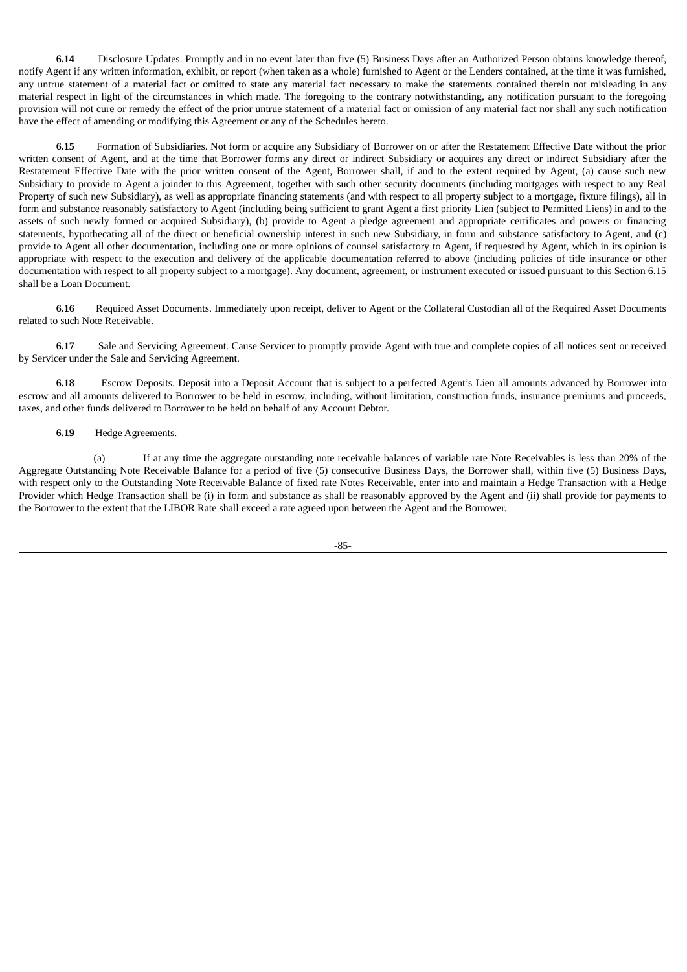**6.14** Disclosure Updates. Promptly and in no event later than five (5) Business Days after an Authorized Person obtains knowledge thereof, notify Agent if any written information, exhibit, or report (when taken as a whole) furnished to Agent or the Lenders contained, at the time it was furnished, any untrue statement of a material fact or omitted to state any material fact necessary to make the statements contained therein not misleading in any material respect in light of the circumstances in which made. The foregoing to the contrary notwithstanding, any notification pursuant to the foregoing provision will not cure or remedy the effect of the prior untrue statement of a material fact or omission of any material fact nor shall any such notification have the effect of amending or modifying this Agreement or any of the Schedules hereto.

**6.15** Formation of Subsidiaries. Not form or acquire any Subsidiary of Borrower on or after the Restatement Effective Date without the prior written consent of Agent, and at the time that Borrower forms any direct or indirect Subsidiary or acquires any direct or indirect Subsidiary after the Restatement Effective Date with the prior written consent of the Agent, Borrower shall, if and to the extent required by Agent, (a) cause such new Subsidiary to provide to Agent a joinder to this Agreement, together with such other security documents (including mortgages with respect to any Real Property of such new Subsidiary), as well as appropriate financing statements (and with respect to all property subject to a mortgage, fixture filings), all in form and substance reasonably satisfactory to Agent (including being sufficient to grant Agent a first priority Lien (subject to Permitted Liens) in and to the assets of such newly formed or acquired Subsidiary), (b) provide to Agent a pledge agreement and appropriate certificates and powers or financing statements, hypothecating all of the direct or beneficial ownership interest in such new Subsidiary, in form and substance satisfactory to Agent, and (c) provide to Agent all other documentation, including one or more opinions of counsel satisfactory to Agent, if requested by Agent, which in its opinion is appropriate with respect to the execution and delivery of the applicable documentation referred to above (including policies of title insurance or other documentation with respect to all property subject to a mortgage). Any document, agreement, or instrument executed or issued pursuant to this Section 6.15 shall be a Loan Document.

**6.16** Required Asset Documents. Immediately upon receipt, deliver to Agent or the Collateral Custodian all of the Required Asset Documents related to such Note Receivable.

**6.17** Sale and Servicing Agreement. Cause Servicer to promptly provide Agent with true and complete copies of all notices sent or received by Servicer under the Sale and Servicing Agreement.

**6.18** Escrow Deposits. Deposit into a Deposit Account that is subject to a perfected Agent's Lien all amounts advanced by Borrower into escrow and all amounts delivered to Borrower to be held in escrow, including, without limitation, construction funds, insurance premiums and proceeds, taxes, and other funds delivered to Borrower to be held on behalf of any Account Debtor.

### **6.19** Hedge Agreements.

(a) If at any time the aggregate outstanding note receivable balances of variable rate Note Receivables is less than 20% of the Aggregate Outstanding Note Receivable Balance for a period of five (5) consecutive Business Days, the Borrower shall, within five (5) Business Days, with respect only to the Outstanding Note Receivable Balance of fixed rate Notes Receivable, enter into and maintain a Hedge Transaction with a Hedge Provider which Hedge Transaction shall be (i) in form and substance as shall be reasonably approved by the Agent and (ii) shall provide for payments to the Borrower to the extent that the LIBOR Rate shall exceed a rate agreed upon between the Agent and the Borrower.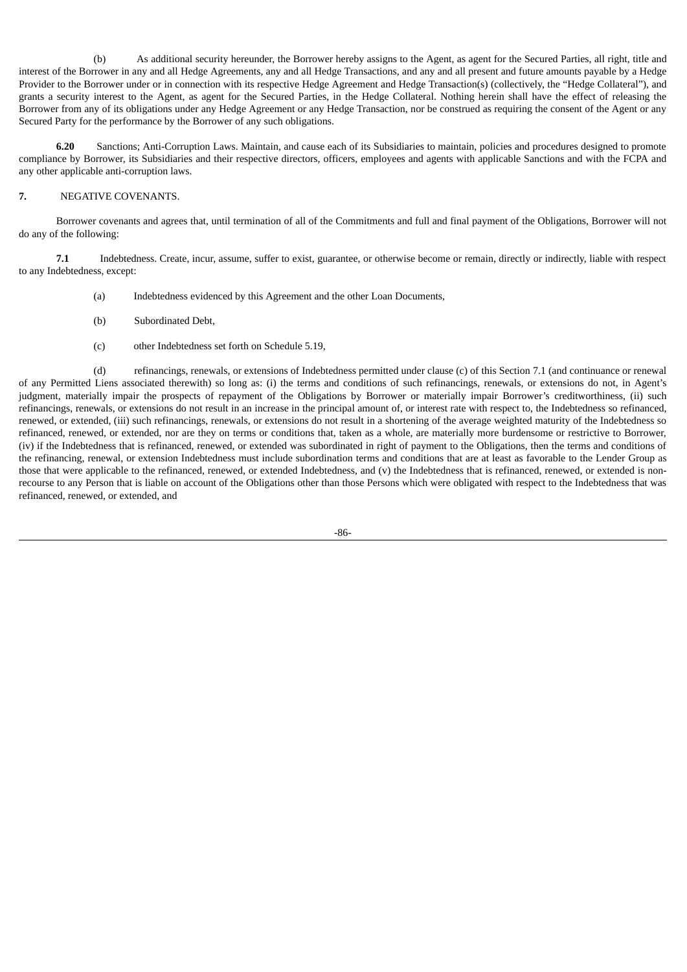(b) As additional security hereunder, the Borrower hereby assigns to the Agent, as agent for the Secured Parties, all right, title and interest of the Borrower in any and all Hedge Agreements, any and all Hedge Transactions, and any and all present and future amounts payable by a Hedge Provider to the Borrower under or in connection with its respective Hedge Agreement and Hedge Transaction(s) (collectively, the "Hedge Collateral"), and grants a security interest to the Agent, as agent for the Secured Parties, in the Hedge Collateral. Nothing herein shall have the effect of releasing the Borrower from any of its obligations under any Hedge Agreement or any Hedge Transaction, nor be construed as requiring the consent of the Agent or any Secured Party for the performance by the Borrower of any such obligations.

**6.20** Sanctions; Anti-Corruption Laws. Maintain, and cause each of its Subsidiaries to maintain, policies and procedures designed to promote compliance by Borrower, its Subsidiaries and their respective directors, officers, employees and agents with applicable Sanctions and with the FCPA and any other applicable anti-corruption laws.

# **7.** NEGATIVE COVENANTS.

Borrower covenants and agrees that, until termination of all of the Commitments and full and final payment of the Obligations, Borrower will not do any of the following:

**7.1** Indebtedness. Create, incur, assume, suffer to exist, guarantee, or otherwise become or remain, directly or indirectly, liable with respect to any Indebtedness, except:

- (a) Indebtedness evidenced by this Agreement and the other Loan Documents,
- (b) Subordinated Debt,
- (c) other Indebtedness set forth on Schedule 5.19,

(d) refinancings, renewals, or extensions of Indebtedness permitted under clause (c) of this Section 7.1 (and continuance or renewal of any Permitted Liens associated therewith) so long as: (i) the terms and conditions of such refinancings, renewals, or extensions do not, in Agent's judgment, materially impair the prospects of repayment of the Obligations by Borrower or materially impair Borrower's creditworthiness, (ii) such refinancings, renewals, or extensions do not result in an increase in the principal amount of, or interest rate with respect to, the Indebtedness so refinanced, renewed, or extended, (iii) such refinancings, renewals, or extensions do not result in a shortening of the average weighted maturity of the Indebtedness so refinanced, renewed, or extended, nor are they on terms or conditions that, taken as a whole, are materially more burdensome or restrictive to Borrower, (iv) if the Indebtedness that is refinanced, renewed, or extended was subordinated in right of payment to the Obligations, then the terms and conditions of the refinancing, renewal, or extension Indebtedness must include subordination terms and conditions that are at least as favorable to the Lender Group as those that were applicable to the refinanced, renewed, or extended Indebtedness, and (v) the Indebtedness that is refinanced, renewed, or extended is nonrecourse to any Person that is liable on account of the Obligations other than those Persons which were obligated with respect to the Indebtedness that was refinanced, renewed, or extended, and

-86-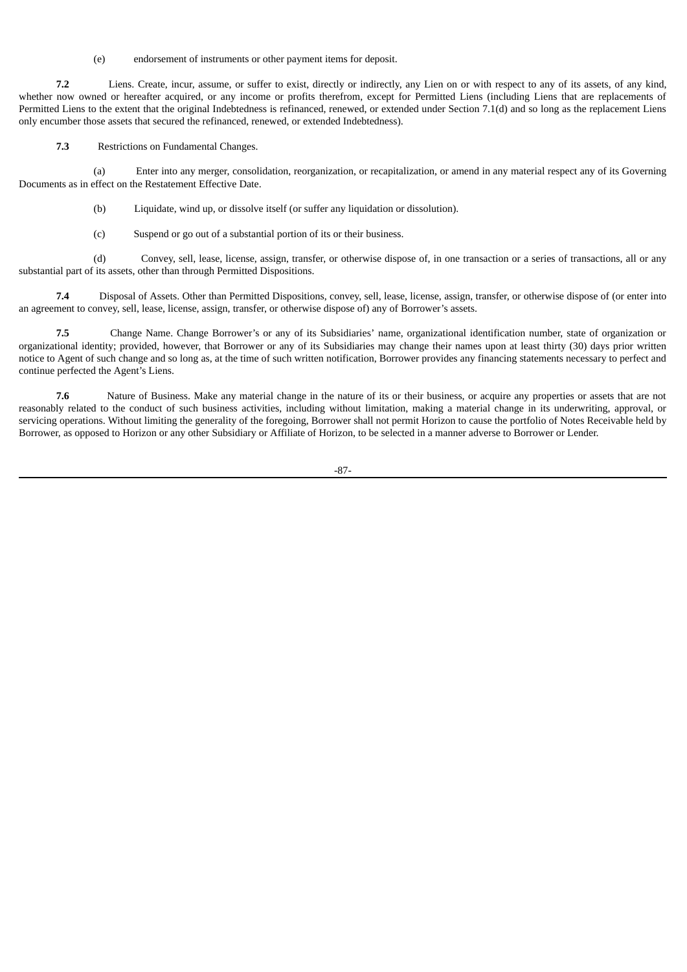(e) endorsement of instruments or other payment items for deposit.

**7.2** Liens. Create, incur, assume, or suffer to exist, directly or indirectly, any Lien on or with respect to any of its assets, of any kind, whether now owned or hereafter acquired, or any income or profits therefrom, except for Permitted Liens (including Liens that are replacements of Permitted Liens to the extent that the original Indebtedness is refinanced, renewed, or extended under Section 7.1(d) and so long as the replacement Liens only encumber those assets that secured the refinanced, renewed, or extended Indebtedness).

**7.3** Restrictions on Fundamental Changes.

(a) Enter into any merger, consolidation, reorganization, or recapitalization, or amend in any material respect any of its Governing Documents as in effect on the Restatement Effective Date.

(b) Liquidate, wind up, or dissolve itself (or suffer any liquidation or dissolution).

(c) Suspend or go out of a substantial portion of its or their business.

(d) Convey, sell, lease, license, assign, transfer, or otherwise dispose of, in one transaction or a series of transactions, all or any substantial part of its assets, other than through Permitted Dispositions.

**7.4** Disposal of Assets. Other than Permitted Dispositions, convey, sell, lease, license, assign, transfer, or otherwise dispose of (or enter into an agreement to convey, sell, lease, license, assign, transfer, or otherwise dispose of) any of Borrower's assets.

**7.5** Change Name. Change Borrower's or any of its Subsidiaries' name, organizational identification number, state of organization or organizational identity; provided, however, that Borrower or any of its Subsidiaries may change their names upon at least thirty (30) days prior written notice to Agent of such change and so long as, at the time of such written notification, Borrower provides any financing statements necessary to perfect and continue perfected the Agent's Liens.

**7.6** Nature of Business. Make any material change in the nature of its or their business, or acquire any properties or assets that are not reasonably related to the conduct of such business activities, including without limitation, making a material change in its underwriting, approval, or servicing operations. Without limiting the generality of the foregoing, Borrower shall not permit Horizon to cause the portfolio of Notes Receivable held by Borrower, as opposed to Horizon or any other Subsidiary or Affiliate of Horizon, to be selected in a manner adverse to Borrower or Lender.

-87-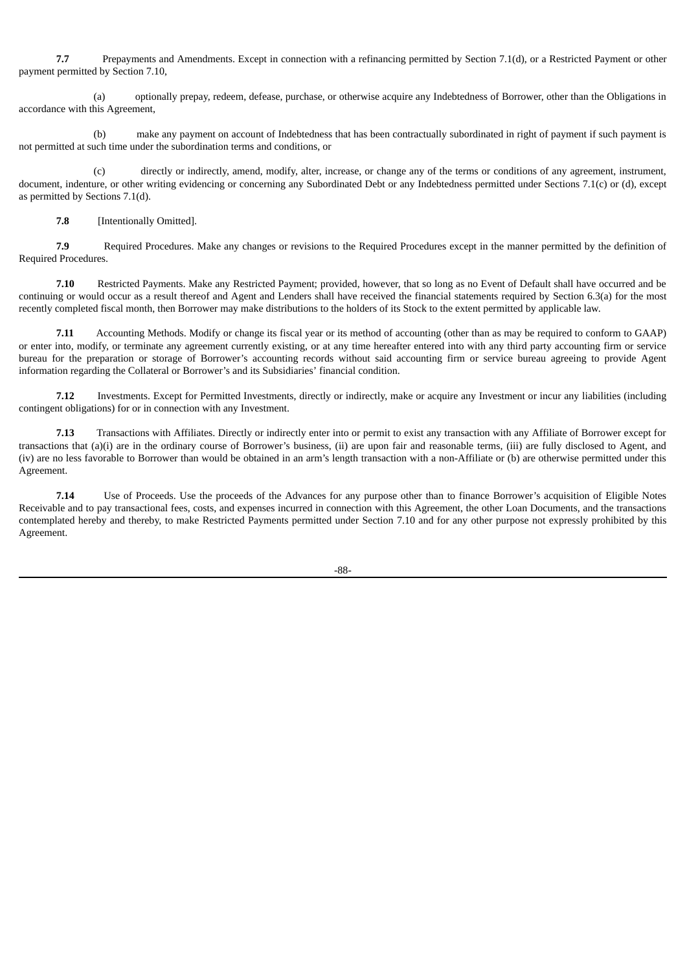**7.7** Prepayments and Amendments. Except in connection with a refinancing permitted by Section 7.1(d), or a Restricted Payment or other payment permitted by Section 7.10,

(a) optionally prepay, redeem, defease, purchase, or otherwise acquire any Indebtedness of Borrower, other than the Obligations in accordance with this Agreement,

(b) make any payment on account of Indebtedness that has been contractually subordinated in right of payment if such payment is not permitted at such time under the subordination terms and conditions, or

(c) directly or indirectly, amend, modify, alter, increase, or change any of the terms or conditions of any agreement, instrument, document, indenture, or other writing evidencing or concerning any Subordinated Debt or any Indebtedness permitted under Sections 7.1(c) or (d), except as permitted by Sections 7.1(d).

# **7.8** [Intentionally Omitted].

**7.9** Required Procedures. Make any changes or revisions to the Required Procedures except in the manner permitted by the definition of Required Procedures.

**7.10** Restricted Payments. Make any Restricted Payment; provided, however, that so long as no Event of Default shall have occurred and be continuing or would occur as a result thereof and Agent and Lenders shall have received the financial statements required by Section 6.3(a) for the most recently completed fiscal month, then Borrower may make distributions to the holders of its Stock to the extent permitted by applicable law.

**7.11** Accounting Methods. Modify or change its fiscal year or its method of accounting (other than as may be required to conform to GAAP) or enter into, modify, or terminate any agreement currently existing, or at any time hereafter entered into with any third party accounting firm or service bureau for the preparation or storage of Borrower's accounting records without said accounting firm or service bureau agreeing to provide Agent information regarding the Collateral or Borrower's and its Subsidiaries' financial condition.

**7.12** Investments. Except for Permitted Investments, directly or indirectly, make or acquire any Investment or incur any liabilities (including contingent obligations) for or in connection with any Investment.

**7.13** Transactions with Affiliates. Directly or indirectly enter into or permit to exist any transaction with any Affiliate of Borrower except for transactions that (a)(i) are in the ordinary course of Borrower's business, (ii) are upon fair and reasonable terms, (iii) are fully disclosed to Agent, and (iv) are no less favorable to Borrower than would be obtained in an arm's length transaction with a non-Affiliate or (b) are otherwise permitted under this Agreement.

**7.14** Use of Proceeds. Use the proceeds of the Advances for any purpose other than to finance Borrower's acquisition of Eligible Notes Receivable and to pay transactional fees, costs, and expenses incurred in connection with this Agreement, the other Loan Documents, and the transactions contemplated hereby and thereby, to make Restricted Payments permitted under Section 7.10 and for any other purpose not expressly prohibited by this Agreement.

-88-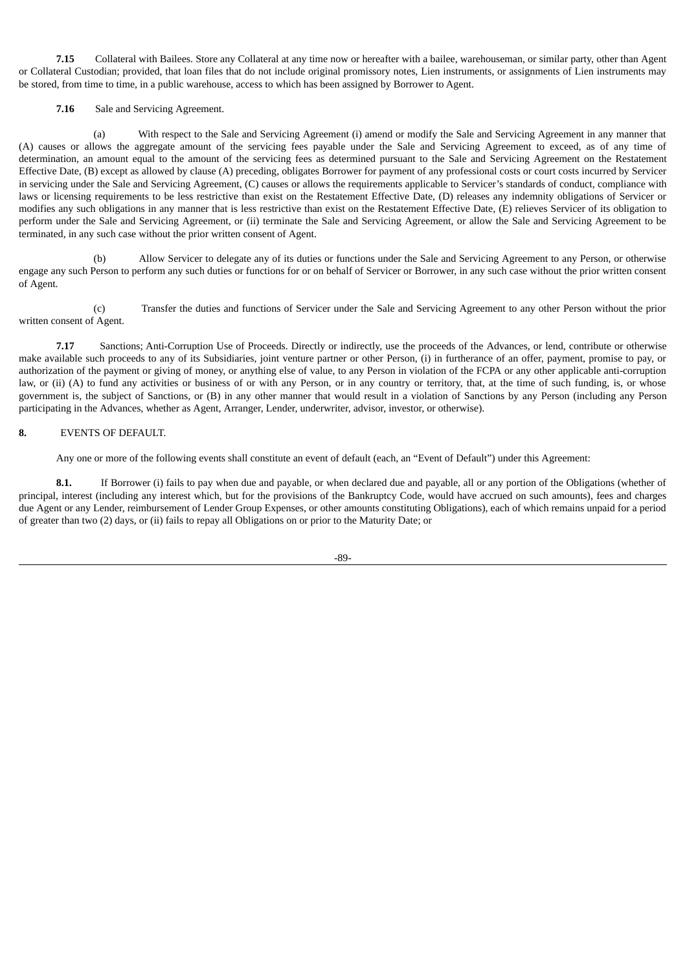**7.15** Collateral with Bailees. Store any Collateral at any time now or hereafter with a bailee, warehouseman, or similar party, other than Agent or Collateral Custodian; provided, that loan files that do not include original promissory notes, Lien instruments, or assignments of Lien instruments may be stored, from time to time, in a public warehouse, access to which has been assigned by Borrower to Agent.

## **7.16** Sale and Servicing Agreement.

(a) With respect to the Sale and Servicing Agreement (i) amend or modify the Sale and Servicing Agreement in any manner that (A) causes or allows the aggregate amount of the servicing fees payable under the Sale and Servicing Agreement to exceed, as of any time of determination, an amount equal to the amount of the servicing fees as determined pursuant to the Sale and Servicing Agreement on the Restatement Effective Date, (B) except as allowed by clause (A) preceding, obligates Borrower for payment of any professional costs or court costs incurred by Servicer in servicing under the Sale and Servicing Agreement, (C) causes or allows the requirements applicable to Servicer's standards of conduct, compliance with laws or licensing requirements to be less restrictive than exist on the Restatement Effective Date, (D) releases any indemnity obligations of Servicer or modifies any such obligations in any manner that is less restrictive than exist on the Restatement Effective Date, (E) relieves Servicer of its obligation to perform under the Sale and Servicing Agreement, or (ii) terminate the Sale and Servicing Agreement, or allow the Sale and Servicing Agreement to be terminated, in any such case without the prior written consent of Agent.

(b) Allow Servicer to delegate any of its duties or functions under the Sale and Servicing Agreement to any Person, or otherwise engage any such Person to perform any such duties or functions for or on behalf of Servicer or Borrower, in any such case without the prior written consent of Agent.

(c) Transfer the duties and functions of Servicer under the Sale and Servicing Agreement to any other Person without the prior written consent of Agent.

**7.17** Sanctions; Anti-Corruption Use of Proceeds. Directly or indirectly, use the proceeds of the Advances, or lend, contribute or otherwise make available such proceeds to any of its Subsidiaries, joint venture partner or other Person, (i) in furtherance of an offer, payment, promise to pay, or authorization of the payment or giving of money, or anything else of value, to any Person in violation of the FCPA or any other applicable anti-corruption law, or (ii) (A) to fund any activities or business of or with any Person, or in any country or territory, that, at the time of such funding, is, or whose government is, the subject of Sanctions, or (B) in any other manner that would result in a violation of Sanctions by any Person (including any Person participating in the Advances, whether as Agent, Arranger, Lender, underwriter, advisor, investor, or otherwise).

### **8.** EVENTS OF DEFAULT.

Any one or more of the following events shall constitute an event of default (each, an "Event of Default") under this Agreement:

**8.1.** If Borrower (i) fails to pay when due and payable, or when declared due and payable, all or any portion of the Obligations (whether of principal, interest (including any interest which, but for the provisions of the Bankruptcy Code, would have accrued on such amounts), fees and charges due Agent or any Lender, reimbursement of Lender Group Expenses, or other amounts constituting Obligations), each of which remains unpaid for a period of greater than two (2) days, or (ii) fails to repay all Obligations on or prior to the Maturity Date; or

-89-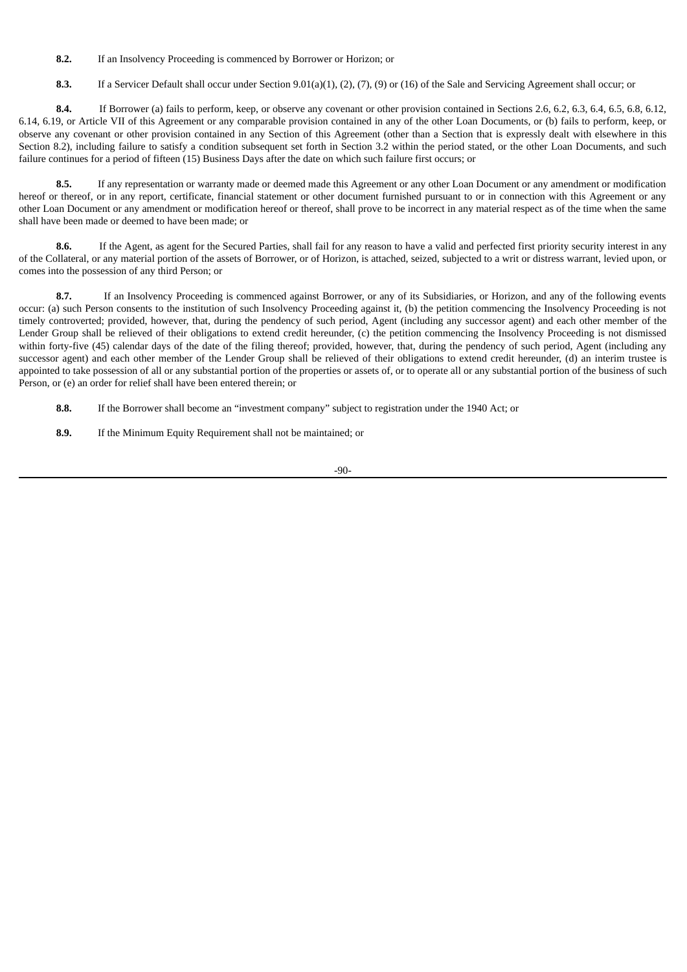**8.2.** If an Insolvency Proceeding is commenced by Borrower or Horizon; or

**8.3.** If a Servicer Default shall occur under Section 9.01(a)(1), (2), (7), (9) or (16) of the Sale and Servicing Agreement shall occur; or

**8.4.** If Borrower (a) fails to perform, keep, or observe any covenant or other provision contained in Sections 2.6, 6.2, 6.3, 6.4, 6.5, 6.8, 6.12, 6.14, 6.19, or Article VII of this Agreement or any comparable provision contained in any of the other Loan Documents, or (b) fails to perform, keep, or observe any covenant or other provision contained in any Section of this Agreement (other than a Section that is expressly dealt with elsewhere in this Section 8.2), including failure to satisfy a condition subsequent set forth in Section 3.2 within the period stated, or the other Loan Documents, and such failure continues for a period of fifteen (15) Business Days after the date on which such failure first occurs; or

**8.5.** If any representation or warranty made or deemed made this Agreement or any other Loan Document or any amendment or modification hereof or thereof, or in any report, certificate, financial statement or other document furnished pursuant to or in connection with this Agreement or any other Loan Document or any amendment or modification hereof or thereof, shall prove to be incorrect in any material respect as of the time when the same shall have been made or deemed to have been made; or

**8.6.** If the Agent, as agent for the Secured Parties, shall fail for any reason to have a valid and perfected first priority security interest in any of the Collateral, or any material portion of the assets of Borrower, or of Horizon, is attached, seized, subjected to a writ or distress warrant, levied upon, or comes into the possession of any third Person; or

**8.7.** If an Insolvency Proceeding is commenced against Borrower, or any of its Subsidiaries, or Horizon, and any of the following events occur: (a) such Person consents to the institution of such Insolvency Proceeding against it, (b) the petition commencing the Insolvency Proceeding is not timely controverted; provided, however, that, during the pendency of such period, Agent (including any successor agent) and each other member of the Lender Group shall be relieved of their obligations to extend credit hereunder, (c) the petition commencing the Insolvency Proceeding is not dismissed within forty-five (45) calendar days of the date of the filing thereof; provided, however, that, during the pendency of such period, Agent (including any successor agent) and each other member of the Lender Group shall be relieved of their obligations to extend credit hereunder, (d) an interim trustee is appointed to take possession of all or any substantial portion of the properties or assets of, or to operate all or any substantial portion of the business of such Person, or (e) an order for relief shall have been entered therein; or

**8.8.** If the Borrower shall become an "investment company" subject to registration under the 1940 Act; or

**8.9.** If the Minimum Equity Requirement shall not be maintained; or

-90-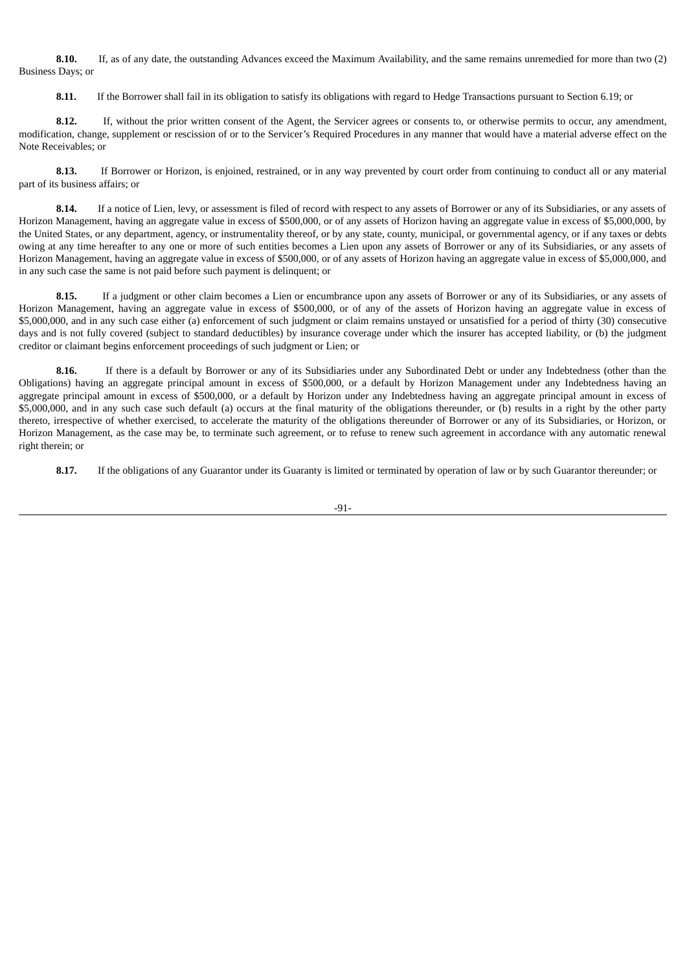**8.10.** If, as of any date, the outstanding Advances exceed the Maximum Availability, and the same remains unremedied for more than two (2) Business Days; or

**8.11.** If the Borrower shall fail in its obligation to satisfy its obligations with regard to Hedge Transactions pursuant to Section 6.19; or

**8.12.** If, without the prior written consent of the Agent, the Servicer agrees or consents to, or otherwise permits to occur, any amendment, modification, change, supplement or rescission of or to the Servicer's Required Procedures in any manner that would have a material adverse effect on the Note Receivables; or

**8.13.** If Borrower or Horizon, is enjoined, restrained, or in any way prevented by court order from continuing to conduct all or any material part of its business affairs; or

**8.14.** If a notice of Lien, levy, or assessment is filed of record with respect to any assets of Borrower or any of its Subsidiaries, or any assets of Horizon Management, having an aggregate value in excess of \$500,000, or of any assets of Horizon having an aggregate value in excess of \$5,000,000, by the United States, or any department, agency, or instrumentality thereof, or by any state, county, municipal, or governmental agency, or if any taxes or debts owing at any time hereafter to any one or more of such entities becomes a Lien upon any assets of Borrower or any of its Subsidiaries, or any assets of Horizon Management, having an aggregate value in excess of \$500,000, or of any assets of Horizon having an aggregate value in excess of \$5,000,000, and in any such case the same is not paid before such payment is delinquent; or

**8.15.** If a judgment or other claim becomes a Lien or encumbrance upon any assets of Borrower or any of its Subsidiaries, or any assets of Horizon Management, having an aggregate value in excess of \$500,000, or of any of the assets of Horizon having an aggregate value in excess of \$5,000,000, and in any such case either (a) enforcement of such judgment or claim remains unstayed or unsatisfied for a period of thirty (30) consecutive days and is not fully covered (subject to standard deductibles) by insurance coverage under which the insurer has accepted liability, or (b) the judgment creditor or claimant begins enforcement proceedings of such judgment or Lien; or

**8.16.** If there is a default by Borrower or any of its Subsidiaries under any Subordinated Debt or under any Indebtedness (other than the Obligations) having an aggregate principal amount in excess of \$500,000, or a default by Horizon Management under any Indebtedness having an aggregate principal amount in excess of \$500,000, or a default by Horizon under any Indebtedness having an aggregate principal amount in excess of \$5,000,000, and in any such case such default (a) occurs at the final maturity of the obligations thereunder, or (b) results in a right by the other party thereto, irrespective of whether exercised, to accelerate the maturity of the obligations thereunder of Borrower or any of its Subsidiaries, or Horizon, or Horizon Management, as the case may be, to terminate such agreement, or to refuse to renew such agreement in accordance with any automatic renewal right therein; or

**8.17.** If the obligations of any Guarantor under its Guaranty is limited or terminated by operation of law or by such Guarantor thereunder; or

-91-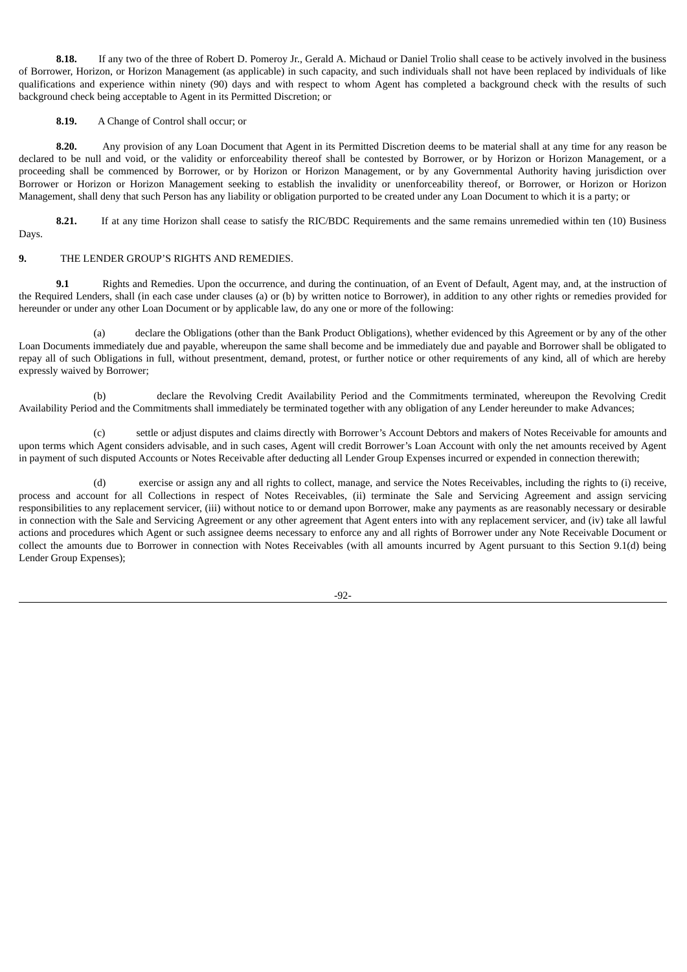**8.18.** If any two of the three of Robert D. Pomeroy Jr., Gerald A. Michaud or Daniel Trolio shall cease to be actively involved in the business of Borrower, Horizon, or Horizon Management (as applicable) in such capacity, and such individuals shall not have been replaced by individuals of like qualifications and experience within ninety (90) days and with respect to whom Agent has completed a background check with the results of such background check being acceptable to Agent in its Permitted Discretion; or

## **8.19.** A Change of Control shall occur; or

**8.20.** Any provision of any Loan Document that Agent in its Permitted Discretion deems to be material shall at any time for any reason be declared to be null and void, or the validity or enforceability thereof shall be contested by Borrower, or by Horizon or Horizon Management, or a proceeding shall be commenced by Borrower, or by Horizon or Horizon Management, or by any Governmental Authority having jurisdiction over Borrower or Horizon or Horizon Management seeking to establish the invalidity or unenforceability thereof, or Borrower, or Horizon or Horizon Management, shall deny that such Person has any liability or obligation purported to be created under any Loan Document to which it is a party; or

**8.21.** If at any time Horizon shall cease to satisfy the RIC/BDC Requirements and the same remains unremedied within ten (10) Business Days.

#### **9.** THE LENDER GROUP'S RIGHTS AND REMEDIES.

**9.1** Rights and Remedies. Upon the occurrence, and during the continuation, of an Event of Default, Agent may, and, at the instruction of the Required Lenders, shall (in each case under clauses (a) or (b) by written notice to Borrower), in addition to any other rights or remedies provided for hereunder or under any other Loan Document or by applicable law, do any one or more of the following:

(a) declare the Obligations (other than the Bank Product Obligations), whether evidenced by this Agreement or by any of the other Loan Documents immediately due and payable, whereupon the same shall become and be immediately due and payable and Borrower shall be obligated to repay all of such Obligations in full, without presentment, demand, protest, or further notice or other requirements of any kind, all of which are hereby expressly waived by Borrower;

(b) declare the Revolving Credit Availability Period and the Commitments terminated, whereupon the Revolving Credit Availability Period and the Commitments shall immediately be terminated together with any obligation of any Lender hereunder to make Advances;

settle or adjust disputes and claims directly with Borrower's Account Debtors and makers of Notes Receivable for amounts and upon terms which Agent considers advisable, and in such cases, Agent will credit Borrower's Loan Account with only the net amounts received by Agent in payment of such disputed Accounts or Notes Receivable after deducting all Lender Group Expenses incurred or expended in connection therewith;

(d) exercise or assign any and all rights to collect, manage, and service the Notes Receivables, including the rights to (i) receive, process and account for all Collections in respect of Notes Receivables, (ii) terminate the Sale and Servicing Agreement and assign servicing responsibilities to any replacement servicer, (iii) without notice to or demand upon Borrower, make any payments as are reasonably necessary or desirable in connection with the Sale and Servicing Agreement or any other agreement that Agent enters into with any replacement servicer, and (iv) take all lawful actions and procedures which Agent or such assignee deems necessary to enforce any and all rights of Borrower under any Note Receivable Document or collect the amounts due to Borrower in connection with Notes Receivables (with all amounts incurred by Agent pursuant to this Section 9.1(d) being Lender Group Expenses);

-92-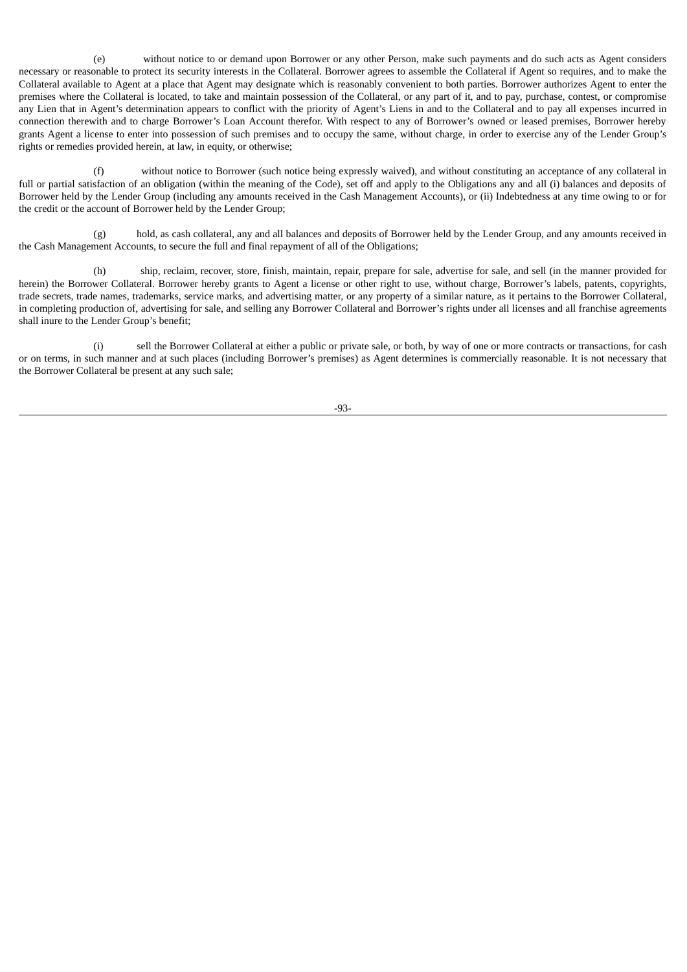(e) without notice to or demand upon Borrower or any other Person, make such payments and do such acts as Agent considers necessary or reasonable to protect its security interests in the Collateral. Borrower agrees to assemble the Collateral if Agent so requires, and to make the Collateral available to Agent at a place that Agent may designate which is reasonably convenient to both parties. Borrower authorizes Agent to enter the premises where the Collateral is located, to take and maintain possession of the Collateral, or any part of it, and to pay, purchase, contest, or compromise any Lien that in Agent's determination appears to conflict with the priority of Agent's Liens in and to the Collateral and to pay all expenses incurred in connection therewith and to charge Borrower's Loan Account therefor. With respect to any of Borrower's owned or leased premises, Borrower hereby grants Agent a license to enter into possession of such premises and to occupy the same, without charge, in order to exercise any of the Lender Group's rights or remedies provided herein, at law, in equity, or otherwise;

(f) without notice to Borrower (such notice being expressly waived), and without constituting an acceptance of any collateral in full or partial satisfaction of an obligation (within the meaning of the Code), set off and apply to the Obligations any and all (i) balances and deposits of Borrower held by the Lender Group (including any amounts received in the Cash Management Accounts), or (ii) Indebtedness at any time owing to or for the credit or the account of Borrower held by the Lender Group;

(g) hold, as cash collateral, any and all balances and deposits of Borrower held by the Lender Group, and any amounts received in the Cash Management Accounts, to secure the full and final repayment of all of the Obligations;

(h) ship, reclaim, recover, store, finish, maintain, repair, prepare for sale, advertise for sale, and sell (in the manner provided for herein) the Borrower Collateral. Borrower hereby grants to Agent a license or other right to use, without charge, Borrower's labels, patents, copyrights, trade secrets, trade names, trademarks, service marks, and advertising matter, or any property of a similar nature, as it pertains to the Borrower Collateral, in completing production of, advertising for sale, and selling any Borrower Collateral and Borrower's rights under all licenses and all franchise agreements shall inure to the Lender Group's benefit;

(i) sell the Borrower Collateral at either a public or private sale, or both, by way of one or more contracts or transactions, for cash or on terms, in such manner and at such places (including Borrower's premises) as Agent determines is commercially reasonable. It is not necessary that the Borrower Collateral be present at any such sale;

-93-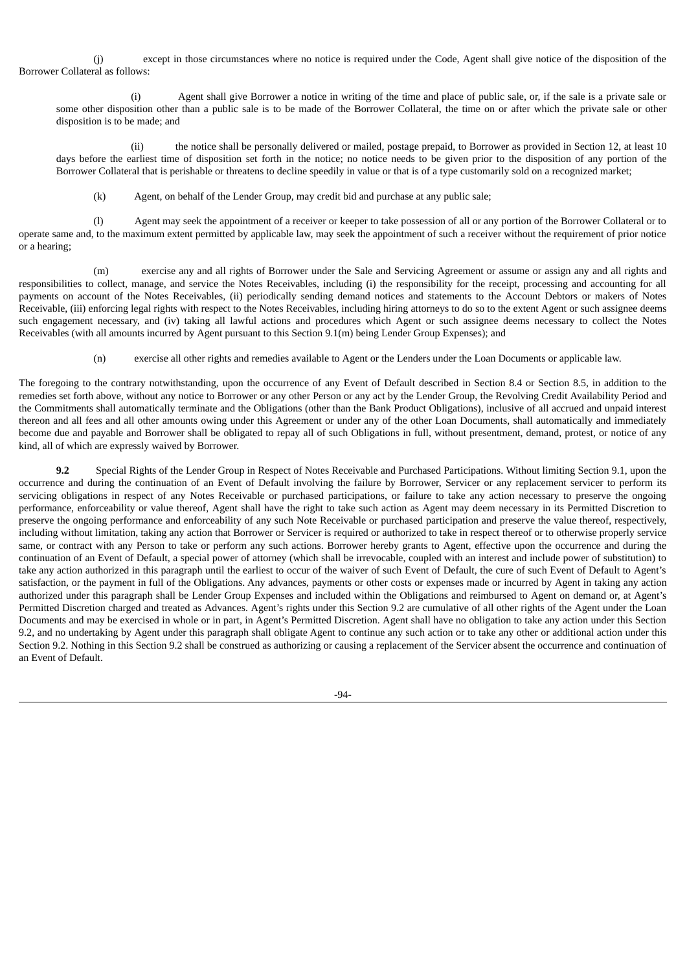(j) except in those circumstances where no notice is required under the Code, Agent shall give notice of the disposition of the Borrower Collateral as follows:

(i) Agent shall give Borrower a notice in writing of the time and place of public sale, or, if the sale is a private sale or some other disposition other than a public sale is to be made of the Borrower Collateral, the time on or after which the private sale or other disposition is to be made; and

(ii) the notice shall be personally delivered or mailed, postage prepaid, to Borrower as provided in Section 12, at least 10 days before the earliest time of disposition set forth in the notice; no notice needs to be given prior to the disposition of any portion of the Borrower Collateral that is perishable or threatens to decline speedily in value or that is of a type customarily sold on a recognized market;

(k) Agent, on behalf of the Lender Group, may credit bid and purchase at any public sale;

(l) Agent may seek the appointment of a receiver or keeper to take possession of all or any portion of the Borrower Collateral or to operate same and, to the maximum extent permitted by applicable law, may seek the appointment of such a receiver without the requirement of prior notice or a hearing;

(m) exercise any and all rights of Borrower under the Sale and Servicing Agreement or assume or assign any and all rights and responsibilities to collect, manage, and service the Notes Receivables, including (i) the responsibility for the receipt, processing and accounting for all payments on account of the Notes Receivables, (ii) periodically sending demand notices and statements to the Account Debtors or makers of Notes Receivable, (iii) enforcing legal rights with respect to the Notes Receivables, including hiring attorneys to do so to the extent Agent or such assignee deems such engagement necessary, and (iv) taking all lawful actions and procedures which Agent or such assignee deems necessary to collect the Notes Receivables (with all amounts incurred by Agent pursuant to this Section 9.1(m) being Lender Group Expenses); and

(n) exercise all other rights and remedies available to Agent or the Lenders under the Loan Documents or applicable law.

The foregoing to the contrary notwithstanding, upon the occurrence of any Event of Default described in Section 8.4 or Section 8.5, in addition to the remedies set forth above, without any notice to Borrower or any other Person or any act by the Lender Group, the Revolving Credit Availability Period and the Commitments shall automatically terminate and the Obligations (other than the Bank Product Obligations), inclusive of all accrued and unpaid interest thereon and all fees and all other amounts owing under this Agreement or under any of the other Loan Documents, shall automatically and immediately become due and payable and Borrower shall be obligated to repay all of such Obligations in full, without presentment, demand, protest, or notice of any kind, all of which are expressly waived by Borrower.

**9.2** Special Rights of the Lender Group in Respect of Notes Receivable and Purchased Participations. Without limiting Section 9.1, upon the occurrence and during the continuation of an Event of Default involving the failure by Borrower, Servicer or any replacement servicer to perform its servicing obligations in respect of any Notes Receivable or purchased participations, or failure to take any action necessary to preserve the ongoing performance, enforceability or value thereof, Agent shall have the right to take such action as Agent may deem necessary in its Permitted Discretion to preserve the ongoing performance and enforceability of any such Note Receivable or purchased participation and preserve the value thereof, respectively, including without limitation, taking any action that Borrower or Servicer is required or authorized to take in respect thereof or to otherwise properly service same, or contract with any Person to take or perform any such actions. Borrower hereby grants to Agent, effective upon the occurrence and during the continuation of an Event of Default, a special power of attorney (which shall be irrevocable, coupled with an interest and include power of substitution) to take any action authorized in this paragraph until the earliest to occur of the waiver of such Event of Default, the cure of such Event of Default to Agent's satisfaction, or the payment in full of the Obligations. Any advances, payments or other costs or expenses made or incurred by Agent in taking any action authorized under this paragraph shall be Lender Group Expenses and included within the Obligations and reimbursed to Agent on demand or, at Agent's Permitted Discretion charged and treated as Advances. Agent's rights under this Section 9.2 are cumulative of all other rights of the Agent under the Loan Documents and may be exercised in whole or in part, in Agent's Permitted Discretion. Agent shall have no obligation to take any action under this Section 9.2, and no undertaking by Agent under this paragraph shall obligate Agent to continue any such action or to take any other or additional action under this Section 9.2. Nothing in this Section 9.2 shall be construed as authorizing or causing a replacement of the Servicer absent the occurrence and continuation of an Event of Default.

-94-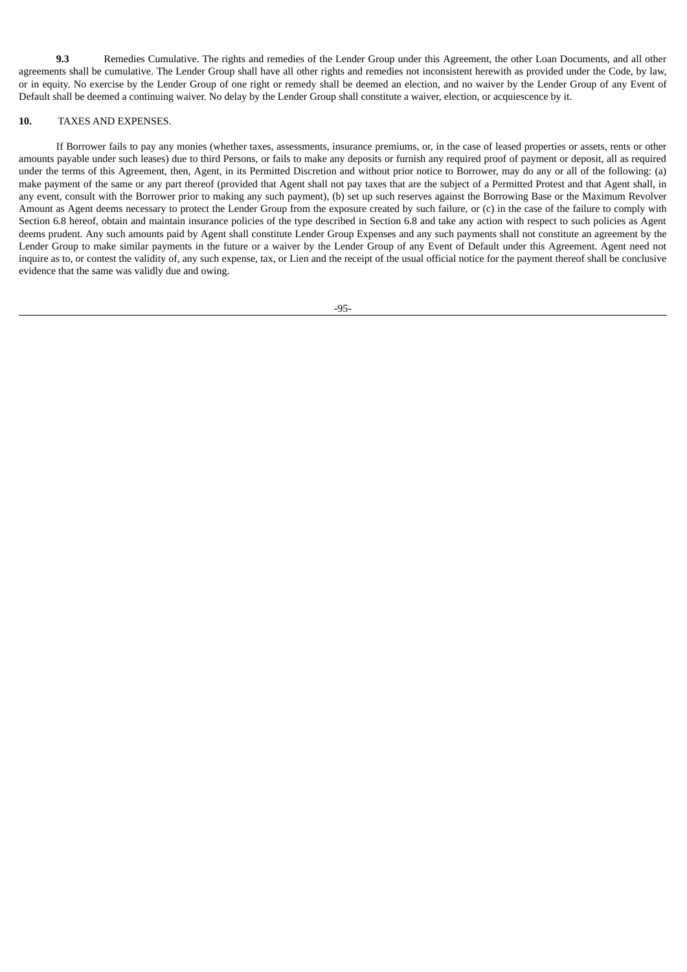**9.3** Remedies Cumulative. The rights and remedies of the Lender Group under this Agreement, the other Loan Documents, and all other agreements shall be cumulative. The Lender Group shall have all other rights and remedies not inconsistent herewith as provided under the Code, by law, or in equity. No exercise by the Lender Group of one right or remedy shall be deemed an election, and no waiver by the Lender Group of any Event of Default shall be deemed a continuing waiver. No delay by the Lender Group shall constitute a waiver, election, or acquiescence by it.

## **10.** TAXES AND EXPENSES.

If Borrower fails to pay any monies (whether taxes, assessments, insurance premiums, or, in the case of leased properties or assets, rents or other amounts payable under such leases) due to third Persons, or fails to make any deposits or furnish any required proof of payment or deposit, all as required under the terms of this Agreement, then, Agent, in its Permitted Discretion and without prior notice to Borrower, may do any or all of the following: (a) make payment of the same or any part thereof (provided that Agent shall not pay taxes that are the subject of a Permitted Protest and that Agent shall, in any event, consult with the Borrower prior to making any such payment), (b) set up such reserves against the Borrowing Base or the Maximum Revolver Amount as Agent deems necessary to protect the Lender Group from the exposure created by such failure, or (c) in the case of the failure to comply with Section 6.8 hereof, obtain and maintain insurance policies of the type described in Section 6.8 and take any action with respect to such policies as Agent deems prudent. Any such amounts paid by Agent shall constitute Lender Group Expenses and any such payments shall not constitute an agreement by the Lender Group to make similar payments in the future or a waiver by the Lender Group of any Event of Default under this Agreement. Agent need not inquire as to, or contest the validity of, any such expense, tax, or Lien and the receipt of the usual official notice for the payment thereof shall be conclusive evidence that the same was validly due and owing.

-95-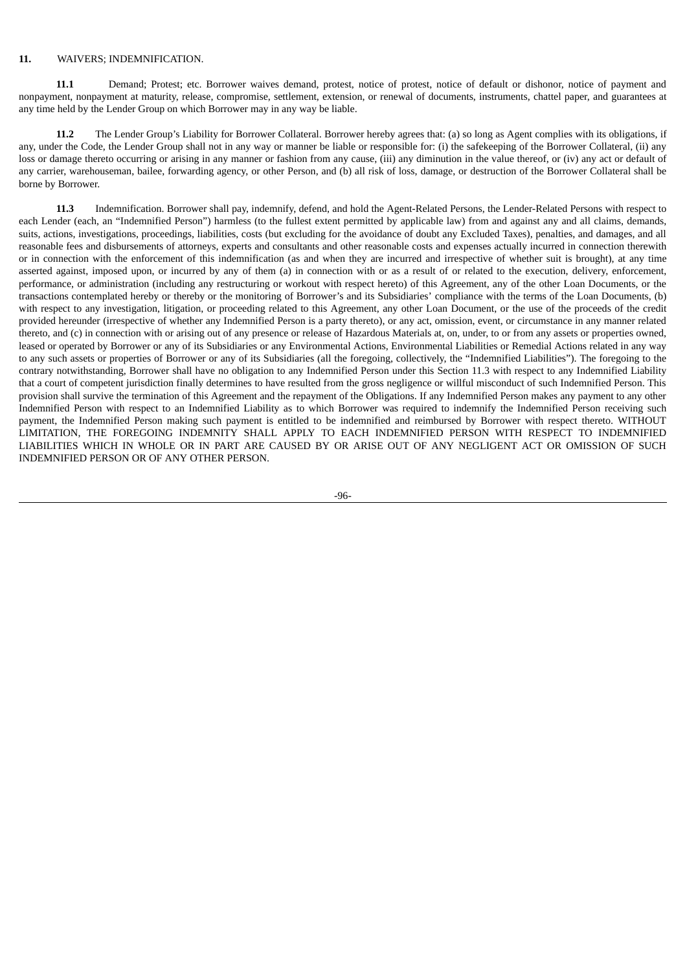## **11.** WAIVERS; INDEMNIFICATION.

**11.1** Demand; Protest; etc. Borrower waives demand, protest, notice of protest, notice of default or dishonor, notice of payment and nonpayment, nonpayment at maturity, release, compromise, settlement, extension, or renewal of documents, instruments, chattel paper, and guarantees at any time held by the Lender Group on which Borrower may in any way be liable.

**11.2** The Lender Group's Liability for Borrower Collateral. Borrower hereby agrees that: (a) so long as Agent complies with its obligations, if any, under the Code, the Lender Group shall not in any way or manner be liable or responsible for: (i) the safekeeping of the Borrower Collateral, (ii) any loss or damage thereto occurring or arising in any manner or fashion from any cause, (iii) any diminution in the value thereof, or (iv) any act or default of any carrier, warehouseman, bailee, forwarding agency, or other Person, and (b) all risk of loss, damage, or destruction of the Borrower Collateral shall be borne by Borrower.

**11.3** Indemnification. Borrower shall pay, indemnify, defend, and hold the Agent-Related Persons, the Lender-Related Persons with respect to each Lender (each, an "Indemnified Person") harmless (to the fullest extent permitted by applicable law) from and against any and all claims, demands, suits, actions, investigations, proceedings, liabilities, costs (but excluding for the avoidance of doubt any Excluded Taxes), penalties, and damages, and all reasonable fees and disbursements of attorneys, experts and consultants and other reasonable costs and expenses actually incurred in connection therewith or in connection with the enforcement of this indemnification (as and when they are incurred and irrespective of whether suit is brought), at any time asserted against, imposed upon, or incurred by any of them (a) in connection with or as a result of or related to the execution, delivery, enforcement, performance, or administration (including any restructuring or workout with respect hereto) of this Agreement, any of the other Loan Documents, or the transactions contemplated hereby or thereby or the monitoring of Borrower's and its Subsidiaries' compliance with the terms of the Loan Documents, (b) with respect to any investigation, litigation, or proceeding related to this Agreement, any other Loan Document, or the use of the proceeds of the credit provided hereunder (irrespective of whether any Indemnified Person is a party thereto), or any act, omission, event, or circumstance in any manner related thereto, and (c) in connection with or arising out of any presence or release of Hazardous Materials at, on, under, to or from any assets or properties owned, leased or operated by Borrower or any of its Subsidiaries or any Environmental Actions, Environmental Liabilities or Remedial Actions related in any way to any such assets or properties of Borrower or any of its Subsidiaries (all the foregoing, collectively, the "Indemnified Liabilities"). The foregoing to the contrary notwithstanding, Borrower shall have no obligation to any Indemnified Person under this Section 11.3 with respect to any Indemnified Liability that a court of competent jurisdiction finally determines to have resulted from the gross negligence or willful misconduct of such Indemnified Person. This provision shall survive the termination of this Agreement and the repayment of the Obligations. If any Indemnified Person makes any payment to any other Indemnified Person with respect to an Indemnified Liability as to which Borrower was required to indemnify the Indemnified Person receiving such payment, the Indemnified Person making such payment is entitled to be indemnified and reimbursed by Borrower with respect thereto. WITHOUT LIMITATION, THE FOREGOING INDEMNITY SHALL APPLY TO EACH INDEMNIFIED PERSON WITH RESPECT TO INDEMNIFIED LIABILITIES WHICH IN WHOLE OR IN PART ARE CAUSED BY OR ARISE OUT OF ANY NEGLIGENT ACT OR OMISSION OF SUCH INDEMNIFIED PERSON OR OF ANY OTHER PERSON.

-96-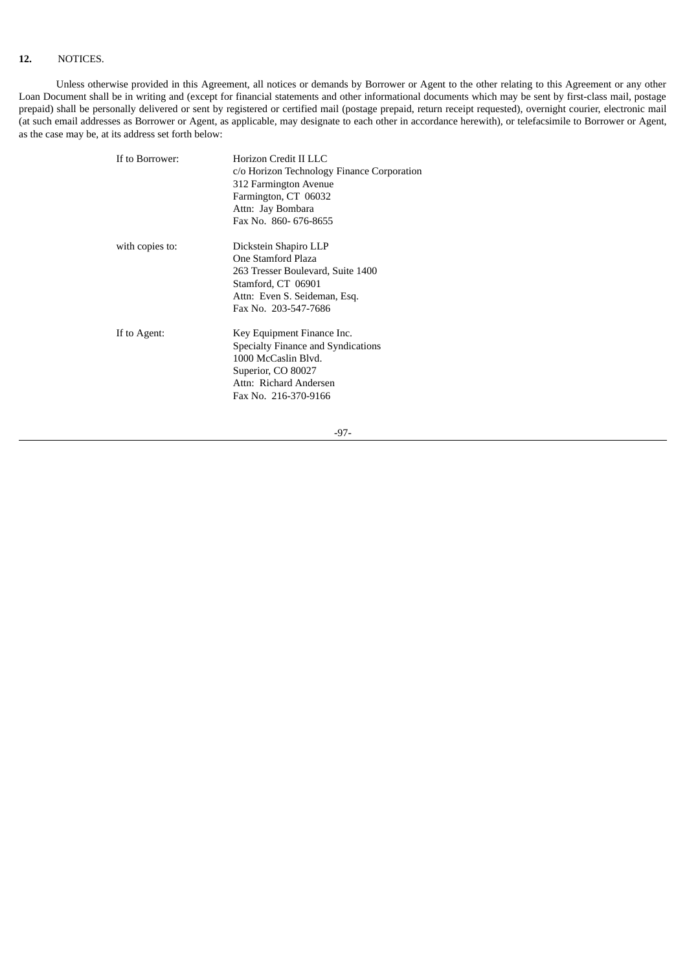## **12.** NOTICES.

Unless otherwise provided in this Agreement, all notices or demands by Borrower or Agent to the other relating to this Agreement or any other Loan Document shall be in writing and (except for financial statements and other informational documents which may be sent by first-class mail, postage prepaid) shall be personally delivered or sent by registered or certified mail (postage prepaid, return receipt requested), overnight courier, electronic mail (at such email addresses as Borrower or Agent, as applicable, may designate to each other in accordance herewith), or telefacsimile to Borrower or Agent, as the case may be, at its address set forth below:

| If to Borrower: | Horizon Credit II LLC<br>c/o Horizon Technology Finance Corporation<br>312 Farmington Avenue<br>Farmington, CT 06032<br>Attn: Jay Bombara<br>Fax No. 860-676-8655 |
|-----------------|-------------------------------------------------------------------------------------------------------------------------------------------------------------------|
| with copies to: | Dickstein Shapiro LLP<br>One Stamford Plaza<br>263 Tresser Boulevard, Suite 1400<br>Stamford, CT 06901<br>Attn: Even S. Seideman, Esq.<br>Fax No. 203-547-7686    |
| If to Agent:    | Key Equipment Finance Inc.<br>Specialty Finance and Syndications<br>1000 McCaslin Blyd.<br>Superior, CO 80027<br>Attn: Richard Andersen<br>Fax No. 216-370-9166   |

-97-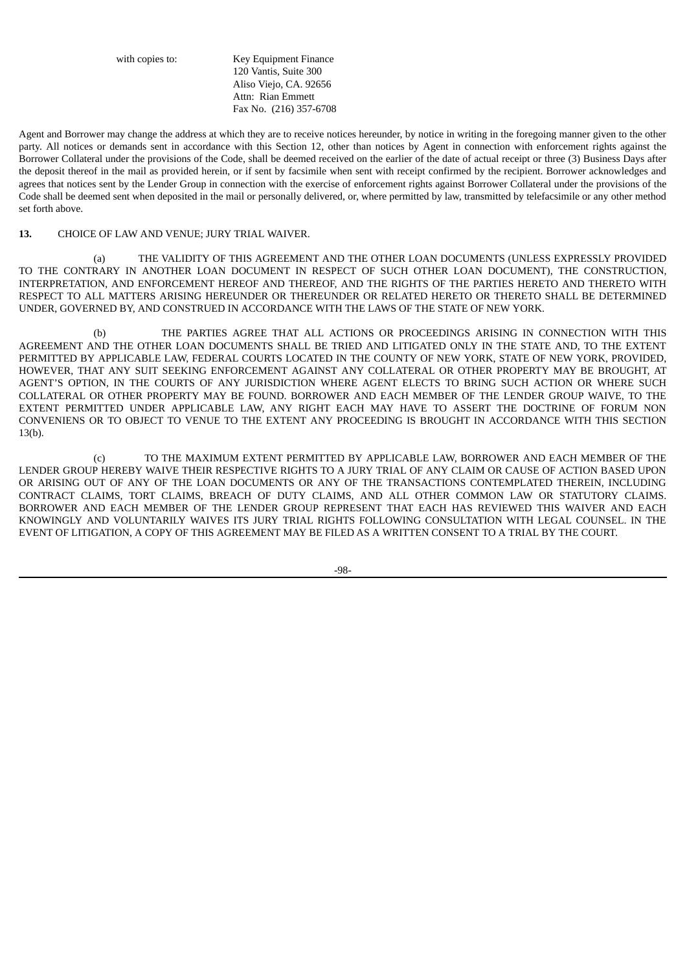with copies to: **Key Equipment Finance** 120 Vantis, Suite 300 Aliso Viejo, CA. 92656 Attn: Rian Emmett Fax No. (216) 357-6708

Agent and Borrower may change the address at which they are to receive notices hereunder, by notice in writing in the foregoing manner given to the other party. All notices or demands sent in accordance with this Section 12, other than notices by Agent in connection with enforcement rights against the Borrower Collateral under the provisions of the Code, shall be deemed received on the earlier of the date of actual receipt or three (3) Business Days after the deposit thereof in the mail as provided herein, or if sent by facsimile when sent with receipt confirmed by the recipient. Borrower acknowledges and agrees that notices sent by the Lender Group in connection with the exercise of enforcement rights against Borrower Collateral under the provisions of the Code shall be deemed sent when deposited in the mail or personally delivered, or, where permitted by law, transmitted by telefacsimile or any other method set forth above.

## **13.** CHOICE OF LAW AND VENUE; JURY TRIAL WAIVER.

(a) THE VALIDITY OF THIS AGREEMENT AND THE OTHER LOAN DOCUMENTS (UNLESS EXPRESSLY PROVIDED TO THE CONTRARY IN ANOTHER LOAN DOCUMENT IN RESPECT OF SUCH OTHER LOAN DOCUMENT), THE CONSTRUCTION, INTERPRETATION, AND ENFORCEMENT HEREOF AND THEREOF, AND THE RIGHTS OF THE PARTIES HERETO AND THERETO WITH RESPECT TO ALL MATTERS ARISING HEREUNDER OR THEREUNDER OR RELATED HERETO OR THERETO SHALL BE DETERMINED UNDER, GOVERNED BY, AND CONSTRUED IN ACCORDANCE WITH THE LAWS OF THE STATE OF NEW YORK.

(b) THE PARTIES AGREE THAT ALL ACTIONS OR PROCEEDINGS ARISING IN CONNECTION WITH THIS AGREEMENT AND THE OTHER LOAN DOCUMENTS SHALL BE TRIED AND LITIGATED ONLY IN THE STATE AND, TO THE EXTENT PERMITTED BY APPLICABLE LAW, FEDERAL COURTS LOCATED IN THE COUNTY OF NEW YORK, STATE OF NEW YORK, PROVIDED, HOWEVER, THAT ANY SUIT SEEKING ENFORCEMENT AGAINST ANY COLLATERAL OR OTHER PROPERTY MAY BE BROUGHT, AT AGENT'S OPTION, IN THE COURTS OF ANY JURISDICTION WHERE AGENT ELECTS TO BRING SUCH ACTION OR WHERE SUCH COLLATERAL OR OTHER PROPERTY MAY BE FOUND. BORROWER AND EACH MEMBER OF THE LENDER GROUP WAIVE, TO THE EXTENT PERMITTED UNDER APPLICABLE LAW, ANY RIGHT EACH MAY HAVE TO ASSERT THE DOCTRINE OF FORUM NON CONVENIENS OR TO OBJECT TO VENUE TO THE EXTENT ANY PROCEEDING IS BROUGHT IN ACCORDANCE WITH THIS SECTION 13(b).

(c) TO THE MAXIMUM EXTENT PERMITTED BY APPLICABLE LAW, BORROWER AND EACH MEMBER OF THE LENDER GROUP HEREBY WAIVE THEIR RESPECTIVE RIGHTS TO A JURY TRIAL OF ANY CLAIM OR CAUSE OF ACTION BASED UPON OR ARISING OUT OF ANY OF THE LOAN DOCUMENTS OR ANY OF THE TRANSACTIONS CONTEMPLATED THEREIN, INCLUDING CONTRACT CLAIMS, TORT CLAIMS, BREACH OF DUTY CLAIMS, AND ALL OTHER COMMON LAW OR STATUTORY CLAIMS. BORROWER AND EACH MEMBER OF THE LENDER GROUP REPRESENT THAT EACH HAS REVIEWED THIS WAIVER AND EACH KNOWINGLY AND VOLUNTARILY WAIVES ITS JURY TRIAL RIGHTS FOLLOWING CONSULTATION WITH LEGAL COUNSEL. IN THE EVENT OF LITIGATION, A COPY OF THIS AGREEMENT MAY BE FILED AS A WRITTEN CONSENT TO A TRIAL BY THE COURT.

-98-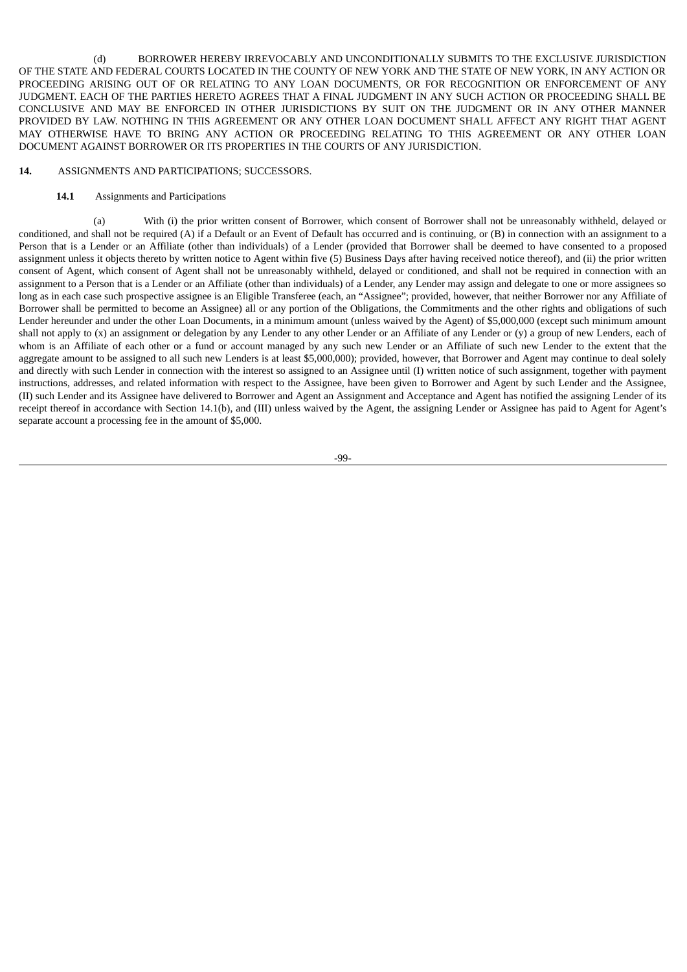(d) BORROWER HEREBY IRREVOCABLY AND UNCONDITIONALLY SUBMITS TO THE EXCLUSIVE JURISDICTION OF THE STATE AND FEDERAL COURTS LOCATED IN THE COUNTY OF NEW YORK AND THE STATE OF NEW YORK, IN ANY ACTION OR PROCEEDING ARISING OUT OF OR RELATING TO ANY LOAN DOCUMENTS, OR FOR RECOGNITION OR ENFORCEMENT OF ANY JUDGMENT. EACH OF THE PARTIES HERETO AGREES THAT A FINAL JUDGMENT IN ANY SUCH ACTION OR PROCEEDING SHALL BE CONCLUSIVE AND MAY BE ENFORCED IN OTHER JURISDICTIONS BY SUIT ON THE JUDGMENT OR IN ANY OTHER MANNER PROVIDED BY LAW. NOTHING IN THIS AGREEMENT OR ANY OTHER LOAN DOCUMENT SHALL AFFECT ANY RIGHT THAT AGENT MAY OTHERWISE HAVE TO BRING ANY ACTION OR PROCEEDING RELATING TO THIS AGREEMENT OR ANY OTHER LOAN DOCUMENT AGAINST BORROWER OR ITS PROPERTIES IN THE COURTS OF ANY JURISDICTION.

#### **14.** ASSIGNMENTS AND PARTICIPATIONS; SUCCESSORS.

#### **14.1** Assignments and Participations

(a) With (i) the prior written consent of Borrower, which consent of Borrower shall not be unreasonably withheld, delayed or conditioned, and shall not be required (A) if a Default or an Event of Default has occurred and is continuing, or (B) in connection with an assignment to a Person that is a Lender or an Affiliate (other than individuals) of a Lender (provided that Borrower shall be deemed to have consented to a proposed assignment unless it objects thereto by written notice to Agent within five (5) Business Days after having received notice thereof), and (ii) the prior written consent of Agent, which consent of Agent shall not be unreasonably withheld, delayed or conditioned, and shall not be required in connection with an assignment to a Person that is a Lender or an Affiliate (other than individuals) of a Lender, any Lender may assign and delegate to one or more assignees so long as in each case such prospective assignee is an Eligible Transferee (each, an "Assignee"; provided, however, that neither Borrower nor any Affiliate of Borrower shall be permitted to become an Assignee) all or any portion of the Obligations, the Commitments and the other rights and obligations of such Lender hereunder and under the other Loan Documents, in a minimum amount (unless waived by the Agent) of \$5,000,000 (except such minimum amount shall not apply to (x) an assignment or delegation by any Lender to any other Lender or an Affiliate of any Lender or (y) a group of new Lenders, each of whom is an Affiliate of each other or a fund or account managed by any such new Lender or an Affiliate of such new Lender to the extent that the aggregate amount to be assigned to all such new Lenders is at least \$5,000,000); provided, however, that Borrower and Agent may continue to deal solely and directly with such Lender in connection with the interest so assigned to an Assignee until (I) written notice of such assignment, together with payment instructions, addresses, and related information with respect to the Assignee, have been given to Borrower and Agent by such Lender and the Assignee, (II) such Lender and its Assignee have delivered to Borrower and Agent an Assignment and Acceptance and Agent has notified the assigning Lender of its receipt thereof in accordance with Section 14.1(b), and (III) unless waived by the Agent, the assigning Lender or Assignee has paid to Agent for Agent's separate account a processing fee in the amount of \$5,000.

-99-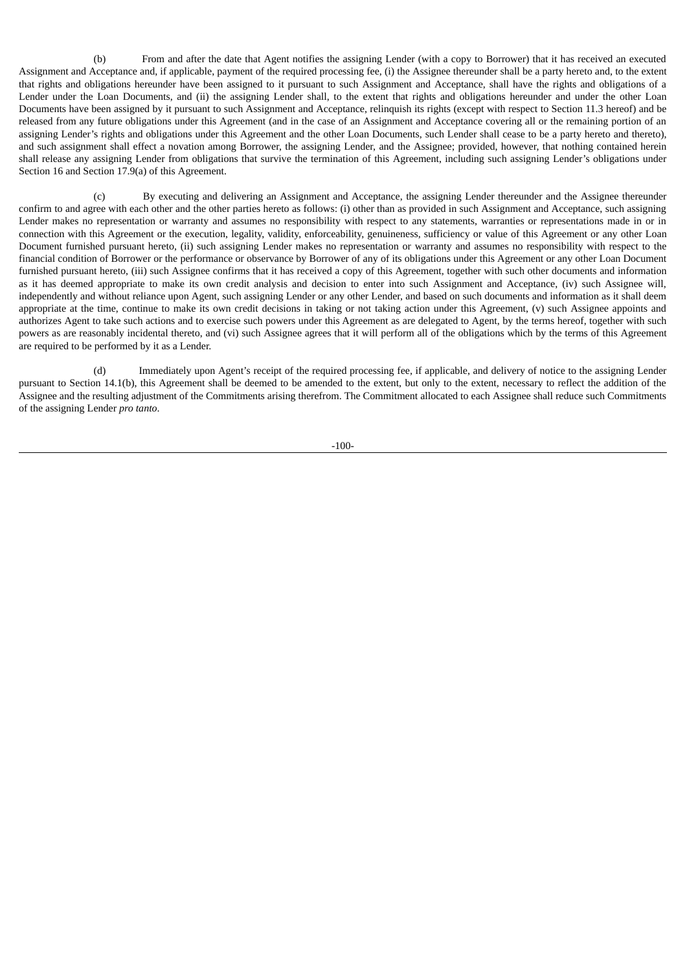(b) From and after the date that Agent notifies the assigning Lender (with a copy to Borrower) that it has received an executed Assignment and Acceptance and, if applicable, payment of the required processing fee, (i) the Assignee thereunder shall be a party hereto and, to the extent that rights and obligations hereunder have been assigned to it pursuant to such Assignment and Acceptance, shall have the rights and obligations of a Lender under the Loan Documents, and (ii) the assigning Lender shall, to the extent that rights and obligations hereunder and under the other Loan Documents have been assigned by it pursuant to such Assignment and Acceptance, relinquish its rights (except with respect to Section 11.3 hereof) and be released from any future obligations under this Agreement (and in the case of an Assignment and Acceptance covering all or the remaining portion of an assigning Lender's rights and obligations under this Agreement and the other Loan Documents, such Lender shall cease to be a party hereto and thereto), and such assignment shall effect a novation among Borrower, the assigning Lender, and the Assignee; provided, however, that nothing contained herein shall release any assigning Lender from obligations that survive the termination of this Agreement, including such assigning Lender's obligations under Section 16 and Section 17.9(a) of this Agreement.

(c) By executing and delivering an Assignment and Acceptance, the assigning Lender thereunder and the Assignee thereunder confirm to and agree with each other and the other parties hereto as follows: (i) other than as provided in such Assignment and Acceptance, such assigning Lender makes no representation or warranty and assumes no responsibility with respect to any statements, warranties or representations made in or in connection with this Agreement or the execution, legality, validity, enforceability, genuineness, sufficiency or value of this Agreement or any other Loan Document furnished pursuant hereto, (ii) such assigning Lender makes no representation or warranty and assumes no responsibility with respect to the financial condition of Borrower or the performance or observance by Borrower of any of its obligations under this Agreement or any other Loan Document furnished pursuant hereto, (iii) such Assignee confirms that it has received a copy of this Agreement, together with such other documents and information as it has deemed appropriate to make its own credit analysis and decision to enter into such Assignment and Acceptance, (iv) such Assignee will, independently and without reliance upon Agent, such assigning Lender or any other Lender, and based on such documents and information as it shall deem appropriate at the time, continue to make its own credit decisions in taking or not taking action under this Agreement, (v) such Assignee appoints and authorizes Agent to take such actions and to exercise such powers under this Agreement as are delegated to Agent, by the terms hereof, together with such powers as are reasonably incidental thereto, and (vi) such Assignee agrees that it will perform all of the obligations which by the terms of this Agreement are required to be performed by it as a Lender.

(d) Immediately upon Agent's receipt of the required processing fee, if applicable, and delivery of notice to the assigning Lender pursuant to Section 14.1(b), this Agreement shall be deemed to be amended to the extent, but only to the extent, necessary to reflect the addition of the Assignee and the resulting adjustment of the Commitments arising therefrom. The Commitment allocated to each Assignee shall reduce such Commitments of the assigning Lender *pro tanto*.

-100-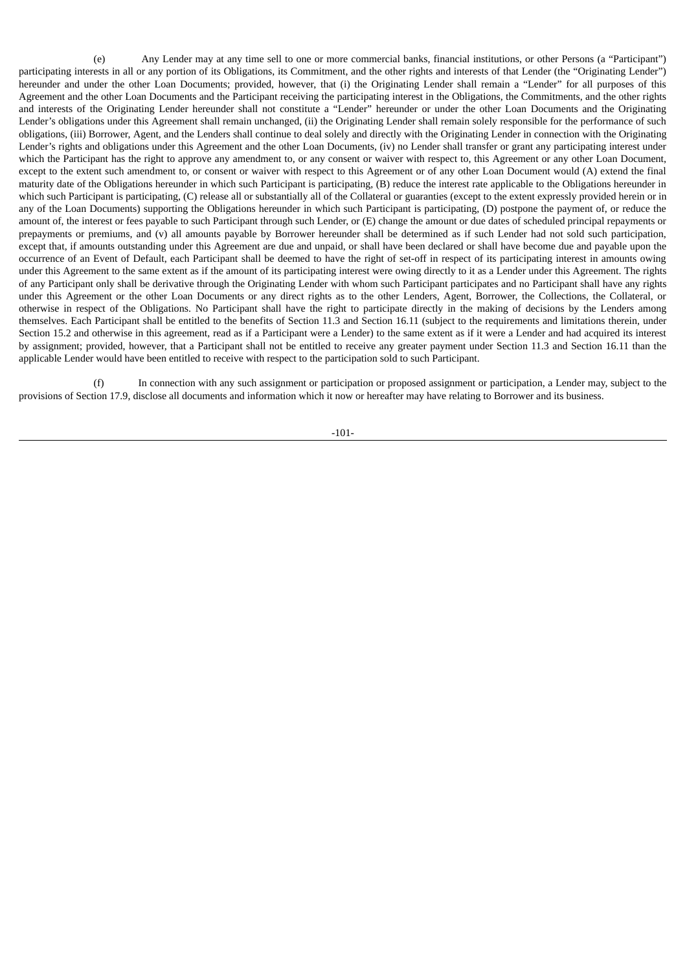(e) Any Lender may at any time sell to one or more commercial banks, financial institutions, or other Persons (a "Participant") participating interests in all or any portion of its Obligations, its Commitment, and the other rights and interests of that Lender (the "Originating Lender") hereunder and under the other Loan Documents; provided, however, that (i) the Originating Lender shall remain a "Lender" for all purposes of this Agreement and the other Loan Documents and the Participant receiving the participating interest in the Obligations, the Commitments, and the other rights and interests of the Originating Lender hereunder shall not constitute a "Lender" hereunder or under the other Loan Documents and the Originating Lender's obligations under this Agreement shall remain unchanged, (ii) the Originating Lender shall remain solely responsible for the performance of such obligations, (iii) Borrower, Agent, and the Lenders shall continue to deal solely and directly with the Originating Lender in connection with the Originating Lender's rights and obligations under this Agreement and the other Loan Documents, (iv) no Lender shall transfer or grant any participating interest under which the Participant has the right to approve any amendment to, or any consent or waiver with respect to, this Agreement or any other Loan Document, except to the extent such amendment to, or consent or waiver with respect to this Agreement or of any other Loan Document would (A) extend the final maturity date of the Obligations hereunder in which such Participant is participating, (B) reduce the interest rate applicable to the Obligations hereunder in which such Participant is participating, (C) release all or substantially all of the Collateral or guaranties (except to the extent expressly provided herein or in any of the Loan Documents) supporting the Obligations hereunder in which such Participant is participating, (D) postpone the payment of, or reduce the amount of, the interest or fees payable to such Participant through such Lender, or (E) change the amount or due dates of scheduled principal repayments or prepayments or premiums, and (v) all amounts payable by Borrower hereunder shall be determined as if such Lender had not sold such participation, except that, if amounts outstanding under this Agreement are due and unpaid, or shall have been declared or shall have become due and payable upon the occurrence of an Event of Default, each Participant shall be deemed to have the right of set-off in respect of its participating interest in amounts owing under this Agreement to the same extent as if the amount of its participating interest were owing directly to it as a Lender under this Agreement. The rights of any Participant only shall be derivative through the Originating Lender with whom such Participant participates and no Participant shall have any rights under this Agreement or the other Loan Documents or any direct rights as to the other Lenders, Agent, Borrower, the Collections, the Collateral, or otherwise in respect of the Obligations. No Participant shall have the right to participate directly in the making of decisions by the Lenders among themselves. Each Participant shall be entitled to the benefits of Section 11.3 and Section 16.11 (subject to the requirements and limitations therein, under Section 15.2 and otherwise in this agreement, read as if a Participant were a Lender) to the same extent as if it were a Lender and had acquired its interest by assignment; provided, however, that a Participant shall not be entitled to receive any greater payment under Section 11.3 and Section 16.11 than the applicable Lender would have been entitled to receive with respect to the participation sold to such Participant.

(f) In connection with any such assignment or participation or proposed assignment or participation, a Lender may, subject to the provisions of Section 17.9, disclose all documents and information which it now or hereafter may have relating to Borrower and its business.

-101-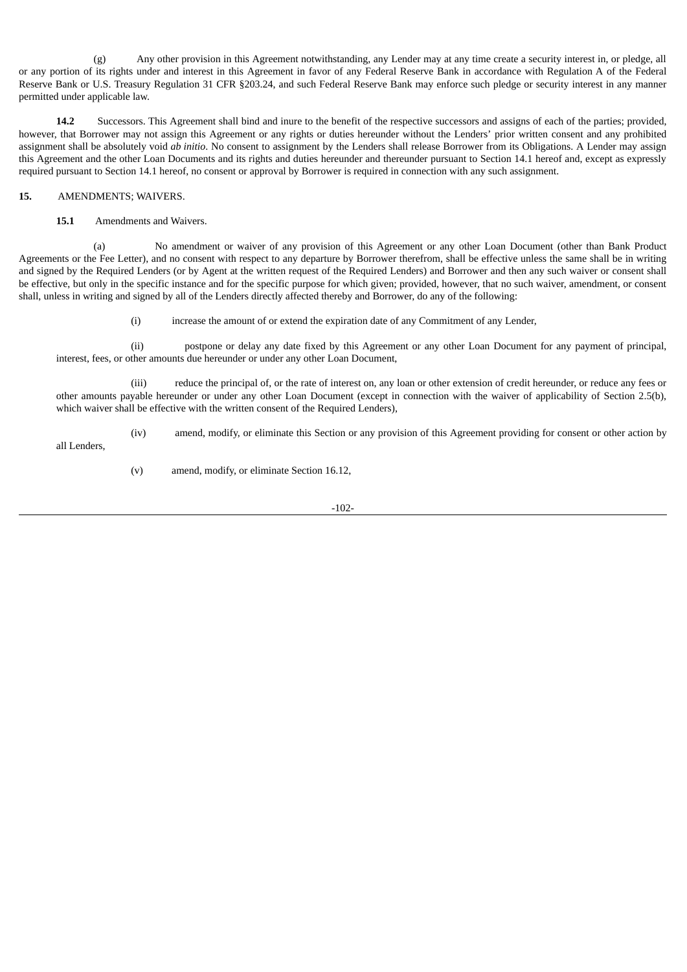(g) Any other provision in this Agreement notwithstanding, any Lender may at any time create a security interest in, or pledge, all or any portion of its rights under and interest in this Agreement in favor of any Federal Reserve Bank in accordance with Regulation A of the Federal Reserve Bank or U.S. Treasury Regulation 31 CFR §203.24, and such Federal Reserve Bank may enforce such pledge or security interest in any manner permitted under applicable law.

**14.2** Successors. This Agreement shall bind and inure to the benefit of the respective successors and assigns of each of the parties; provided, however, that Borrower may not assign this Agreement or any rights or duties hereunder without the Lenders' prior written consent and any prohibited assignment shall be absolutely void *ab initio*. No consent to assignment by the Lenders shall release Borrower from its Obligations. A Lender may assign this Agreement and the other Loan Documents and its rights and duties hereunder and thereunder pursuant to Section 14.1 hereof and, except as expressly required pursuant to Section 14.1 hereof, no consent or approval by Borrower is required in connection with any such assignment.

## **15.** AMENDMENTS; WAIVERS.

## **15.1** Amendments and Waivers.

(a) No amendment or waiver of any provision of this Agreement or any other Loan Document (other than Bank Product Agreements or the Fee Letter), and no consent with respect to any departure by Borrower therefrom, shall be effective unless the same shall be in writing and signed by the Required Lenders (or by Agent at the written request of the Required Lenders) and Borrower and then any such waiver or consent shall be effective, but only in the specific instance and for the specific purpose for which given; provided, however, that no such waiver, amendment, or consent shall, unless in writing and signed by all of the Lenders directly affected thereby and Borrower, do any of the following:

(i) increase the amount of or extend the expiration date of any Commitment of any Lender,

(ii) postpone or delay any date fixed by this Agreement or any other Loan Document for any payment of principal, interest, fees, or other amounts due hereunder or under any other Loan Document,

(iii) reduce the principal of, or the rate of interest on, any loan or other extension of credit hereunder, or reduce any fees or other amounts payable hereunder or under any other Loan Document (except in connection with the waiver of applicability of Section 2.5(b), which waiver shall be effective with the written consent of the Required Lenders),

(iv) amend, modify, or eliminate this Section or any provision of this Agreement providing for consent or other action by all Lenders,

(v) amend, modify, or eliminate Section 16.12,

-102-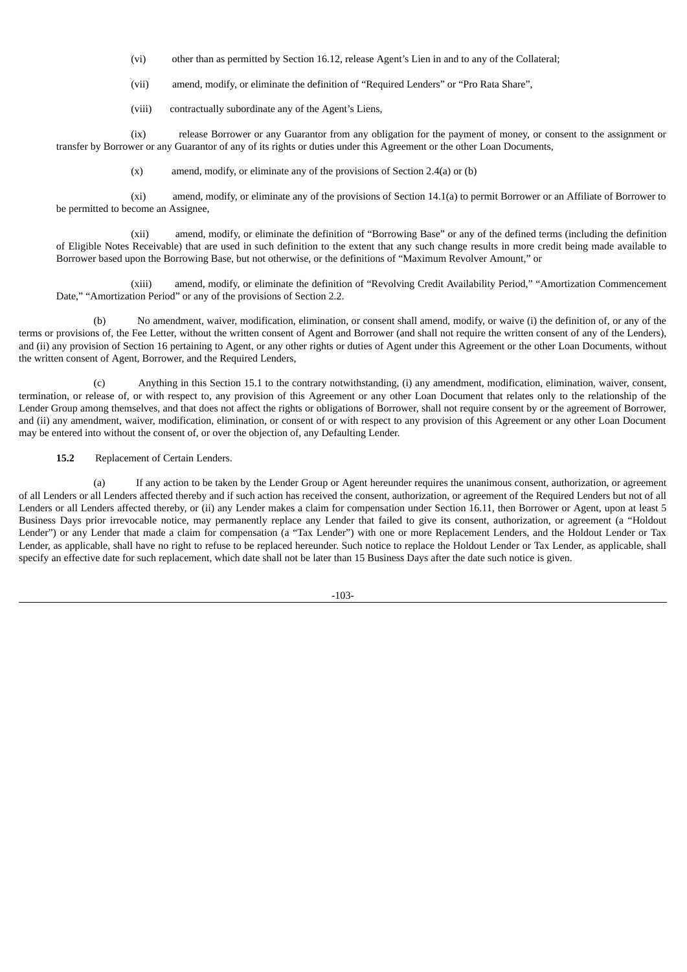(vi) other than as permitted by Section 16.12, release Agent's Lien in and to any of the Collateral;

(vii) amend, modify, or eliminate the definition of "Required Lenders" or "Pro Rata Share",

(viii) contractually subordinate any of the Agent's Liens,

(ix) release Borrower or any Guarantor from any obligation for the payment of money, or consent to the assignment or transfer by Borrower or any Guarantor of any of its rights or duties under this Agreement or the other Loan Documents,

(x) amend, modify, or eliminate any of the provisions of Section 2.4(a) or (b)

(xi) amend, modify, or eliminate any of the provisions of Section 14.1(a) to permit Borrower or an Affiliate of Borrower to be permitted to become an Assignee,

(xii) amend, modify, or eliminate the definition of "Borrowing Base" or any of the defined terms (including the definition of Eligible Notes Receivable) that are used in such definition to the extent that any such change results in more credit being made available to Borrower based upon the Borrowing Base, but not otherwise, or the definitions of "Maximum Revolver Amount," or

(xiii) amend, modify, or eliminate the definition of "Revolving Credit Availability Period," "Amortization Commencement Date," "Amortization Period" or any of the provisions of Section 2.2.

(b) No amendment, waiver, modification, elimination, or consent shall amend, modify, or waive (i) the definition of, or any of the terms or provisions of, the Fee Letter, without the written consent of Agent and Borrower (and shall not require the written consent of any of the Lenders), and (ii) any provision of Section 16 pertaining to Agent, or any other rights or duties of Agent under this Agreement or the other Loan Documents, without the written consent of Agent, Borrower, and the Required Lenders,

(c) Anything in this Section 15.1 to the contrary notwithstanding, (i) any amendment, modification, elimination, waiver, consent, termination, or release of, or with respect to, any provision of this Agreement or any other Loan Document that relates only to the relationship of the Lender Group among themselves, and that does not affect the rights or obligations of Borrower, shall not require consent by or the agreement of Borrower, and (ii) any amendment, waiver, modification, elimination, or consent of or with respect to any provision of this Agreement or any other Loan Document may be entered into without the consent of, or over the objection of, any Defaulting Lender.

**15.2** Replacement of Certain Lenders.

(a) If any action to be taken by the Lender Group or Agent hereunder requires the unanimous consent, authorization, or agreement of all Lenders or all Lenders affected thereby and if such action has received the consent, authorization, or agreement of the Required Lenders but not of all Lenders or all Lenders affected thereby, or (ii) any Lender makes a claim for compensation under Section 16.11, then Borrower or Agent, upon at least 5 Business Days prior irrevocable notice, may permanently replace any Lender that failed to give its consent, authorization, or agreement (a "Holdout Lender") or any Lender that made a claim for compensation (a "Tax Lender") with one or more Replacement Lenders, and the Holdout Lender or Tax Lender, as applicable, shall have no right to refuse to be replaced hereunder. Such notice to replace the Holdout Lender or Tax Lender, as applicable, shall specify an effective date for such replacement, which date shall not be later than 15 Business Days after the date such notice is given.

-103-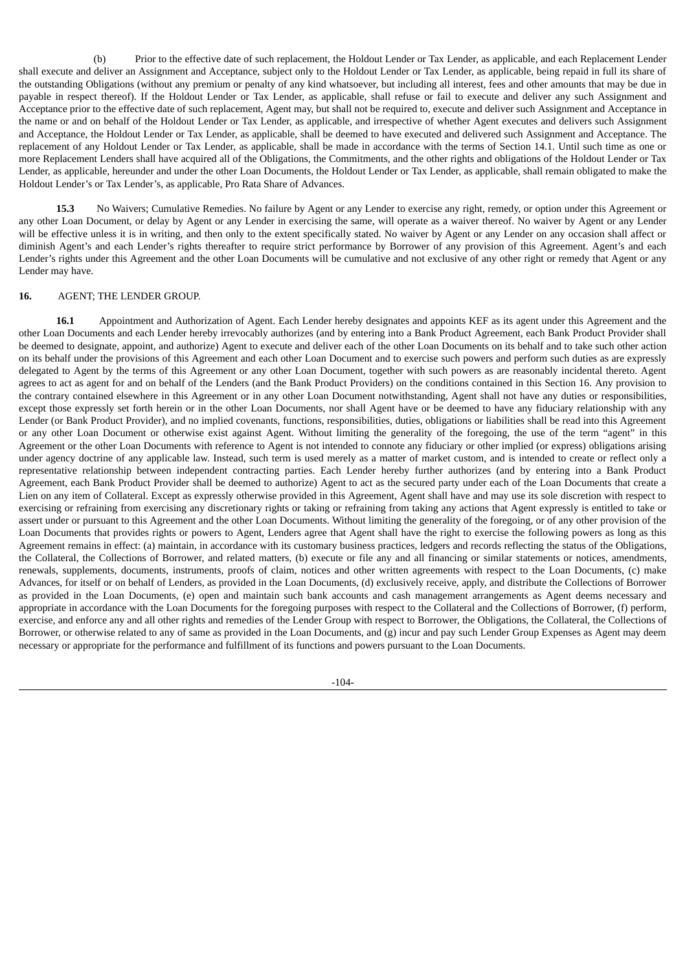(b) Prior to the effective date of such replacement, the Holdout Lender or Tax Lender, as applicable, and each Replacement Lender shall execute and deliver an Assignment and Acceptance, subject only to the Holdout Lender or Tax Lender, as applicable, being repaid in full its share of the outstanding Obligations (without any premium or penalty of any kind whatsoever, but including all interest, fees and other amounts that may be due in payable in respect thereof). If the Holdout Lender or Tax Lender, as applicable, shall refuse or fail to execute and deliver any such Assignment and Acceptance prior to the effective date of such replacement, Agent may, but shall not be required to, execute and deliver such Assignment and Acceptance in the name or and on behalf of the Holdout Lender or Tax Lender, as applicable, and irrespective of whether Agent executes and delivers such Assignment and Acceptance, the Holdout Lender or Tax Lender, as applicable, shall be deemed to have executed and delivered such Assignment and Acceptance. The replacement of any Holdout Lender or Tax Lender, as applicable, shall be made in accordance with the terms of Section 14.1. Until such time as one or more Replacement Lenders shall have acquired all of the Obligations, the Commitments, and the other rights and obligations of the Holdout Lender or Tax Lender, as applicable, hereunder and under the other Loan Documents, the Holdout Lender or Tax Lender, as applicable, shall remain obligated to make the Holdout Lender's or Tax Lender's, as applicable, Pro Rata Share of Advances.

**15.3** No Waivers; Cumulative Remedies. No failure by Agent or any Lender to exercise any right, remedy, or option under this Agreement or any other Loan Document, or delay by Agent or any Lender in exercising the same, will operate as a waiver thereof. No waiver by Agent or any Lender will be effective unless it is in writing, and then only to the extent specifically stated. No waiver by Agent or any Lender on any occasion shall affect or diminish Agent's and each Lender's rights thereafter to require strict performance by Borrower of any provision of this Agreement. Agent's and each Lender's rights under this Agreement and the other Loan Documents will be cumulative and not exclusive of any other right or remedy that Agent or any Lender may have.

## **16.** AGENT; THE LENDER GROUP.

**16.1** Appointment and Authorization of Agent. Each Lender hereby designates and appoints KEF as its agent under this Agreement and the other Loan Documents and each Lender hereby irrevocably authorizes (and by entering into a Bank Product Agreement, each Bank Product Provider shall be deemed to designate, appoint, and authorize) Agent to execute and deliver each of the other Loan Documents on its behalf and to take such other action on its behalf under the provisions of this Agreement and each other Loan Document and to exercise such powers and perform such duties as are expressly delegated to Agent by the terms of this Agreement or any other Loan Document, together with such powers as are reasonably incidental thereto. Agent agrees to act as agent for and on behalf of the Lenders (and the Bank Product Providers) on the conditions contained in this Section 16. Any provision to the contrary contained elsewhere in this Agreement or in any other Loan Document notwithstanding, Agent shall not have any duties or responsibilities, except those expressly set forth herein or in the other Loan Documents, nor shall Agent have or be deemed to have any fiduciary relationship with any Lender (or Bank Product Provider), and no implied covenants, functions, responsibilities, duties, obligations or liabilities shall be read into this Agreement or any other Loan Document or otherwise exist against Agent. Without limiting the generality of the foregoing, the use of the term "agent" in this Agreement or the other Loan Documents with reference to Agent is not intended to connote any fiduciary or other implied (or express) obligations arising under agency doctrine of any applicable law. Instead, such term is used merely as a matter of market custom, and is intended to create or reflect only a representative relationship between independent contracting parties. Each Lender hereby further authorizes (and by entering into a Bank Product Agreement, each Bank Product Provider shall be deemed to authorize) Agent to act as the secured party under each of the Loan Documents that create a Lien on any item of Collateral. Except as expressly otherwise provided in this Agreement, Agent shall have and may use its sole discretion with respect to exercising or refraining from exercising any discretionary rights or taking or refraining from taking any actions that Agent expressly is entitled to take or assert under or pursuant to this Agreement and the other Loan Documents. Without limiting the generality of the foregoing, or of any other provision of the Loan Documents that provides rights or powers to Agent, Lenders agree that Agent shall have the right to exercise the following powers as long as this Agreement remains in effect: (a) maintain, in accordance with its customary business practices, ledgers and records reflecting the status of the Obligations, the Collateral, the Collections of Borrower, and related matters, (b) execute or file any and all financing or similar statements or notices, amendments, renewals, supplements, documents, instruments, proofs of claim, notices and other written agreements with respect to the Loan Documents, (c) make Advances, for itself or on behalf of Lenders, as provided in the Loan Documents, (d) exclusively receive, apply, and distribute the Collections of Borrower as provided in the Loan Documents, (e) open and maintain such bank accounts and cash management arrangements as Agent deems necessary and appropriate in accordance with the Loan Documents for the foregoing purposes with respect to the Collateral and the Collections of Borrower, (f) perform, exercise, and enforce any and all other rights and remedies of the Lender Group with respect to Borrower, the Obligations, the Collateral, the Collections of Borrower, or otherwise related to any of same as provided in the Loan Documents, and (g) incur and pay such Lender Group Expenses as Agent may deem necessary or appropriate for the performance and fulfillment of its functions and powers pursuant to the Loan Documents.

-104-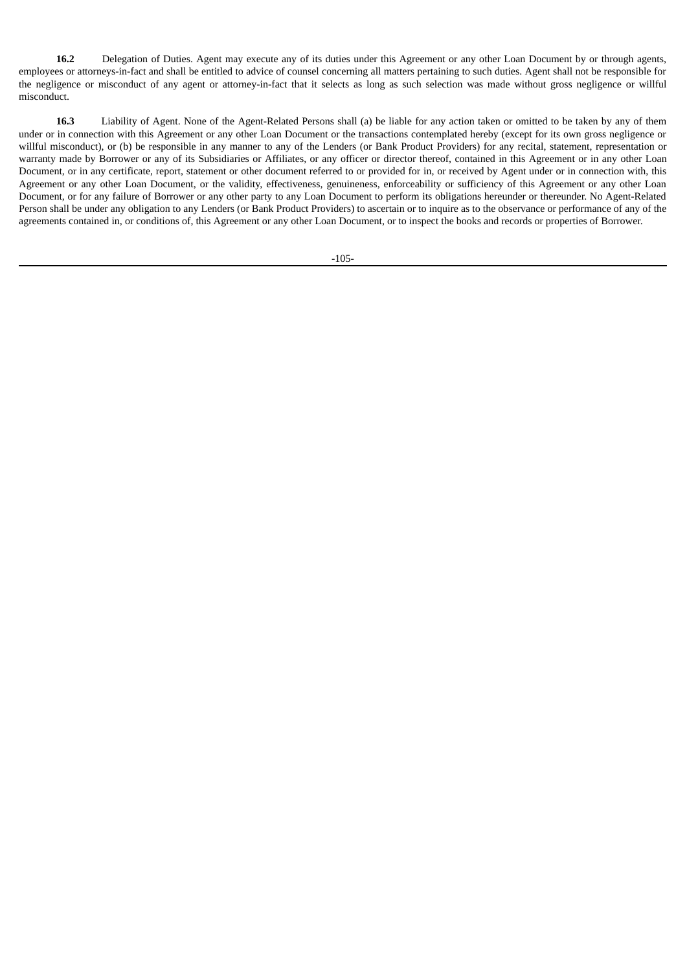**16.2** Delegation of Duties. Agent may execute any of its duties under this Agreement or any other Loan Document by or through agents, employees or attorneys-in-fact and shall be entitled to advice of counsel concerning all matters pertaining to such duties. Agent shall not be responsible for the negligence or misconduct of any agent or attorney-in-fact that it selects as long as such selection was made without gross negligence or willful misconduct.

**16.3** Liability of Agent. None of the Agent-Related Persons shall (a) be liable for any action taken or omitted to be taken by any of them under or in connection with this Agreement or any other Loan Document or the transactions contemplated hereby (except for its own gross negligence or willful misconduct), or (b) be responsible in any manner to any of the Lenders (or Bank Product Providers) for any recital, statement, representation or warranty made by Borrower or any of its Subsidiaries or Affiliates, or any officer or director thereof, contained in this Agreement or in any other Loan Document, or in any certificate, report, statement or other document referred to or provided for in, or received by Agent under or in connection with, this Agreement or any other Loan Document, or the validity, effectiveness, genuineness, enforceability or sufficiency of this Agreement or any other Loan Document, or for any failure of Borrower or any other party to any Loan Document to perform its obligations hereunder or thereunder. No Agent-Related Person shall be under any obligation to any Lenders (or Bank Product Providers) to ascertain or to inquire as to the observance or performance of any of the agreements contained in, or conditions of, this Agreement or any other Loan Document, or to inspect the books and records or properties of Borrower.

-105-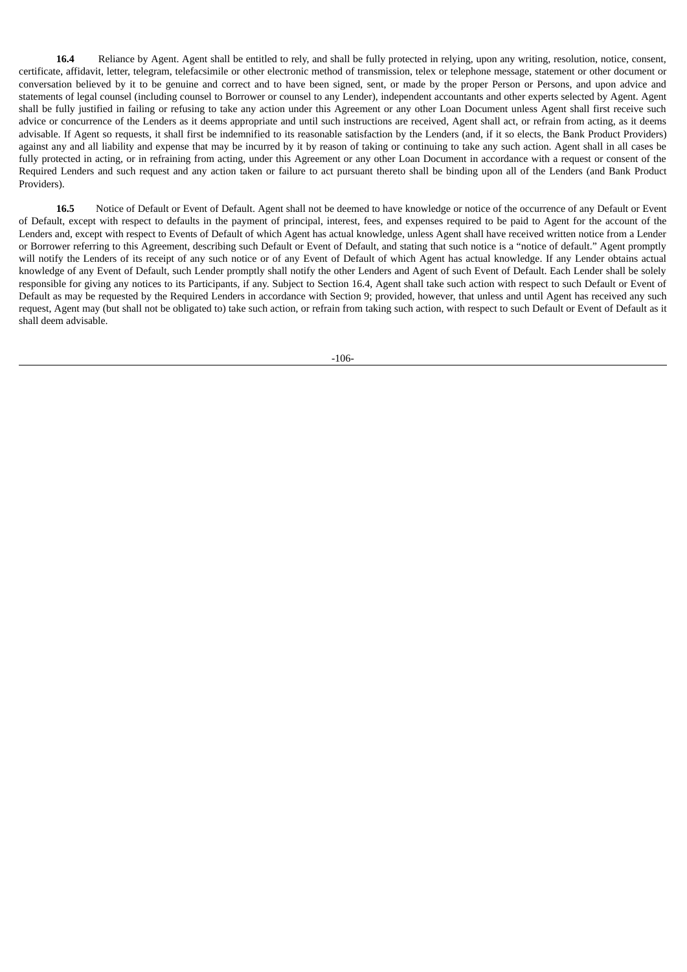**16.4** Reliance by Agent. Agent shall be entitled to rely, and shall be fully protected in relying, upon any writing, resolution, notice, consent, certificate, affidavit, letter, telegram, telefacsimile or other electronic method of transmission, telex or telephone message, statement or other document or conversation believed by it to be genuine and correct and to have been signed, sent, or made by the proper Person or Persons, and upon advice and statements of legal counsel (including counsel to Borrower or counsel to any Lender), independent accountants and other experts selected by Agent. Agent shall be fully justified in failing or refusing to take any action under this Agreement or any other Loan Document unless Agent shall first receive such advice or concurrence of the Lenders as it deems appropriate and until such instructions are received, Agent shall act, or refrain from acting, as it deems advisable. If Agent so requests, it shall first be indemnified to its reasonable satisfaction by the Lenders (and, if it so elects, the Bank Product Providers) against any and all liability and expense that may be incurred by it by reason of taking or continuing to take any such action. Agent shall in all cases be fully protected in acting, or in refraining from acting, under this Agreement or any other Loan Document in accordance with a request or consent of the Required Lenders and such request and any action taken or failure to act pursuant thereto shall be binding upon all of the Lenders (and Bank Product Providers).

16.5 Notice of Default or Event of Default. Agent shall not be deemed to have knowledge or notice of the occurrence of any Default or Event of Default, except with respect to defaults in the payment of principal, interest, fees, and expenses required to be paid to Agent for the account of the Lenders and, except with respect to Events of Default of which Agent has actual knowledge, unless Agent shall have received written notice from a Lender or Borrower referring to this Agreement, describing such Default or Event of Default, and stating that such notice is a "notice of default." Agent promptly will notify the Lenders of its receipt of any such notice or of any Event of Default of which Agent has actual knowledge. If any Lender obtains actual knowledge of any Event of Default, such Lender promptly shall notify the other Lenders and Agent of such Event of Default. Each Lender shall be solely responsible for giving any notices to its Participants, if any. Subject to Section 16.4, Agent shall take such action with respect to such Default or Event of Default as may be requested by the Required Lenders in accordance with Section 9; provided, however, that unless and until Agent has received any such request, Agent may (but shall not be obligated to) take such action, or refrain from taking such action, with respect to such Default or Event of Default as it shall deem advisable.

-106-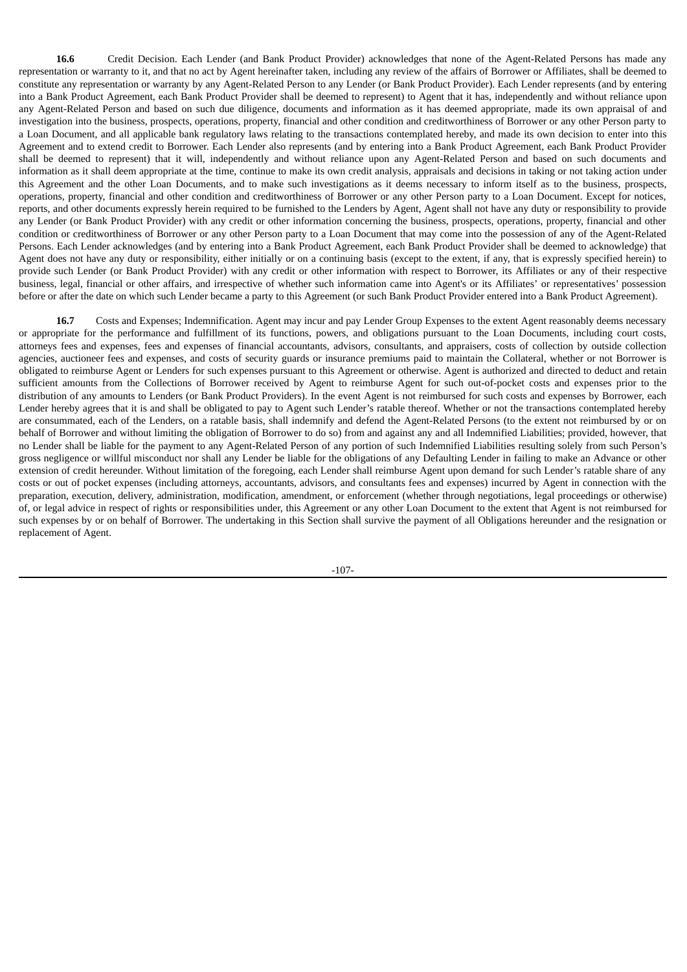**16.6** Credit Decision. Each Lender (and Bank Product Provider) acknowledges that none of the Agent-Related Persons has made any representation or warranty to it, and that no act by Agent hereinafter taken, including any review of the affairs of Borrower or Affiliates, shall be deemed to constitute any representation or warranty by any Agent-Related Person to any Lender (or Bank Product Provider). Each Lender represents (and by entering into a Bank Product Agreement, each Bank Product Provider shall be deemed to represent) to Agent that it has, independently and without reliance upon any Agent-Related Person and based on such due diligence, documents and information as it has deemed appropriate, made its own appraisal of and investigation into the business, prospects, operations, property, financial and other condition and creditworthiness of Borrower or any other Person party to a Loan Document, and all applicable bank regulatory laws relating to the transactions contemplated hereby, and made its own decision to enter into this Agreement and to extend credit to Borrower. Each Lender also represents (and by entering into a Bank Product Agreement, each Bank Product Provider shall be deemed to represent) that it will, independently and without reliance upon any Agent-Related Person and based on such documents and information as it shall deem appropriate at the time, continue to make its own credit analysis, appraisals and decisions in taking or not taking action under this Agreement and the other Loan Documents, and to make such investigations as it deems necessary to inform itself as to the business, prospects, operations, property, financial and other condition and creditworthiness of Borrower or any other Person party to a Loan Document. Except for notices, reports, and other documents expressly herein required to be furnished to the Lenders by Agent, Agent shall not have any duty or responsibility to provide any Lender (or Bank Product Provider) with any credit or other information concerning the business, prospects, operations, property, financial and other condition or creditworthiness of Borrower or any other Person party to a Loan Document that may come into the possession of any of the Agent-Related Persons. Each Lender acknowledges (and by entering into a Bank Product Agreement, each Bank Product Provider shall be deemed to acknowledge) that Agent does not have any duty or responsibility, either initially or on a continuing basis (except to the extent, if any, that is expressly specified herein) to provide such Lender (or Bank Product Provider) with any credit or other information with respect to Borrower, its Affiliates or any of their respective business, legal, financial or other affairs, and irrespective of whether such information came into Agent's or its Affiliates' or representatives' possession before or after the date on which such Lender became a party to this Agreement (or such Bank Product Provider entered into a Bank Product Agreement).

**16.7** Costs and Expenses; Indemnification. Agent may incur and pay Lender Group Expenses to the extent Agent reasonably deems necessary or appropriate for the performance and fulfillment of its functions, powers, and obligations pursuant to the Loan Documents, including court costs, attorneys fees and expenses, fees and expenses of financial accountants, advisors, consultants, and appraisers, costs of collection by outside collection agencies, auctioneer fees and expenses, and costs of security guards or insurance premiums paid to maintain the Collateral, whether or not Borrower is obligated to reimburse Agent or Lenders for such expenses pursuant to this Agreement or otherwise. Agent is authorized and directed to deduct and retain sufficient amounts from the Collections of Borrower received by Agent to reimburse Agent for such out-of-pocket costs and expenses prior to the distribution of any amounts to Lenders (or Bank Product Providers). In the event Agent is not reimbursed for such costs and expenses by Borrower, each Lender hereby agrees that it is and shall be obligated to pay to Agent such Lender's ratable thereof. Whether or not the transactions contemplated hereby are consummated, each of the Lenders, on a ratable basis, shall indemnify and defend the Agent-Related Persons (to the extent not reimbursed by or on behalf of Borrower and without limiting the obligation of Borrower to do so) from and against any and all Indemnified Liabilities; provided, however, that no Lender shall be liable for the payment to any Agent-Related Person of any portion of such Indemnified Liabilities resulting solely from such Person's gross negligence or willful misconduct nor shall any Lender be liable for the obligations of any Defaulting Lender in failing to make an Advance or other extension of credit hereunder. Without limitation of the foregoing, each Lender shall reimburse Agent upon demand for such Lender's ratable share of any costs or out of pocket expenses (including attorneys, accountants, advisors, and consultants fees and expenses) incurred by Agent in connection with the preparation, execution, delivery, administration, modification, amendment, or enforcement (whether through negotiations, legal proceedings or otherwise) of, or legal advice in respect of rights or responsibilities under, this Agreement or any other Loan Document to the extent that Agent is not reimbursed for such expenses by or on behalf of Borrower. The undertaking in this Section shall survive the payment of all Obligations hereunder and the resignation or replacement of Agent.

-107-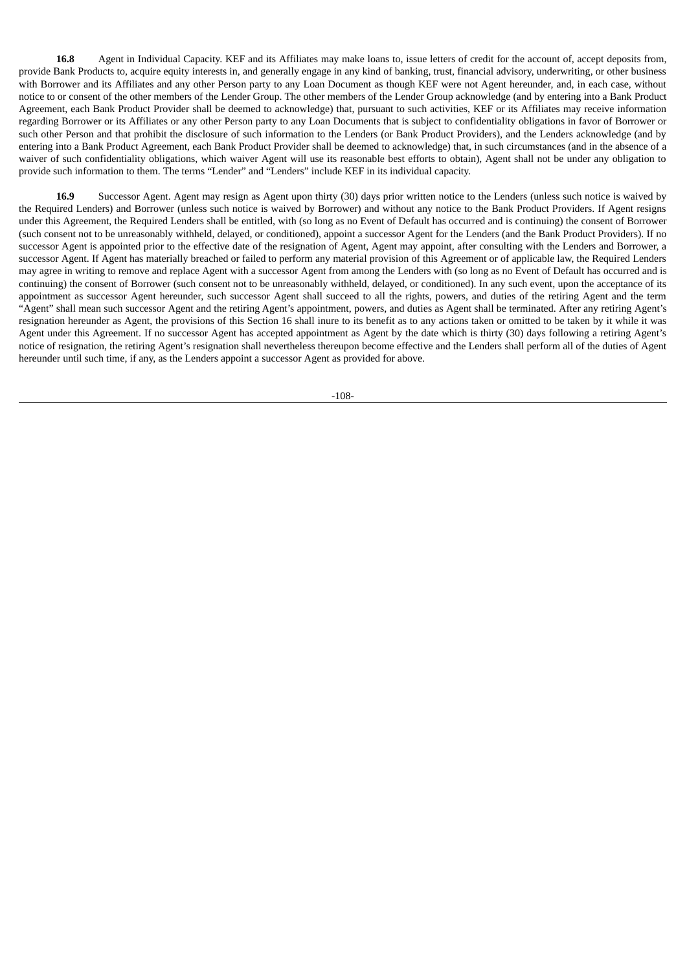**16.8** Agent in Individual Capacity. KEF and its Affiliates may make loans to, issue letters of credit for the account of, accept deposits from, provide Bank Products to, acquire equity interests in, and generally engage in any kind of banking, trust, financial advisory, underwriting, or other business with Borrower and its Affiliates and any other Person party to any Loan Document as though KEF were not Agent hereunder, and, in each case, without notice to or consent of the other members of the Lender Group. The other members of the Lender Group acknowledge (and by entering into a Bank Product Agreement, each Bank Product Provider shall be deemed to acknowledge) that, pursuant to such activities, KEF or its Affiliates may receive information regarding Borrower or its Affiliates or any other Person party to any Loan Documents that is subject to confidentiality obligations in favor of Borrower or such other Person and that prohibit the disclosure of such information to the Lenders (or Bank Product Providers), and the Lenders acknowledge (and by entering into a Bank Product Agreement, each Bank Product Provider shall be deemed to acknowledge) that, in such circumstances (and in the absence of a waiver of such confidentiality obligations, which waiver Agent will use its reasonable best efforts to obtain), Agent shall not be under any obligation to provide such information to them. The terms "Lender" and "Lenders" include KEF in its individual capacity.

**16.9** Successor Agent. Agent may resign as Agent upon thirty (30) days prior written notice to the Lenders (unless such notice is waived by the Required Lenders) and Borrower (unless such notice is waived by Borrower) and without any notice to the Bank Product Providers. If Agent resigns under this Agreement, the Required Lenders shall be entitled, with (so long as no Event of Default has occurred and is continuing) the consent of Borrower (such consent not to be unreasonably withheld, delayed, or conditioned), appoint a successor Agent for the Lenders (and the Bank Product Providers). If no successor Agent is appointed prior to the effective date of the resignation of Agent, Agent may appoint, after consulting with the Lenders and Borrower, a successor Agent. If Agent has materially breached or failed to perform any material provision of this Agreement or of applicable law, the Required Lenders may agree in writing to remove and replace Agent with a successor Agent from among the Lenders with (so long as no Event of Default has occurred and is continuing) the consent of Borrower (such consent not to be unreasonably withheld, delayed, or conditioned). In any such event, upon the acceptance of its appointment as successor Agent hereunder, such successor Agent shall succeed to all the rights, powers, and duties of the retiring Agent and the term "Agent" shall mean such successor Agent and the retiring Agent's appointment, powers, and duties as Agent shall be terminated. After any retiring Agent's resignation hereunder as Agent, the provisions of this Section 16 shall inure to its benefit as to any actions taken or omitted to be taken by it while it was Agent under this Agreement. If no successor Agent has accepted appointment as Agent by the date which is thirty (30) days following a retiring Agent's notice of resignation, the retiring Agent's resignation shall nevertheless thereupon become effective and the Lenders shall perform all of the duties of Agent hereunder until such time, if any, as the Lenders appoint a successor Agent as provided for above.

-108-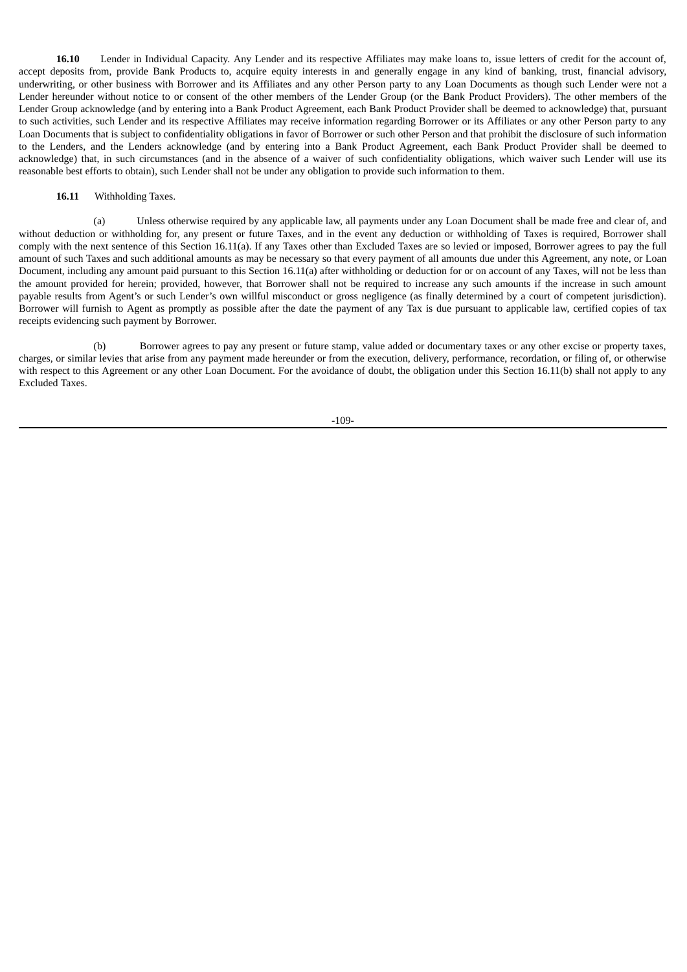**16.10** Lender in Individual Capacity. Any Lender and its respective Affiliates may make loans to, issue letters of credit for the account of, accept deposits from, provide Bank Products to, acquire equity interests in and generally engage in any kind of banking, trust, financial advisory, underwriting, or other business with Borrower and its Affiliates and any other Person party to any Loan Documents as though such Lender were not a Lender hereunder without notice to or consent of the other members of the Lender Group (or the Bank Product Providers). The other members of the Lender Group acknowledge (and by entering into a Bank Product Agreement, each Bank Product Provider shall be deemed to acknowledge) that, pursuant to such activities, such Lender and its respective Affiliates may receive information regarding Borrower or its Affiliates or any other Person party to any Loan Documents that is subject to confidentiality obligations in favor of Borrower or such other Person and that prohibit the disclosure of such information to the Lenders, and the Lenders acknowledge (and by entering into a Bank Product Agreement, each Bank Product Provider shall be deemed to acknowledge) that, in such circumstances (and in the absence of a waiver of such confidentiality obligations, which waiver such Lender will use its reasonable best efforts to obtain), such Lender shall not be under any obligation to provide such information to them.

#### **16.11** Withholding Taxes.

(a) Unless otherwise required by any applicable law, all payments under any Loan Document shall be made free and clear of, and without deduction or withholding for, any present or future Taxes, and in the event any deduction or withholding of Taxes is required, Borrower shall comply with the next sentence of this Section 16.11(a). If any Taxes other than Excluded Taxes are so levied or imposed, Borrower agrees to pay the full amount of such Taxes and such additional amounts as may be necessary so that every payment of all amounts due under this Agreement, any note, or Loan Document, including any amount paid pursuant to this Section 16.11(a) after withholding or deduction for or on account of any Taxes, will not be less than the amount provided for herein; provided, however, that Borrower shall not be required to increase any such amounts if the increase in such amount payable results from Agent's or such Lender's own willful misconduct or gross negligence (as finally determined by a court of competent jurisdiction). Borrower will furnish to Agent as promptly as possible after the date the payment of any Tax is due pursuant to applicable law, certified copies of tax receipts evidencing such payment by Borrower.

(b) Borrower agrees to pay any present or future stamp, value added or documentary taxes or any other excise or property taxes, charges, or similar levies that arise from any payment made hereunder or from the execution, delivery, performance, recordation, or filing of, or otherwise with respect to this Agreement or any other Loan Document. For the avoidance of doubt, the obligation under this Section 16.11(b) shall not apply to any Excluded Taxes.

-109-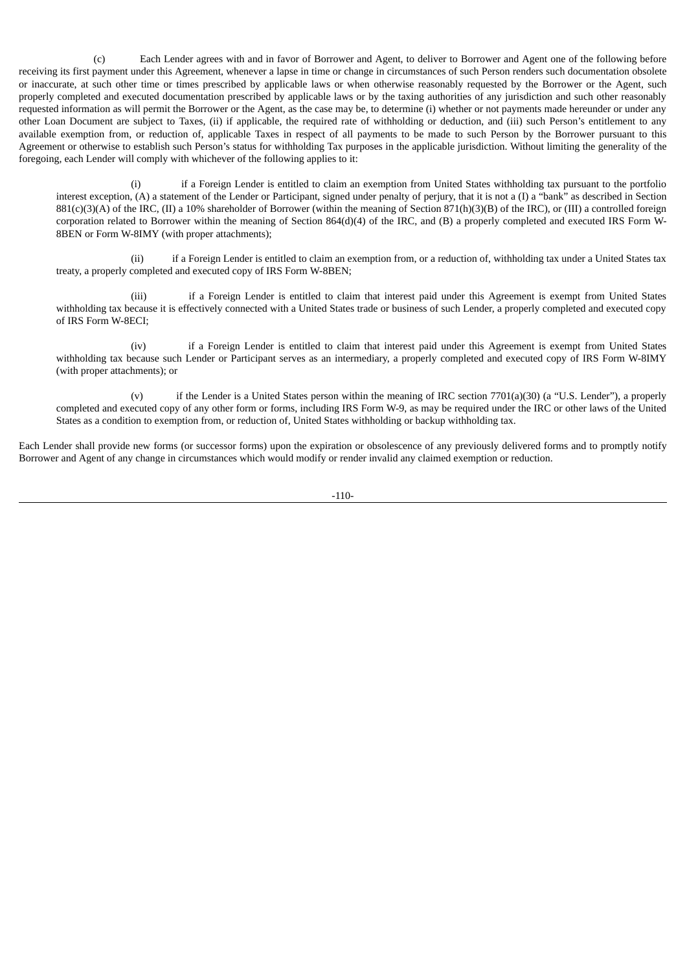(c) Each Lender agrees with and in favor of Borrower and Agent, to deliver to Borrower and Agent one of the following before receiving its first payment under this Agreement, whenever a lapse in time or change in circumstances of such Person renders such documentation obsolete or inaccurate, at such other time or times prescribed by applicable laws or when otherwise reasonably requested by the Borrower or the Agent, such properly completed and executed documentation prescribed by applicable laws or by the taxing authorities of any jurisdiction and such other reasonably requested information as will permit the Borrower or the Agent, as the case may be, to determine (i) whether or not payments made hereunder or under any other Loan Document are subject to Taxes, (ii) if applicable, the required rate of withholding or deduction, and (iii) such Person's entitlement to any available exemption from, or reduction of, applicable Taxes in respect of all payments to be made to such Person by the Borrower pursuant to this Agreement or otherwise to establish such Person's status for withholding Tax purposes in the applicable jurisdiction. Without limiting the generality of the foregoing, each Lender will comply with whichever of the following applies to it:

(i) if a Foreign Lender is entitled to claim an exemption from United States withholding tax pursuant to the portfolio interest exception, (A) a statement of the Lender or Participant, signed under penalty of perjury, that it is not a (I) a "bank" as described in Section 881(c)(3)(A) of the IRC, (II) a 10% shareholder of Borrower (within the meaning of Section 871(h)(3)(B) of the IRC), or (III) a controlled foreign corporation related to Borrower within the meaning of Section 864(d)(4) of the IRC, and (B) a properly completed and executed IRS Form W-8BEN or Form W-8IMY (with proper attachments);

(ii) if a Foreign Lender is entitled to claim an exemption from, or a reduction of, withholding tax under a United States tax treaty, a properly completed and executed copy of IRS Form W-8BEN;

(iii) if a Foreign Lender is entitled to claim that interest paid under this Agreement is exempt from United States withholding tax because it is effectively connected with a United States trade or business of such Lender, a properly completed and executed copy of IRS Form W-8ECI;

(iv) if a Foreign Lender is entitled to claim that interest paid under this Agreement is exempt from United States withholding tax because such Lender or Participant serves as an intermediary, a properly completed and executed copy of IRS Form W-8IMY (with proper attachments); or

(v) if the Lender is a United States person within the meaning of IRC section 7701(a)(30) (a "U.S. Lender"), a properly completed and executed copy of any other form or forms, including IRS Form W-9, as may be required under the IRC or other laws of the United States as a condition to exemption from, or reduction of, United States withholding or backup withholding tax.

Each Lender shall provide new forms (or successor forms) upon the expiration or obsolescence of any previously delivered forms and to promptly notify Borrower and Agent of any change in circumstances which would modify or render invalid any claimed exemption or reduction.

-110-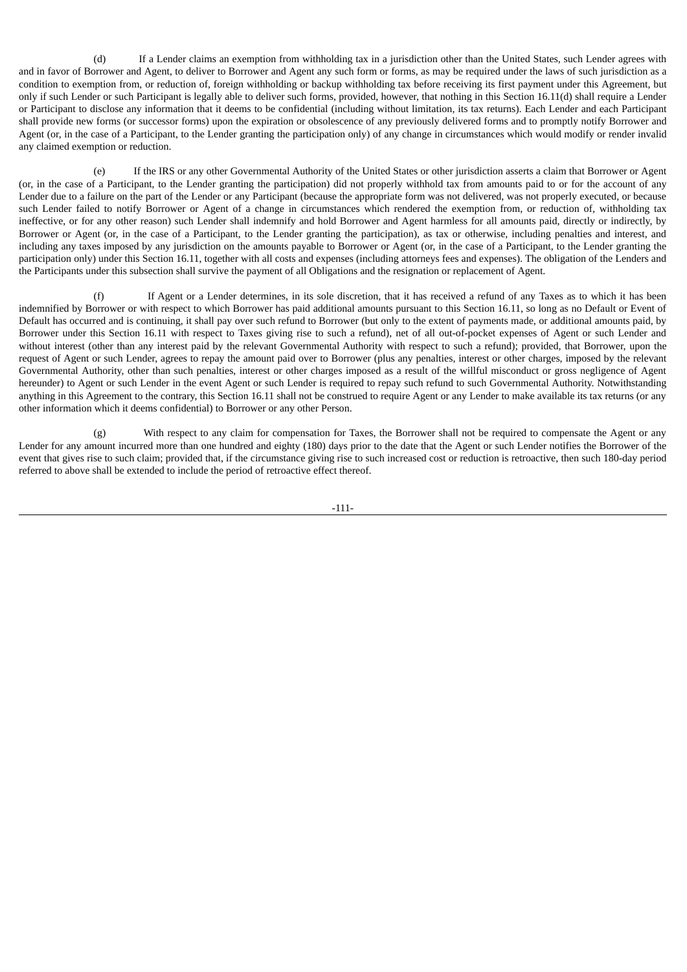(d) If a Lender claims an exemption from withholding tax in a jurisdiction other than the United States, such Lender agrees with and in favor of Borrower and Agent, to deliver to Borrower and Agent any such form or forms, as may be required under the laws of such jurisdiction as a condition to exemption from, or reduction of, foreign withholding or backup withholding tax before receiving its first payment under this Agreement, but only if such Lender or such Participant is legally able to deliver such forms, provided, however, that nothing in this Section 16.11(d) shall require a Lender or Participant to disclose any information that it deems to be confidential (including without limitation, its tax returns). Each Lender and each Participant shall provide new forms (or successor forms) upon the expiration or obsolescence of any previously delivered forms and to promptly notify Borrower and Agent (or, in the case of a Participant, to the Lender granting the participation only) of any change in circumstances which would modify or render invalid any claimed exemption or reduction.

(e) If the IRS or any other Governmental Authority of the United States or other jurisdiction asserts a claim that Borrower or Agent (or, in the case of a Participant, to the Lender granting the participation) did not properly withhold tax from amounts paid to or for the account of any Lender due to a failure on the part of the Lender or any Participant (because the appropriate form was not delivered, was not properly executed, or because such Lender failed to notify Borrower or Agent of a change in circumstances which rendered the exemption from, or reduction of, withholding tax ineffective, or for any other reason) such Lender shall indemnify and hold Borrower and Agent harmless for all amounts paid, directly or indirectly, by Borrower or Agent (or, in the case of a Participant, to the Lender granting the participation), as tax or otherwise, including penalties and interest, and including any taxes imposed by any jurisdiction on the amounts payable to Borrower or Agent (or, in the case of a Participant, to the Lender granting the participation only) under this Section 16.11, together with all costs and expenses (including attorneys fees and expenses). The obligation of the Lenders and the Participants under this subsection shall survive the payment of all Obligations and the resignation or replacement of Agent.

(f) If Agent or a Lender determines, in its sole discretion, that it has received a refund of any Taxes as to which it has been indemnified by Borrower or with respect to which Borrower has paid additional amounts pursuant to this Section 16.11, so long as no Default or Event of Default has occurred and is continuing, it shall pay over such refund to Borrower (but only to the extent of payments made, or additional amounts paid, by Borrower under this Section 16.11 with respect to Taxes giving rise to such a refund), net of all out-of-pocket expenses of Agent or such Lender and without interest (other than any interest paid by the relevant Governmental Authority with respect to such a refund); provided, that Borrower, upon the request of Agent or such Lender, agrees to repay the amount paid over to Borrower (plus any penalties, interest or other charges, imposed by the relevant Governmental Authority, other than such penalties, interest or other charges imposed as a result of the willful misconduct or gross negligence of Agent hereunder) to Agent or such Lender in the event Agent or such Lender is required to repay such refund to such Governmental Authority. Notwithstanding anything in this Agreement to the contrary, this Section 16.11 shall not be construed to require Agent or any Lender to make available its tax returns (or any other information which it deems confidential) to Borrower or any other Person.

(g) With respect to any claim for compensation for Taxes, the Borrower shall not be required to compensate the Agent or any Lender for any amount incurred more than one hundred and eighty (180) days prior to the date that the Agent or such Lender notifies the Borrower of the event that gives rise to such claim; provided that, if the circumstance giving rise to such increased cost or reduction is retroactive, then such 180-day period referred to above shall be extended to include the period of retroactive effect thereof.

-111-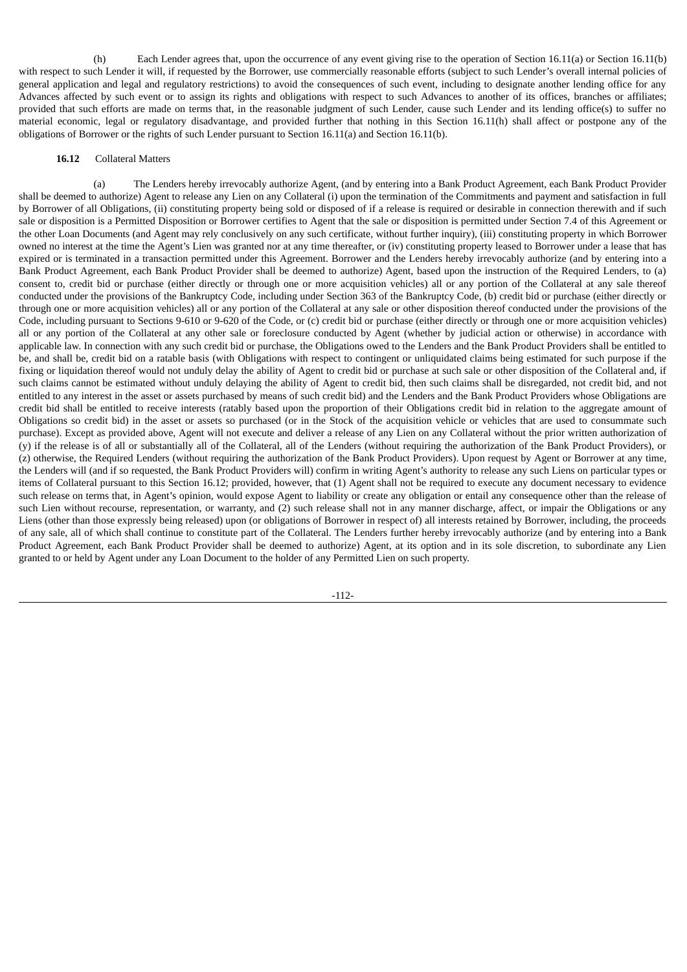(h) Each Lender agrees that, upon the occurrence of any event giving rise to the operation of Section 16.11(a) or Section 16.11(b) with respect to such Lender it will, if requested by the Borrower, use commercially reasonable efforts (subject to such Lender's overall internal policies of general application and legal and regulatory restrictions) to avoid the consequences of such event, including to designate another lending office for any Advances affected by such event or to assign its rights and obligations with respect to such Advances to another of its offices, branches or affiliates; provided that such efforts are made on terms that, in the reasonable judgment of such Lender, cause such Lender and its lending office(s) to suffer no material economic, legal or regulatory disadvantage, and provided further that nothing in this Section 16.11(h) shall affect or postpone any of the obligations of Borrower or the rights of such Lender pursuant to Section 16.11(a) and Section 16.11(b).

#### **16.12** Collateral Matters

(a) The Lenders hereby irrevocably authorize Agent, (and by entering into a Bank Product Agreement, each Bank Product Provider shall be deemed to authorize) Agent to release any Lien on any Collateral (i) upon the termination of the Commitments and payment and satisfaction in full by Borrower of all Obligations, (ii) constituting property being sold or disposed of if a release is required or desirable in connection therewith and if such sale or disposition is a Permitted Disposition or Borrower certifies to Agent that the sale or disposition is permitted under Section 7.4 of this Agreement or the other Loan Documents (and Agent may rely conclusively on any such certificate, without further inquiry), (iii) constituting property in which Borrower owned no interest at the time the Agent's Lien was granted nor at any time thereafter, or (iv) constituting property leased to Borrower under a lease that has expired or is terminated in a transaction permitted under this Agreement. Borrower and the Lenders hereby irrevocably authorize (and by entering into a Bank Product Agreement, each Bank Product Provider shall be deemed to authorize) Agent, based upon the instruction of the Required Lenders, to (a) consent to, credit bid or purchase (either directly or through one or more acquisition vehicles) all or any portion of the Collateral at any sale thereof conducted under the provisions of the Bankruptcy Code, including under Section 363 of the Bankruptcy Code, (b) credit bid or purchase (either directly or through one or more acquisition vehicles) all or any portion of the Collateral at any sale or other disposition thereof conducted under the provisions of the Code, including pursuant to Sections 9-610 or 9-620 of the Code, or (c) credit bid or purchase (either directly or through one or more acquisition vehicles) all or any portion of the Collateral at any other sale or foreclosure conducted by Agent (whether by judicial action or otherwise) in accordance with applicable law. In connection with any such credit bid or purchase, the Obligations owed to the Lenders and the Bank Product Providers shall be entitled to be, and shall be, credit bid on a ratable basis (with Obligations with respect to contingent or unliquidated claims being estimated for such purpose if the fixing or liquidation thereof would not unduly delay the ability of Agent to credit bid or purchase at such sale or other disposition of the Collateral and, if such claims cannot be estimated without unduly delaying the ability of Agent to credit bid, then such claims shall be disregarded, not credit bid, and not entitled to any interest in the asset or assets purchased by means of such credit bid) and the Lenders and the Bank Product Providers whose Obligations are credit bid shall be entitled to receive interests (ratably based upon the proportion of their Obligations credit bid in relation to the aggregate amount of Obligations so credit bid) in the asset or assets so purchased (or in the Stock of the acquisition vehicle or vehicles that are used to consummate such purchase). Except as provided above, Agent will not execute and deliver a release of any Lien on any Collateral without the prior written authorization of (y) if the release is of all or substantially all of the Collateral, all of the Lenders (without requiring the authorization of the Bank Product Providers), or (z) otherwise, the Required Lenders (without requiring the authorization of the Bank Product Providers). Upon request by Agent or Borrower at any time, the Lenders will (and if so requested, the Bank Product Providers will) confirm in writing Agent's authority to release any such Liens on particular types or items of Collateral pursuant to this Section 16.12; provided, however, that (1) Agent shall not be required to execute any document necessary to evidence such release on terms that, in Agent's opinion, would expose Agent to liability or create any obligation or entail any consequence other than the release of such Lien without recourse, representation, or warranty, and (2) such release shall not in any manner discharge, affect, or impair the Obligations or any Liens (other than those expressly being released) upon (or obligations of Borrower in respect of) all interests retained by Borrower, including, the proceeds of any sale, all of which shall continue to constitute part of the Collateral. The Lenders further hereby irrevocably authorize (and by entering into a Bank Product Agreement, each Bank Product Provider shall be deemed to authorize) Agent, at its option and in its sole discretion, to subordinate any Lien granted to or held by Agent under any Loan Document to the holder of any Permitted Lien on such property.

-112-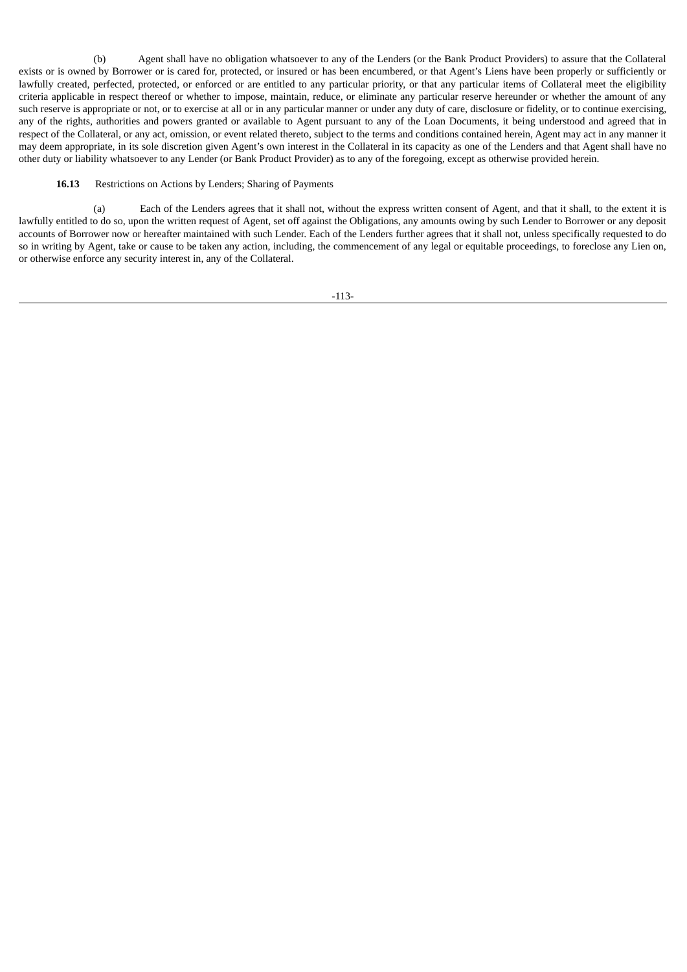(b) Agent shall have no obligation whatsoever to any of the Lenders (or the Bank Product Providers) to assure that the Collateral exists or is owned by Borrower or is cared for, protected, or insured or has been encumbered, or that Agent's Liens have been properly or sufficiently or lawfully created, perfected, protected, or enforced or are entitled to any particular priority, or that any particular items of Collateral meet the eligibility criteria applicable in respect thereof or whether to impose, maintain, reduce, or eliminate any particular reserve hereunder or whether the amount of any such reserve is appropriate or not, or to exercise at all or in any particular manner or under any duty of care, disclosure or fidelity, or to continue exercising, any of the rights, authorities and powers granted or available to Agent pursuant to any of the Loan Documents, it being understood and agreed that in respect of the Collateral, or any act, omission, or event related thereto, subject to the terms and conditions contained herein, Agent may act in any manner it may deem appropriate, in its sole discretion given Agent's own interest in the Collateral in its capacity as one of the Lenders and that Agent shall have no other duty or liability whatsoever to any Lender (or Bank Product Provider) as to any of the foregoing, except as otherwise provided herein.

**16.13** Restrictions on Actions by Lenders; Sharing of Payments

(a) Each of the Lenders agrees that it shall not, without the express written consent of Agent, and that it shall, to the extent it is lawfully entitled to do so, upon the written request of Agent, set off against the Obligations, any amounts owing by such Lender to Borrower or any deposit accounts of Borrower now or hereafter maintained with such Lender. Each of the Lenders further agrees that it shall not, unless specifically requested to do so in writing by Agent, take or cause to be taken any action, including, the commencement of any legal or equitable proceedings, to foreclose any Lien on, or otherwise enforce any security interest in, any of the Collateral.

-113-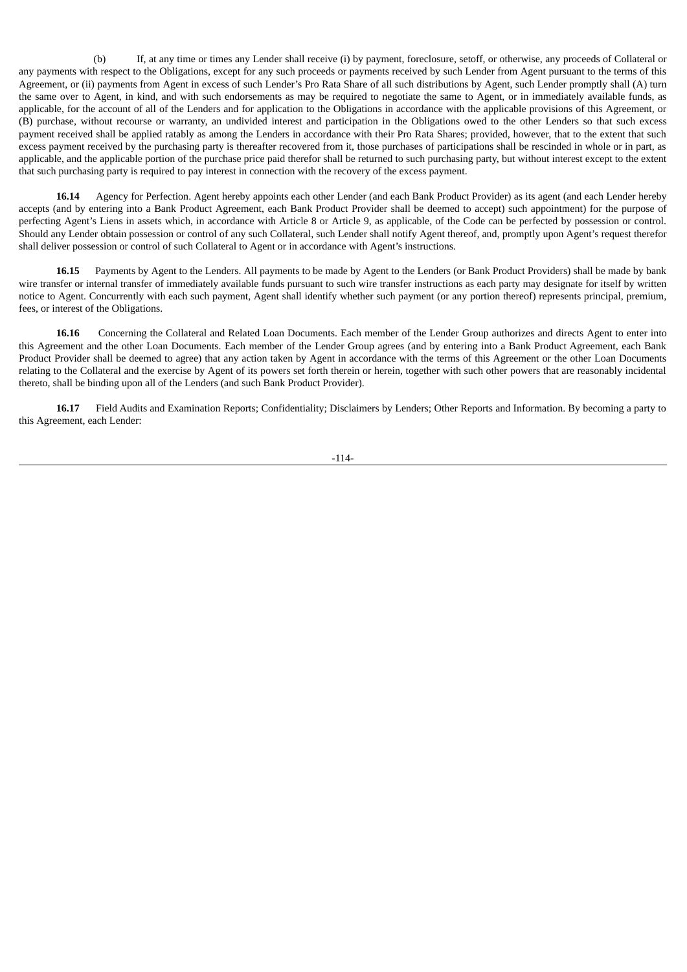(b) If, at any time or times any Lender shall receive (i) by payment, foreclosure, setoff, or otherwise, any proceeds of Collateral or any payments with respect to the Obligations, except for any such proceeds or payments received by such Lender from Agent pursuant to the terms of this Agreement, or (ii) payments from Agent in excess of such Lender's Pro Rata Share of all such distributions by Agent, such Lender promptly shall (A) turn the same over to Agent, in kind, and with such endorsements as may be required to negotiate the same to Agent, or in immediately available funds, as applicable, for the account of all of the Lenders and for application to the Obligations in accordance with the applicable provisions of this Agreement, or (B) purchase, without recourse or warranty, an undivided interest and participation in the Obligations owed to the other Lenders so that such excess payment received shall be applied ratably as among the Lenders in accordance with their Pro Rata Shares; provided, however, that to the extent that such excess payment received by the purchasing party is thereafter recovered from it, those purchases of participations shall be rescinded in whole or in part, as applicable, and the applicable portion of the purchase price paid therefor shall be returned to such purchasing party, but without interest except to the extent that such purchasing party is required to pay interest in connection with the recovery of the excess payment.

**16.14** Agency for Perfection. Agent hereby appoints each other Lender (and each Bank Product Provider) as its agent (and each Lender hereby accepts (and by entering into a Bank Product Agreement, each Bank Product Provider shall be deemed to accept) such appointment) for the purpose of perfecting Agent's Liens in assets which, in accordance with Article 8 or Article 9, as applicable, of the Code can be perfected by possession or control. Should any Lender obtain possession or control of any such Collateral, such Lender shall notify Agent thereof, and, promptly upon Agent's request therefor shall deliver possession or control of such Collateral to Agent or in accordance with Agent's instructions.

**16.15** Payments by Agent to the Lenders. All payments to be made by Agent to the Lenders (or Bank Product Providers) shall be made by bank wire transfer or internal transfer of immediately available funds pursuant to such wire transfer instructions as each party may designate for itself by written notice to Agent. Concurrently with each such payment, Agent shall identify whether such payment (or any portion thereof) represents principal, premium, fees, or interest of the Obligations.

**16.16** Concerning the Collateral and Related Loan Documents. Each member of the Lender Group authorizes and directs Agent to enter into this Agreement and the other Loan Documents. Each member of the Lender Group agrees (and by entering into a Bank Product Agreement, each Bank Product Provider shall be deemed to agree) that any action taken by Agent in accordance with the terms of this Agreement or the other Loan Documents relating to the Collateral and the exercise by Agent of its powers set forth therein or herein, together with such other powers that are reasonably incidental thereto, shall be binding upon all of the Lenders (and such Bank Product Provider).

**16.17** Field Audits and Examination Reports; Confidentiality; Disclaimers by Lenders; Other Reports and Information. By becoming a party to this Agreement, each Lender:

-114-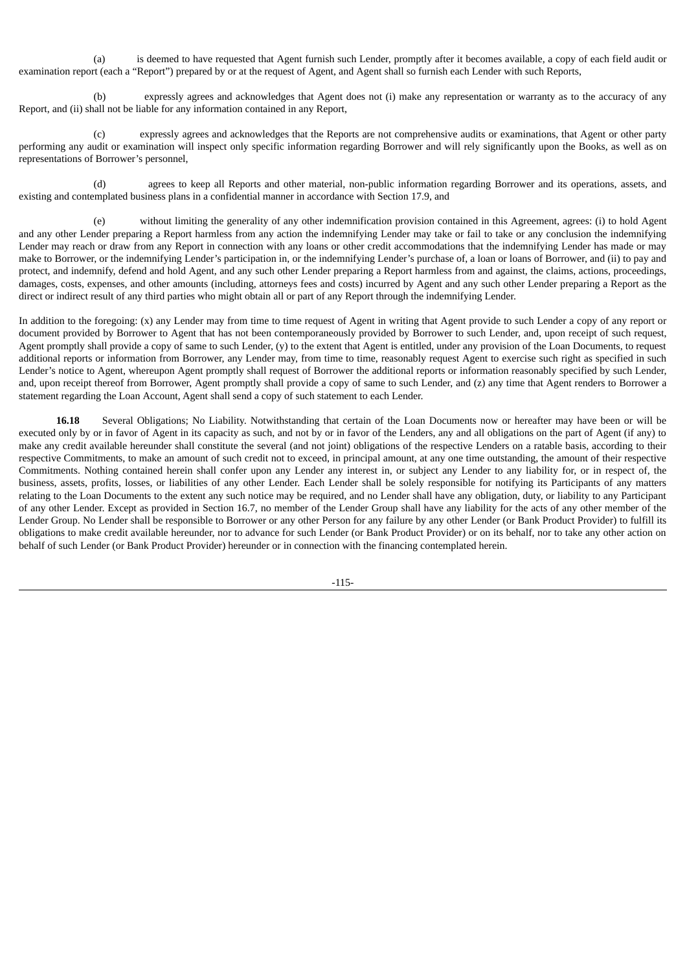(a) is deemed to have requested that Agent furnish such Lender, promptly after it becomes available, a copy of each field audit or examination report (each a "Report") prepared by or at the request of Agent, and Agent shall so furnish each Lender with such Reports,

(b) expressly agrees and acknowledges that Agent does not (i) make any representation or warranty as to the accuracy of any Report, and (ii) shall not be liable for any information contained in any Report,

(c) expressly agrees and acknowledges that the Reports are not comprehensive audits or examinations, that Agent or other party performing any audit or examination will inspect only specific information regarding Borrower and will rely significantly upon the Books, as well as on representations of Borrower's personnel,

(d) agrees to keep all Reports and other material, non-public information regarding Borrower and its operations, assets, and existing and contemplated business plans in a confidential manner in accordance with Section 17.9, and

(e) without limiting the generality of any other indemnification provision contained in this Agreement, agrees: (i) to hold Agent and any other Lender preparing a Report harmless from any action the indemnifying Lender may take or fail to take or any conclusion the indemnifying Lender may reach or draw from any Report in connection with any loans or other credit accommodations that the indemnifying Lender has made or may make to Borrower, or the indemnifying Lender's participation in, or the indemnifying Lender's purchase of, a loan or loans of Borrower, and (ii) to pay and protect, and indemnify, defend and hold Agent, and any such other Lender preparing a Report harmless from and against, the claims, actions, proceedings, damages, costs, expenses, and other amounts (including, attorneys fees and costs) incurred by Agent and any such other Lender preparing a Report as the direct or indirect result of any third parties who might obtain all or part of any Report through the indemnifying Lender.

In addition to the foregoing: (x) any Lender may from time to time request of Agent in writing that Agent provide to such Lender a copy of any report or document provided by Borrower to Agent that has not been contemporaneously provided by Borrower to such Lender, and, upon receipt of such request, Agent promptly shall provide a copy of same to such Lender, (y) to the extent that Agent is entitled, under any provision of the Loan Documents, to request additional reports or information from Borrower, any Lender may, from time to time, reasonably request Agent to exercise such right as specified in such Lender's notice to Agent, whereupon Agent promptly shall request of Borrower the additional reports or information reasonably specified by such Lender, and, upon receipt thereof from Borrower, Agent promptly shall provide a copy of same to such Lender, and (z) any time that Agent renders to Borrower a statement regarding the Loan Account, Agent shall send a copy of such statement to each Lender.

**16.18** Several Obligations; No Liability. Notwithstanding that certain of the Loan Documents now or hereafter may have been or will be executed only by or in favor of Agent in its capacity as such, and not by or in favor of the Lenders, any and all obligations on the part of Agent (if any) to make any credit available hereunder shall constitute the several (and not joint) obligations of the respective Lenders on a ratable basis, according to their respective Commitments, to make an amount of such credit not to exceed, in principal amount, at any one time outstanding, the amount of their respective Commitments. Nothing contained herein shall confer upon any Lender any interest in, or subject any Lender to any liability for, or in respect of, the business, assets, profits, losses, or liabilities of any other Lender. Each Lender shall be solely responsible for notifying its Participants of any matters relating to the Loan Documents to the extent any such notice may be required, and no Lender shall have any obligation, duty, or liability to any Participant of any other Lender. Except as provided in Section 16.7, no member of the Lender Group shall have any liability for the acts of any other member of the Lender Group. No Lender shall be responsible to Borrower or any other Person for any failure by any other Lender (or Bank Product Provider) to fulfill its obligations to make credit available hereunder, nor to advance for such Lender (or Bank Product Provider) or on its behalf, nor to take any other action on behalf of such Lender (or Bank Product Provider) hereunder or in connection with the financing contemplated herein.

-115-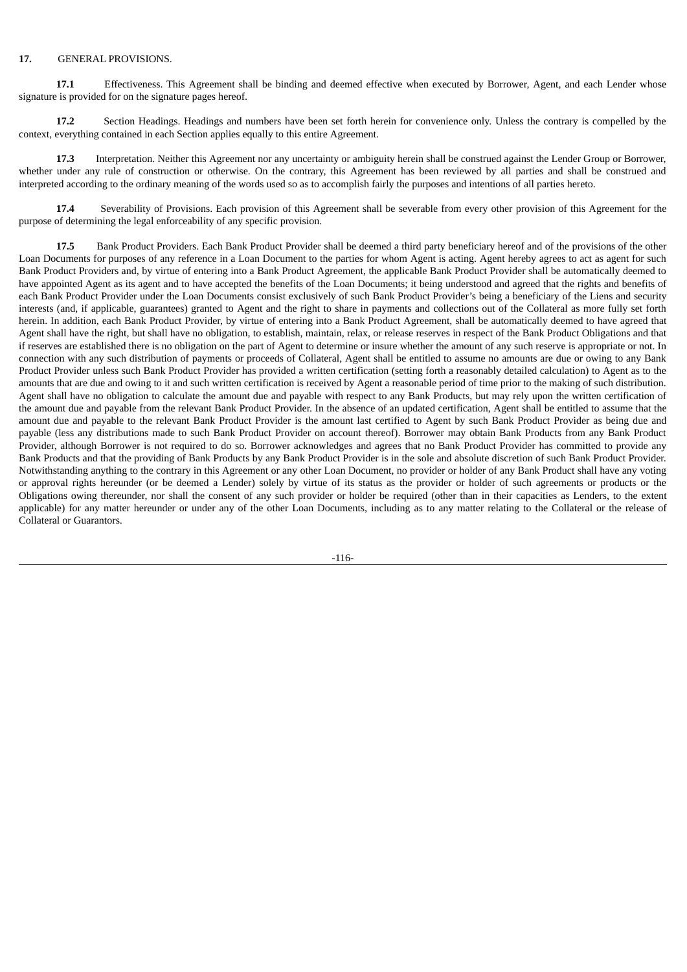## **17.** GENERAL PROVISIONS.

**17.1** Effectiveness. This Agreement shall be binding and deemed effective when executed by Borrower, Agent, and each Lender whose signature is provided for on the signature pages hereof.

**17.2** Section Headings. Headings and numbers have been set forth herein for convenience only. Unless the contrary is compelled by the context, everything contained in each Section applies equally to this entire Agreement.

**17.3** Interpretation. Neither this Agreement nor any uncertainty or ambiguity herein shall be construed against the Lender Group or Borrower, whether under any rule of construction or otherwise. On the contrary, this Agreement has been reviewed by all parties and shall be construed and interpreted according to the ordinary meaning of the words used so as to accomplish fairly the purposes and intentions of all parties hereto.

**17.4** Severability of Provisions. Each provision of this Agreement shall be severable from every other provision of this Agreement for the purpose of determining the legal enforceability of any specific provision.

**17.5** Bank Product Providers. Each Bank Product Provider shall be deemed a third party beneficiary hereof and of the provisions of the other Loan Documents for purposes of any reference in a Loan Document to the parties for whom Agent is acting. Agent hereby agrees to act as agent for such Bank Product Providers and, by virtue of entering into a Bank Product Agreement, the applicable Bank Product Provider shall be automatically deemed to have appointed Agent as its agent and to have accepted the benefits of the Loan Documents; it being understood and agreed that the rights and benefits of each Bank Product Provider under the Loan Documents consist exclusively of such Bank Product Provider's being a beneficiary of the Liens and security interests (and, if applicable, guarantees) granted to Agent and the right to share in payments and collections out of the Collateral as more fully set forth herein. In addition, each Bank Product Provider, by virtue of entering into a Bank Product Agreement, shall be automatically deemed to have agreed that Agent shall have the right, but shall have no obligation, to establish, maintain, relax, or release reserves in respect of the Bank Product Obligations and that if reserves are established there is no obligation on the part of Agent to determine or insure whether the amount of any such reserve is appropriate or not. In connection with any such distribution of payments or proceeds of Collateral, Agent shall be entitled to assume no amounts are due or owing to any Bank Product Provider unless such Bank Product Provider has provided a written certification (setting forth a reasonably detailed calculation) to Agent as to the amounts that are due and owing to it and such written certification is received by Agent a reasonable period of time prior to the making of such distribution. Agent shall have no obligation to calculate the amount due and payable with respect to any Bank Products, but may rely upon the written certification of the amount due and payable from the relevant Bank Product Provider. In the absence of an updated certification, Agent shall be entitled to assume that the amount due and payable to the relevant Bank Product Provider is the amount last certified to Agent by such Bank Product Provider as being due and payable (less any distributions made to such Bank Product Provider on account thereof). Borrower may obtain Bank Products from any Bank Product Provider, although Borrower is not required to do so. Borrower acknowledges and agrees that no Bank Product Provider has committed to provide any Bank Products and that the providing of Bank Products by any Bank Product Provider is in the sole and absolute discretion of such Bank Product Provider. Notwithstanding anything to the contrary in this Agreement or any other Loan Document, no provider or holder of any Bank Product shall have any voting or approval rights hereunder (or be deemed a Lender) solely by virtue of its status as the provider or holder of such agreements or products or the Obligations owing thereunder, nor shall the consent of any such provider or holder be required (other than in their capacities as Lenders, to the extent applicable) for any matter hereunder or under any of the other Loan Documents, including as to any matter relating to the Collateral or the release of Collateral or Guarantors.

-116-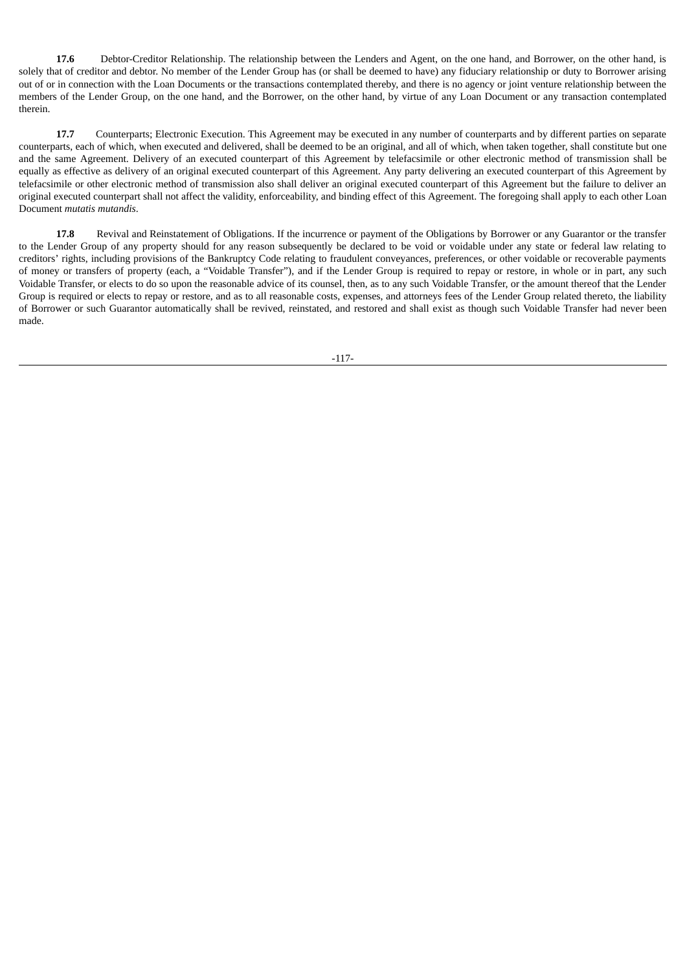**17.6** Debtor-Creditor Relationship. The relationship between the Lenders and Agent, on the one hand, and Borrower, on the other hand, is solely that of creditor and debtor. No member of the Lender Group has (or shall be deemed to have) any fiduciary relationship or duty to Borrower arising out of or in connection with the Loan Documents or the transactions contemplated thereby, and there is no agency or joint venture relationship between the members of the Lender Group, on the one hand, and the Borrower, on the other hand, by virtue of any Loan Document or any transaction contemplated therein.

**17.7** Counterparts; Electronic Execution. This Agreement may be executed in any number of counterparts and by different parties on separate counterparts, each of which, when executed and delivered, shall be deemed to be an original, and all of which, when taken together, shall constitute but one and the same Agreement. Delivery of an executed counterpart of this Agreement by telefacsimile or other electronic method of transmission shall be equally as effective as delivery of an original executed counterpart of this Agreement. Any party delivering an executed counterpart of this Agreement by telefacsimile or other electronic method of transmission also shall deliver an original executed counterpart of this Agreement but the failure to deliver an original executed counterpart shall not affect the validity, enforceability, and binding effect of this Agreement. The foregoing shall apply to each other Loan Document *mutatis mutandis*.

**17.8** Revival and Reinstatement of Obligations. If the incurrence or payment of the Obligations by Borrower or any Guarantor or the transfer to the Lender Group of any property should for any reason subsequently be declared to be void or voidable under any state or federal law relating to creditors' rights, including provisions of the Bankruptcy Code relating to fraudulent conveyances, preferences, or other voidable or recoverable payments of money or transfers of property (each, a "Voidable Transfer"), and if the Lender Group is required to repay or restore, in whole or in part, any such Voidable Transfer, or elects to do so upon the reasonable advice of its counsel, then, as to any such Voidable Transfer, or the amount thereof that the Lender Group is required or elects to repay or restore, and as to all reasonable costs, expenses, and attorneys fees of the Lender Group related thereto, the liability of Borrower or such Guarantor automatically shall be revived, reinstated, and restored and shall exist as though such Voidable Transfer had never been made.

-117-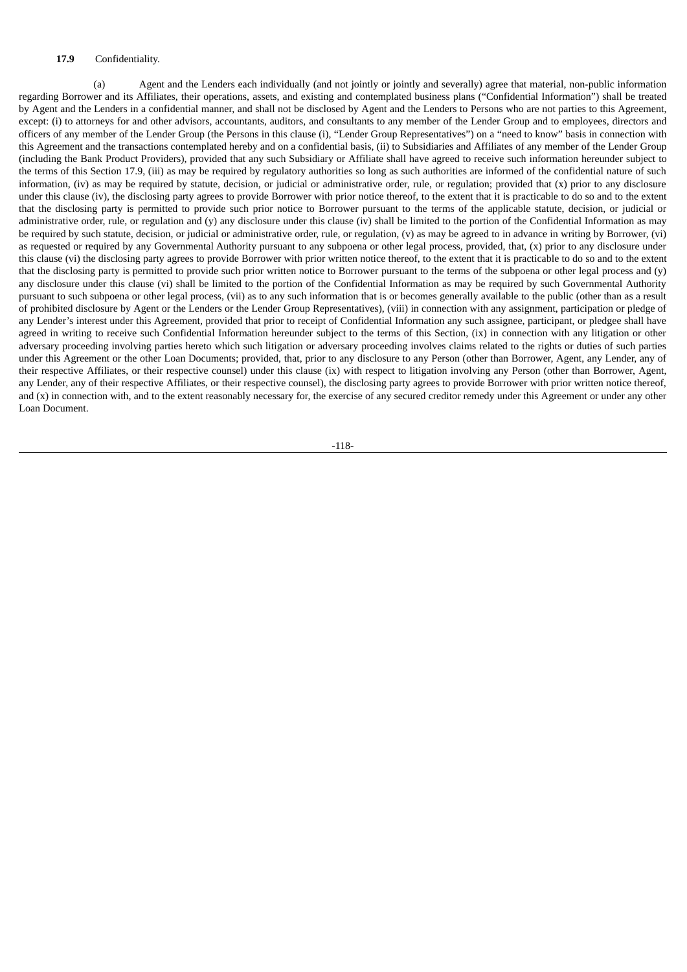#### **17.9** Confidentiality.

(a) Agent and the Lenders each individually (and not jointly or jointly and severally) agree that material, non-public information regarding Borrower and its Affiliates, their operations, assets, and existing and contemplated business plans ("Confidential Information") shall be treated by Agent and the Lenders in a confidential manner, and shall not be disclosed by Agent and the Lenders to Persons who are not parties to this Agreement, except: (i) to attorneys for and other advisors, accountants, auditors, and consultants to any member of the Lender Group and to employees, directors and officers of any member of the Lender Group (the Persons in this clause (i), "Lender Group Representatives") on a "need to know" basis in connection with this Agreement and the transactions contemplated hereby and on a confidential basis, (ii) to Subsidiaries and Affiliates of any member of the Lender Group (including the Bank Product Providers), provided that any such Subsidiary or Affiliate shall have agreed to receive such information hereunder subject to the terms of this Section 17.9, (iii) as may be required by regulatory authorities so long as such authorities are informed of the confidential nature of such information, (iv) as may be required by statute, decision, or judicial or administrative order, rule, or regulation; provided that (x) prior to any disclosure under this clause (iv), the disclosing party agrees to provide Borrower with prior notice thereof, to the extent that it is practicable to do so and to the extent that the disclosing party is permitted to provide such prior notice to Borrower pursuant to the terms of the applicable statute, decision, or judicial or administrative order, rule, or regulation and (y) any disclosure under this clause (iv) shall be limited to the portion of the Confidential Information as may be required by such statute, decision, or judicial or administrative order, rule, or regulation, (v) as may be agreed to in advance in writing by Borrower, (vi) as requested or required by any Governmental Authority pursuant to any subpoena or other legal process, provided, that, (x) prior to any disclosure under this clause (vi) the disclosing party agrees to provide Borrower with prior written notice thereof, to the extent that it is practicable to do so and to the extent that the disclosing party is permitted to provide such prior written notice to Borrower pursuant to the terms of the subpoena or other legal process and (y) any disclosure under this clause (vi) shall be limited to the portion of the Confidential Information as may be required by such Governmental Authority pursuant to such subpoena or other legal process, (vii) as to any such information that is or becomes generally available to the public (other than as a result of prohibited disclosure by Agent or the Lenders or the Lender Group Representatives), (viii) in connection with any assignment, participation or pledge of any Lender's interest under this Agreement, provided that prior to receipt of Confidential Information any such assignee, participant, or pledgee shall have agreed in writing to receive such Confidential Information hereunder subject to the terms of this Section, (ix) in connection with any litigation or other adversary proceeding involving parties hereto which such litigation or adversary proceeding involves claims related to the rights or duties of such parties under this Agreement or the other Loan Documents; provided, that, prior to any disclosure to any Person (other than Borrower, Agent, any Lender, any of their respective Affiliates, or their respective counsel) under this clause (ix) with respect to litigation involving any Person (other than Borrower, Agent, any Lender, any of their respective Affiliates, or their respective counsel), the disclosing party agrees to provide Borrower with prior written notice thereof, and (x) in connection with, and to the extent reasonably necessary for, the exercise of any secured creditor remedy under this Agreement or under any other Loan Document.

-118-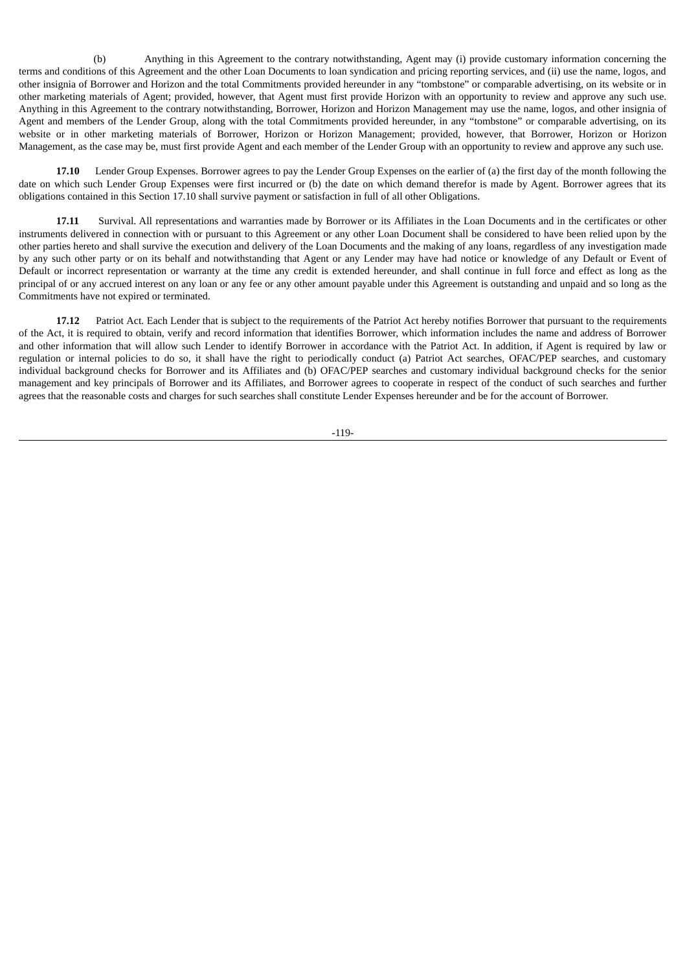(b) Anything in this Agreement to the contrary notwithstanding, Agent may (i) provide customary information concerning the terms and conditions of this Agreement and the other Loan Documents to loan syndication and pricing reporting services, and (ii) use the name, logos, and other insignia of Borrower and Horizon and the total Commitments provided hereunder in any "tombstone" or comparable advertising, on its website or in other marketing materials of Agent; provided, however, that Agent must first provide Horizon with an opportunity to review and approve any such use. Anything in this Agreement to the contrary notwithstanding, Borrower, Horizon and Horizon Management may use the name, logos, and other insignia of Agent and members of the Lender Group, along with the total Commitments provided hereunder, in any "tombstone" or comparable advertising, on its website or in other marketing materials of Borrower, Horizon or Horizon Management; provided, however, that Borrower, Horizon or Horizon Management, as the case may be, must first provide Agent and each member of the Lender Group with an opportunity to review and approve any such use.

**17.10** Lender Group Expenses. Borrower agrees to pay the Lender Group Expenses on the earlier of (a) the first day of the month following the date on which such Lender Group Expenses were first incurred or (b) the date on which demand therefor is made by Agent. Borrower agrees that its obligations contained in this Section 17.10 shall survive payment or satisfaction in full of all other Obligations.

**17.11** Survival. All representations and warranties made by Borrower or its Affiliates in the Loan Documents and in the certificates or other instruments delivered in connection with or pursuant to this Agreement or any other Loan Document shall be considered to have been relied upon by the other parties hereto and shall survive the execution and delivery of the Loan Documents and the making of any loans, regardless of any investigation made by any such other party or on its behalf and notwithstanding that Agent or any Lender may have had notice or knowledge of any Default or Event of Default or incorrect representation or warranty at the time any credit is extended hereunder, and shall continue in full force and effect as long as the principal of or any accrued interest on any loan or any fee or any other amount payable under this Agreement is outstanding and unpaid and so long as the Commitments have not expired or terminated.

**17.12** Patriot Act. Each Lender that is subject to the requirements of the Patriot Act hereby notifies Borrower that pursuant to the requirements of the Act, it is required to obtain, verify and record information that identifies Borrower, which information includes the name and address of Borrower and other information that will allow such Lender to identify Borrower in accordance with the Patriot Act. In addition, if Agent is required by law or regulation or internal policies to do so, it shall have the right to periodically conduct (a) Patriot Act searches, OFAC/PEP searches, and customary individual background checks for Borrower and its Affiliates and (b) OFAC/PEP searches and customary individual background checks for the senior management and key principals of Borrower and its Affiliates, and Borrower agrees to cooperate in respect of the conduct of such searches and further agrees that the reasonable costs and charges for such searches shall constitute Lender Expenses hereunder and be for the account of Borrower.

-119-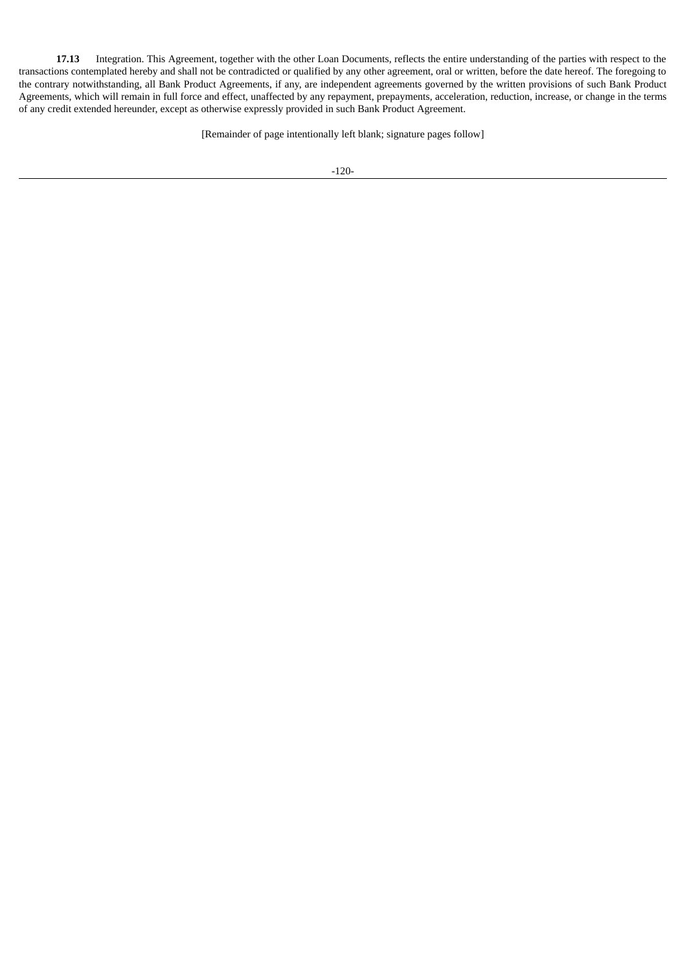**17.13** Integration. This Agreement, together with the other Loan Documents, reflects the entire understanding of the parties with respect to the transactions contemplated hereby and shall not be contradicted or qualified by any other agreement, oral or written, before the date hereof. The foregoing to the contrary notwithstanding, all Bank Product Agreements, if any, are independent agreements governed by the written provisions of such Bank Product Agreements, which will remain in full force and effect, unaffected by any repayment, prepayments, acceleration, reduction, increase, or change in the terms of any credit extended hereunder, except as otherwise expressly provided in such Bank Product Agreement.

[Remainder of page intentionally left blank; signature pages follow]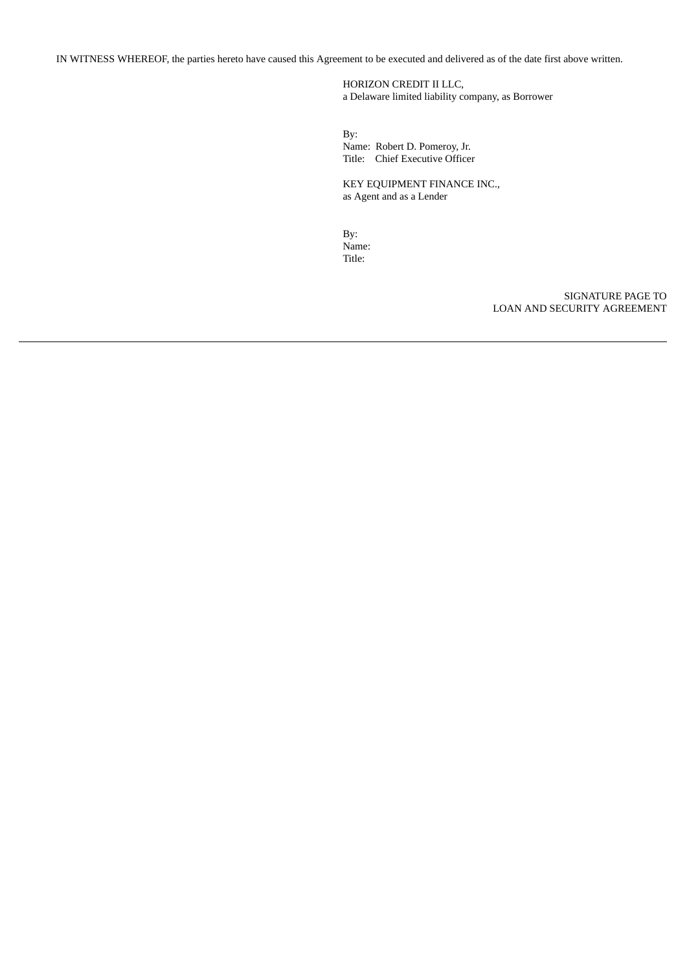IN WITNESS WHEREOF, the parties hereto have caused this Agreement to be executed and delivered as of the date first above written.

HORIZON CREDIT II LLC, a Delaware limited liability company, as Borrower

By: Name: Robert D. Pomeroy, Jr. Title: Chief Executive Officer

KEY EQUIPMENT FINANCE INC., as Agent and as a Lender

By: Name: Title:

> SIGNATURE PAGE TO LOAN AND SECURITY AGREEMENT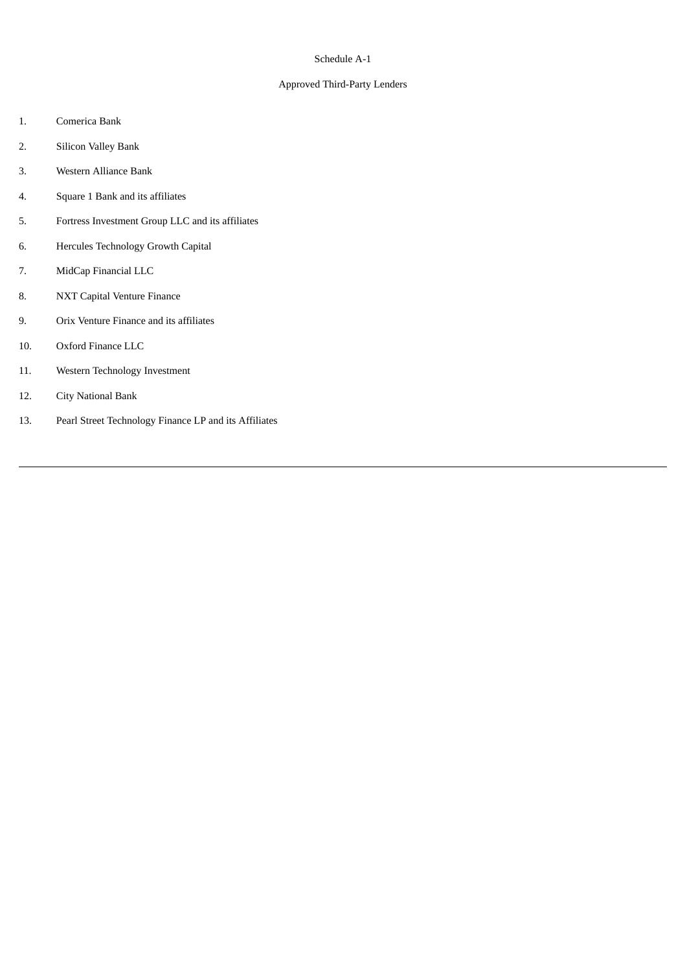## Schedule A-1

## Approved Third-Party Lenders

- 1. Comerica Bank
- 2. Silicon Valley Bank
- 3. Western Alliance Bank
- 4. Square 1 Bank and its affiliates
- 5. Fortress Investment Group LLC and its affiliates
- 6. Hercules Technology Growth Capital
- 7. MidCap Financial LLC
- 8. NXT Capital Venture Finance
- 9. Orix Venture Finance and its affiliates
- 10. Oxford Finance LLC
- 11. Western Technology Investment
- 12. City National Bank
- 13. Pearl Street Technology Finance LP and its Affiliates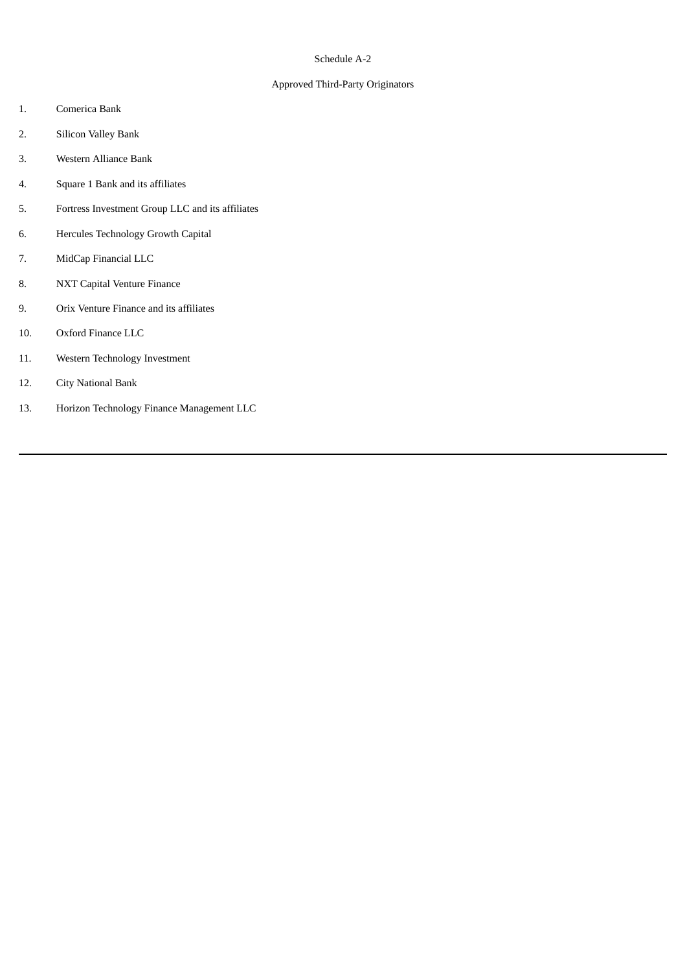## Schedule A-2

## Approved Third-Party Originators

- 1. Comerica Bank
- 2. Silicon Valley Bank
- 3. Western Alliance Bank
- 4. Square 1 Bank and its affiliates
- 5. Fortress Investment Group LLC and its affiliates
- 6. Hercules Technology Growth Capital
- 7. MidCap Financial LLC
- 8. NXT Capital Venture Finance
- 9. Orix Venture Finance and its affiliates
- 10. Oxford Finance LLC
- 11. Western Technology Investment
- 12. City National Bank
- 13. Horizon Technology Finance Management LLC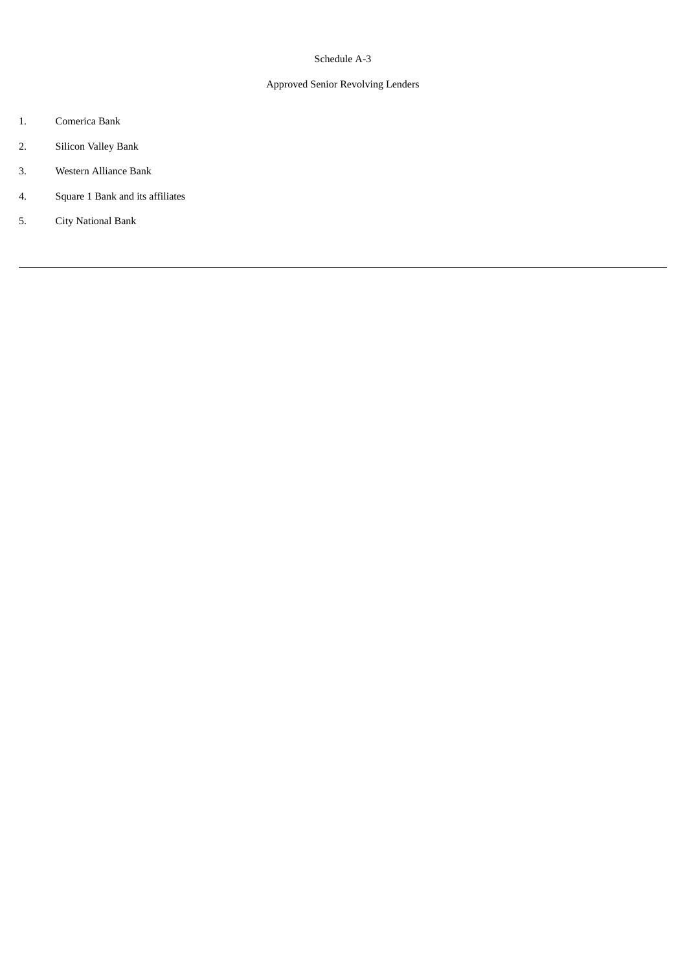## Schedule A-3

# Approved Senior Revolving Lenders

- 1. Comerica Bank
- 2. Silicon Valley Bank
- 3. Western Alliance Bank
- 4. Square 1 Bank and its affiliates
- 5. City National Bank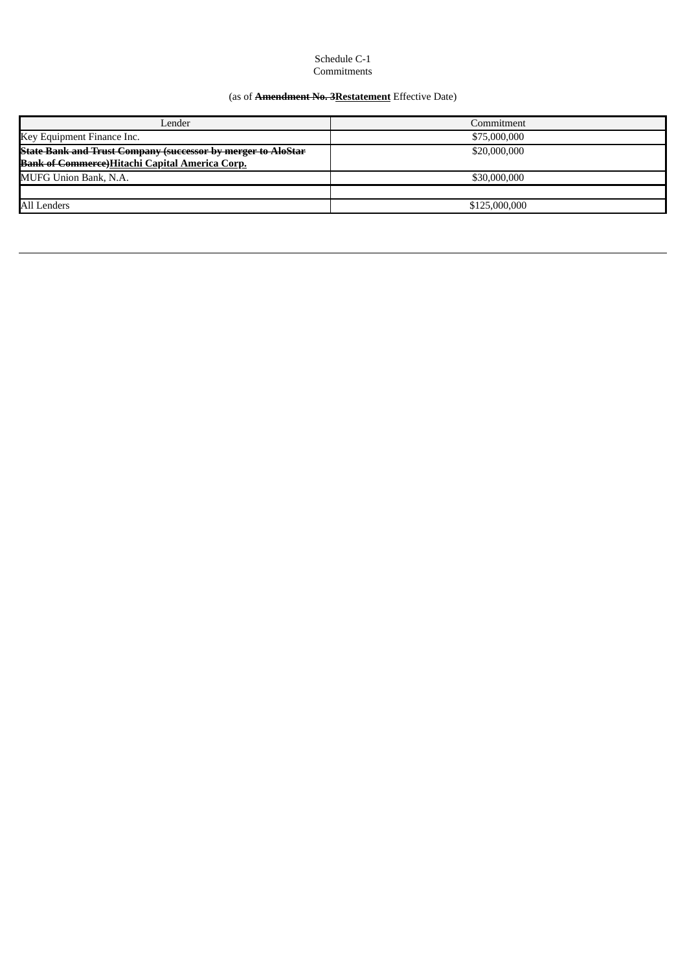## Schedule C-1 Commitments

## (as of **Amendment No. 3Restatement** Effective Date)

| Lender                                                                                                                        | Commitment    |
|-------------------------------------------------------------------------------------------------------------------------------|---------------|
| Key Equipment Finance Inc.                                                                                                    | \$75,000,000  |
| <b>State Bank and Trust Company (successor by merger to AloStar</b><br><b>Bank of Commerce)</b> Hitachi Capital America Corp. | \$20,000,000  |
| MUFG Union Bank, N.A.                                                                                                         | \$30,000,000  |
| All Lenders                                                                                                                   | \$125,000,000 |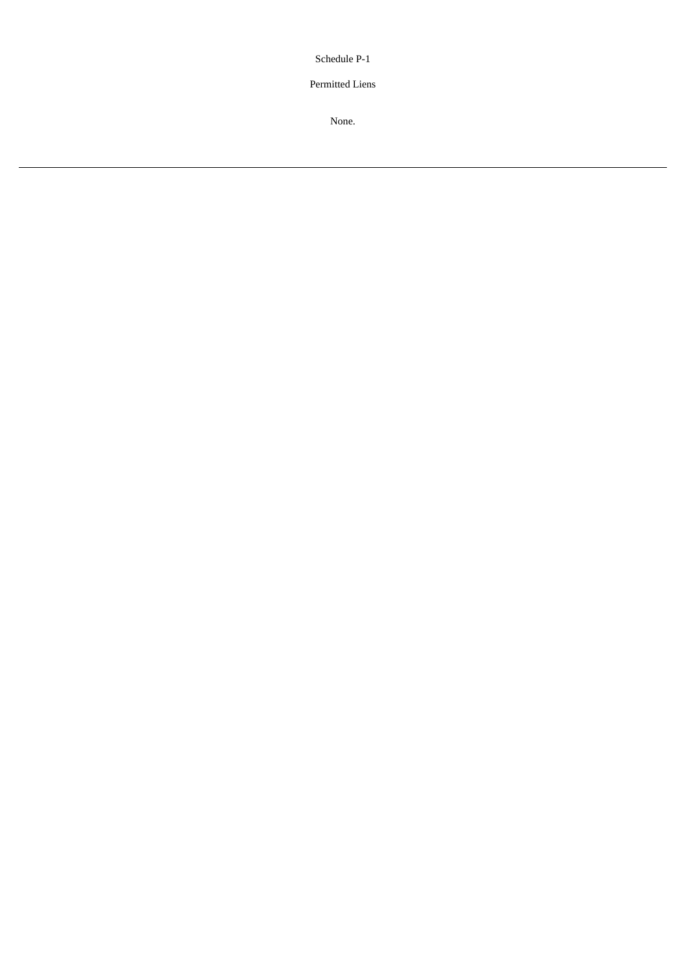Schedule P-1

Permitted Liens

None.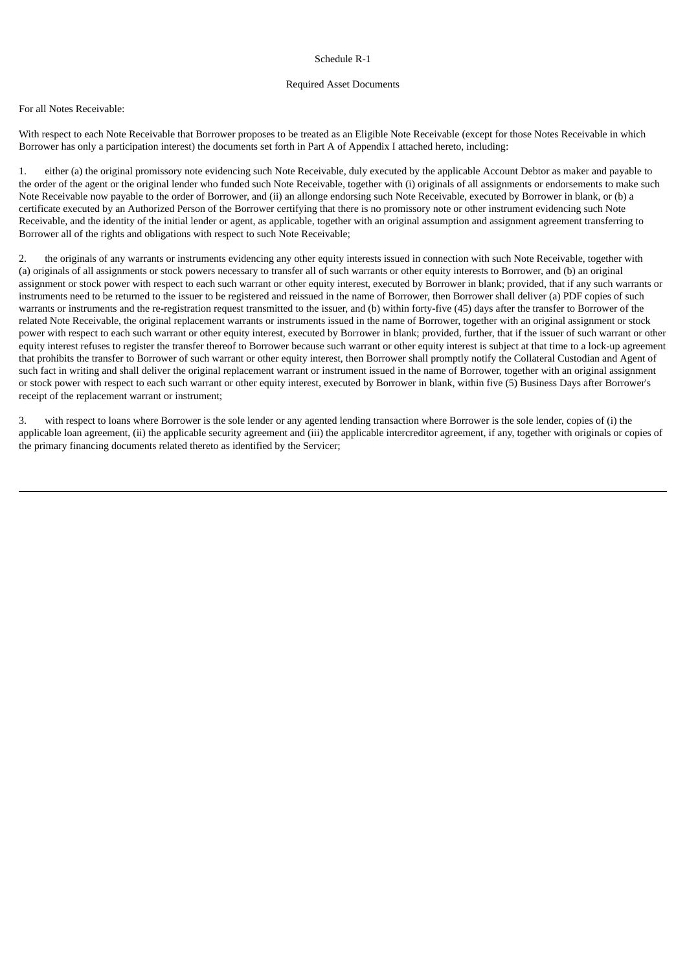#### Schedule R-1

#### Required Asset Documents

For all Notes Receivable:

With respect to each Note Receivable that Borrower proposes to be treated as an Eligible Note Receivable (except for those Notes Receivable in which Borrower has only a participation interest) the documents set forth in Part A of Appendix I attached hereto, including:

1. either (a) the original promissory note evidencing such Note Receivable, duly executed by the applicable Account Debtor as maker and payable to the order of the agent or the original lender who funded such Note Receivable, together with (i) originals of all assignments or endorsements to make such Note Receivable now payable to the order of Borrower, and (ii) an allonge endorsing such Note Receivable, executed by Borrower in blank, or (b) a certificate executed by an Authorized Person of the Borrower certifying that there is no promissory note or other instrument evidencing such Note Receivable, and the identity of the initial lender or agent, as applicable, together with an original assumption and assignment agreement transferring to Borrower all of the rights and obligations with respect to such Note Receivable;

2. the originals of any warrants or instruments evidencing any other equity interests issued in connection with such Note Receivable, together with (a) originals of all assignments or stock powers necessary to transfer all of such warrants or other equity interests to Borrower, and (b) an original assignment or stock power with respect to each such warrant or other equity interest, executed by Borrower in blank; provided, that if any such warrants or instruments need to be returned to the issuer to be registered and reissued in the name of Borrower, then Borrower shall deliver (a) PDF copies of such warrants or instruments and the re-registration request transmitted to the issuer, and (b) within forty-five (45) days after the transfer to Borrower of the related Note Receivable, the original replacement warrants or instruments issued in the name of Borrower, together with an original assignment or stock power with respect to each such warrant or other equity interest, executed by Borrower in blank; provided, further, that if the issuer of such warrant or other equity interest refuses to register the transfer thereof to Borrower because such warrant or other equity interest is subject at that time to a lock-up agreement that prohibits the transfer to Borrower of such warrant or other equity interest, then Borrower shall promptly notify the Collateral Custodian and Agent of such fact in writing and shall deliver the original replacement warrant or instrument issued in the name of Borrower, together with an original assignment or stock power with respect to each such warrant or other equity interest, executed by Borrower in blank, within five (5) Business Days after Borrower's receipt of the replacement warrant or instrument;

3. with respect to loans where Borrower is the sole lender or any agented lending transaction where Borrower is the sole lender, copies of (i) the applicable loan agreement, (ii) the applicable security agreement and (iii) the applicable intercreditor agreement, if any, together with originals or copies of the primary financing documents related thereto as identified by the Servicer;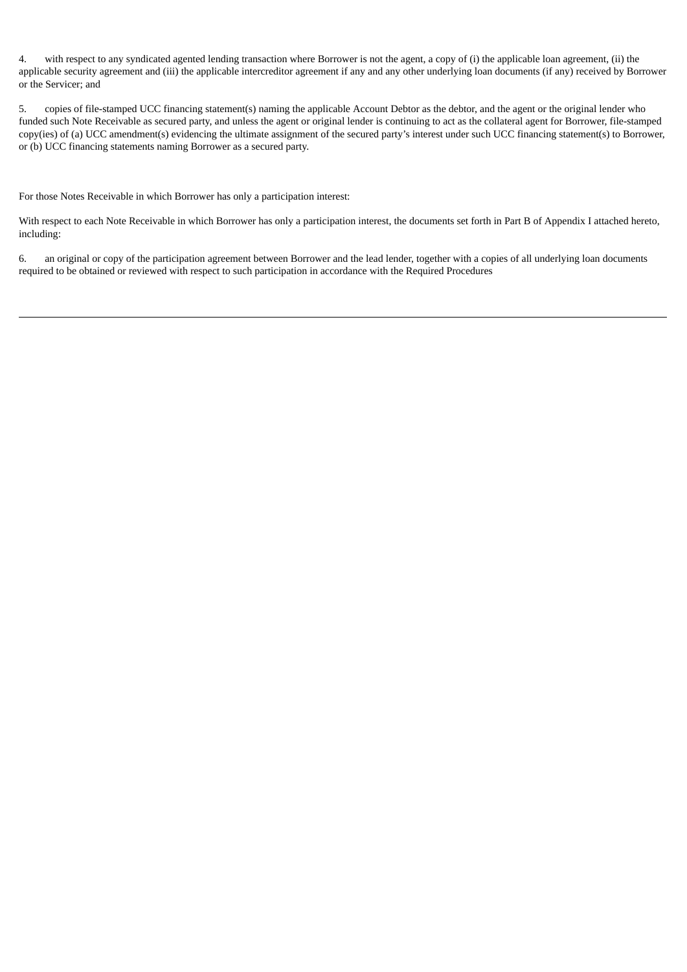4. with respect to any syndicated agented lending transaction where Borrower is not the agent, a copy of (i) the applicable loan agreement, (ii) the applicable security agreement and (iii) the applicable intercreditor agreement if any and any other underlying loan documents (if any) received by Borrower or the Servicer; and

5. copies of file-stamped UCC financing statement(s) naming the applicable Account Debtor as the debtor, and the agent or the original lender who funded such Note Receivable as secured party, and unless the agent or original lender is continuing to act as the collateral agent for Borrower, file-stamped copy(ies) of (a) UCC amendment(s) evidencing the ultimate assignment of the secured party's interest under such UCC financing statement(s) to Borrower, or (b) UCC financing statements naming Borrower as a secured party.

For those Notes Receivable in which Borrower has only a participation interest:

With respect to each Note Receivable in which Borrower has only a participation interest, the documents set forth in Part B of Appendix I attached hereto, including:

6. an original or copy of the participation agreement between Borrower and the lead lender, together with a copies of all underlying loan documents required to be obtained or reviewed with respect to such participation in accordance with the Required Procedures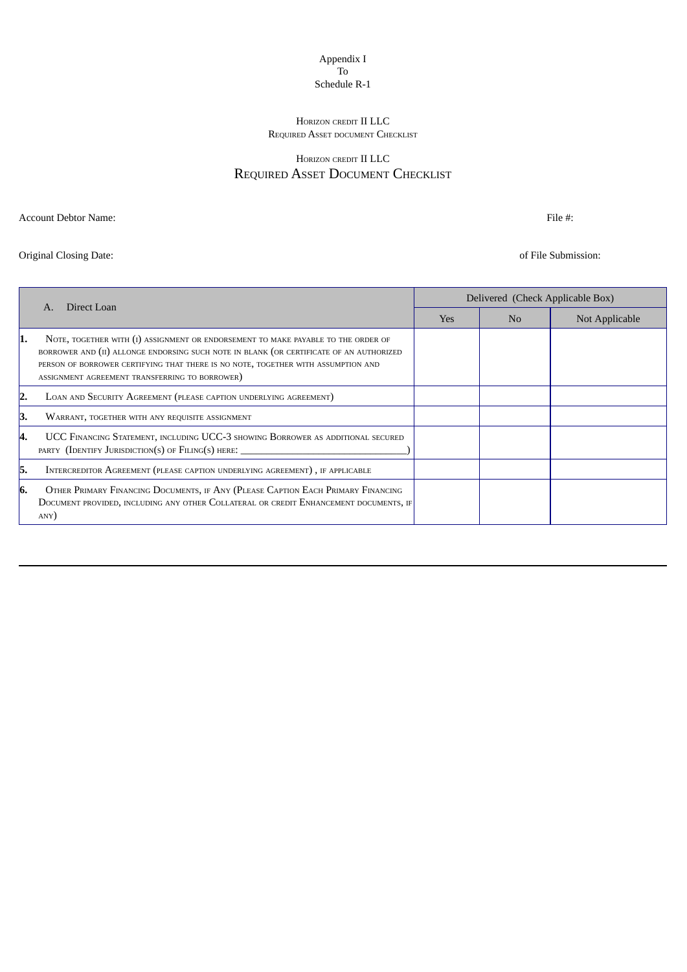#### Appendix I To Schedule R-1

### HORIZON CREDIT II LLC REQUIRED ASSET DOCUMENT CHECKLIST

# HORIZON CREDIT II LLC REQUIRED ASSET DOCUMENT CHECKLIST

Account Debtor Name: File #:

# Original Closing Date: of File Submission: of File Submission:

|              | Direct Loan                                                                                                                                                                                                                                                                                                         | Delivered (Check Applicable Box) |                |                |
|--------------|---------------------------------------------------------------------------------------------------------------------------------------------------------------------------------------------------------------------------------------------------------------------------------------------------------------------|----------------------------------|----------------|----------------|
|              |                                                                                                                                                                                                                                                                                                                     | <b>Yes</b>                       | N <sub>0</sub> | Not Applicable |
| 11.          | NOTE, TOGETHER WITH (I) ASSIGNMENT OR ENDORSEMENT TO MAKE PAYABLE TO THE ORDER OF<br>BORROWER AND (II) ALLONGE ENDORSING SUCH NOTE IN BLANK (OR CERTIFICATE OF AN AUTHORIZED<br>PERSON OF BORROWER CERTIFYING THAT THERE IS NO NOTE, TOGETHER WITH ASSUMPTION AND<br>ASSIGNMENT AGREEMENT TRANSFERRING TO BORROWER) |                                  |                |                |
| $\mathbf{2}$ | LOAN AND SECURITY AGREEMENT (PLEASE CAPTION UNDERLYING AGREEMENT)                                                                                                                                                                                                                                                   |                                  |                |                |
| В.           | WARRANT, TOGETHER WITH ANY REQUISITE ASSIGNMENT                                                                                                                                                                                                                                                                     |                                  |                |                |
| И.           | UCC FINANCING STATEMENT, INCLUDING UCC-3 SHOWING BORROWER AS ADDITIONAL SECURED<br>PARTY (IDENTIFY JURISDICTION(S) OF FILING(S) HERE:                                                                                                                                                                               |                                  |                |                |
| Б.           | INTERCREDITOR AGREEMENT (PLEASE CAPTION UNDERLYING AGREEMENT), IF APPLICABLE                                                                                                                                                                                                                                        |                                  |                |                |
| 6.           | OTHER PRIMARY FINANCING DOCUMENTS, IF ANY (PLEASE CAPTION EACH PRIMARY FINANCING<br>DOCUMENT PROVIDED, INCLUDING ANY OTHER COLLATERAL OR CREDIT ENHANCEMENT DOCUMENTS, IF<br>ANY)                                                                                                                                   |                                  |                |                |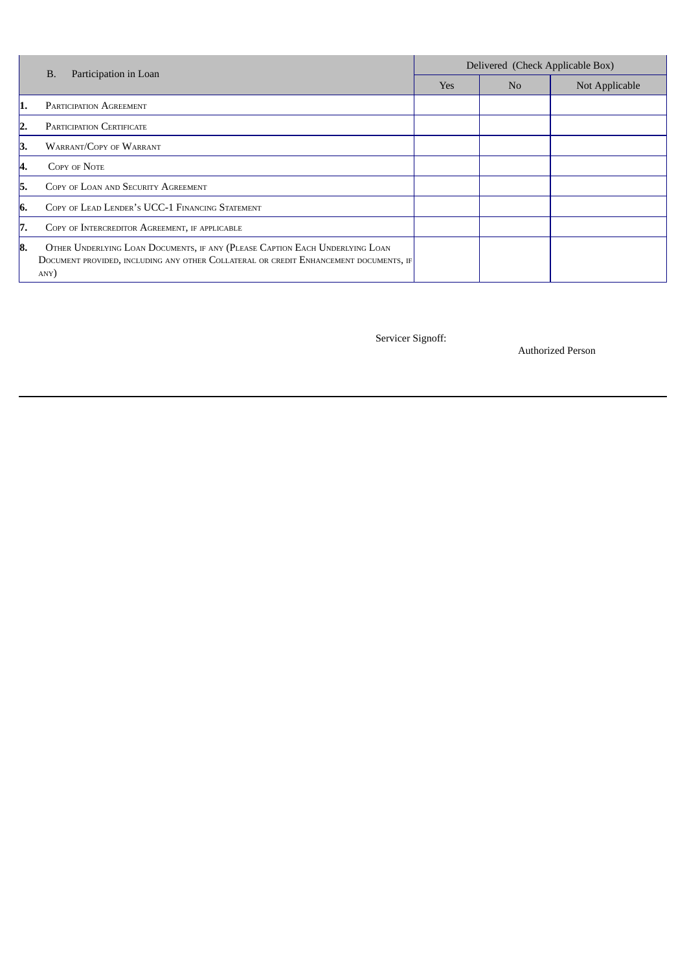|                | <b>B.</b><br>Participation in Loan                                                                                                                                            | Delivered (Check Applicable Box) |    |                |
|----------------|-------------------------------------------------------------------------------------------------------------------------------------------------------------------------------|----------------------------------|----|----------------|
|                |                                                                                                                                                                               | <b>Yes</b>                       | No | Not Applicable |
| 11.            | PARTICIPATION AGREEMENT                                                                                                                                                       |                                  |    |                |
| $\mathbf{2}$ . | <b>PARTICIPATION CERTIFICATE</b>                                                                                                                                              |                                  |    |                |
| Β.             | WARRANT/COPY OF WARRANT                                                                                                                                                       |                                  |    |                |
| И.             | <b>COPY OF NOTE</b>                                                                                                                                                           |                                  |    |                |
| Б.             | COPY OF LOAN AND SECURITY AGREEMENT                                                                                                                                           |                                  |    |                |
| 6.             | COPY OF LEAD LENDER'S UCC-1 FINANCING STATEMENT                                                                                                                               |                                  |    |                |
| 17.            | COPY OF INTERCREDITOR AGREEMENT, IF APPLICABLE                                                                                                                                |                                  |    |                |
| 8.             | OTHER UNDERLYING LOAN DOCUMENTS, IF ANY (PLEASE CAPTION EACH UNDERLYING LOAN<br>DOCUMENT PROVIDED, INCLUDING ANY OTHER COLLATERAL OR CREDIT ENHANCEMENT DOCUMENTS, IF<br>ANY) |                                  |    |                |

Servicer Signoff:

Authorized Person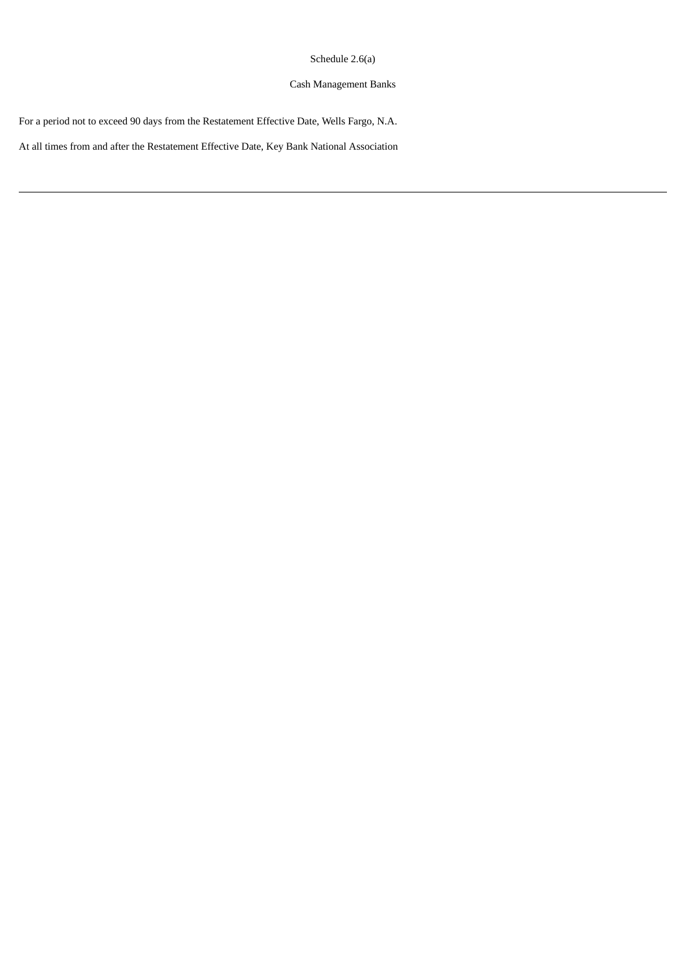## Schedule 2.6(a)

#### Cash Management Banks

For a period not to exceed 90 days from the Restatement Effective Date, Wells Fargo, N.A.

At all times from and after the Restatement Effective Date, Key Bank National Association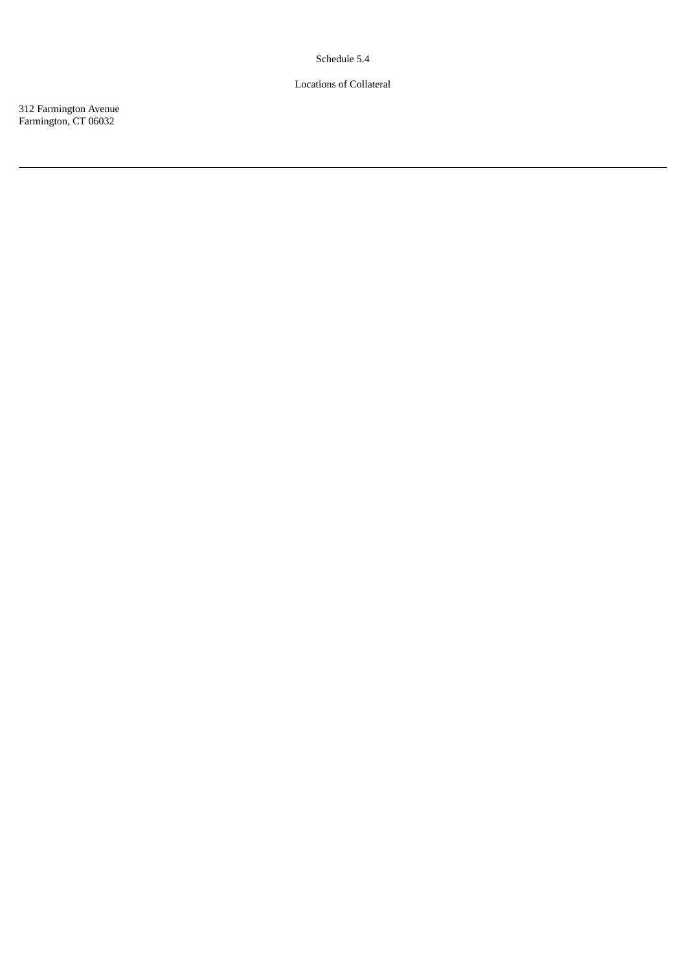Locations of Collateral

312 Farmington Avenue Farmington, CT 06032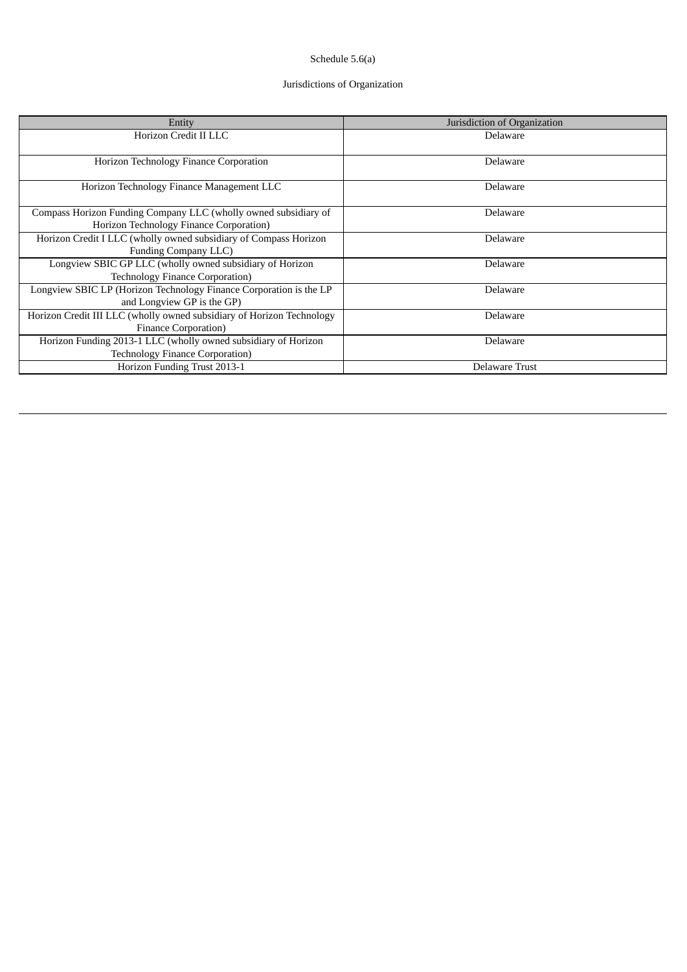Schedule 5.6(a)

### Jurisdictions of Organization

| Entity                                                                | Jurisdiction of Organization |
|-----------------------------------------------------------------------|------------------------------|
| Horizon Credit II LLC                                                 | Delaware                     |
| Horizon Technology Finance Corporation                                | Delaware                     |
| Horizon Technology Finance Management LLC                             | Delaware                     |
| Compass Horizon Funding Company LLC (wholly owned subsidiary of       | Delaware                     |
| Horizon Technology Finance Corporation)                               |                              |
| Horizon Credit I LLC (wholly owned subsidiary of Compass Horizon      | Delaware                     |
| Funding Company LLC)                                                  |                              |
| Longview SBIC GP LLC (wholly owned subsidiary of Horizon              | Delaware                     |
| <b>Technology Finance Corporation</b> )                               |                              |
| Longview SBIC LP (Horizon Technology Finance Corporation is the LP    | Delaware                     |
| and Longview GP is the GP)                                            |                              |
| Horizon Credit III LLC (wholly owned subsidiary of Horizon Technology | Delaware                     |
| <b>Finance Corporation</b> )                                          |                              |
| Horizon Funding 2013-1 LLC (wholly owned subsidiary of Horizon        | Delaware                     |
| <b>Technology Finance Corporation</b> )                               |                              |
| Horizon Funding Trust 2013-1                                          | Delaware Trust               |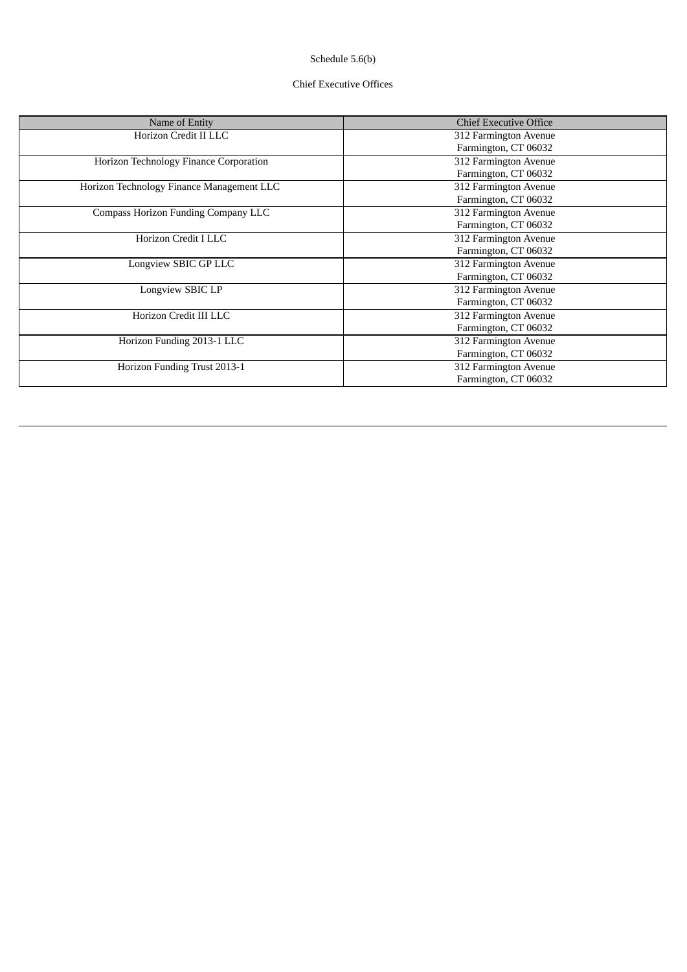## Schedule 5.6(b)

### Chief Executive Offices

| Name of Entity                                | <b>Chief Executive Office</b> |
|-----------------------------------------------|-------------------------------|
| Horizon Credit II LLC                         | 312 Farmington Avenue         |
|                                               | Farmington, CT 06032          |
| <b>Horizon Technology Finance Corporation</b> | 312 Farmington Avenue         |
|                                               | Farmington, CT 06032          |
| Horizon Technology Finance Management LLC     | 312 Farmington Avenue         |
|                                               | Farmington, CT 06032          |
| Compass Horizon Funding Company LLC           | 312 Farmington Avenue         |
|                                               | Farmington, CT 06032          |
| Horizon Credit I LLC                          | 312 Farmington Avenue         |
|                                               | Farmington, CT 06032          |
| Longview SBIC GP LLC                          | 312 Farmington Avenue         |
|                                               | Farmington, CT 06032          |
| Longview SBIC LP                              | 312 Farmington Avenue         |
|                                               | Farmington, CT 06032          |
| Horizon Credit III LLC                        | 312 Farmington Avenue         |
|                                               | Farmington, CT 06032          |
| Horizon Funding 2013-1 LLC                    | 312 Farmington Avenue         |
|                                               | Farmington, CT 06032          |
| Horizon Funding Trust 2013-1                  | 312 Farmington Avenue         |
|                                               | Farmington, CT 06032          |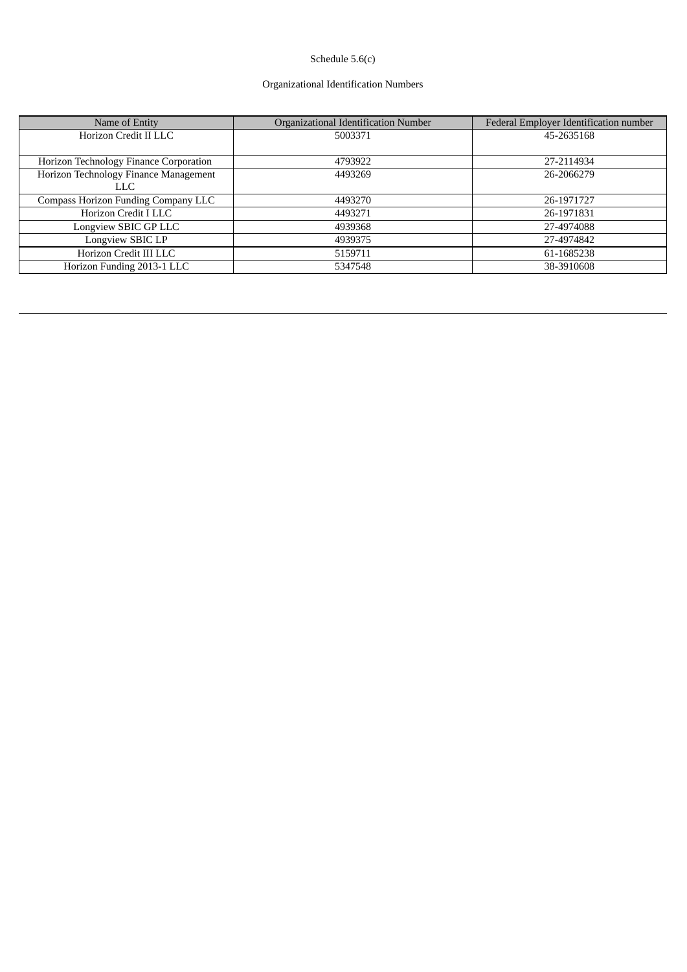# Schedule 5.6(c)

# Organizational Identification Numbers

| Name of Entity                         | Organizational Identification Number | Federal Employer Identification number |
|----------------------------------------|--------------------------------------|----------------------------------------|
| Horizon Credit II LLC                  | 5003371                              | 45-2635168                             |
|                                        |                                      |                                        |
| Horizon Technology Finance Corporation | 4793922                              | 27-2114934                             |
| Horizon Technology Finance Management  | 4493269                              | 26-2066279                             |
| LLC.                                   |                                      |                                        |
| Compass Horizon Funding Company LLC    | 4493270                              | 26-1971727                             |
| Horizon Credit I LLC                   | 4493271                              | 26-1971831                             |
| Longview SBIC GP LLC                   | 4939368                              | 27-4974088                             |
| Longview SBIC LP                       | 4939375                              | 27-4974842                             |
| Horizon Credit III LLC                 | 5159711                              | 61-1685238                             |
| Horizon Funding 2013-1 LLC             | 5347548                              | 38-3910608                             |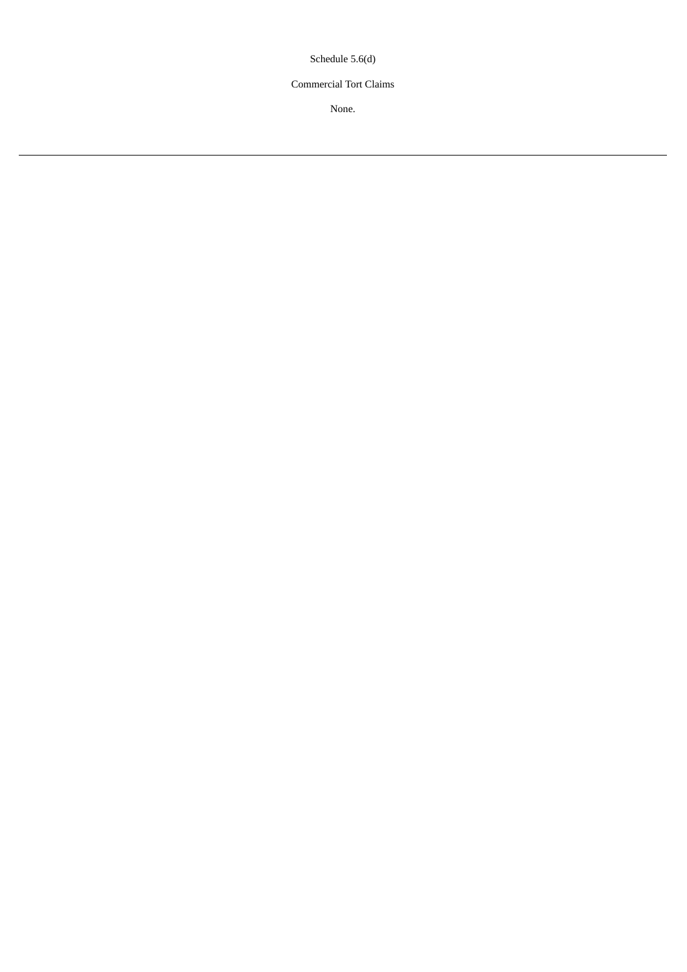Schedule 5.6(d)

### Commercial Tort Claims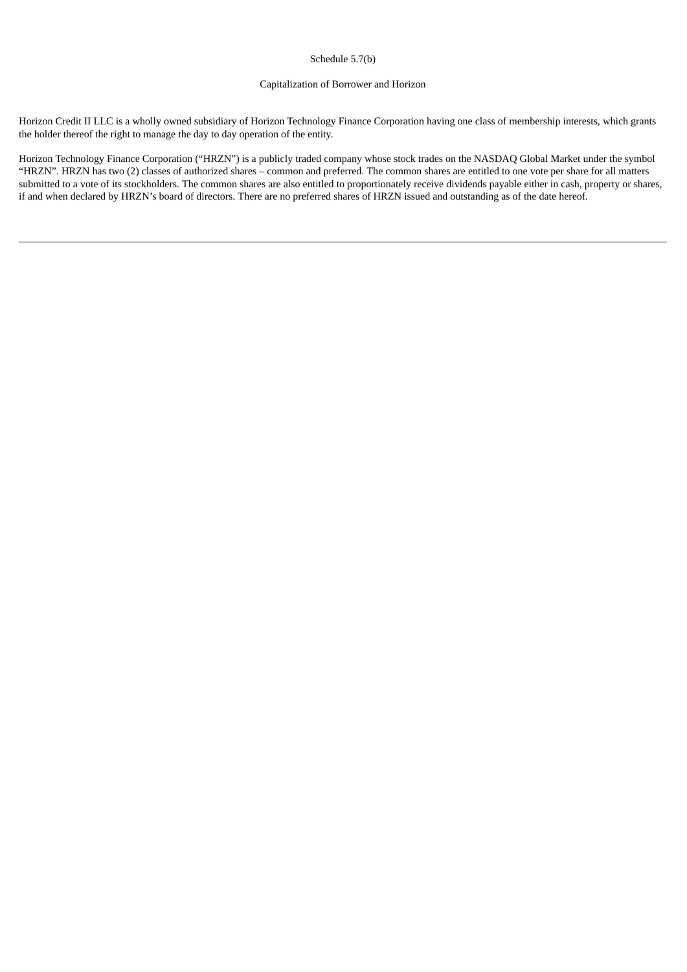#### Schedule 5.7(b)

#### Capitalization of Borrower and Horizon

Horizon Credit II LLC is a wholly owned subsidiary of Horizon Technology Finance Corporation having one class of membership interests, which grants the holder thereof the right to manage the day to day operation of the entity.

Horizon Technology Finance Corporation ("HRZN") is a publicly traded company whose stock trades on the NASDAQ Global Market under the symbol "HRZN". HRZN has two (2) classes of authorized shares – common and preferred. The common shares are entitled to one vote per share for all matters submitted to a vote of its stockholders. The common shares are also entitled to proportionately receive dividends payable either in cash, property or shares, if and when declared by HRZN's board of directors. There are no preferred shares of HRZN issued and outstanding as of the date hereof.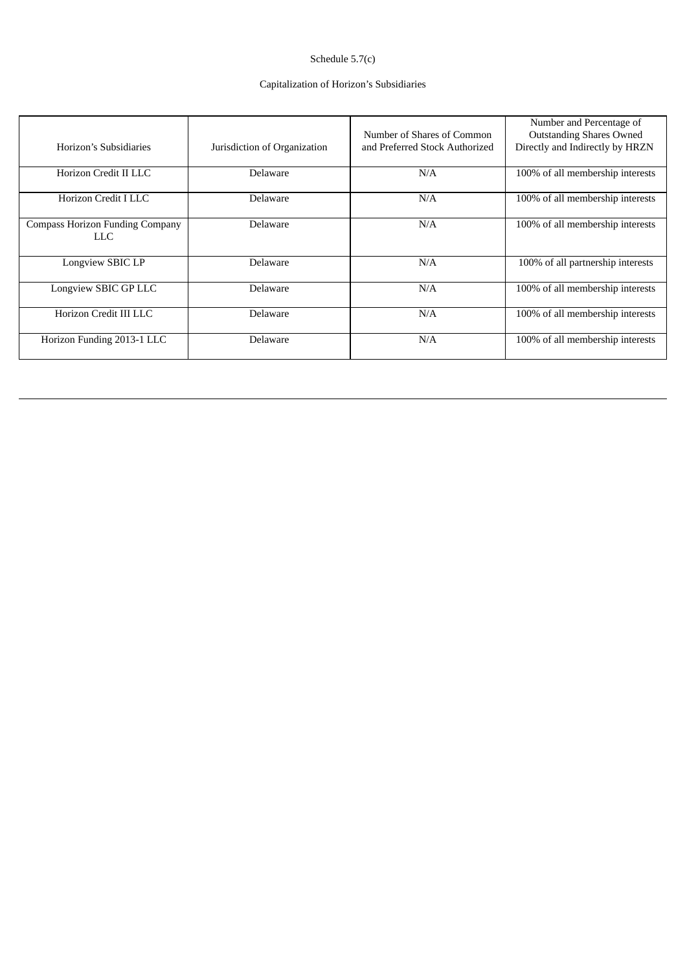## Schedule 5.7(c)

### Capitalization of Horizon's Subsidiaries

| Horizon's Subsidiaries                         | Jurisdiction of Organization | Number of Shares of Common<br>and Preferred Stock Authorized | Number and Percentage of<br><b>Outstanding Shares Owned</b><br>Directly and Indirectly by HRZN |
|------------------------------------------------|------------------------------|--------------------------------------------------------------|------------------------------------------------------------------------------------------------|
| Horizon Credit II LLC                          | Delaware                     | N/A                                                          | 100% of all membership interests                                                               |
| Horizon Credit I LLC                           | Delaware                     | N/A                                                          | 100% of all membership interests                                                               |
| <b>Compass Horizon Funding Company</b><br>LLC. | Delaware                     | N/A                                                          | 100% of all membership interests                                                               |
| Longview SBIC LP                               | Delaware                     | N/A                                                          | 100% of all partnership interests                                                              |
| Longview SBIC GP LLC                           | Delaware                     | N/A                                                          | 100% of all membership interests                                                               |
| Horizon Credit III LLC                         | Delaware                     | N/A                                                          | 100% of all membership interests                                                               |
| Horizon Funding 2013-1 LLC                     | Delaware                     | N/A                                                          | 100% of all membership interests                                                               |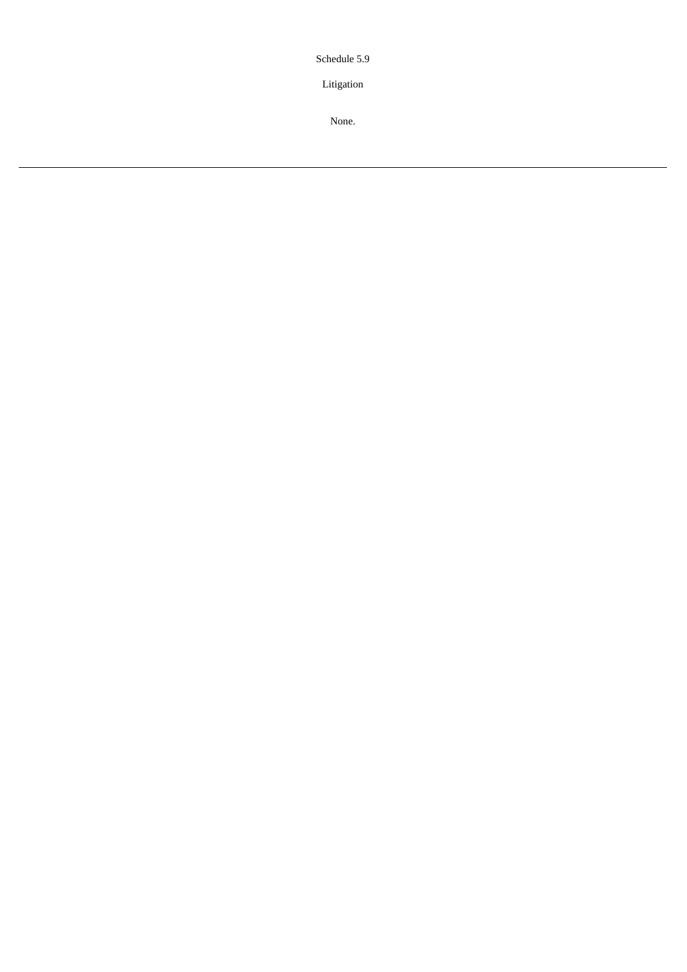Litigation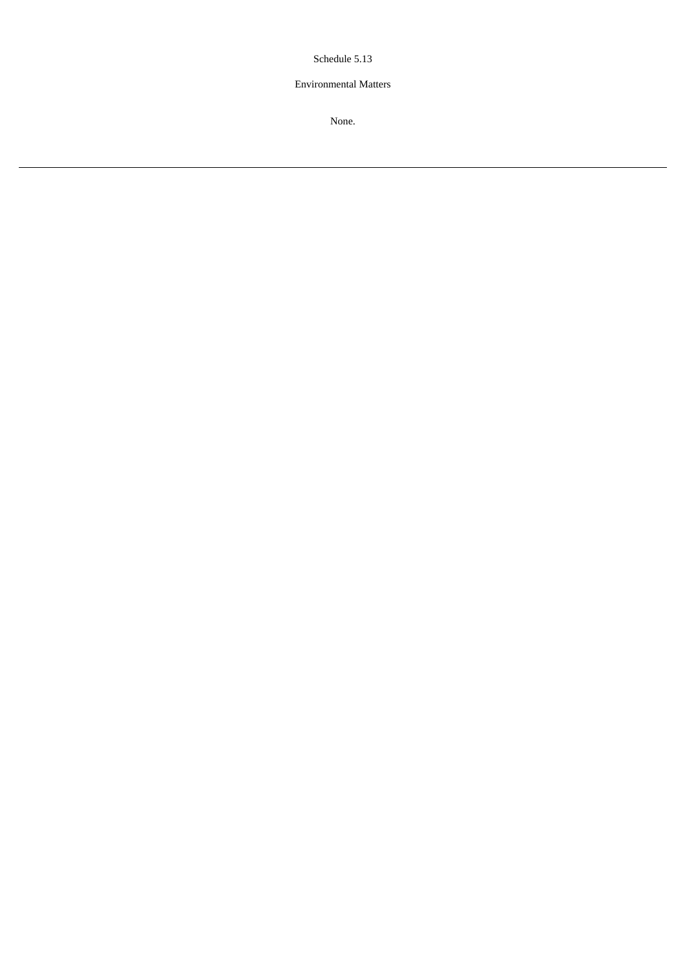### Environmental Matters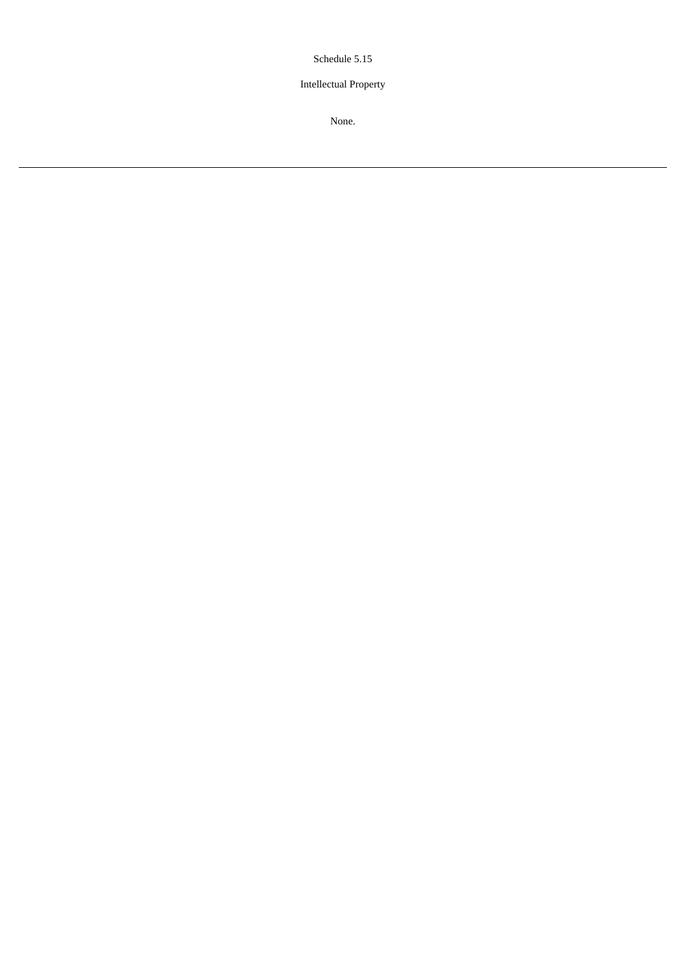## Intellectual Property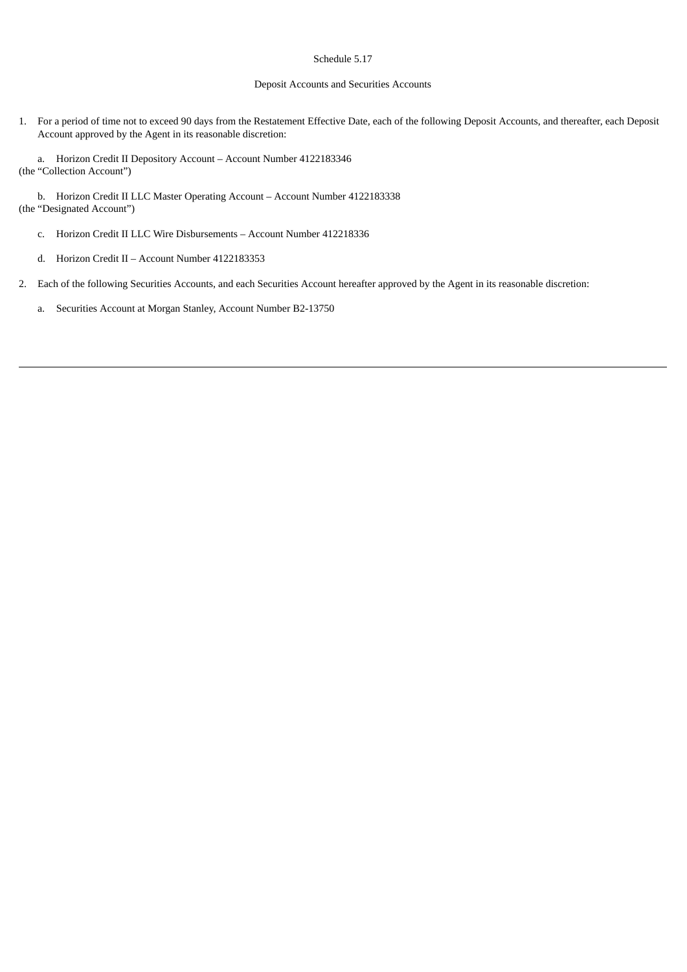#### Deposit Accounts and Securities Accounts

- 1. For a period of time not to exceed 90 days from the Restatement Effective Date, each of the following Deposit Accounts, and thereafter, each Deposit Account approved by the Agent in its reasonable discretion:
- a. Horizon Credit II Depository Account Account Number 4122183346 (the "Collection Account")
- b. Horizon Credit II LLC Master Operating Account Account Number 4122183338 (the "Designated Account")
	- c. Horizon Credit II LLC Wire Disbursements Account Number 412218336
	- d. Horizon Credit II Account Number 4122183353
- 2. Each of the following Securities Accounts, and each Securities Account hereafter approved by the Agent in its reasonable discretion:
	- a. Securities Account at Morgan Stanley, Account Number B2-13750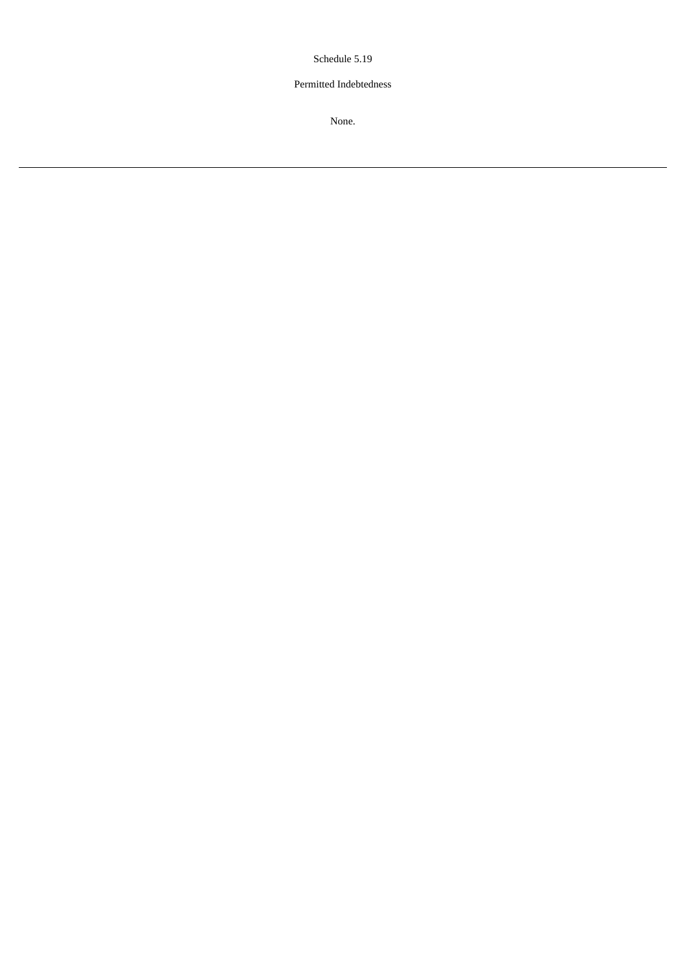### Permitted Indebtedness